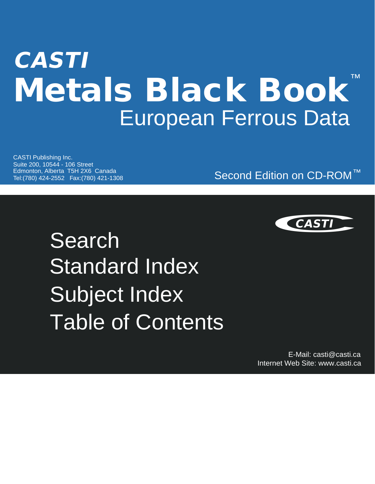# **CASTI** European Ferrous Data **Metals Black Book**™

CASTI Publishing Inc. Suite 200, 10544 - 106 Street Edmonton, Alberta T5H 2X6 Canada Tel:(780) 424-2552 Fax:(780) 421-1308

Second Edition on CD-ROM



[Table of Contents](#page-7-0) [Subject Index](#page-158-0) Search [Standard Index](#page-143-0)

> E-Mail: [casti@casti.ca](mailto:casti@casti.ca) Internet Web Site: [www.casti.ca](http://www.casti.ca)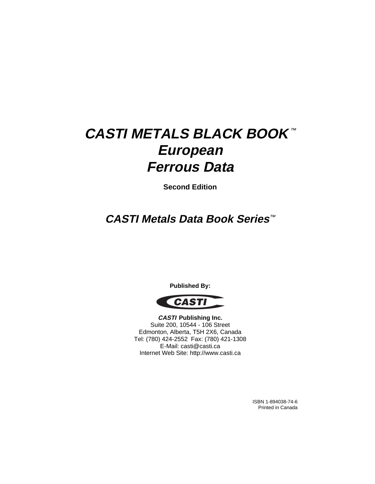## **CASTI METALS BLACK BOOK**™ **European Ferrous Data**

**Second Edition** 

## **CASTI Metals Data Book Series**™

**Published By:** 

**CASTI**

Published By:<br>
CASTI<br>
CASTI<br>
CASTI Publishing Inc.<br>
Suite 200, 10544 - 106 Stree **CASTI Publishing Inc.**  Suite 200, 10544 - 106 Street Edmonton, Alberta, T5H 2X6, Canada Tel: (780) 424-2552 Fax: (780) 421-1308 [E-Mail: casti@casti.ca](mailto:casti@casti.ca)  [Internet Web Site: http://www.casti.ca](http://www.casti.ca) 

> ISBN 1-894038-74-6 Printed in Canada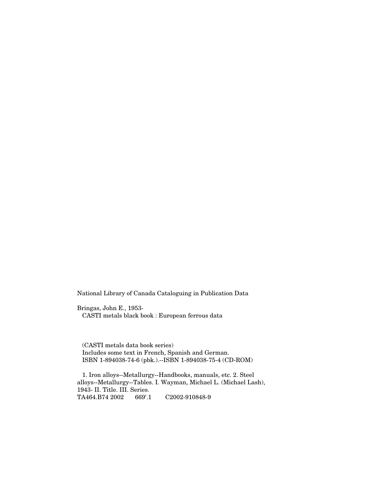National Library of Canada Cataloguing in Publication Data

Bringas, John E., 1953- CASTI metals black book : European ferrous data

 (CASTI metals data book series) Includes some text in French, Spanish and German. ISBN 1-894038-74-6 (pbk.).--ISBN 1-894038-75-4 (CD-ROM)

 1. Iron alloys--Metallurgy--Handbooks, manuals, etc. 2. Steel alloys--Metallurgy--Tables. I. Wayman, Michael L. (Michael Lash), 1943- II. Title. III. Series. TA464.B74 2002 669'.1 C2002-910848-9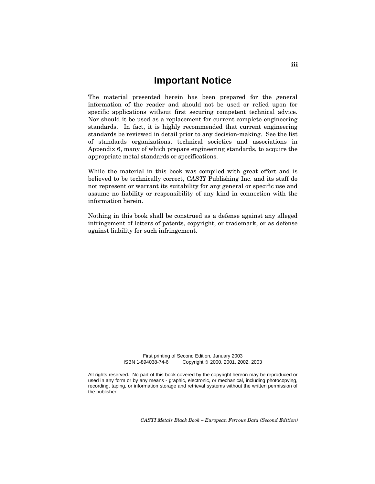### **Important Notice**

The material presented herein has been prepared for the general information of the reader and should not be used or relied upon for specific applications without first securing competent technical advice. Nor should it be used as a replacement for current complete engineering standards. In fact, it is highly recommended that current engineering standards be reviewed in detail prior to any decision-making. See the list of standards organizations, technical societies and associations in Appendix 6, many of which prepare engineering standards, to acquire the appropriate metal standards or specifications.

While the material in this book was compiled with great effort and is believed to be technically correct, *CASTI* Publishing Inc. and its staff do not represent or warrant its suitability for any general or specific use and assume no liability or responsibility of any kind in connection with the information herein.

Nothing in this book shall be construed as a defense against any alleged infringement of letters of patents, copyright, or trademark, or as defense against liability for such infringement.

> First printing of Second Edition, January 2003 ISBN 1-894038-74-6 Copyright © 2000, 2001, 2002, 2003

All rights reserved. No part of this book covered by the copyright hereon may be reproduced or used in any form or by any means - graphic, electronic, or mechanical, including photocopying, recording, taping, or information storage and retrieval systems without the written permission of the publisher.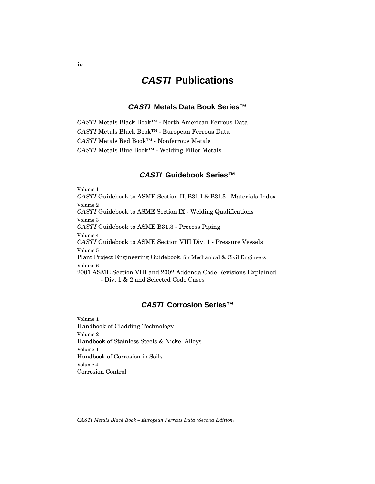### **CASTI Publications**

#### **CASTI Metals Data Book Series™**

*CASTI* Metals Black Book™ - North American Ferrous Data *CASTI* Metals Black Book™ - European Ferrous Data *CASTI* Metals Red Book™ - Nonferrous Metals *CASTI* Metals Blue Book™ - Welding Filler Metals

#### **CASTI Guidebook Series™**

Volume 1 *CASTI* Guidebook to ASME Section II, B31.1 & B31.3 - Materials Index Volume 2 *CASTI* Guidebook to ASME Section IX - Welding Qualifications Volume 3 *CASTI* Guidebook to ASME B31.3 - Process Piping Volume 4 *CASTI* Guidebook to ASME Section VIII Div. 1 - Pressure Vessels Volume 5 Plant Project Engineering Guidebook: for Mechanical & Civil Engineers Volume 6 2001 ASME Section VIII and 2002 Addenda Code Revisions Explained - Div. 1 & 2 and Selected Code Cases

#### **CASTI Corrosion Series™**

Volume 1 Handbook of Cladding Technology Volume 2 Handbook of Stainless Steels & Nickel Alloys Volume 3 Handbook of Corrosion in Soils Volume 4 Corrosion Control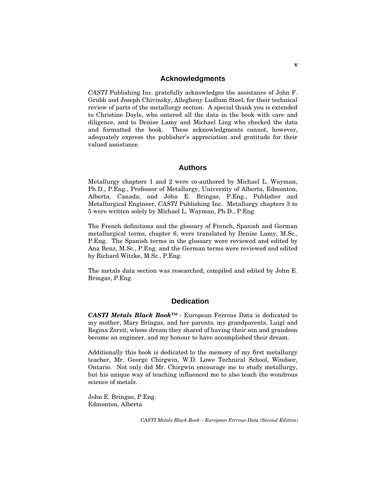#### **Acknowledgments**

*CASTI* Publishing Inc. gratefully acknowledges the assistance of John F. Grubb and Joseph Chivinsky, Allegheny Ludlum Steel, for their technical review of parts of the metallurgy section. A special thank you is extended to Christine Doyle, who entered all the data in the book with care and diligence, and to Denise Lamy and Michael Ling who checked the data and formatted the book. These acknowledgments cannot, however, adequately express the publisher's appreciation and gratitude for their valued assistance.

#### **Authors**

Metallurgy chapters 1 and 2 were co-authored by Michael L. Wayman, Ph.D., P.Eng., Professor of Metallurgy, University of Alberta, Edmonton, Alberta, Canada, and John E. Bringas, P.Eng., Publisher and Metallurgical Engineer, *CASTI* Publishing Inc. Metallurgy chapters 3 to 5 were written solely by Michael L. Wayman, Ph.D., P.Eng.

The French definitions and the glossary of French, Spanish and German metallurgical terms, chapter 6, were translated by Denise Lamy, M.Sc., P.Eng. The Spanish terms in the glossary were reviewed and edited by Ana Benz, M.Sc., P.Eng. and the German terms were reviewed and edited by Richard Witzke, M.Sc., P.Eng.

The metals data section was researched, compiled and edited by John E. Bringas, P.Eng.

#### **Dedication**

*CASTI Metals Black Book™* - European Ferrous Data is dedicated to my mother, Mary Bringas, and her parents, my grandparents, Luigi and Regina Zorzit; whose dream they shared of having their son and grandson become an engineer, and my honour to have accomplished their dream.

Additionally this book is dedicated to the memory of my first metallurgy teacher, Mr. George Chirgwin, W.D. Lowe Technical School, Windsor, Ontario. Not only did Mr. Chirgwin encourage me to study metallurgy, but his unique way of teaching influenced me to also teach the wondrous science of metals.

John E. Bringas, P.Eng. Edmonton, Alberta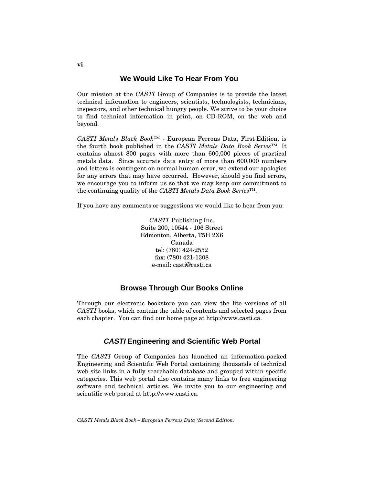#### **We Would Like To Hear From You**

Our mission at the *CASTI* Group of Companies is to provide the latest technical information to engineers, scientists, technologists, technicians, inspectors, and other technical hungry people. We strive to be your choice to find technical information in print, on CD-ROM, on the web and beyond.

*CASTI Metals Black Book*™ - European Ferrous Data, First Edition, is the fourth book published in the *CASTI Metals Data Book Series*™. It contains almost 800 pages with more than 600,000 pieces of practical metals data. Since accurate data entry of more than 600,000 numbers and letters is contingent on normal human error, we extend our apologies for any errors that may have occurred. However, should you find errors, we encourage you to inform us so that we may keep our commitment to the continuing quality of the *CASTI Metals Data Book Series*™.

If you have any comments or suggestions we would like to hear from you:

*CASTI* Publishing Inc. Suite 200, 10544 - 106 Street Edmonton, Alberta, T5H 2X6 Canada tel: (780) 424-2552 fax: (780) 421-1308 [e-mail: casti@casti.ca](mailto:casti@casti.ca) 

#### **Browse Through Our Books Online**

Through our electronic bookstore you can view the lite versions of all *CASTI* books, which contain the table of contents and selected pages from each chapter. You can find our home page at [http://www.casti.ca.](http://www.casti.ca) 

#### **CASTI Engineering and Scientific Web Portal**

The *CASTI* Group of Companies has launched an information-packed Engineering and Scientific Web Portal containing thousands of technical web site links in a fully searchable database and grouped within specific categories. This web portal also contains many links to free engineering software and technical articles. We invite you to our engineering and scientific web portal at [http://www.casti.ca.](http://www.casti.ca)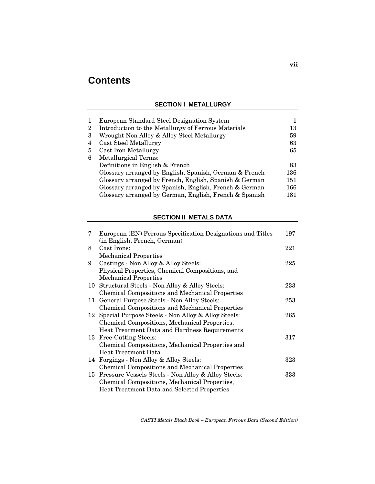## <span id="page-7-0"></span>**Contents**

| 1              | European Standard Steel Designation System             |     |
|----------------|--------------------------------------------------------|-----|
| $\overline{2}$ | Introduction to the Metallurgy of Ferrous Materials    | 13  |
| 3              | Wrought Non Alloy & Alloy Steel Metallurgy             | 59  |
| 4              | Cast Steel Metallurgy                                  | 63  |
| 5              | Cast Iron Metallurgy                                   | 65  |
| 6              | Metallurgical Terms:                                   |     |
|                | Definitions in English & French                        | 83  |
|                | Glossary arranged by English, Spanish, German & French | 136 |
|                | Glossary arranged by French, English, Spanish & German | 151 |
|                | Glossary arranged by Spanish, English, French & German | 166 |
|                | Glossary arranged by German, English, French & Spanish | 181 |

#### **SECTION II METALS DATA**

| 7  | European (EN) Ferrous Specification Designations and Titles | 197 |
|----|-------------------------------------------------------------|-----|
|    | (in English, French, German)                                |     |
| 8  | Cast Irons:                                                 | 221 |
|    | <b>Mechanical Properties</b>                                |     |
| 9  | Castings - Non Alloy & Alloy Steels:                        | 225 |
|    | Physical Properties, Chemical Compositions, and             |     |
|    | <b>Mechanical Properties</b>                                |     |
| 10 | Structural Steels - Non Alloy & Alloy Steels:               | 233 |
|    | <b>Chemical Compositions and Mechanical Properties</b>      |     |
|    | 11 General Purpose Steels - Non Alloy Steels:               | 253 |
|    | <b>Chemical Compositions and Mechanical Properties</b>      |     |
| 12 | Special Purpose Steels - Non Alloy & Alloy Steels:          | 265 |
|    | Chemical Compositions, Mechanical Properties,               |     |
|    | Heat Treatment Data and Hardness Requirements               |     |
|    | 13 Free-Cutting Steels:                                     | 317 |
|    | Chemical Compositions, Mechanical Properties and            |     |
|    | Heat Treatment Data                                         |     |
|    | 14 Forgings - Non Alloy & Alloy Steels:                     | 323 |
|    | <b>Chemical Compositions and Mechanical Properties</b>      |     |
|    | 15 Pressure Vessels Steels - Non Alloy & Alloy Steels:      | 333 |
|    | Chemical Compositions, Mechanical Properties,               |     |
|    | <b>Heat Treatment Data and Selected Properties</b>          |     |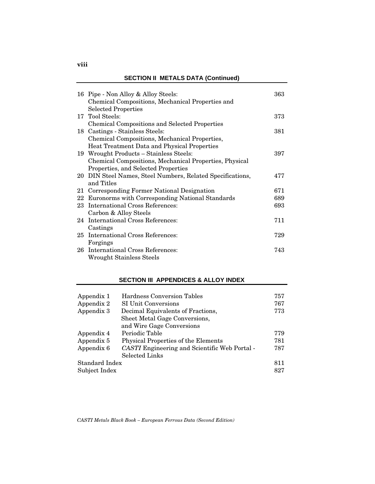**SECTION II METALS DATA (Continued)** 

|    |                                                            | 363 |
|----|------------------------------------------------------------|-----|
|    | 16 Pipe - Non Alloy & Alloy Steels:                        |     |
|    | Chemical Compositions, Mechanical Properties and           |     |
|    | <b>Selected Properties</b>                                 |     |
|    | 17 Tool Steels:                                            | 373 |
|    | <b>Chemical Compositions and Selected Properties</b>       |     |
|    | 18 Castings - Stainless Steels:                            | 381 |
|    | Chemical Compositions, Mechanical Properties,              |     |
|    | Heat Treatment Data and Physical Properties                |     |
|    | 19 Wrought Products - Stainless Steels:                    | 397 |
|    | Chemical Compositions, Mechanical Properties, Physical     |     |
|    | Properties, and Selected Properties                        |     |
|    | 20 DIN Steel Names, Steel Numbers, Related Specifications, | 477 |
|    | and Titles                                                 |     |
|    | 21 Corresponding Former National Designation               | 671 |
| 22 | Euronorms with Corresponding National Standards            | 689 |
| 23 | International Cross References:                            | 693 |
|    | Carbon & Alloy Steels                                      |     |
|    | 24 International Cross References:                         | 711 |
|    | Castings                                                   |     |
|    | 25 International Cross References:                         | 729 |
|    | Forgings                                                   |     |
|    | 26 International Cross References:                         | 743 |
|    | <b>Wrought Stainless Steels</b>                            |     |

#### **SECTION III APPENDICES & ALLOY INDEX**

| Appendix 1     | Hardness Conversion Tables                    | 757 |
|----------------|-----------------------------------------------|-----|
| Appendix 2     | <b>SI Unit Conversions</b>                    | 767 |
| Appendix 3     | Decimal Equivalents of Fractions,             | 773 |
|                | Sheet Metal Gage Conversions,                 |     |
|                | and Wire Gage Conversions                     |     |
| Appendix 4     | Periodic Table                                | 779 |
| Appendix 5     | <b>Physical Properties of the Elements</b>    | 781 |
| Appendix 6     | CASTI Engineering and Scientific Web Portal - | 787 |
|                | <b>Selected Links</b>                         |     |
| Standard Index |                                               |     |
| Subject Index  |                                               |     |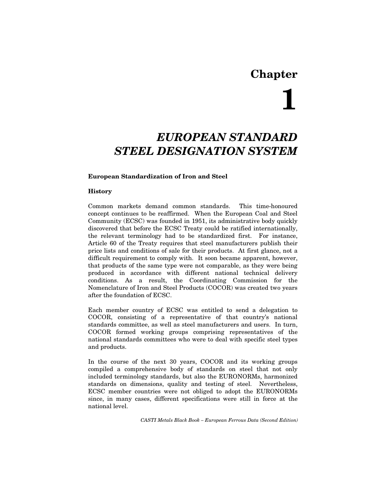## **Chapter 1**

## <span id="page-9-0"></span>*EUROPEAN STANDARD STEEL DESIGNATION SYSTEM*

#### **European Standardization of Iron and Steel**

#### **History**

Common markets demand common standards. This time-honoured concept continues to be reaffirmed. When the European Coal and Steel Community (ECSC) was founded in 1951, its administrative body quickly discovered that before the ECSC Treaty could be ratified internationally, the relevant terminology had to be standardized first. For instance, Article 60 of the Treaty requires that steel manufacturers publish their price lists and conditions of sale for their products. At first glance, not a difficult requirement to comply with. It soon became apparent, however, that products of the same type were not comparable, as they were being produced in accordance with different national technical delivery conditions. As a result, the Coordinating Commission for the Nomenclature of Iron and Steel Products (COCOR) was created two years after the foundation of ECSC.

Each member country of ECSC was entitled to send a delegation to COCOR, consisting of a representative of that country's national standards committee, as well as steel manufacturers and users. In turn, COCOR formed working groups comprising representatives of the national standards committees who were to deal with specific steel types and products.

In the course of the next 30 years, COCOR and its working groups compiled a comprehensive body of standards on steel that not only included terminology standards, but also the EURONORMs, harmonized standards on dimensions, quality and testing of steel. Nevertheless, ECSC member countries were not obliged to adopt the EURONORMs since, in many cases, different specifications were still in force at the national level.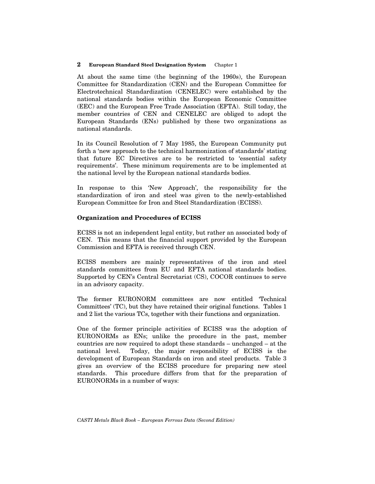#### **2 European Standard Steel Designation System** Chapter 1

At about the same time (the beginning of the 1960s), the European Committee for Standardization (CEN) and the European Committee for Electrotechnical Standardization (CENELEC) were established by the national standards bodies within the European Economic Committee (EEC) and the European Free Trade Association (EFTA). Still today, the member countries of CEN and CENELEC are obliged to adopt the European Standards (ENs) published by these two organizations as national standards.

In its Council Resolution of 7 May 1985, the European Community put forth a 'new approach to the technical harmonization of standards' stating that future EC Directives are to be restricted to 'essential safety requirements'. These minimum requirements are to be implemented at the national level by the European national standards bodies.

In response to this 'New Approach', the responsibility for the standardization of iron and steel was given to the newly-established European Committee for Iron and Steel Standardization (ECISS).

#### **Organization and Procedures of ECISS**

ECISS is not an independent legal entity, but rather an associated body of CEN. This means that the financial support provided by the European Commission and EFTA is received through CEN.

ECISS members are mainly representatives of the iron and steel standards committees from EU and EFTA national standards bodies. Supported by CEN's Central Secretariat (CS), COCOR continues to serve in an advisory capacity.

The former EURONORM committees are now entitled 'Technical Committees' (TC), but they have retained their original functions. Tables 1 and 2 list the various TCs, together with their functions and organization.

One of the former principle activities of ECISS was the adoption of EURONORMs as ENs; unlike the procedure in the past, member countries are now required to adopt these standards – unchanged – at the national level. Today, the major responsibility of ECISS is the development of European Standards on iron and steel products. Table 3 gives an overview of the ECISS procedure for preparing new steel standards. This procedure differs from that for the preparation of EURONORMs in a number of ways: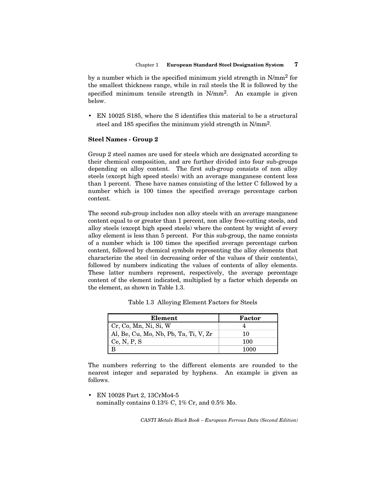by a number which is the specified minimum yield strength in N/mm2 for the smallest thickness range, while in rail steels the R is followed by the specified minimum tensile strength in N/mm2. An example is given below.

• EN 10025 S185, where the S identifies this material to be a structural steel and 185 specifies the minimum yield strength in N/mm2.

#### **Steel Names - Group 2**

Group 2 steel names are used for steels which are designated according to their chemical composition, and are further divided into four sub-groups depending on alloy content. The first sub-group consists of non alloy steels (except high speed steels) with an average manganese content less than 1 percent. These have names consisting of the letter C followed by a number which is 100 times the specified average percentage carbon content.

The second sub-group includes non alloy steels with an average manganese content equal to or greater than 1 percent, non alloy free-cutting steels, and alloy steels (except high speed steels) where the content by weight of every alloy element is less than 5 percent. For this sub-group, the name consists of a number which is 100 times the specified average percentage carbon content, followed by chemical symbols representing the alloy elements that characterize the steel (in decreasing order of the values of their contents), followed by numbers indicating the values of contents of alloy elements. These latter numbers represent, respectively, the average percentage content of the element indicated, multiplied by a factor which depends on the element, as shown in Table 1.3.

| Element                               | Factor |
|---------------------------------------|--------|
| Cr, Co, Mn, Ni, Si, W                 |        |
| Al, Be, Cu, Mo, Nb, Pb, Ta, Ti, V, Zr | 10     |

Ce, N, P, S 100  $\mathbf{B}$  1000

Table 1.3 Alloying Element Factors for Steels

The numbers referring to the different elements are rounded to the nearest integer and separated by hyphens. An example is given as follows.

• EN 10028 Part 2, 13CrMo4-5 nominally contains 0.13% C, 1% Cr, and 0.5% Mo.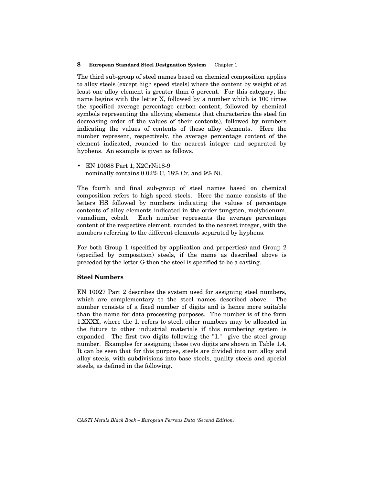#### **8 European Standard Steel Designation System** Chapter 1

The third sub-group of steel names based on chemical composition applies to alloy steels (except high speed steels) where the content by weight of at least one alloy element is greater than 5 percent. For this category, the name begins with the letter X, followed by a number which is 100 times the specified average percentage carbon content, followed by chemical symbols representing the alloying elements that characterize the steel (in decreasing order of the values of their contents), followed by numbers indicating the values of contents of these alloy elements. Here the number represent, respectively, the average percentage content of the element indicated, rounded to the nearest integer and separated by hyphens. An example is given as follows.

• EN 10088 Part 1, X2CrNi18-9 nominally contains 0.02% C, 18% Cr, and 9% Ni.

The fourth and final sub-group of steel names based on chemical composition refers to high speed steels. Here the name consists of the letters HS followed by numbers indicating the values of percentage contents of alloy elements indicated in the order tungsten, molybdenum, vanadium, cobalt. Each number represents the average percentage content of the respective element, rounded to the nearest integer, with the numbers referring to the different elements separated by hyphens.

For both Group 1 (specified by application and properties) and Group 2 (specified by composition) steels, if the name as described above is preceded by the letter G then the steel is specified to be a casting.

#### **Steel Numbers**

EN 10027 Part 2 describes the system used for assigning steel numbers, which are complementary to the steel names described above. The number consists of a fixed number of digits and is hence more suitable than the name for data processing purposes. The number is of the form 1.XXXX, where the 1. refers to steel; other numbers may be allocated in the future to other industrial materials if this numbering system is expanded. The first two digits following the "1." give the steel group number. Examples for assigning these two digits are shown in Table 1.4. It can be seen that for this purpose, steels are divided into non alloy and alloy steels, with subdivisions into base steels, quality steels and special steels, as defined in the following.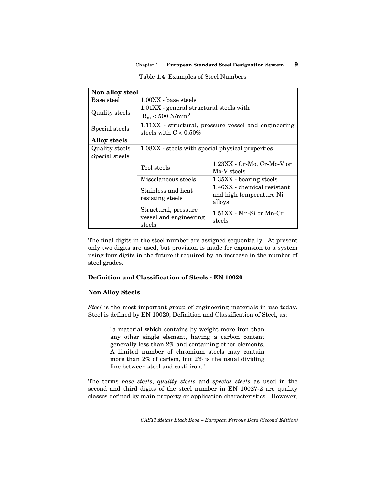#### Chapter 1 **European Standard Steel Designation System 9**

| Table 1.4 Examples of Steel Numbers |  |
|-------------------------------------|--|
|-------------------------------------|--|

| Non alloy steel       |                                                                                  |                                                                  |  |
|-----------------------|----------------------------------------------------------------------------------|------------------------------------------------------------------|--|
| Base steel            | $1.00XX$ - base steels                                                           |                                                                  |  |
| <b>Quality steels</b> | 1.01XX - general structural steels with<br>$R_m < 500 \text{ N/mm}^2$            |                                                                  |  |
| Special steels        | 1.11XX - structural, pressure vessel and engineering<br>steels with $C < 0.50\%$ |                                                                  |  |
| Alloy steels          |                                                                                  |                                                                  |  |
| <b>Quality steels</b> | 1.08XX - steels with special physical properties                                 |                                                                  |  |
| Special steels        |                                                                                  |                                                                  |  |
|                       | 1.23XX - Cr-Mo, Cr-Mo-V or<br>Tool steels<br>Mo-V steels                         |                                                                  |  |
| Miscelaneous steels   |                                                                                  | 1.35XX - bearing steels                                          |  |
|                       | Stainless and heat<br>resisting steels                                           | 1.46XX - chemical resistant<br>and high temperature Ni<br>alloys |  |
|                       | Structural, pressure<br>vessel and engineering<br>steels                         | $1.51XX$ - Mn-Si or Mn-Cr<br>steels                              |  |

The final digits in the steel number are assigned sequentially. At present only two digits are used, but provision is made for expansion to a system using four digits in the future if required by an increase in the number of steel grades.

#### **Definition and Classification of Steels - EN 10020**

#### **Non Alloy Steels**

*Steel* is the most important group of engineering materials in use today. Steel is defined by EN 10020, Definition and Classification of Steel, as:

> "a material which contains by weight more iron than any other single element, having a carbon content generally less than 2% and containing other elements. A limited number of chromium steels may contain more than 2% of carbon, but 2% is the usual dividing line between steel and casti iron."

The terms *base steels*, *quality steels* and *special steels* as used in the second and third digits of the steel number in EN 10027-2 are quality classes defined by main property or application characteristics. However,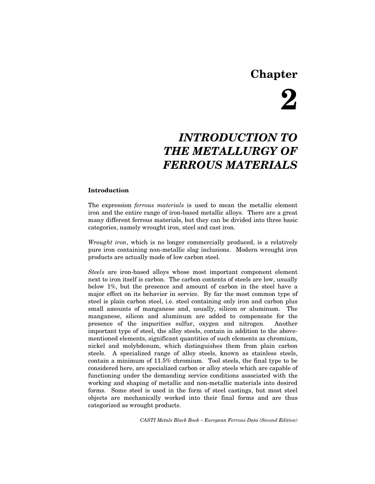## **Chapter**

## **2**

## *INTRODUCTION TO THE METALLURGY OF FERROUS MATERIALS*

#### <span id="page-14-0"></span>**Introduction**

The expression *ferrous materials* is used to mean the metallic element iron and the entire range of iron-based metallic alloys. There are a great many different ferrous materials, but they can be divided into three basic categories, namely wrought iron, steel and cast iron.

*Wrought iron*, which is no longer commercially produced, is a relatively pure iron containing non-metallic slag inclusions. Modern wrought iron products are actually made of low carbon steel.

*Steels* are iron-based alloys whose most important component element next to iron itself is carbon. The carbon contents of steels are low, usually below 1%, but the presence and amount of carbon in the steel have a major effect on its behavior in service. By far the most common type of steel is plain carbon steel, i.e. steel containing only iron and carbon plus small amounts of manganese and, usually, silicon or aluminum. The manganese, silicon and aluminum are added to compensate for the presence of the impurities sulfur, oxygen and nitrogen. Another important type of steel, the alloy steels, contain in addition to the abovementioned elements, significant quantities of such elements as chromium, nickel and molybdenum, which distinguishes them from plain carbon steels. A specialized range of alloy steels, known as stainless steels, contain a minimum of 11.5% chromium. Tool steels, the final type to be considered here, are specialized carbon or alloy steels which are capable of functioning under the demanding service conditions associated with the working and shaping of metallic and non-metallic materials into desired forms. Some steel is used in the form of steel castings, but most steel objects are mechanically worked into their final forms and are thus categorized as wrought products.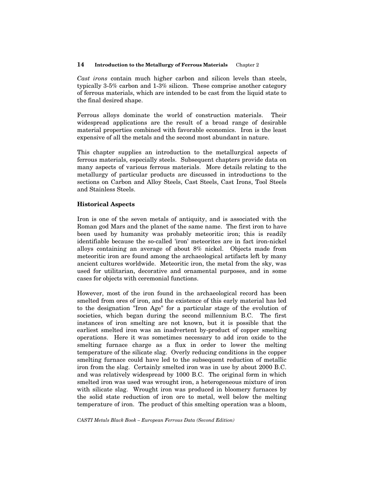#### **14 Introduction to the Metallurgy of Ferrous Materials** Chapter 2

*Cast irons* contain much higher carbon and silicon levels than steels, typically 3-5% carbon and 1-3% silicon. These comprise another category of ferrous materials, which are intended to be cast from the liquid state to the final desired shape.

Ferrous alloys dominate the world of construction materials. Their widespread applications are the result of a broad range of desirable material properties combined with favorable economics. Iron is the least expensive of all the metals and the second most abundant in nature.

This chapter supplies an introduction to the metallurgical aspects of ferrous materials, especially steels. Subsequent chapters provide data on many aspects of various ferrous materials. More details relating to the metallurgy of particular products are discussed in introductions to the sections on Carbon and Alloy Steels, Cast Steels, Cast Irons, Tool Steels and Stainless Steels.

#### **Historical Aspects**

Iron is one of the seven metals of antiquity, and is associated with the Roman god Mars and the planet of the same name. The first iron to have been used by humanity was probably meteoritic iron; this is readily identifiable because the so-called 'iron' meteorites are in fact iron-nickel alloys containing an average of about 8% nickel. Objects made from meteoritic iron are found among the archaeological artifacts left by many ancient cultures worldwide. Meteoritic iron, the metal from the sky, was used for utilitarian, decorative and ornamental purposes, and in some cases for objects with ceremonial functions.

However, most of the iron found in the archaeological record has been smelted from ores of iron, and the existence of this early material has led to the designation "Iron Age" for a particular stage of the evolution of societies, which began during the second millennium B.C. The first instances of iron smelting are not known, but it is possible that the earliest smelted iron was an inadvertent by-product of copper smelting operations. Here it was sometimes necessary to add iron oxide to the smelting furnace charge as a flux in order to lower the melting temperature of the silicate slag. Overly reducing conditions in the copper smelting furnace could have led to the subsequent reduction of metallic iron from the slag. Certainly smelted iron was in use by about 2000 B.C. and was relatively widespread by 1000 B.C. The original form in which smelted iron was used was wrought iron, a heterogeneous mixture of iron with silicate slag. Wrought iron was produced in bloomery furnaces by the solid state reduction of iron ore to metal, well below the melting temperature of iron. The product of this smelting operation was a bloom,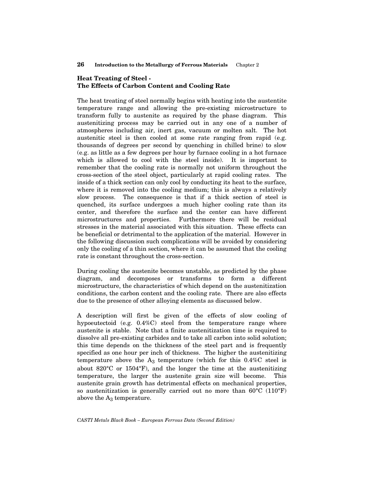#### **Heat Treating of Steel - The Effects of Carbon Content and Cooling Rate**

The heat treating of steel normally begins with heating into the austentite temperature range and allowing the pre-existing microstructure to transform fully to austenite as required by the phase diagram. This austenitizing process may be carried out in any one of a number of atmospheres including air, inert gas, vacuum or molten salt. The hot austenitic steel is then cooled at some rate ranging from rapid (e.g. thousands of degrees per second by quenching in chilled brine) to slow (e.g. as little as a few degrees per hour by furnace cooling in a hot furnace which is allowed to cool with the steel inside). It is important to remember that the cooling rate is normally not uniform throughout the cross-section of the steel object, particularly at rapid cooling rates. The inside of a thick section can only cool by conducting its heat to the surface, where it is removed into the cooling medium; this is always a relatively slow process. The consequence is that if a thick section of steel is quenched, its surface undergoes a much higher cooling rate than its center, and therefore the surface and the center can have different microstructures and properties. Furthermore there will be residual stresses in the material associated with this situation. These effects can be beneficial or detrimental to the application of the material. However in the following discussion such complications will be avoided by considering only the cooling of a thin section, where it can be assumed that the cooling rate is constant throughout the cross-section.

During cooling the austenite becomes unstable, as predicted by the phase diagram, and decomposes or transforms to form a different microstructure, the characteristics of which depend on the austenitization conditions, the carbon content and the cooling rate. There are also effects due to the presence of other alloying elements as discussed below.

A description will first be given of the effects of slow cooling of hypoeutectoid (e.g. 0.4%C) steel from the temperature range where austenite is stable. Note that a finite austenitization time is required to dissolve all pre-existing carbides and to take all carbon into solid solution; this time depends on the thickness of the steel part and is frequently specified as one hour per inch of thickness. The higher the austenitizing temperature above the  $A_3$  temperature (which for this 0.4%C steel is about 820°C or 1504°F), and the longer the time at the austenitizing temperature, the larger the austenite grain size will become. This austenite grain growth has detrimental effects on mechanical properties, so austenitization is generally carried out no more than  $60^{\circ}C$  (110 $^{\circ}F$ ) above the  $A_3$  temperature.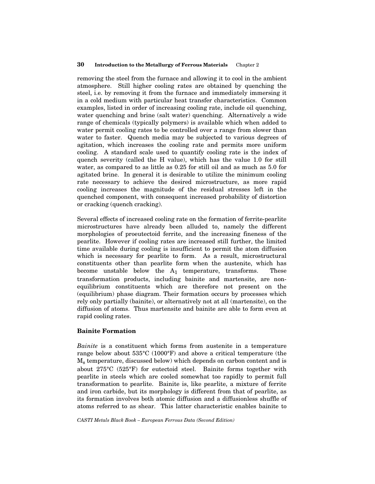#### **30 Introduction to the Metallurgy of Ferrous Materials** Chapter 2

removing the steel from the furnace and allowing it to cool in the ambient atmosphere. Still higher cooling rates are obtained by quenching the steel, i.e. by removing it from the furnace and immediately immersing it in a cold medium with particular heat transfer characteristics. Common examples, listed in order of increasing cooling rate, include oil quenching, water quenching and brine (salt water) quenching. Alternatively a wide range of chemicals (typically polymers) is available which when added to water permit cooling rates to be controlled over a range from slower than water to faster. Quench media may be subjected to various degrees of agitation, which increases the cooling rate and permits more uniform cooling. A standard scale used to quantify cooling rate is the index of quench severity (called the H value), which has the value 1.0 for still water, as compared to as little as 0.25 for still oil and as much as 5.0 for agitated brine. In general it is desirable to utilize the minimum cooling rate necessary to achieve the desired microstructure, as more rapid cooling increases the magnitude of the residual stresses left in the quenched component, with consequent increased probability of distortion or cracking (quench cracking).

Several effects of increased cooling rate on the formation of ferrite-pearlite microstructures have already been alluded to, namely the different morphologies of proeutectoid ferrite, and the increasing fineness of the pearlite. However if cooling rates are increased still further, the limited time available during cooling is insufficient to permit the atom diffusion which is necessary for pearlite to form. As a result, microstructural constituents other than pearlite form when the austenite, which has become unstable below the  $A_1$  temperature, transforms. These transformation products, including bainite and martensite, are nonequilibrium constituents which are therefore not present on the (equilibrium) phase diagram. Their formation occurs by processes which rely only partially (bainite), or alternatively not at all (martensite), on the diffusion of atoms. Thus martensite and bainite are able to form even at rapid cooling rates.

#### **Bainite Formation**

*Bainite* is a constituent which forms from austenite in a temperature range below about 535°C (1000°F) and above a critical temperature (the Ms temperature, discussed below) which depends on carbon content and is about 275°C (525°F) for eutectoid steel. Bainite forms together with pearlite in steels which are cooled somewhat too rapidly to permit full transformation to pearlite. Bainite is, like pearlite, a mixture of ferrite and iron carbide, but its morphology is different from that of pearlite, as its formation involves both atomic diffusion and a diffusionless shuffle of atoms referred to as shear. This latter characteristic enables bainite to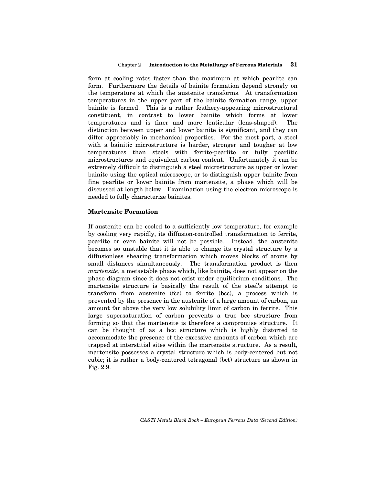#### Chapter 2 **Introduction to the Metallurgy of Ferrous Materials 31**

form at cooling rates faster than the maximum at which pearlite can form. Furthermore the details of bainite formation depend strongly on the temperature at which the austenite transforms. At transformation temperatures in the upper part of the bainite formation range, upper bainite is formed. This is a rather feathery-appearing microstructural constituent, in contrast to lower bainite which forms at lower temperatures and is finer and more lenticular (lens-shaped). The distinction between upper and lower bainite is significant, and they can differ appreciably in mechanical properties. For the most part, a steel with a bainitic microstructure is harder, stronger and tougher at low temperatures than steels with ferrite-pearlite or fully pearlitic microstructures and equivalent carbon content. Unfortunately it can be extremely difficult to distinguish a steel microstructure as upper or lower bainite using the optical microscope, or to distinguish upper bainite from fine pearlite or lower bainite from martensite, a phase which will be discussed at length below. Examination using the electron microscope is needed to fully characterize bainites.

#### **Martensite Formation**

If austenite can be cooled to a sufficiently low temperature, for example by cooling very rapidly, its diffusion-controlled transformation to ferrite, pearlite or even bainite will not be possible. Instead, the austenite becomes so unstable that it is able to change its crystal structure by a diffusionless shearing transformation which moves blocks of atoms by small distances simultaneously. The transformation product is then *martensite*, a metastable phase which, like bainite, does not appear on the phase diagram since it does not exist under equilibrium conditions. The martensite structure is basically the result of the steel's attempt to transform from austenite (fcc) to ferrite (bcc), a process which is prevented by the presence in the austenite of a large amount of carbon, an amount far above the very low solubility limit of carbon in ferrite. This large supersaturation of carbon prevents a true bcc structure from forming so that the martensite is therefore a compromise structure. It can be thought of as a bcc structure which is highly distorted to accommodate the presence of the excessive amounts of carbon which are trapped at interstitial sites within the martensite structure. As a result, martensite possesses a crystal structure which is body-centered but not cubic; it is rather a body-centered tetragonal (bct) structure as shown in Fig. 2.9.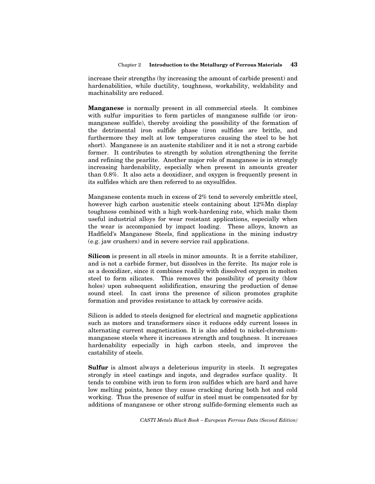increase their strengths (by increasing the amount of carbide present) and hardenabilities, while ductility, toughness, workability, weldability and machinability are reduced.

**Manganese** is normally present in all commercial steels. It combines with sulfur impurities to form particles of manganese sulfide (or ironmanganese sulfide), thereby avoiding the possibility of the formation of the detrimental iron sulfide phase (iron sulfides are brittle, and furthermore they melt at low temperatures causing the steel to be hot short). Manganese is an austenite stabilizer and it is not a strong carbide former. It contributes to strength by solution strengthening the ferrite and refining the pearlite. Another major role of manganese is in strongly increasing hardenability, especially when present in amounts greater than 0.8%. It also acts a deoxidizer, and oxygen is frequently present in its sulfides which are then referred to as oxysulfides.

Manganese contents much in excess of 2% tend to severely embrittle steel, however high carbon austenitic steels containing about 12%Mn display toughness combined with a high work-hardening rate, which make them useful industrial alloys for wear resistant applications, especially when the wear is accompanied by impact loading. These alloys, known as Hadfield's Manganese Steels, find applications in the mining industry (e.g. jaw crushers) and in severe service rail applications.

**Silicon** is present in all steels in minor amounts. It is a ferrite stabilizer, and is not a carbide former, but dissolves in the ferrite. Its major role is as a deoxidizer, since it combines readily with dissolved oxygen in molten steel to form silicates. This removes the possibility of porosity (blow holes) upon subsequent solidification, ensuring the production of dense sound steel. In cast irons the presence of silicon promotes graphite formation and provides resistance to attack by corrosive acids.

Silicon is added to steels designed for electrical and magnetic applications such as motors and transformers since it reduces eddy current losses in alternating current magnetization. It is also added to nickel-chromiummanganese steels where it increases strength and toughness. It increases hardenability especially in high carbon steels, and improves the castability of steels.

**Sulfur** is almost always a deleterious impurity in steels. It segregates strongly in steel castings and ingots, and degrades surface quality. It tends to combine with iron to form iron sulfides which are hard and have low melting points, hence they cause cracking during both hot and cold working. Thus the presence of sulfur in steel must be compensated for by additions of manganese or other strong sulfide-forming elements such as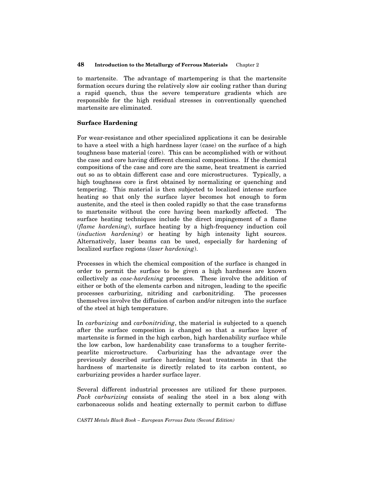#### **48 Introduction to the Metallurgy of Ferrous Materials** Chapter 2

to martensite. The advantage of martempering is that the martensite formation occurs during the relatively slow air cooling rather than during a rapid quench, thus the severe temperature gradients which are responsible for the high residual stresses in conventionally quenched martensite are eliminated.

#### **Surface Hardening**

For wear-resistance and other specialized applications it can be desirable to have a steel with a high hardness layer (case) on the surface of a high toughness base material (core). This can be accomplished with or without the case and core having different chemical compositions. If the chemical compositions of the case and core are the same, heat treatment is carried out so as to obtain different case and core microstructures. Typically, a high toughness core is first obtained by normalizing or quenching and tempering. This material is then subjected to localized intense surface heating so that only the surface layer becomes hot enough to form austenite, and the steel is then cooled rapidly so that the case transforms to martensite without the core having been markedly affected. The surface heating techniques include the direct impingement of a flame (*flame hardening*), surface heating by a high-frequency induction coil (*induction hardening*) or heating by high intensity light sources. Alternatively, laser beams can be used, especially for hardening of localized surface regions (*laser hardening*).

Processes in which the chemical composition of the surface is changed in order to permit the surface to be given a high hardness are known collectively as *case-hardening* processes. These involve the addition of either or both of the elements carbon and nitrogen, leading to the specific processes carburizing, nitriding and carbonitriding. The processes themselves involve the diffusion of carbon and/or nitrogen into the surface of the steel at high temperature.

In *carburizing* and *carbonitriding*, the material is subjected to a quench after the surface composition is changed so that a surface layer of martensite is formed in the high carbon, high hardenability surface while the low carbon, low hardenability case transforms to a tougher ferritepearlite microstructure. Carburizing has the advantage over the previously described surface hardening heat treatments in that the hardness of martensite is directly related to its carbon content, so carburizing provides a harder surface layer.

Several different industrial processes are utilized for these purposes. *Pack carburizing* consists of sealing the steel in a box along with carbonaceous solids and heating externally to permit carbon to diffuse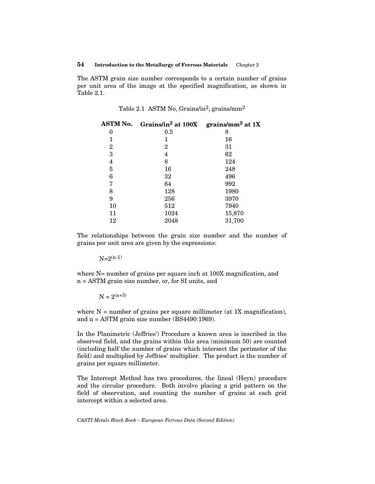#### **54 Introduction to the Metallurgy of Ferrous Materials** Chapter 2

The ASTM grain size number corresponds to a certain number of grains per unit area of the image at the specified magnification, as shown in Table 2.1.

Table 2.1 ASTM No, Grains/in2, grains/mm2

| <b>ASTM No.</b> | Grains/in <sup>2</sup> at 100X grains/mm <sup>2</sup> at 1X |        |
|-----------------|-------------------------------------------------------------|--------|
| 0               | 0.5                                                         | 8      |
| 1               | 1                                                           | 16     |
| $\overline{2}$  | 2                                                           | 31     |
| 3               | 4                                                           | 62     |
| 4               | 8                                                           | 124    |
| 5               | 16                                                          | 248    |
| 6               | 32                                                          | 496    |
| 7               | 64                                                          | 992    |
| 8               | 128                                                         | 1980   |
| 9               | 256                                                         | 3970   |
| 10              | 512                                                         | 7940   |
| 11              | 1024                                                        | 15,870 |
| 12              | 2048                                                        | 31,700 |
|                 |                                                             |        |

The relationships between the grain size number and the number of grains per unit area are given by the expressions:

 $N=2^{(n-1)}$ 

where N= number of grains per square inch at 100X magnification, and n = ASTM grain size number, or, for SI units, and

 $N = 2^{(n+3)}$ 

where  $N =$  number of grains per square millimeter (at 1X magnification), and n = ASTM grain size number (BS4490:1969).

In the Planimetric (Jeffries') Procedure a known area is inscribed in the observed field, and the grains within this area (minimum 50) are counted (including half the number of grains which intersect the perimeter of the field) and multiplied by Jeffries' multiplier. The product is the number of grains per square millimeter.

The Intercept Method has two procedures, the lineal (Heyn) procedure and the circular procedure. Both involve placing a grid pattern on the field of observation, and counting the number of grains at each grid intercept within a selected area.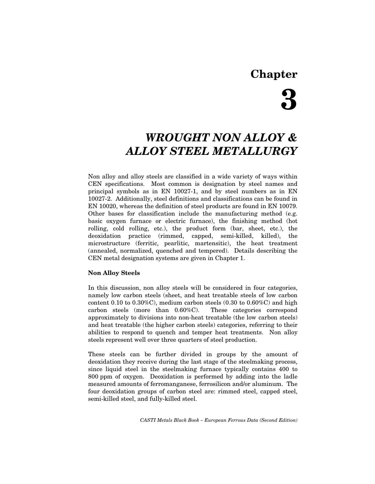## **Chapter**

# **3**

## <span id="page-22-0"></span>*WROUGHT NON ALLOY & ALLOY STEEL METALLURGY*

Non alloy and alloy steels are classified in a wide variety of ways within CEN specifications. Most common is designation by steel names and principal symbols as in EN 10027-1, and by steel numbers as in EN 10027-2. Additionally, steel definitions and classifications can be found in EN 10020, whereas the definition of steel products are found in EN 10079. Other bases for classification include the manufacturing method (e.g. basic oxygen furnace or electric furnace), the finishing method (hot rolling, cold rolling, etc.), the product form (bar, sheet, etc.), the deoxidation practice (rimmed, capped, semi-killed, killed), the microstructure (ferritic, pearlitic, martensitic), the heat treatment (annealed, normalized, quenched and tempered). Details describing the CEN metal designation systems are given in Chapter 1.

#### **Non Alloy Steels**

In this discussion, non alloy steels will be considered in four categories, namely low carbon steels (sheet, and heat treatable steels of low carbon content 0.10 to 0.30%C), medium carbon steels (0.30 to 0.60%C) and high carbon steels (more than 0.60%C). These categories correspond approximately to divisions into non-heat treatable (the low carbon steels) and heat treatable (the higher carbon steels) categories, referring to their abilities to respond to quench and temper heat treatments. Non alloy steels represent well over three quarters of steel production.

These steels can be further divided in groups by the amount of deoxidation they receive during the last stage of the steelmaking process, since liquid steel in the steelmaking furnace typically contains 400 to 800 ppm of oxygen. Deoxidation is performed by adding into the ladle measured amounts of ferromanganese, ferrosilicon and/or aluminum. The four deoxidation groups of carbon steel are: rimmed steel, capped steel, semi-killed steel, and fully-killed steel.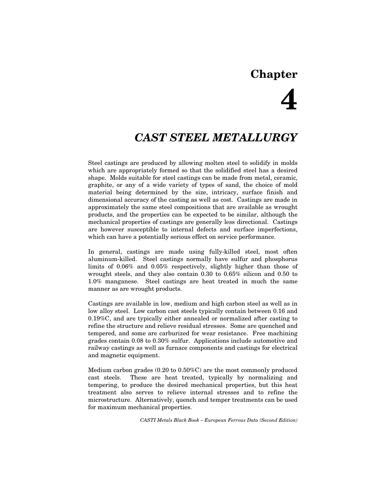### **Chapter**

# **4**

## *CAST STEEL METALLURGY*

<span id="page-23-0"></span>Steel castings are produced by allowing molten steel to solidify in molds which are appropriately formed so that the solidified steel has a desired shape. Molds suitable for steel castings can be made from metal, ceramic, graphite, or any of a wide variety of types of sand, the choice of mold material being determined by the size, intricacy, surface finish and dimensional accuracy of the casting as well as cost. Castings are made in approximately the same steel compositions that are available as wrought products, and the properties can be expected to be similar, although the mechanical properties of castings are generally less directional. Castings are however susceptible to internal defects and surface imperfections, which can have a potentially serious effect on service performance.

In general, castings are made using fully-killed steel, most often aluminum-killed. Steel castings normally have sulfur and phosphorus limits of 0.06% and 0.05% respectively, slightly higher than those of wrought steels, and they also contain 0.30 to 0.65% silicon and 0.50 to 1.0% manganese. Steel castings are heat treated in much the same manner as are wrought products.

Castings are available in low, medium and high carbon steel as well as in low alloy steel. Low carbon cast steels typically contain between 0.16 and 0.19%C, and are typically either annealed or normalized after casting to refine the structure and relieve residual stresses. Some are quenched and tempered, and some are carburized for wear resistance. Free machining grades contain 0.08 to 0.30% sulfur. Applications include automotive and railway castings as well as furnace components and castings for electrical and magnetic equipment.

Medium carbon grades (0.20 to 0.50%C) are the most commonly produced cast steels. These are heat treated, typically by normalizing and tempering, to produce the desired mechanical properties, but this heat treatment also serves to relieve internal stresses and to refine the microstructure. Alternatively, quench and temper treatments can be used for maximum mechanical properties.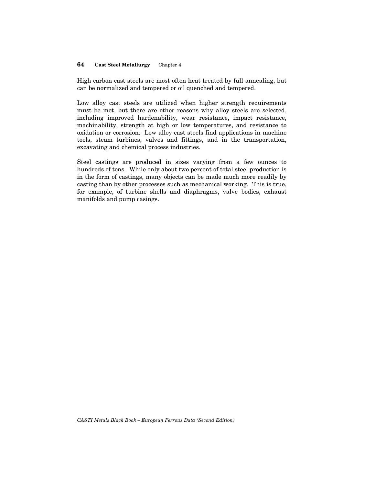#### **64 Cast Steel Metallurgy** Chapter 4

High carbon cast steels are most often heat treated by full annealing, but can be normalized and tempered or oil quenched and tempered.

Low alloy cast steels are utilized when higher strength requirements must be met, but there are other reasons why alloy steels are selected, including improved hardenability, wear resistance, impact resistance, machinability, strength at high or low temperatures, and resistance to oxidation or corrosion. Low alloy cast steels find applications in machine tools, steam turbines, valves and fittings, and in the transportation, excavating and chemical process industries.

Steel castings are produced in sizes varying from a few ounces to hundreds of tons. While only about two percent of total steel production is in the form of castings, many objects can be made much more readily by casting than by other processes such as mechanical working. This is true, for example, of turbine shells and diaphragms, valve bodies, exhaust manifolds and pump casings.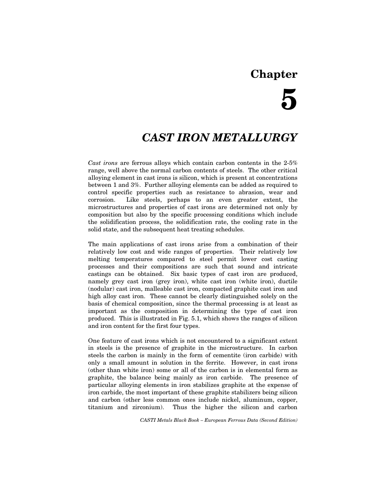## **Chapter**

# **5**

## *CAST IRON METALLURGY*

<span id="page-25-0"></span>*Cast irons* are ferrous alloys which contain carbon contents in the 2-5% range, well above the normal carbon contents of steels. The other critical alloying element in cast irons is silicon, which is present at concentrations between 1 and 3%. Further alloying elements can be added as required to control specific properties such as resistance to abrasion, wear and corrosion. Like steels, perhaps to an even greater extent, the microstructures and properties of cast irons are determined not only by composition but also by the specific processing conditions which include the solidification process, the solidification rate, the cooling rate in the solid state, and the subsequent heat treating schedules.

The main applications of cast irons arise from a combination of their relatively low cost and wide ranges of properties. Their relatively low melting temperatures compared to steel permit lower cost casting processes and their compositions are such that sound and intricate castings can be obtained. Six basic types of cast iron are produced, namely grey cast iron (grey iron), white cast iron (white iron), ductile (nodular) cast iron, malleable cast iron, compacted graphite cast iron and high alloy cast iron. These cannot be clearly distinguished solely on the basis of chemical composition, since the thermal processing is at least as important as the composition in determining the type of cast iron produced. This is illustrated in Fig. 5.1, which shows the ranges of silicon and iron content for the first four types.

One feature of cast irons which is not encountered to a significant extent in steels is the presence of graphite in the microstructure. In carbon steels the carbon is mainly in the form of cementite (iron carbide) with only a small amount in solution in the ferrite. However, in cast irons (other than white iron) some or all of the carbon is in elemental form as graphite, the balance being mainly as iron carbide. The presence of particular alloying elements in iron stabilizes graphite at the expense of iron carbide, the most important of these graphite stabilizers being silicon and carbon (other less common ones include nickel, aluminum, copper, titanium and zirconium). Thus the higher the silicon and carbon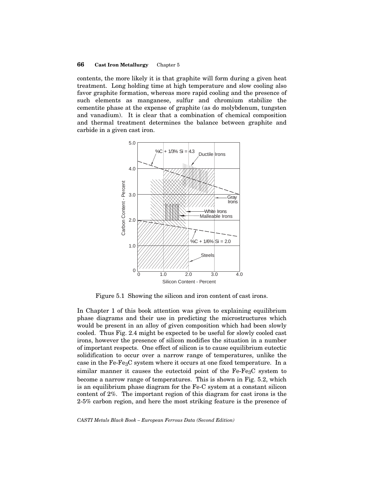#### **66 Cast Iron Metallurgy** Chapter 5

contents, the more likely it is that graphite will form during a given heat treatment. Long holding time at high temperature and slow cooling also favor graphite formation, whereas more rapid cooling and the presence of such elements as manganese, sulfur and chromium stabilize the cementite phase at the expense of graphite (as do molybdenum, tungsten and vanadium). It is clear that a combination of chemical composition and thermal treatment determines the balance between graphite and carbide in a given cast iron.



Figure 5.1 Showing the silicon and iron content of cast irons.

In Chapter 1 of this book attention was given to explaining equilibrium phase diagrams and their use in predicting the microstructures which would be present in an alloy of given composition which had been slowly cooled. Thus Fig. 2.4 might be expected to be useful for slowly cooled cast irons, however the presence of silicon modifies the situation in a number of important respects. One effect of silicon is to cause equilibrium eutectic solidification to occur over a narrow range of temperatures, unlike the case in the  $Fe-Fe<sub>3</sub>C$  system where it occurs at one fixed temperature. In a similar manner it causes the eutectoid point of the Fe-Fe<sub>3</sub>C system to become a narrow range of temperatures. This is shown in Fig. 5.2, which is an equilibrium phase diagram for the Fe-C system at a constant silicon content of 2%. The important region of this diagram for cast irons is the 2-5% carbon region, and here the most striking feature is the presence of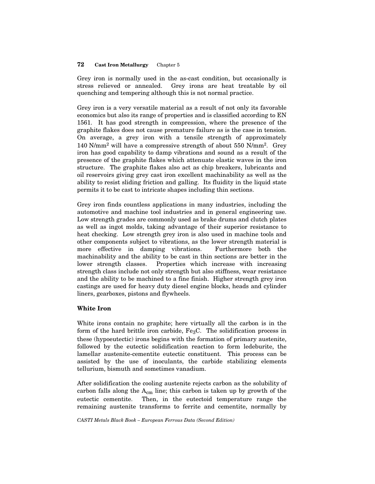#### **72 Cast Iron Metallurgy** Chapter 5

Grey iron is normally used in the as-cast condition, but occasionally is stress relieved or annealed. Grey irons are heat treatable by oil quenching and tempering although this is not normal practice.

Grey iron is a very versatile material as a result of not only its favorable economics but also its range of properties and is classified according to EN 1561. It has good strength in compression, where the presence of the graphite flakes does not cause premature failure as is the case in tension. On average, a grey iron with a tensile strength of approximately 140 N/mm2 will have a compressive strength of about 550 N/mm2. Grey iron has good capability to damp vibrations and sound as a result of the presence of the graphite flakes which attenuate elastic waves in the iron structure. The graphite flakes also act as chip breakers, lubricants and oil reservoirs giving grey cast iron excellent machinability as well as the ability to resist sliding friction and galling. Its fluidity in the liquid state permits it to be cast to intricate shapes including thin sections.

Grey iron finds countless applications in many industries, including the automotive and machine tool industries and in general engineering use. Low strength grades are commonly used as brake drums and clutch plates as well as ingot molds, taking advantage of their superior resistance to heat checking. Low strength grey iron is also used in machine tools and other components subject to vibrations, as the lower strength material is more effective in damping vibrations. Furthermore both the machinability and the ability to be cast in thin sections are better in the lower strength classes. Properties which increase with increasing strength class include not only strength but also stiffness, wear resistance and the ability to be machined to a fine finish. Higher strength grey iron castings are used for heavy duty diesel engine blocks, heads and cylinder liners, gearboxes, pistons and flywheels.

#### **White Iron**

White irons contain no graphite; here virtually all the carbon is in the form of the hard brittle iron carbide,  $Fe<sub>3</sub>C$ . The solidification process in these (hypoeutectic) irons begins with the formation of primary austenite, followed by the eutectic solidification reaction to form ledeburite, the lamellar austenite-cementite eutectic constituent. This process can be assisted by the use of inoculants, the carbide stabilizing elements tellurium, bismuth and sometimes vanadium.

After solidification the cooling austenite rejects carbon as the solubility of carbon falls along the  $A_{cm}$  line; this carbon is taken up by growth of the eutectic cementite. Then, in the eutectoid temperature range the remaining austenite transforms to ferrite and cementite, normally by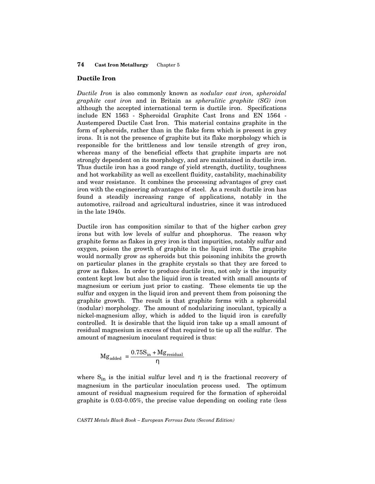#### **74 Cast Iron Metallurgy** Chapter 5

#### **Ductile Iron**

*Ductile Iron* is also commonly known as *nodular cast iron, spheroidal graphite cast iron* and in Britain as *spherulitic graphite (SG) iron* although the accepted international term is ductile iron. Specifications include EN 1563 - Spheroidal Graphite Cast Irons and EN 1564 - Austempered Ductile Cast Iron. This material contains graphite in the form of spheroids, rather than in the flake form which is present in grey irons. It is not the presence of graphite but its flake morphology which is responsible for the brittleness and low tensile strength of grey iron, whereas many of the beneficial effects that graphite imparts are not strongly dependent on its morphology, and are maintained in ductile iron. Thus ductile iron has a good range of yield strength, ductility, toughness and hot workability as well as excellent fluidity, castability, machinability and wear resistance. It combines the processing advantages of grey cast iron with the engineering advantages of steel. As a result ductile iron has found a steadily increasing range of applications, notably in the automotive, railroad and agricultural industries, since it was introduced in the late 1940s.

Ductile iron has composition similar to that of the higher carbon grey irons but with low levels of sulfur and phosphorus. The reason why graphite forms as flakes in grey iron is that impurities, notably sulfur and oxygen, poison the growth of graphite in the liquid iron. The graphite would normally grow as spheroids but this poisoning inhibits the growth on particular planes in the graphite crystals so that they are forced to grow as flakes. In order to produce ductile iron, not only is the impurity content kept low but also the liquid iron is treated with small amounts of magnesium or cerium just prior to casting. These elements tie up the sulfur and oxygen in the liquid iron and prevent them from poisoning the graphite growth. The result is that graphite forms with a spheroidal (nodular) morphology. The amount of nodularizing inoculant, typically a nickel-magnesium alloy, which is added to the liquid iron is carefully controlled. It is desirable that the liquid iron take up a small amount of residual magnesium in excess of that required to tie up all the sulfur. The amount of magnesium inoculant required is thus:

$$
Mg_{added} = \frac{0.75S_{in} + Mg_{residual}}{\eta}
$$

where  $S_{in}$  is the initial sulfur level and  $\eta$  is the fractional recovery of magnesium in the particular inoculation process used. The optimum amount of residual magnesium required for the formation of spheroidal graphite is 0.03-0.05%, the precise value depending on cooling rate (less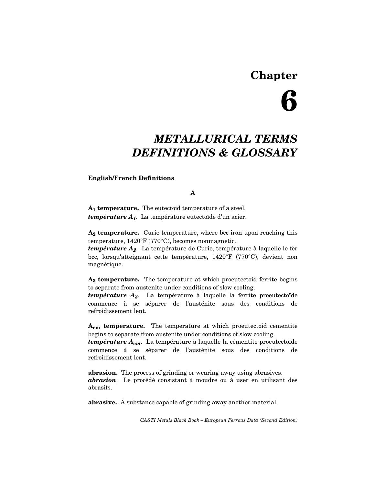## **Chapter**

# **6**

## <span id="page-29-0"></span>*METALLURICAL TERMS DEFINITIONS & GLOSSARY*

#### **English/French Definitions**

#### **A**

**A1 temperature.** The eutectoid temperature of a steel. *température A1*. La température eutectoïde d'un acier.

**A2 temperature.** Curie temperature, where bcc iron upon reaching this temperature, 1420°F (770°C), becomes nonmagnetic.

*température A2*.La température de Curie, température à laquelle le fer bcc, lorsqu'atteignant cette température, 1420°F (770°C), devient non magnétique.

**A3 temperature.** The temperature at which proeutectoid ferrite begins to separate from austenite under conditions of slow cooling.

*température A3*. La température à laquelle la ferrite proeutectoïde commence à se séparer de l'austénite sous des conditions de refroidissement lent.

**Acm temperature.** The temperature at which proeutectoid cementite begins to separate from austenite under conditions of slow cooling.

*température Acm*. La température à laquelle la cémentite proeutectoïde commence à se séparer de l'austénite sous des conditions de refroidissement lent.

**abrasion.** The process of grinding or wearing away using abrasives. *abrasion*. Le procédé consistant à moudre ou à user en utilisant des abrasifs.

**abrasive.** A substance capable of grinding away another material.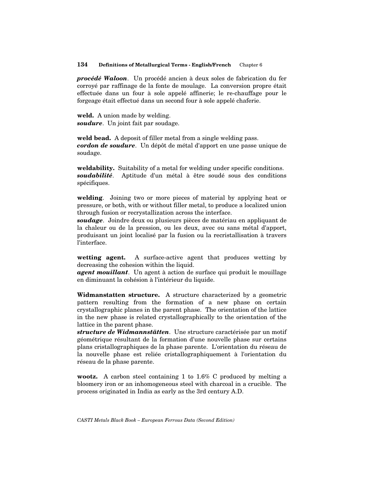#### **134 Definitions of Metallurgical Terms - English/French** Chapter 6

*procédé Waloon*. Un procédé ancien à deux soles de fabrication du fer corroyé par raffinage de la fonte de moulage. La conversion propre était effectuée dans un four à sole appelé affinerie; le re-chauffage pour le forgeage était effectué dans un second four à sole appelé chaferie.

**weld.** A union made by welding. *soudure*. Un joint fait par soudage.

**weld bead.** A deposit of filler metal from a single welding pass. *cordon de soudure*. Un dépôt de métal d'apport en une passe unique de soudage.

**weldability.** Suitability of a metal for welding under specific conditions. *soudabilité*. Aptitude d'un métal à être soudé sous des conditions spécifiques.

**welding**. Joining two or more pieces of material by applying heat or pressure, or both, with or without filler metal, to produce a localized union through fusion or recrystallization across the interface.

*soudage*. Joindre deux ou plusieurs pièces de matériau en appliquant de la chaleur ou de la pression, ou les deux, avec ou sans métal d'apport, produisant un joint localisé par la fusion ou la recristallisation à travers l'interface.

**wetting agent.** A surface-active agent that produces wetting by decreasing the cohesion within the liquid.

*agent mouillant*. Un agent à action de surface qui produit le mouillage en diminuant la cohésion à l'intérieur du liquide.

**Widmanstatten structure.** A structure characterized by a geometric pattern resulting from the formation of a new phase on certain crystallographic planes in the parent phase. The orientation of the lattice in the new phase is related crystallographically to the orientation of the lattice in the parent phase.

*structure de Widmannstätten*. Une structure caractérisée par un motif géométrique résultant de la formation d'une nouvelle phase sur certains plans cristallographiques de la phase parente. L'orientation du réseau de la nouvelle phase est reliée cristallographiquement à l'orientation du réseau de la phase parente.

**wootz.** A carbon steel containing 1 to 1.6% C produced by melting a bloomery iron or an inhomogeneous steel with charcoal in a crucible. The process originated in India as early as the 3rd century A.D.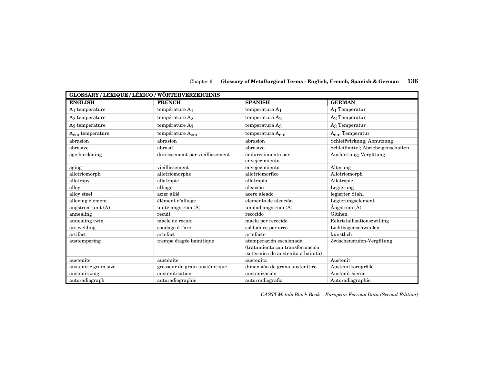<span id="page-31-0"></span>

| GLOSSARY / LEXIQUE / LÉXICO / WÖRTERVERZEICHNIS |                                 |                                                                                                  |                                    |  |
|-------------------------------------------------|---------------------------------|--------------------------------------------------------------------------------------------------|------------------------------------|--|
| <b>ENGLISH</b>                                  | <b>FRENCH</b>                   | <b>SPANISH</b>                                                                                   | <b>GERMAN</b>                      |  |
| A <sub>1</sub> temperature                      | température A1                  | temperatura A <sub>1</sub>                                                                       | A <sub>1</sub> Temperatur          |  |
| A <sub>2</sub> temperature                      | température A <sub>2</sub>      | temperatura A <sub>2</sub>                                                                       | A <sub>2</sub> Temperatur          |  |
| A3 temperature                                  | température A3                  | temperatura A3                                                                                   | A <sub>3</sub> Temperatur          |  |
| $A_{cm}$ temperature                            | température A <sub>cm</sub>     | temperatura $A_{cm}$                                                                             | $A_{cm}$ Temperatur                |  |
| abrasion                                        | abrasion                        | abrasión                                                                                         | Schleifwirkung; Abnutzung          |  |
| abrasive                                        | abrasif                         | abrasivo                                                                                         | Schleifmittel; Abriebeigenschaften |  |
| age hardening                                   | durcissement par vieillissement | endurecimiento por                                                                               | Aushärtung; Vergütung              |  |
|                                                 | vieillissement                  | envejecimiento                                                                                   |                                    |  |
| aging                                           |                                 | envejecimiento                                                                                   | Alterung                           |  |
| allotriomorph                                   | allotriomorphe                  | allotriomorfico                                                                                  | Allotriomorph                      |  |
| allotropy                                       | allotropie                      | allotropía                                                                                       | Allotropie                         |  |
| alloy                                           | alliage                         | aleación                                                                                         | Legierung                          |  |
| alloy steel                                     | acier allié                     | acero aleado                                                                                     | legierter Stahl                    |  |
| alloying element                                | élément d'alliage               | elemento de aleación                                                                             | Legierungselement                  |  |
| angstrom unit $(A)$                             | unité angström $(A)$            | unidad angstrom $(A)$                                                                            | $Ångström(\AA)$                    |  |
| annealing                                       | recuit                          | recocido                                                                                         | Glühen                             |  |
| annealing twin                                  | macle de recuit                 | macla por recocido                                                                               | Rekristallisationszwilling         |  |
| arc welding                                     | soudage à l'arc                 | soldadura por arco                                                                               | Lichtbogenschweißen                |  |
| artifact                                        | artefact                        | artefacto                                                                                        | künstlich                          |  |
| austempering                                    | trempe étagée bainitique        | atemperación escalonada<br>(tratamiento con transformación<br>isotérmica de austenita a bainita) | Zwischenstufen-Vergütung           |  |
| austenite                                       | austénite                       | austenita                                                                                        | Austenit                           |  |
| austenitic grain size                           | grosseur de grain austénitique  | dimensión de grano austenítico                                                                   | Austenitkorngröße                  |  |
| austenitizing                                   | austénitisation                 | austenización                                                                                    | Austenitisieren                    |  |
| autoradiograph                                  | autoradiographie                | autorradiografía                                                                                 | Autoradiographie                   |  |

#### Chapter 6 **Glossary of Metallurgical Terms - English, French, Spanish & German 136**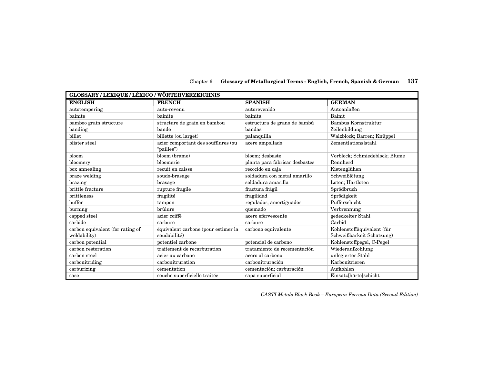| GLOSSARY / LEXIQUE / LÉXICO / WÖRTERVERZEICHNIS  |                                                     |                                |                                                         |  |
|--------------------------------------------------|-----------------------------------------------------|--------------------------------|---------------------------------------------------------|--|
| <b>ENGLISH</b>                                   | <b>FRENCH</b>                                       | <b>SPANISH</b>                 | <b>GERMAN</b>                                           |  |
| autotempering                                    | auto-revenu                                         | autorevenido                   | Autoanlaßen                                             |  |
| bainite                                          | bainite                                             | bainita                        | Bainit                                                  |  |
| bamboo grain structure                           | structure de grain en bambou                        | estructura de grano de bambú   | Bambus Kornstruktur                                     |  |
| banding                                          | bande                                               | bandas                         | Zeilenbildung                                           |  |
| billet                                           | billette (ou larget)                                | palanquilla                    | Walzblock; Barren; Knüppel                              |  |
| blister steel                                    | acier comportant des soufflures (ou<br>"pailles")   | acero ampollado                | Zementlationslstahl                                     |  |
| bloom                                            | bloom (brame)                                       | bloom; desbaste                | Vorblock; Schmiedeblock; Blume                          |  |
| bloomery                                         | bloomerie                                           | planta para fabricar desbastes | Rennherd                                                |  |
| box annealing                                    | recuit en caisse                                    | recocido en caja               | Kistenglühen                                            |  |
| braze welding                                    | soudo-brasage                                       | soldadura con metal amarillo   | Schweißlötung                                           |  |
| brazing                                          | brasage                                             | soldadura amarilla             | Löten; Hartlöten                                        |  |
| brittle fracture                                 | rupture fragile                                     | fractura frágil                | Sprödbruch                                              |  |
| brittleness                                      | fragilité                                           | fragilidad                     | Sprödigkeit                                             |  |
| buffer                                           | tampon                                              | regulador; amortiguador        | Pufferschicht                                           |  |
| burning                                          | brûlure                                             | quemado                        | Verbrennung                                             |  |
| capped steel                                     | acier coiffé                                        | acero efervescente             | gedeckelter Stahl                                       |  |
| carbide                                          | carbure                                             | carburo                        | Carbid                                                  |  |
| carbon equivalent (for rating of<br>weldability) | équivalent carbone (pour estimer la<br>soudabilité) | carbono equivalente            | Kohlenstoffäquivalent (für<br>Schweißbarkeit Schätzung) |  |
| carbon potential                                 | potentiel carbone                                   | potencial de carbono           | Kohlenstoffpegel, C-Pegel                               |  |
| carbon restoration                               | traitement de recarburation                         | tratamiento de recementación   | Wiederaufkohlung                                        |  |
| carbon steel                                     | acier au carbone                                    | acero al carbono               | unlegierter Stahl                                       |  |
| carbonitriding                                   | carbonitruration                                    | carbonitruración               | Karbonitrieren                                          |  |
| carburizing                                      | cémentation                                         | cementación; carburación       | Aufkohlen                                               |  |
| case                                             | couche superficielle traitée                        | capa superficial               | Einsatz[härte]schicht                                   |  |

#### Chapter 6 **Glossary of Metallurgical Terms - English, French, Spanish & German 137**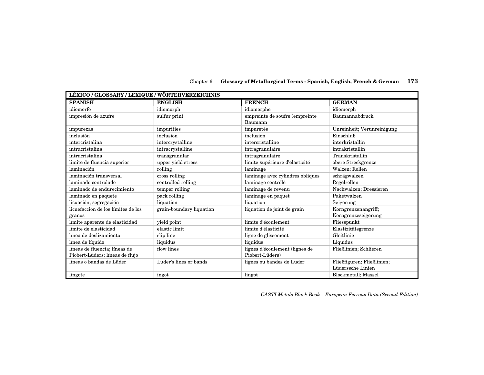| LÉXICO / GLOSSARY / LEXIQUE / WÖRTERVERZEICHNIS |                          |                                  |                            |  |
|-------------------------------------------------|--------------------------|----------------------------------|----------------------------|--|
| <b>SPANISH</b>                                  | <b>ENGLISH</b>           | <b>FRENCH</b>                    | <b>GERMAN</b>              |  |
| idiomorfo                                       | idiomorph                | idiomorphe                       | idiomorph                  |  |
| impresión de azufre                             | sulfur print             | empreinte de soufre (empreinte   | Baumannabdruck             |  |
|                                                 |                          | <b>Baumann</b>                   |                            |  |
| impurezas                                       | impurities               | impuretés                        | Unreinheit; Verunreinigung |  |
| inclusión                                       | inclusion                | inclusion                        | Einschluß                  |  |
| intercristalina                                 | intercrystalline         | intercristalline                 | interkristallin            |  |
| intracristalina                                 | intracrystalline         | intragranulaire                  | intrakristallin            |  |
| intracristalina                                 | transgranular            | intragranulaire                  | Transkristallin            |  |
| limite de fluencia superior                     | upper yield stress       | limite supérieure d'élasticité   | obere Streckgrenze         |  |
| laminación                                      | rolling                  | laminage                         | Walzen; Rollen             |  |
| laminación transversal                          | cross rolling            | laminage avec cylindres obliques | schrägwalzen               |  |
| laminado controlado                             | controlled rolling       | laminage contrôlé                | Regelrollen                |  |
| laminado de endurecimiento                      | temper rolling           | laminage de revenu               | Nachwalzen; Dressieren     |  |
| laminado en paquete                             | pack rolling             | laminage en paquet               | Paketwalzen                |  |
| licuación; segregación                          | liquation                | liquation                        | Seigerung                  |  |
| licuefacción de los límites de los              | grain-boundary liquation | liquation de joint de grain      | Korngrenzenangriff;        |  |
| granos                                          |                          |                                  | Korngrenzeseigerung        |  |
| límite aparente de elasticidad                  | yield point              | limite d'écoulement              | Fliesspunkt                |  |
| límite de elasticidad                           | elastic limit            | limite d'élasticité              | Elastizitätsgrenze         |  |
| línea de deslizamiento                          | slip line                | ligne de glissement              | Gleitlinie                 |  |
| línea de líquido                                | liquidus                 | liquidus                         | Liquidus                   |  |
| líneas de fluencia; líneas de                   | flow lines               | lignes d'écoulement (lignes de   | Fließlinien; Schlieren     |  |
| Piobert-Lüders; líneas de flujo                 |                          | Piobert-Lüders)                  |                            |  |
| líneas o bandas de Lüder                        | Luder's lines or bands   | lignes ou bandes de Lüder        | Fließfiguren; Fließlinien; |  |
|                                                 |                          |                                  | Lüderssche Linien          |  |
| lingote                                         | ingot                    | lingot                           | Blockmetall; Massel        |  |

#### Chapter 6 **Glossary of Metallurgical Terms - Spanish, English, French & German 173**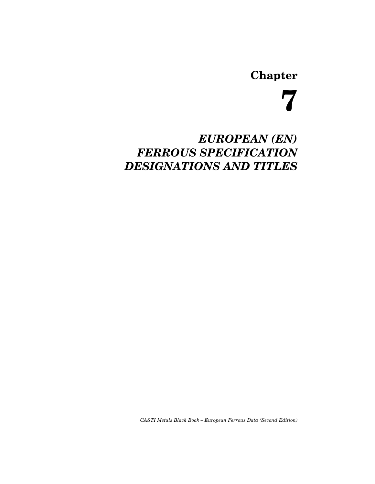## **Chapter 7**

## <span id="page-34-0"></span>*EUROPEAN (EN) FERROUS SPECIFICATION DESIGNATIONS AND TITLES*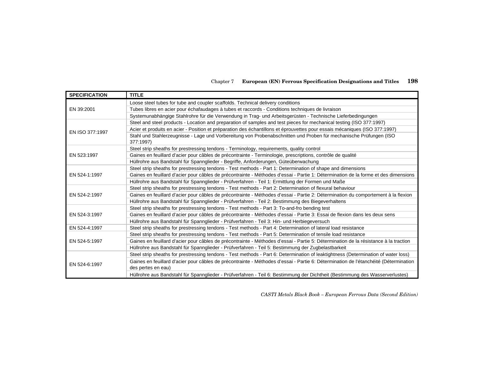| <b>SPECIFICATION</b> | <b>TITLE</b>                                                                                                                                               |
|----------------------|------------------------------------------------------------------------------------------------------------------------------------------------------------|
| EN 39:2001           | Loose steel tubes for tube and coupler scaffolds. Technical delivery conditions                                                                            |
|                      | Tubes libres en acier pour échafaudages à tubes et raccords - Conditions techniques de livraison                                                           |
|                      | Systemunabhängige Stahlrohre für die Verwendung in Trag- und Arbeitsgerüsten - Technische Lieferbedingungen                                                |
| EN ISO 377:1997      | Steel and steel products - Location and preparation of samples and test pieces for mechanical testing (ISO 377:1997)                                       |
|                      | Acier et produits en acier - Position et préparation des échantillons et éprouvettes pour essais mécaniques (ISO 377:1997)                                 |
|                      | Stahl und Stahlerzeugnisse - Lage und Vorbereitung von Probenabschnitten und Proben für mechanische Prüfungen (ISO<br>377:1997)                            |
| EN 523:1997          | Steel strip sheaths for prestressing tendons - Terminology, requirements, quality control                                                                  |
|                      | Gaines en feuillard d'acier pour câbles de précontrainte - Terminologie, prescriptions, contrôle de qualité                                                |
|                      | Hüllrohre aus Bandstahl für Spannglieder - Begriffe, Anforderungen, Güteüberwachung                                                                        |
| EN 524-1:1997        | Steel strip sheaths for prestressing tendons - Test methods - Part 1: Determination of shape and dimensions                                                |
|                      | Gaines en feuillard d'acier pour câbles de précontrainte - Méthodes d'essai - Partie 1: Détermination de la forme et des dimensions                        |
|                      | Hüllrohre aus Bandstahl für Spannglieder - Prüfverfahren - Teil 1: Ermittlung der Formen und Maße                                                          |
| EN 524-2:1997        | Steel strip sheaths for prestressing tendons - Test methods - Part 2: Determination of flexural behaviour                                                  |
|                      | Gaines en feuillard d'acier pour câbles de précontrainte - Méthodes d'essai - Partie 2: Détermination du comportement à la flexion                         |
|                      | Hüllrohre aus Bandstahl für Spannglieder - Prüfverfahren - Teil 2: Bestimmung des Biegeverhaltens                                                          |
| EN 524-3:1997        | Steel strip sheaths for prestressing tendons - Test methods - Part 3: To-and-fro bending test                                                              |
|                      | Gaines en feuillard d'acier pour câbles de précontrainte - Méthodes d'essai - Partie 3: Essai de flexion dans les deux sens                                |
|                      | Hüllrohre aus Bandstahl für Spannglieder - Prüfverfahren - Teil 3: Hin- und Herbiegeversuch                                                                |
| EN 524-4:1997        | Steel strip sheaths for prestressing tendons - Test methods - Part 4: Determination of lateral load resistance                                             |
| EN 524-5:1997        | Steel strip sheaths for prestressing tendons - Test methods - Part 5: Determination of tensile load resistance                                             |
|                      | Gaines en feuillard d'acier pour câbles de précontrainte - Méthodes d'essai - Partie 5: Détermination de la résistance à la traction                       |
|                      | Hüllrohre aus Bandstahl für Spannglieder - Prüfverfahren - Teil 5: Bestimmung der Zugbelastbarkeit                                                         |
| EN 524-6:1997        | Steel strip sheaths for prestressing tendons - Test methods - Part 6: Determination of leaktightness (Determination of water loss)                         |
|                      | Gaines en feuillard d'acier pour câbles de précontrainte - Méthodes d'essai - Partie 6: Détermination de l'étanchéité (Détermination<br>des pertes en eau) |
|                      | Hüllrohre aus Bandstahl für Spannglieder - Prüfverfahren - Teil 6: Bestimmung der Dichtheit (Bestimmung des Wasserverlustes)                               |

#### Chapter 7 **European (EN) Ferrous Specification Designations and Titles 198**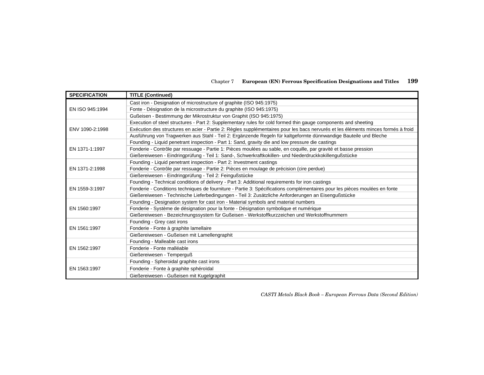| <b>SPECIFICATION</b> | <b>TITLE (Continued)</b>                                                                                                          |
|----------------------|-----------------------------------------------------------------------------------------------------------------------------------|
|                      | Cast iron - Designation of microstructure of graphite (ISO 945:1975)                                                              |
| EN ISO 945:1994      | Fonte - Désignation de la microstructure du graphite (ISO 945:1975)                                                               |
|                      | Gußeisen - Bestimmung der Mikrostruktur von Graphit (ISO 945:1975)                                                                |
|                      | Execution of steel structures - Part 2: Supplementary rules for cold formed thin gauge components and sheeting                    |
| ENV 1090-2:1998      | Exécution des structures en acier - Partie 2: Règles supplémentaires pour les bacs nervurés et les éléments minces formés à froid |
|                      | Ausführung von Tragwerken aus Stahl - Teil 2: Ergänzende Regeln für kaltgeformte dünnwandige Bauteile und Bleche                  |
|                      | Founding - Liquid penetrant inspection - Part 1: Sand, gravity die and low pressure die castings                                  |
| EN 1371-1:1997       | Fonderie - Contrôle par ressuage - Partie 1: Pièces moulées au sable, en coquille, par gravité et basse pression                  |
|                      | Gießereiwesen - Eindringprüfung - Teil 1: Sand-, Schwerkraftkokillen- und Niederdruckkokillengußstücke                            |
|                      | Founding - Liquid penetrant inspection - Part 2: Investment castings                                                              |
| EN 1371-2:1998       | Fonderie - Contrôle par ressuage - Partie 2: Pièces en moulage de précision (cire perdue)                                         |
|                      | Gießereiwesen - Eindringprüfung - Teil 2: Feingußstücke                                                                           |
|                      | Founding - Technical conditions of delivery - Part 3: Additional requirements for iron castings                                   |
| EN 1559-3:1997       | Fonderie - Conditions techniques de fourniture - Partie 3: Spécifications complémentaires pour les pièces moulées en fonte        |
|                      | Gießereiwesen - Technische Lieferbedingungen - Teil 3: Zusätzliche Anforderungen an Eisengußstücke                                |
|                      | Founding - Designation system for cast iron - Material symbols and material numbers                                               |
| EN 1560:1997         | Fonderie - Système de désignation pour la fonte - Désignation symbolique et numérique                                             |
|                      | Gießereiwesen - Bezeichnungssystem für Gußeisen - Werkstoffkurzzeichen und Werkstoffnummern                                       |
|                      | Founding - Grey cast irons                                                                                                        |
| EN 1561:1997         | Fonderie - Fonte à graphite lamellaire                                                                                            |
|                      | Gießereiwesen - Gußeisen mit Lamellengraphit                                                                                      |
|                      | Founding - Malleable cast irons                                                                                                   |
| EN 1562:1997         | Fonderie - Fonte malléable                                                                                                        |
|                      | Gießereiwesen - Temperguß                                                                                                         |
|                      | Founding - Spheroidal graphite cast irons                                                                                         |
| EN 1563:1997         | Fonderie - Fonte à graphite sphéroïdal                                                                                            |
|                      | Gießereiwesen - Gußeisen mit Kugelgraphit                                                                                         |

#### Chapter 7 **European (EN) Ferrous Specification Designations and Titles 199**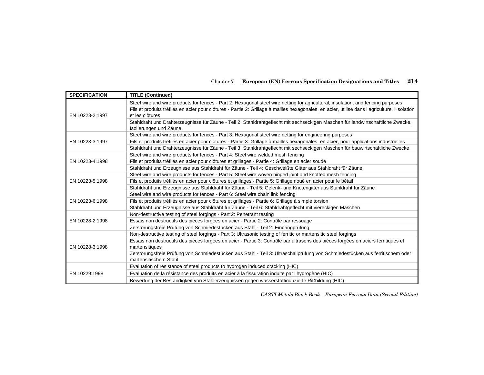| <b>SPECIFICATION</b> | <b>TITLE (Continued)</b>                                                                                                                       |
|----------------------|------------------------------------------------------------------------------------------------------------------------------------------------|
|                      | Steel wire and wire products for fences - Part 2: Hexagonal steel wire netting for agricultural, insulation, and fencing purposes              |
|                      | Fils et produits tréfilés en acier pour clôtures - Partie 2: Grillage à mailles hexagonales, en acier, utilisé dans l'agriculture, l'isolation |
| EN 10223-2:1997      | et les clôtures                                                                                                                                |
|                      | Stahldraht und Drahterzeugnisse für Zäune - Teil 2: Stahldrahtgeflecht mit sechseckigen Maschen für landwirtschaftliche Zwecke,                |
|                      | Isolierungen und Zäune                                                                                                                         |
|                      | Steel wire and wire products for fences - Part 3: Hexagonal steel wire netting for engineering purposes                                        |
| EN 10223-3:1997      | Fils et produits tréfilés en acier pour clôtures - Partie 3: Grillage à mailles hexagonales, en acier, pour applications industrielles         |
|                      | Stahldraht und Drahterzeugnisse für Zäune - Teil 3: Stahldrahtgeflecht mit sechseckigen Maschen für bauwirtschaftliche Zwecke                  |
|                      | Steel wire and wire products for fences - Part 4: Steel wire welded mesh fencing                                                               |
| EN 10223-4:1998      | Fils et produits tréfilés en acier pour clôtures et grillages - Partie 4: Grillage en acier soudé                                              |
|                      | Stahldraht und Erzeugnisse aus Stahldraht für Zäune - Teil 4: Geschweißte Gitter aus Stahldraht für Zäune                                      |
|                      | Steel wire and wire products for fences - Part 5: Steel wire woven hinged joint and knotted mesh fencing                                       |
| EN 10223-5:1998      | Fils et produits tréfilés en acier pour clôtures et grillages - Partie 5: Grillage noué en acier pour le bétail                                |
|                      | Stahldraht und Erzeugnisse aus Stahldraht für Zäune - Teil 5: Gelenk- und Knotengitter aus Stahldraht für Zäune                                |
|                      | Steel wire and wire products for fences - Part 6: Steel wire chain link fencing                                                                |
| EN 10223-6:1998      | Fils et produits tréfilés en acier pour clôtures et grillages - Partie 6: Grillage à simple torsion                                            |
|                      | Stahldraht und Erzeugnisse aus Stahldraht für Zäune - Teil 6: Stahldrahtgeflecht mit viereckigen Maschen                                       |
|                      | Non-destructive testing of steel forgings - Part 2: Penetrant testing                                                                          |
| EN 10228-2:1998      | Essais non destructifs des pièces forgées en acier - Partie 2: Contrôle par ressuage                                                           |
|                      | Zerstörungsfreie Prüfung von Schmiedestücken aus Stahl - Teil 2: Eindringprüfung                                                               |
|                      | Non-destructive testing of steel forgings - Part 3: Ultrasonic testing of ferritic or martensitic steel forgings                               |
|                      | Essais non destructifs des pièces forgées en acier - Partie 3: Contrôle par ultrasons des pièces forgées en aciers ferritiques et              |
| EN 10228-3:1998      | martensitiques                                                                                                                                 |
|                      | Zerstörungsfreie Prüfung von Schmiedestücken aus Stahl - Teil 3: Ultraschallprüfung von Schmiedestücken aus ferritischem oder                  |
|                      | martensitischem Stahl                                                                                                                          |
|                      | Evaluation of resistance of steel products to hydrogen induced cracking (HIC)                                                                  |
| EN 10229:1998        | Evaluation de la résistance des produits en acier à la fissuration induite par l'hydrogène (HIC)                                               |
|                      | Bewertung der Beständigkeit von Stahlerzeugnissen gegen wasserstoffinduzierte Rißbildung (HIC)                                                 |

Chapter 7 **European (EN) Ferrous Specification Designations and Titles 214**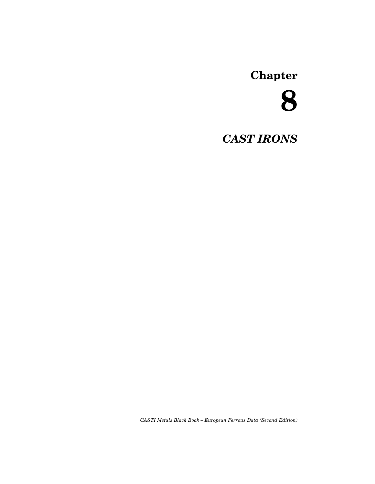## *CAST IRONS*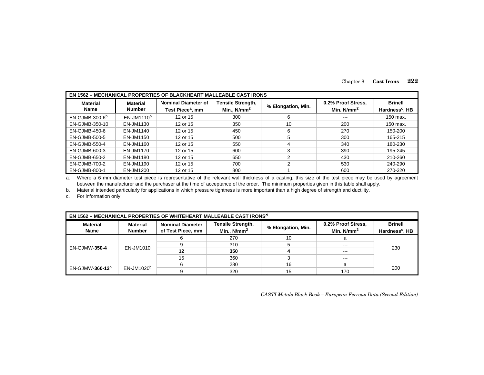| 222<br>Chapter 8<br><b>Cast Irons</b> |  |  |
|---------------------------------------|--|--|
|---------------------------------------|--|--|

| <b>EN 1562 – MECHANICAL PROPERTIES OF BLACKHEART MALLEABLE CAST IRONS</b> |                                  |                                                            |                                                           |    |                                     |                                              |  |  |  |  |
|---------------------------------------------------------------------------|----------------------------------|------------------------------------------------------------|-----------------------------------------------------------|----|-------------------------------------|----------------------------------------------|--|--|--|--|
| <b>Material</b><br>Name                                                   | <b>Material</b><br><b>Number</b> | <b>Nominal Diameter of</b><br>Test Piece <sup>a</sup> , mm | Tensile Strength,<br>% Elongation, Min.<br>Min., $N/mm^2$ |    | 0.2% Proof Stress,<br>Min. $N/mm^2$ | <b>Brinell</b><br>Hardness <sup>c</sup> , HB |  |  |  |  |
| $EN-GJMB-300-6b$                                                          | $EN$ -JM1110 <sup>b</sup>        | 12 or 15                                                   | 300                                                       | 6  | $--$                                | 150 max.                                     |  |  |  |  |
| EN-GJMB-350-10                                                            | EN-JM1130                        | 12 or 15                                                   | 350                                                       | 10 | 200                                 | 150 max.                                     |  |  |  |  |
| EN-GJMB-450-6                                                             | EN-JM1140                        | 12 or 15                                                   | 450                                                       | 6  | 270                                 | 150-200                                      |  |  |  |  |
| EN-GJMB-500-5                                                             | EN-JM1150                        | 12 or 15                                                   | 500                                                       | 5  | 300                                 | 165-215                                      |  |  |  |  |
| EN-GJMB-550-4                                                             | EN-JM1160                        | 12 or 15                                                   | 550                                                       | 4  | 340                                 | 180-230                                      |  |  |  |  |
| EN-GJMB-600-3                                                             | EN-JM1170                        | 12 or 15                                                   | 600                                                       | 3  | 390                                 | 195-245                                      |  |  |  |  |
| EN-GJMB-650-2                                                             | EN-JM1180                        | 12 or 15                                                   | 650                                                       |    | 430                                 | 210-260                                      |  |  |  |  |
| EN-GJMB-700-2                                                             | EN-JM1190                        | 12 or 15                                                   | 700                                                       |    | 530                                 | 240-290                                      |  |  |  |  |
| <b>EN-GJMB-800-1</b>                                                      | EN-JM1200                        | 12 or 15                                                   | 800                                                       |    | 600                                 | 270-320                                      |  |  |  |  |

a. Where a 6 mm diameter test piece is representative of the relevant wall thickness of a casting, this size of the test piece may be used by agreement between the manufacturer and the purchaser at the time of acceptance of the order. The minimum properties given in this table shall apply.

b. Material intended particularly for applications in which pressure tightness is more important than a high degree of strength and ductility.

c. For information only.

| <b>EN 1562 – MECHANICAL PROPERTIES OF WHITEHEART MALLEABLE CAST IRONS<sup>d</sup></b> |                                  |                                              |                                            |                    |                                     |                                              |  |  |  |  |
|---------------------------------------------------------------------------------------|----------------------------------|----------------------------------------------|--------------------------------------------|--------------------|-------------------------------------|----------------------------------------------|--|--|--|--|
| <b>Material</b><br>Name                                                               | <b>Material</b><br><b>Number</b> | <b>Nominal Diameter</b><br>of Test Piece, mm | <b>Tensile Strength,</b><br>Min., $N/mm^2$ | % Elongation, Min. | 0.2% Proof Stress,<br>Min. $N/mm^2$ | <b>Brinell</b><br>Hardness <sup>c</sup> , HB |  |  |  |  |
| EN-GJMW-350-4                                                                         | EN-JM1010                        |                                              | 270                                        | 10                 | a                                   |                                              |  |  |  |  |
|                                                                                       |                                  |                                              | 310                                        |                    | $- - -$                             | 230                                          |  |  |  |  |
|                                                                                       |                                  | 12                                           | 350                                        |                    | $- - -$                             |                                              |  |  |  |  |
|                                                                                       |                                  | 15                                           | 360                                        |                    | $- - -$                             |                                              |  |  |  |  |
| EN-GJMW-360-12 $^{\rm b}$                                                             | $EN$ -JM1020 $b$                 | 6                                            | 280                                        | 16                 | a                                   | 200                                          |  |  |  |  |
|                                                                                       |                                  |                                              | 320                                        | 15                 | 170                                 |                                              |  |  |  |  |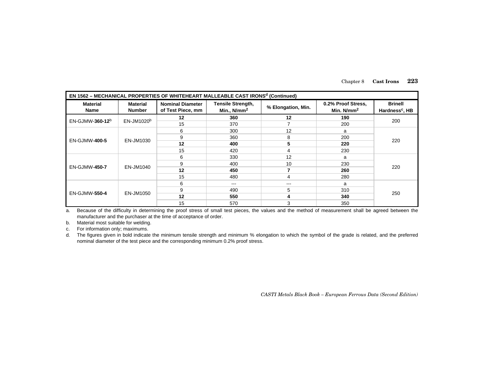|           |                   | 223 |
|-----------|-------------------|-----|
| Chapter 8 | <b>Cast Irons</b> |     |

| EN 1562 – MECHANICAL PROPERTIES OF WHITEHEART MALLEABLE CAST IRONS <sup>d</sup> (Continued) |                                  |                                              |                                    |                    |                                     |                                              |  |  |  |  |
|---------------------------------------------------------------------------------------------|----------------------------------|----------------------------------------------|------------------------------------|--------------------|-------------------------------------|----------------------------------------------|--|--|--|--|
| <b>Material</b><br>Name                                                                     | <b>Material</b><br><b>Number</b> | <b>Nominal Diameter</b><br>of Test Piece, mm | Tensile Strength,<br>Min., $N/mm2$ | % Elongation, Min. | 0.2% Proof Stress,<br>Min. $N/mm^2$ | <b>Brinell</b><br>Hardness <sup>c</sup> , HB |  |  |  |  |
|                                                                                             |                                  | 12                                           | 360                                | 12                 | 190                                 | 200                                          |  |  |  |  |
| $EN-GJMW-360-12b$                                                                           | $EN$ -JM1020 $b$                 | 15                                           | 370                                |                    | 200                                 |                                              |  |  |  |  |
|                                                                                             |                                  | 6                                            | 300                                | 12                 | a                                   |                                              |  |  |  |  |
|                                                                                             | EN-JM1030                        | 9                                            | 360                                | 8                  | 200                                 |                                              |  |  |  |  |
| <b>EN-GJMW-400-5</b>                                                                        |                                  | 12                                           | 400                                | 5                  | 220                                 | 220                                          |  |  |  |  |
|                                                                                             |                                  | 15                                           | 420                                | 4                  | 230                                 |                                              |  |  |  |  |
|                                                                                             |                                  | 6                                            | 330                                | 12                 | a                                   |                                              |  |  |  |  |
| <b>EN-GJMW-450-7</b>                                                                        | EN-JM1040                        | 9                                            | 400                                | 10                 | 230                                 |                                              |  |  |  |  |
|                                                                                             |                                  | 12                                           | 450                                |                    | 260                                 | 220                                          |  |  |  |  |
|                                                                                             |                                  | 15                                           | 480                                | 4                  | 280                                 |                                              |  |  |  |  |
|                                                                                             |                                  | 6                                            | ---                                | ---                | a                                   |                                              |  |  |  |  |
| <b>EN-GJMW-550-4</b>                                                                        |                                  | 9                                            | 490                                | 5                  | 310                                 |                                              |  |  |  |  |
|                                                                                             | EN-JM1050                        | 12                                           | 550                                | 4                  | 340                                 | 250                                          |  |  |  |  |
|                                                                                             |                                  | 15                                           | 570                                | 3                  | 350                                 |                                              |  |  |  |  |

a. Because of the difficulty in determining the proof stress of small test pieces, the values and the method of measurement shall be agreed between the manufacturer and the purchaser at the time of acceptance of order.

b. Material most suitable for welding.

c. For information only; maximums.

d. The figures given in bold indicate the minimum tensile strength and minimum % elongation to which the symbol of the grade is related, and the preferred nominal diameter of the test piece and the corresponding minimum 0.2% proof stress.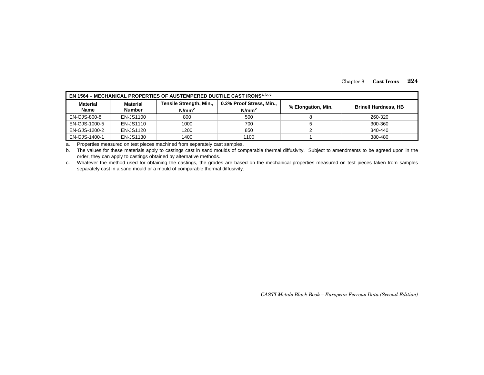#### Chapter 8 **Cast Irons 224**

|                                                      | <b>EN 1564 – MECHANICAL PROPERTIES OF AUSTEMPERED DUCTILE CAST IRONS<sup>a, b, c</sup></b> |                                     |                                      |                    |                             |  |  |  |  |  |  |
|------------------------------------------------------|--------------------------------------------------------------------------------------------|-------------------------------------|--------------------------------------|--------------------|-----------------------------|--|--|--|--|--|--|
| Material<br><b>Material</b><br><b>Number</b><br>Name |                                                                                            | Tensile Strength, Min.,<br>$N/mm^2$ | 0.2% Proof Stress, Min.,<br>$N/mm^2$ | % Elongation, Min. | <b>Brinell Hardness, HB</b> |  |  |  |  |  |  |
| EN-GJS-800-8                                         | <b>EN-JS1100</b>                                                                           | 800                                 | 500                                  |                    | 260-320                     |  |  |  |  |  |  |
| EN-GJS-1000-5                                        | EN-JS1110                                                                                  | 1000                                | 700                                  |                    | 300-360                     |  |  |  |  |  |  |
| EN-GJS-1200-2                                        | <b>EN-JS1120</b>                                                                           | 1200                                | 850                                  |                    | 340-440                     |  |  |  |  |  |  |
| EN-GJS-1400-1                                        | <b>EN-JS1130</b>                                                                           | 1400                                | 1100                                 |                    | 380-480                     |  |  |  |  |  |  |

a. Properties measured on test pieces machined from separately cast samples.

b. The values for these materials apply to castings cast in sand moulds of comparable thermal diffusivity. Subject to amendments to be agreed upon in the order, they can apply to castings obtained by alternative methods.

c. Whatever the method used for obtaining the castings, the grades are based on the mechanical properties measured on test pieces taken from samples separately cast in a sand mould or a mould of comparable thermal diffusivity.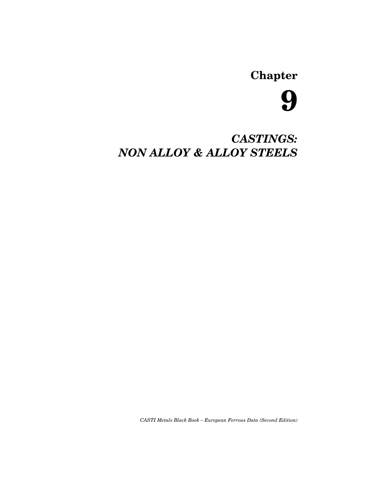# **9**

### *CASTINGS: NON ALLOY & ALLOY STEELS*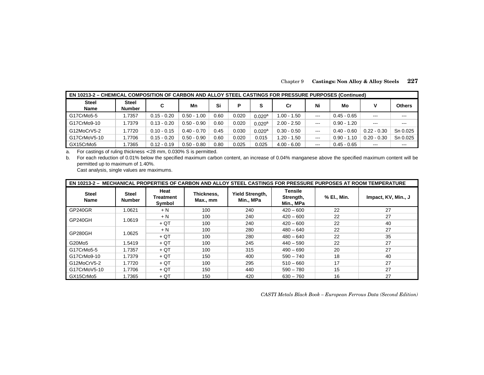| EN 10213-2 – CHEMICAL COMPOSITION OF CARBON AND ALLOY STEEL CASTINGS FOR PRESSURE PURPOSES (Continued) |                               |               |               |      |       |                    |               |                        |               |                        |                        |
|--------------------------------------------------------------------------------------------------------|-------------------------------|---------------|---------------|------|-------|--------------------|---------------|------------------------|---------------|------------------------|------------------------|
| <b>Steel</b><br>Name                                                                                   | <b>Steel</b><br><b>Number</b> | C             | Mn            | Si   | P     | S                  | Сr            | Ni                     | Mo            | v                      | <b>Others</b>          |
| G17CrMo5-5                                                                                             | .7357                         | $0.15 - 0.20$ | $0.50 - 1.00$ | 0.60 | 0.020 | 0.020 <sup>a</sup> | $1.00 - 1.50$ | $\qquad \qquad -$      | $0.45 - 0.65$ | $\qquad \qquad \cdots$ | $\qquad \qquad \cdots$ |
| G17CrMo9-10                                                                                            | .7379                         | $0.13 - 0.20$ | $0.50 - 0.90$ | 0.60 | 0.020 | 0.020 <sup>a</sup> | $2.00 - 2.50$ | $\cdots$               | $0.90 - 1.20$ | $---$                  | ---                    |
| G12MoCrV5-2                                                                                            | .7720                         | $0.10 - 0.15$ | $0.40 - 0.70$ | 0.45 | 0.030 | 0.020 <sup>a</sup> | $0.30 - 0.50$ | $- - -$                | $0.40 - 0.60$ | $0.22 - 0.30$          | Sn 0.025               |
| G17CrMoV5-10                                                                                           | .7706                         | $0.15 - 0.20$ | $0.50 - 0.90$ | 0.60 | 0.020 | 0.015              | 1.20 - 1.50   | $- - -$                | $0.90 - 1.10$ | $0.20 - 0.30$          | Sn 0.025               |
| GX15CrMo5                                                                                              | .7365                         | $0.12 - 0.19$ | $0.50 - 0.80$ | 0.80 | 0.025 | 0.025              | $4.00 - 6.00$ | $\qquad \qquad \cdots$ | $0.45 - 0.65$ | $\qquad \qquad \cdots$ | $\sim$ $\sim$          |

#### Chapter 9 **Castings: Non Alloy & Alloy Steels 227**

a. For castings of ruling thickness < 28 mm, 0.030% S is permitted.

b. For each reduction of 0.01% below the specified maximum carbon content, an increase of 0.04% manganese above the specified maximum content will be permitted up to maximum of 1.40%.

Cast analysis, single values are maximums.

| EN 10213-2 - MECHANICAL PROPERTIES OF CARBON AND ALLOY STEEL CASTINGS FOR PRESSURE PURPOSES AT ROOM TEMPERATURE |                               |                                    |                        |                              |             |             |                     |  |  |
|-----------------------------------------------------------------------------------------------------------------|-------------------------------|------------------------------------|------------------------|------------------------------|-------------|-------------|---------------------|--|--|
| <b>Steel</b><br><b>Name</b>                                                                                     | <b>Steel</b><br><b>Number</b> | Heat<br>Treatment<br><b>Symbol</b> | Thickness,<br>Max., mm | Yield Strength,<br>Min., MPa |             | % El., Min. | Impact, KV, Min., J |  |  |
| <b>GP240GR</b>                                                                                                  | 1.0621                        | $+ N$                              | 100                    | 240                          | $420 - 600$ | 22          | 27                  |  |  |
| GP240GH                                                                                                         |                               | $+ N$                              | 100                    | 240                          | $420 - 600$ | 22          | 27                  |  |  |
|                                                                                                                 | 1.0619                        | $+ QT$                             | 100                    | 240                          | $420 - 600$ | 22          | 40                  |  |  |
| GP280GH                                                                                                         | 1.0625                        | $+ N$                              | 100                    | 280                          | $480 - 640$ | 22          | 27                  |  |  |
|                                                                                                                 |                               | $+ QT$                             | 100                    | 280                          | $480 - 640$ | 22          | 35                  |  |  |
| G20Mo5                                                                                                          | 1.5419                        | $+ QT$                             | 100                    | 245                          | $440 - 590$ | 22          | 27                  |  |  |
| G17CrMo5-5                                                                                                      | 1.7357                        | $+ QT$                             | 100                    | 315                          | $490 - 690$ | 20          | 27                  |  |  |
| G17CrMo9-10                                                                                                     | 1.7379                        | $+ QT$                             | 150                    | 400                          | $590 - 740$ | 18          | 40                  |  |  |
| G12MoCrV5-2                                                                                                     | 1.7720                        | $+ QT$                             | 100                    | 295                          | $510 - 660$ | 17          | 27                  |  |  |
| G17CrMoV5-10                                                                                                    | 1.7706                        | $+ QT$                             | 150                    | 440                          | $590 - 780$ | 15          | 27                  |  |  |
| GX15CrMo5                                                                                                       | 1.7365                        | $+ QT$                             | 150                    | 420                          | $630 - 760$ | 16          | 27                  |  |  |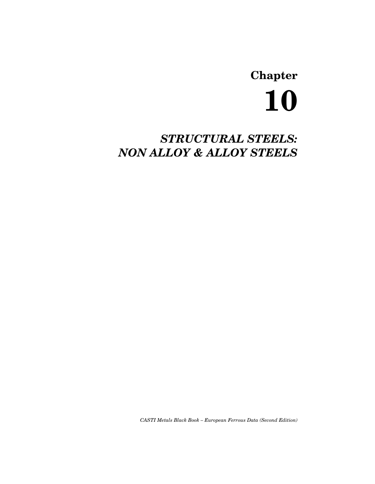### *STRUCTURAL STEELS: NON ALLOY & ALLOY STEELS*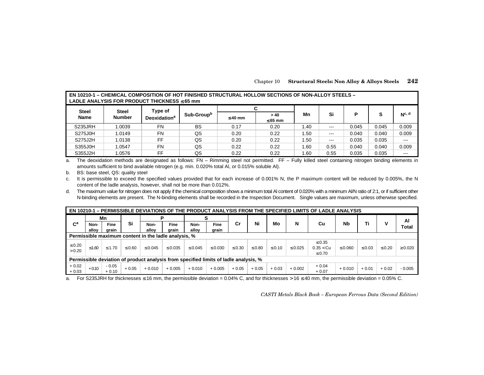| Chapter 10 | <b>Structural Steels: Non Alloy &amp; Alloys Steels</b> | - 242 |
|------------|---------------------------------------------------------|-------|
|------------|---------------------------------------------------------|-------|

| EN 10210-1 - CHEMICAL COMPOSITION OF HOT FINISHED STRUCTURAL HOLLOW SECTIONS OF NON-ALLOY STEELS -<br>LADLE ANALYSIS FOR PRODUCT THICKNESS $\leq 65$ mm |               |                                 |                        |              |                      |       |                        |       |       |           |
|---------------------------------------------------------------------------------------------------------------------------------------------------------|---------------|---------------------------------|------------------------|--------------|----------------------|-------|------------------------|-------|-------|-----------|
| <b>Steel</b>                                                                                                                                            | <b>Steel</b>  | Type of                         |                        | C            |                      |       |                        |       |       |           |
| <b>Name</b>                                                                                                                                             | <b>Number</b> | <b>Deoxidation</b> <sup>a</sup> | Sub-Group <sup>b</sup> | $\leq 40$ mm | > 40<br>$\leq 65$ mm | Mn    | Si                     | P     | S     | $N^c$ , d |
| S235JRH                                                                                                                                                 | 1.0039        | FN                              | <b>BS</b>              | 0.17         | 0.20                 | . .40 | $\qquad \qquad -$      | 0.045 | 0.045 | 0.009     |
| S275J0H                                                                                                                                                 | 1.0149        | FN                              | QS                     | 0.20         | 0.22                 | .50   | $\qquad \qquad -$      | 0.040 | 0.040 | 0.009     |
| S275J2H                                                                                                                                                 | 1.0138        | FF                              | QS                     | 0.20         | 0.22                 | .50   | $\qquad \qquad \cdots$ | 0.035 | 0.035 | $- - -$   |
| S355J0H                                                                                                                                                 | 1.0547        | FN                              | QS                     | 0.22         | 0.22                 | 1.60  | 0.55                   | 0.040 | 0.040 | 0.009     |
| S355J2H                                                                                                                                                 | 1.0576        | FF                              | QS                     | 0.22         | 0.22                 | 1.60  | 0.55                   | 0.035 | 0.035 | $- - -$   |

a. The deoxidation methods are designated as follows: FN – Rimming steel not permitted. FF – Fully killed steel containing nitrogen binding elements in amounts sufficient to bind available nitrogen (e.g. min. 0.020% total Al, or 0.015% soluble Al).

b. BS: base steel, QS: quality steel

c. It is permissible to exceed the specified values provided that for each increase of 0.001% N, the P maximum content will be reduced by 0.005%, the N content of the ladle analysis, however, shall not be more than 0.012%.

d. The maximum value for nitrogen does not apply if the chemical composition shows a minimum total Al content of 0.020% with a minimum Al/N ratio of 2:1, or if sufficient other N-binding elements are present. The N-binding elements shall be recorded in the Inspection Document. Single values are maximum, unless otherwise specified.

|             | EN 10210-1 – PERMISSIBLE DEVIATIONS OF THE PRODUCT ANALYSIS FROM THE SPECIFIED LIMITS OF LADLE ANALYSIS |             |             |              |                                                                                      |              |              |             |             |             |              |              |           |             |             |              |
|-------------|---------------------------------------------------------------------------------------------------------|-------------|-------------|--------------|--------------------------------------------------------------------------------------|--------------|--------------|-------------|-------------|-------------|--------------|--------------|-----------|-------------|-------------|--------------|
|             | Mn                                                                                                      |             |             |              | D                                                                                    |              |              |             |             |             |              |              |           |             |             | Al           |
| $C^a$       | Non-                                                                                                    | <b>Fine</b> | Si          | Non-         | <b>Fine</b>                                                                          | Non-         | <b>Fine</b>  | Cr          | Ni          | Mo          | N            | Cu           | <b>Nb</b> | Ti          | v           | Total        |
|             | allov                                                                                                   | arain       |             | allov        | grain                                                                                | allov        | grain        |             |             |             |              |              |           |             |             |              |
|             |                                                                                                         |             |             |              | Permissible maximum content in the ladle analysis, %                                 |              |              |             |             |             |              |              |           |             |             |              |
| $\leq 0.20$ |                                                                                                         |             |             |              |                                                                                      |              |              |             |             |             |              | $\leq 0.35$  |           |             |             |              |
| > 0.20      | $≤1.60$                                                                                                 | $\leq 1.70$ | $\leq 0.60$ | $\leq 0.045$ | $\leq 0.035$                                                                         | $\leq 0.045$ | $\leq 0.030$ | $\leq 0.30$ | $\leq 0.80$ | $\leq 0.10$ | $\leq 0.025$ | $0.35 < C$ u | 0.060     | $\leq 0.03$ | $\leq 0.20$ | $\geq 0.020$ |
|             |                                                                                                         |             |             |              |                                                                                      |              |              |             |             |             |              | $\leq 0.70$  |           |             |             |              |
|             |                                                                                                         |             |             |              | Permissible deviation of product analysis from specified limits of ladle analysis, % |              |              |             |             |             |              |              |           |             |             |              |
| $+0.02$     |                                                                                                         | $-0.05$     |             |              |                                                                                      |              |              |             |             |             |              | $+0.04$      |           |             |             |              |
| $+0.03$     | $+0.10$                                                                                                 | $+0.10$     | $+0.05$     | $+0.010$     | $+0.005$                                                                             | $+0.010$     | $+0.005$     | $+0.05$     | $+0.05$     | $+0.03$     | $+0.002$     | $+0.07$      | $+0.010$  | $+0.01$     | $+0.02$     | $-0.005$     |

a. For S235JRH for thicknesses ≤ 16 mm, the permissible deviation = 0.04% C, and for thicknesses > 16 ≤ 40 mm, the permissible deviation = 0.05% C.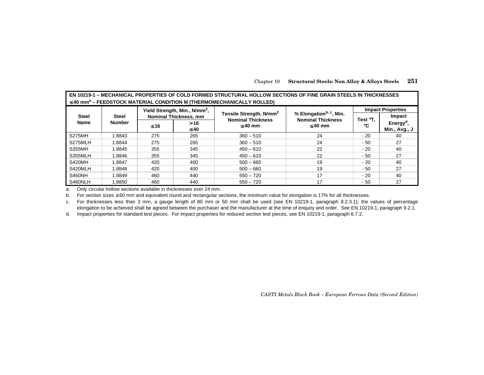#### Chapter 10 **Structural Steels: Non Alloy & Alloys Steels 251**

|               |               |        |                                           | EN 10219-1 – MECHANICAL PROPERTIES OF COLD FORMED STRUCTURAL HOLLOW SECTIONS OF FINE GRAIN STEELS IN THICKNESSES<br>$\leq$ 40 mm <sup>a</sup> – FEEDSTOCK MATERIAL CONDITION M (THERMOMECHANICALLY ROLLED) |                                                                 |                          |                                        |
|---------------|---------------|--------|-------------------------------------------|------------------------------------------------------------------------------------------------------------------------------------------------------------------------------------------------------------|-----------------------------------------------------------------|--------------------------|----------------------------------------|
|               |               |        | Yield Strength, Min., N/mm <sup>2</sup> , |                                                                                                                                                                                                            |                                                                 | <b>Impact Properties</b> |                                        |
| <b>Steel</b>  | <b>Steel</b>  |        | Nominal Thickness, mm                     | Tensile Strength, N/mm <sup>2</sup><br><b>Nominal Thickness</b>                                                                                                                                            | % Elongation <sup>b, c</sup> , Min.<br><b>Nominal Thickness</b> | Test °T.                 | Impact                                 |
| <b>Name</b>   | <b>Number</b> | $≤ 16$ | >16<br>$\leq 40$                          | $\leq 40$ mm                                                                                                                                                                                               | $\leq 40$ mm                                                    | ۰c                       | Energy <sup>d</sup> ,<br>Min., Avg., J |
| <b>S275MH</b> | 1.8843        | 275    | 265                                       | $360 - 510$                                                                                                                                                                                                | 24                                                              | $-20$                    | 40                                     |
| S275MLH       | 1.8844        | 275    | 265                                       | $360 - 510$                                                                                                                                                                                                | 24                                                              | - 50                     | 27                                     |
| <b>S355MH</b> | 1.8845        | 355    | 345                                       | $450 - 610$                                                                                                                                                                                                | 22                                                              | - 20                     | 40                                     |
| S355MLH       | 1.8846        | 355    | 345                                       | $450 - 610$                                                                                                                                                                                                | 22                                                              | - 50                     | 27                                     |
| S420MH        | 1.8847        | 420    | 400                                       | $500 - 660$                                                                                                                                                                                                | 19                                                              | $-20$                    | 40                                     |
| S420MLH       | 1.8848        | 420    | 400                                       | $500 - 660$                                                                                                                                                                                                | 19                                                              | - 50                     | 27                                     |
| <b>S460NH</b> | 1.8849        | 460    | 440                                       | $550 - 720$                                                                                                                                                                                                | 17                                                              | $-20$                    | 40                                     |
| S460NLH       | 1.8850        | 460    | 440                                       | $550 - 720$                                                                                                                                                                                                | 17                                                              | - 50                     | 27                                     |

a. Only circular hollow sections available in thicknesses over 24 mm.

b. For section sizes ≤ 60 mm and equivalent round and rectangular sections, the minimum value for elongation is 17% for all thicknesses.

c. For thicknesses less than 3 mm, a gauge length of 80 mm or 50 mm shall be used (see EN 10219-1, paragraph 8.2.3.1); the values of percentage elongation to be achieved shall be agreed between the purchaser and the manufacturer at the time of enquiry and order. See EN 10219-1, paragraph 9.2.1.

d. Impact properties for standard test pieces. For impact properties for reduced section test pieces, see EN 10219-1, paragraph 6.7.2.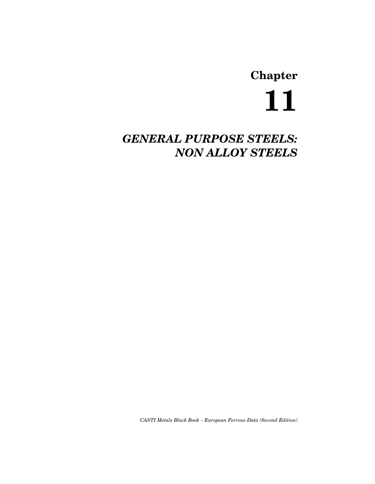### *GENERAL PURPOSE STEELS: NON ALLOY STEELS*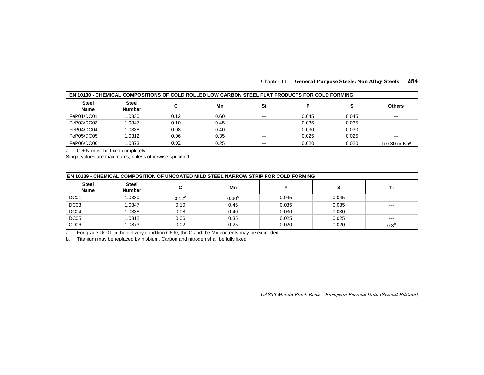|                             | EN 10130 - CHEMICAL COMPOSITIONS OF COLD ROLLED LOW CARBON STEEL FLAT PRODUCTS FOR COLD FORMING |      |      |         |       |       |                  |  |  |
|-----------------------------|-------------------------------------------------------------------------------------------------|------|------|---------|-------|-------|------------------|--|--|
| <b>Steel</b><br><b>Name</b> | <b>Steel</b><br><b>Number</b>                                                                   |      | Mn   | Si      |       | s     | <b>Others</b>    |  |  |
| FeP01/DC01                  | 1.0330                                                                                          | 0.12 | 0.60 | ---     | 0.045 | 0.045 | $- - -$          |  |  |
| FeP03/DC03                  | 1.0347                                                                                          | 0.10 | 0.45 | $--$    | 0.035 | 0.035 | $- - -$          |  |  |
| FeP04/DC04                  | 1.0338                                                                                          | 0.08 | 0.40 | $- - -$ | 0.030 | 0.030 | $- - -$          |  |  |
| FeP05/DC05                  | 1.0312                                                                                          | 0.06 | 0.35 | $--$    | 0.025 | 0.025 | ---              |  |  |
| FeP06/DC06                  | 1.0873                                                                                          | 0.02 | 0.25 | ---     | 0.020 | 0.020 | Ti 0.30 or $Nba$ |  |  |

#### Chapter 11 **General Purpose Steels: Non Alloy Steels 254**

a. C + N must be fixed completely.

Single values are maximums, unless otherwise specified.

|                             | <b>IEN 10139 - CHEMICAL COMPOSITION OF UNCOATED MILD STEEL NARROW STRIP FOR COLD FORMING</b> |                   |                   |       |       |                  |  |  |
|-----------------------------|----------------------------------------------------------------------------------------------|-------------------|-------------------|-------|-------|------------------|--|--|
| <b>Steel</b><br><b>Name</b> | <b>Steel</b><br><b>Number</b>                                                                | С                 | Mn                |       |       |                  |  |  |
| DC <sub>01</sub>            | 1.0330                                                                                       | 0.12 <sup>a</sup> | 0.60 <sup>a</sup> | 0.045 | 0.045 | $- - -$          |  |  |
| DC <sub>03</sub>            | 1.0347                                                                                       | 0.10              | 0.45              | 0.035 | 0.035 | $- - -$          |  |  |
| DC <sub>04</sub>            | 1.0338                                                                                       | 0.08              | 0.40              | 0.030 | 0.030 | $- - -$          |  |  |
| DC <sub>05</sub>            | 1.0312                                                                                       | 0.06              | 0.35              | 0.025 | 0.025 | ---              |  |  |
| CD <sub>06</sub>            | 1.0873                                                                                       | 0.02              | 0.25              | 0.020 | 0.020 | 0.3 <sup>b</sup> |  |  |

a. For grade DC01 in the delivery condition C690, the C and the Mn contents may be exceeded.

b. Titanium may be replaced by niobium. Carbon and nitrogen shall be fully fixed.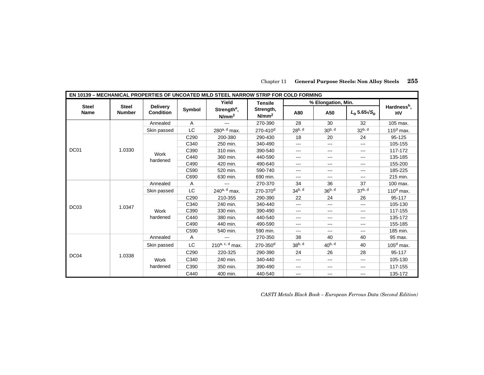|                      | EN 10139 – MECHANICAL PROPERTIES OF UNCOATED MILD STEEL NARROW STRIP FOR COLD FORMING |                                     |                  |                                              |                          |                        |                        |                                                                                                |                                      |  |  |
|----------------------|---------------------------------------------------------------------------------------|-------------------------------------|------------------|----------------------------------------------|--------------------------|------------------------|------------------------|------------------------------------------------------------------------------------------------|--------------------------------------|--|--|
|                      |                                                                                       |                                     |                  | Yield                                        | <b>Tensile</b>           |                        | % Elongation, Min.     |                                                                                                |                                      |  |  |
| <b>Steel</b><br>Name | <b>Steel</b><br><b>Number</b>                                                         | <b>Delivery</b><br><b>Condition</b> | Symbol           | Strength <sup>e</sup> ,<br>N/mm <sup>2</sup> | Strength,<br>$N/mm^2$    | A80                    | A50                    | $L_0$ 5.65 $\sqrt{S_0}$                                                                        | Hardness <sup>h</sup> ,<br><b>HV</b> |  |  |
|                      |                                                                                       | Annealed                            | $\overline{A}$   |                                              | 270-390                  | 28                     | 30                     | 32                                                                                             | 105 max.                             |  |  |
|                      |                                                                                       | Skin passed                         | LC               | 280 $a, d$ max.                              | 270-410 <sup>d</sup>     | $28^{b, d}$            | 30 <sup>b, d</sup>     | $32^{b, d}$                                                                                    | 115 $d$ max.                         |  |  |
|                      |                                                                                       |                                     | C <sub>290</sub> | 200-380                                      | 290-430                  | 18                     | 20                     | 24                                                                                             | 95-125                               |  |  |
|                      |                                                                                       |                                     | C340             | 250 min.                                     | 340-490                  | ---                    | $\cdots$               | ---                                                                                            | 105-155                              |  |  |
| DC <sub>01</sub>     | 1.0330                                                                                |                                     | C390             | 310 min.                                     | 390-540                  | ---                    | ---                    | ---                                                                                            | 117-172                              |  |  |
|                      |                                                                                       | Work<br>hardened                    | C440             | 360 min.                                     | 440-590                  | $\qquad \qquad \cdots$ | ---                    | ---                                                                                            | 135-185                              |  |  |
|                      |                                                                                       |                                     | C490             | 420 min.                                     | 490-640                  | $---$                  | ---                    | ---                                                                                            | 155-200                              |  |  |
|                      |                                                                                       |                                     | C <sub>590</sub> | 520 min.                                     | 590-740                  | ---                    | ---                    | ---                                                                                            | 185-225                              |  |  |
|                      |                                                                                       |                                     | C690             | 630 min.                                     | 690 min.                 | $\sim$ $\sim$          | $---$                  | $\frac{1}{2} \left( \frac{1}{2} \right) \left( \frac{1}{2} \right) \left( \frac{1}{2} \right)$ | 215 min.                             |  |  |
|                      |                                                                                       | Annealed                            | A                |                                              | 270-370                  | 34                     | 36                     | 37                                                                                             | 100 max.                             |  |  |
|                      |                                                                                       | Skin passed                         | LC               | 240 $a, d$ max.                              | 270-370 <sup>d</sup>     | $34^{b, d}$            | 36 <sup>b, d</sup>     | 37 <sup>b, d</sup>                                                                             | $110d$ max.                          |  |  |
|                      |                                                                                       |                                     | C290             | 210-355                                      | 290-390                  | 22                     | 24                     | 26                                                                                             | 95-117                               |  |  |
| DC <sub>03</sub>     | 1.0347                                                                                |                                     | C340             | 240 min.                                     | 340-440                  | $\qquad \qquad \cdots$ | $\cdots$               | ---                                                                                            | 105-130                              |  |  |
|                      |                                                                                       | Work                                | C390             | 330 min.                                     | 390-490                  | ---                    | ---                    | ---                                                                                            | 117-155                              |  |  |
|                      |                                                                                       | hardened                            | C440             | 380 min.                                     | 440-540                  | $--$                   | $---$                  | ---                                                                                            | 135-172                              |  |  |
|                      |                                                                                       |                                     | C490             | 440 min.                                     | 490-590                  | $\qquad \qquad \cdots$ | $\qquad \qquad \cdots$ | $---$                                                                                          | 155-185                              |  |  |
|                      |                                                                                       |                                     | C <sub>590</sub> | 540 min.                                     | 590 min.                 | ---                    | ---                    | ---                                                                                            | 185 min.                             |  |  |
|                      |                                                                                       | Annealed                            | Α                |                                              | 270-350                  | 38                     | 40                     | 40                                                                                             | 95 max.                              |  |  |
|                      |                                                                                       | Skin passed                         | LC               | 210 $a, c, d$ max.                           | $270 - 350$ <sup>d</sup> | 38 <sup>b, d</sup>     | $40^{b, d}$            | 40                                                                                             | $105d$ max.                          |  |  |
| DC04                 | 1.0338                                                                                |                                     | C <sub>290</sub> | 220-325                                      | 290-390                  | 24                     | 26                     | 28                                                                                             | 95-117                               |  |  |
|                      |                                                                                       | Work                                | C340             | 240 min.                                     | 340-440                  | ---                    | ---                    | ---                                                                                            | 105-130                              |  |  |
|                      |                                                                                       | hardened                            | C390             | 350 min.                                     | 390-490                  | $\sim$ $\sim$          | $\cdots$               | $\cdots$                                                                                       | 117-155                              |  |  |
|                      |                                                                                       |                                     | C440             | 400 min.                                     | 440-540                  | $\qquad \qquad -$      | $---$                  | $\frac{1}{2} \left( \frac{1}{2} \right) \left( \frac{1}{2} \right) \left( \frac{1}{2} \right)$ | 135-172                              |  |  |

#### Chapter 11 **General Purpose Steels: Non Alloy Steels 255**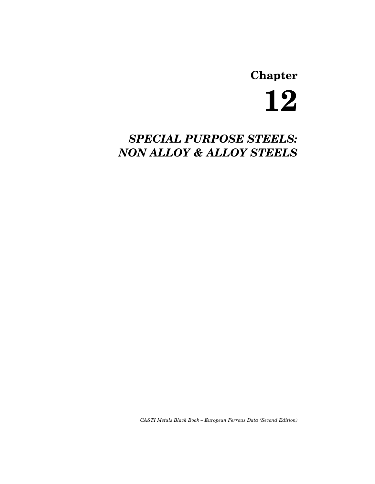### *SPECIAL PURPOSE STEELS: NON ALLOY & ALLOY STEELS*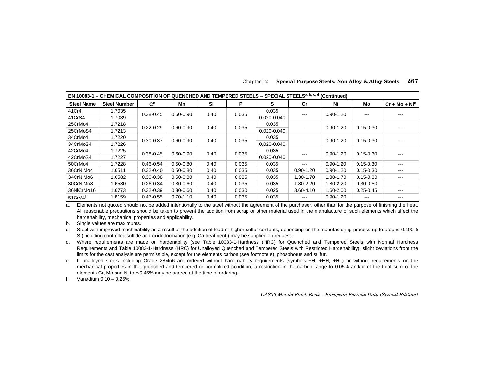|                     | EN 10083-1 - CHEMICAL COMPOSITION OF QUENCHED AND TEMPERED STEELS - SPECIAL STEELS <sup>a, b, c, d</sup> (Continued) |                |               |      |       |             |                        |               |                        |                 |
|---------------------|----------------------------------------------------------------------------------------------------------------------|----------------|---------------|------|-------|-------------|------------------------|---------------|------------------------|-----------------|
| <b>Steel Name</b>   | <b>Steel Number</b>                                                                                                  | C <sup>e</sup> | Mn            | Si   | P     | s           | Cr                     | Ni            | Mo                     | $Cr + Mo + Nie$ |
| 41Cr4               | 1.7035                                                                                                               |                |               |      |       | 0.035       |                        |               |                        |                 |
| 41CrS4              | 1.7039                                                                                                               | $0.38 - 0.45$  | $0.60 - 0.90$ | 0.40 | 0.035 | 0.020-0.040 | ---                    | $0.90 - 1.20$ | $\qquad \qquad \cdots$ |                 |
| 25CrMo4             | 1.7218                                                                                                               | $0.22 - 0.29$  | $0.60 - 0.90$ | 0.40 |       | 0.035       |                        | $0.90 - 1.20$ | $0.15 - 0.30$          |                 |
| 25CrMoS4            | 1.7213                                                                                                               |                |               |      | 0.035 | 0.020-0.040 | ---                    |               |                        | ---             |
| 34CrMo4             | 1.7220                                                                                                               |                |               |      |       | 0.035       |                        |               |                        |                 |
| 34CrMoS4            | 1.7226                                                                                                               | $0.30 - 0.37$  | $0.60 - 0.90$ | 0.40 | 0.035 | 0.020-0.040 | ---                    | $0.90 - 1.20$ | $0.15 - 0.30$          |                 |
| 42CrMo4             | 1.7225                                                                                                               |                | $0.60 - 0.90$ |      |       | 0.035       |                        |               |                        |                 |
| 42CrMoS4            | 1.7227                                                                                                               | $0.38 - 0.45$  |               | 0.40 | 0.035 | 0.020-0.040 | ---                    | $0.90 - 1.20$ | $0.15 - 0.30$          |                 |
| 50CrMo4             | 1.7228                                                                                                               | $0.46 - 0.54$  | $0.50 - 0.80$ | 0.40 | 0.035 | 0.035       | $\sim$ $\sim$          | $0.90 - 1.20$ | $0.15 - 0.30$          | ---             |
| 36CrNiMo4           | 1.6511                                                                                                               | $0.32 - 0.40$  | $0.50 - 0.80$ | 0.40 | 0.035 | 0.035       | $0.90 - 1.20$          | $0.90 - 1.20$ | $0.15 - 0.30$          | ---             |
| 34CrNiMo6           | 1.6582                                                                                                               | $0.30 - 0.38$  | $0.50 - 0.80$ | 0.40 | 0.035 | 0.035       | 1.30-1.70              | 1.30-1.70     | $0.15 - 0.30$          | ---             |
| 30CrNiMo8           | 1.6580                                                                                                               | $0.26 - 0.34$  | $0.30 - 0.60$ | 0.40 | 0.035 | 0.035       | 1.80-2.20              | 1.80-2.20     | $0.30 - 0.50$          | ---             |
| 36NiCrMo16          | 1.6773                                                                                                               | $0.32 - 0.39$  | $0.30 - 0.60$ | 0.40 | 0.030 | 0.025       | $3.60 - 4.10$          | 1.60-2.00     | $0.25 - 0.45$          | ---             |
| 51CrV4 <sup>f</sup> | 1.8159                                                                                                               | $0.47 - 0.55$  | $0.70 - 1.10$ | 0.40 | 0.035 | 0.035       | $\qquad \qquad \cdots$ | $0.90 - 1.20$ | $\qquad \qquad \cdots$ | ---             |

#### Chapter 12 **Special Purpose Steels: Non Alloy & Alloy Steels 267**

a. Elements not quoted should not be added intentionally to the steel without the agreement of the purchaser, other than for the purpose of finishing the heat. All reasonable precautions should be taken to prevent the addition from scrap or other material used in the manufacture of such elements which affect the hardenability, mechanical properties and applicability.

b. Single values are maximums.

c. Steel with improved machinability as a result of the addition of lead or higher sulfur contents, depending on the manufacturing process up to around 0.100% S (including controlled sulfide and oxide formation [e.g. Ca treatment]) may be supplied on request.

d. Where requirements are made on hardenability (see Table 10083-1-Hardness (HRC) for Quenched and Tempered Steels with Normal Hardness Requirements and Table 10083-1-Hardness (HRC) for Unalloyed Quenched and Tempered Steels with Restricted Hardenability), slight deviations from the limits for the cast analysis are permissible, except for the elements carbon (see footnote e), phosphorus and sulfur.

e. If unalloyed steels including Grade 28Mn6 are ordered without hardenability requirements (symbols +H, +HH, +HL) or without requirements on the mechanical properties in the quenched and tempered or normalized condition, a restriction in the carbon range to 0.05% and/or of the total sum of the elements Cr, Mo and Ni to  $\leq$  0.45% may be agreed at the time of ordering.

f. Vanadium 0.10 – 0.25%.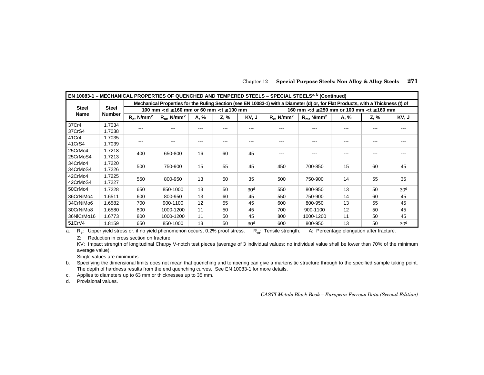|              | EN 10083-1 – MECHANICAL PROPERTIES OF QUENCHED AND TEMPERED STEELS – SPECIAL STEELS <sup>a, b</sup> (Continued) |                           |                           |                                                         |      |                 |                                                          |                                                                                                                                  |         |      |                 |  |
|--------------|-----------------------------------------------------------------------------------------------------------------|---------------------------|---------------------------|---------------------------------------------------------|------|-----------------|----------------------------------------------------------|----------------------------------------------------------------------------------------------------------------------------------|---------|------|-----------------|--|
|              |                                                                                                                 |                           |                           |                                                         |      |                 |                                                          | Mechanical Properties for the Ruling Section (see EN 10083-1) with a Diameter (d) or, for Flat Products, with a Thickness (t) of |         |      |                 |  |
| <b>Steel</b> | <b>Steel</b>                                                                                                    |                           |                           | 100 mm $<$ d $\leq$ 160 mm or 60 mm $<$ t $\leq$ 100 mm |      |                 | 160 mm $<$ d $\leq$ 250 mm or 100 mm $<$ t $\leq$ 160 mm |                                                                                                                                  |         |      |                 |  |
| Name         | <b>Number</b>                                                                                                   | $R_e$ , N/mm <sup>2</sup> | $R_m$ , N/mm <sup>2</sup> | A, %                                                    | Z, % | KV, J           | $R_e$ , N/mm <sup>2</sup>                                | $R_m$ , N/mm <sup>2</sup>                                                                                                        | A, %    | Z, % | KV, J           |  |
| 37Cr4        | 1.7034                                                                                                          |                           |                           |                                                         |      |                 |                                                          |                                                                                                                                  |         |      |                 |  |
| 37CrS4       | 1.7038                                                                                                          |                           |                           |                                                         |      |                 |                                                          |                                                                                                                                  |         |      |                 |  |
| 41Cr4        | 1.7035                                                                                                          | ---                       | $- - -$                   | ---                                                     |      | ---             | ---                                                      | $- - -$                                                                                                                          | $- - -$ | ---  |                 |  |
| 41CrS4       | 1.7039                                                                                                          |                           |                           |                                                         |      |                 |                                                          |                                                                                                                                  |         |      |                 |  |
| 25CrMo4      | 1.7218                                                                                                          | 400                       | 650-800                   | 16                                                      | 60   | 45              |                                                          |                                                                                                                                  |         |      |                 |  |
| 25CrMoS4     | 1.7213                                                                                                          |                           |                           |                                                         |      |                 |                                                          |                                                                                                                                  |         |      |                 |  |
| 34CrMo4      | 1.7220                                                                                                          | 500                       | 750-900                   | 15                                                      | 55   | 45              | 450                                                      | 700-850                                                                                                                          | 15      | 60   | 45              |  |
| 34CrMoS4     | 1.7226                                                                                                          |                           |                           |                                                         |      |                 |                                                          |                                                                                                                                  |         |      |                 |  |
| 42CrMo4      | 1.7225                                                                                                          | 550                       | 800-950                   | 13                                                      | 50   | 35              | 500                                                      | 750-900                                                                                                                          | 14      | 55   | 35              |  |
| 42CrMoS4     | 1.7227                                                                                                          |                           |                           |                                                         |      |                 |                                                          |                                                                                                                                  |         |      |                 |  |
| 50CrMo4      | 1.7228                                                                                                          | 650                       | 850-1000                  | 13                                                      | 50   | 30 <sup>d</sup> | 550                                                      | 800-950                                                                                                                          | 13      | 50   | 30 <sup>d</sup> |  |
| 36CrNiMo4    | 1.6511                                                                                                          | 600                       | 800-950                   | 13                                                      | 60   | 45              | 550                                                      | 750-900                                                                                                                          | 14      | 60   | 45              |  |
| 34CrNiMo6    | 1.6582                                                                                                          | 700                       | 900-1100                  | 12                                                      | 55   | 45              | 600                                                      | 800-950                                                                                                                          | 13      | 55   | 45              |  |
| 30CrNiMo8    | 1.6580                                                                                                          | 800                       | 1000-1200                 | 11                                                      | 50   | 45              | 700                                                      | 900-1100                                                                                                                         | 12      | 50   | 45              |  |
| 36NiCrMo16   | 1.6773                                                                                                          | 800                       | 1000-1200                 | 11                                                      | 50   | 45              | 800                                                      | 1000-1200                                                                                                                        | 11      | 50   | 45              |  |
| 51CrV4       | 1.8159                                                                                                          | 650                       | 850-1000                  | 13                                                      | 50   | 30 <sup>d</sup> | 600                                                      | 800-950                                                                                                                          | 13      | 50   | 30 <sup>d</sup> |  |

#### Chapter 12 **Special Purpose Steels: Non Alloy & Alloy Steels 271**

a.  $R_e$ : Upper yield stress or, if no yield phenomenon occurs, 0.2% proof stress.  $R_m$ : Tensile strength. A: Percentage elongation after fracture.

Z: Reduction in cross section on fracture.

KV: Impact strength of longitudinal Charpy V-notch test pieces (average of 3 individual values; no individual value shall be lower than 70% of the minimum average value).

Single values are minimums.

b. Specifying the dimensional limits does not mean that quenching and tempering can give a martensitic structure through to the specified sample taking point. The depth of hardness results from the end quenching curves. See EN 10083-1 for more details.

c. Applies to diameters up to 63 mm or thicknesses up to 35 mm.

d. Provisional values.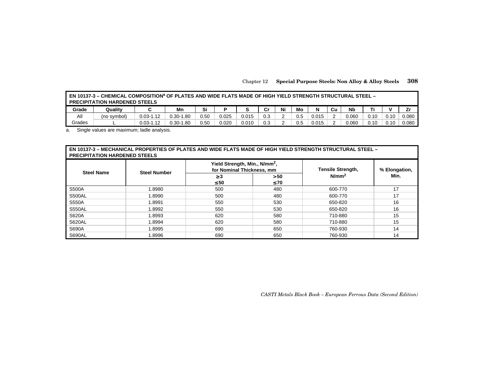|        | EN 10137-3 – CHEMICAL COMPOSITION <sup>a</sup> OF PLATES AND WIDE FLATS MADE OF HIGH YIELD STRENGTH STRUCTURAL STEEL –<br><b>PRECIPITATION HARDENED STEELS</b> |               |               |      |       |       |     |    |     |       |    |       |      |       |       |
|--------|----------------------------------------------------------------------------------------------------------------------------------------------------------------|---------------|---------------|------|-------|-------|-----|----|-----|-------|----|-------|------|-------|-------|
| Grade  | Quality                                                                                                                                                        |               | Mn            | Si   | D     |       | Сr  | Ni | Mo  |       | Cu | Nb    |      |       |       |
| ΑIΙ    | (no symbol)                                                                                                                                                    | $0.03 - 1.12$ | $0.30 - 1.80$ | 0.50 | 0.025 | 0.015 | 0.3 | -  | 0.5 | 0.015 |    | 0.060 | 0.10 | N. 10 | 0.080 |
| Grades |                                                                                                                                                                | $0.03 - 1.12$ | 0.30-1.80     | 0.50 | 0.020 | 0.010 | 0.3 | -  | 0.5 | 0.015 |    | 0.060 | 0.10 | 0.1C  | 0.080 |

Chapter 12 **Special Purpose Steels: Non Alloy & Alloy Steels 308**

a. Single values are maximum; ladle analysis.

**EN 10137-3 – MECHANICAL PROPERTIES OF PLATES AND WIDE FLATS MADE OF HIGH YIELD STRENGTH STRUCTURAL STEEL – PRECIPITATION HARDENED STEELS**

| <b>Steel Name</b> | <b>Steel Number</b> | Yield Strength, Min., N/mm <sup>2</sup> ,<br>for Nominal Thickness, mm |                   | Tensile Strength, | % Elongation, |  |
|-------------------|---------------------|------------------------------------------------------------------------|-------------------|-------------------|---------------|--|
|                   |                     | $\geq 3$<br>$\leq 50$                                                  | > 50<br>$\leq 70$ | N/mm <sup>2</sup> | Min.          |  |
| <b>S500A</b>      | 1.8980              | 500                                                                    | 480               | 600-770           | 17            |  |
| <b>S500AL</b>     | 1.8990              | 500                                                                    | 480               | 600-770           | 17            |  |
| <b>S550A</b>      | 1.8991              | 550                                                                    | 530               | 650-820           | 16            |  |
| <b>S550AL</b>     | 1.8992              | 550                                                                    | 530               | 650-820           | 16            |  |
| <b>S620A</b>      | 1.8993              | 620                                                                    | 580               | 710-880           | 15            |  |
| <b>S620AL</b>     | 1.8994              | 620                                                                    | 580               | 710-880           | 15            |  |
| S690A             | 1.8995              | 690                                                                    | 650               | 760-930           | 14            |  |
| <b>S690AL</b>     | 1.8996              | 690                                                                    | 650               | 760-930           | 14            |  |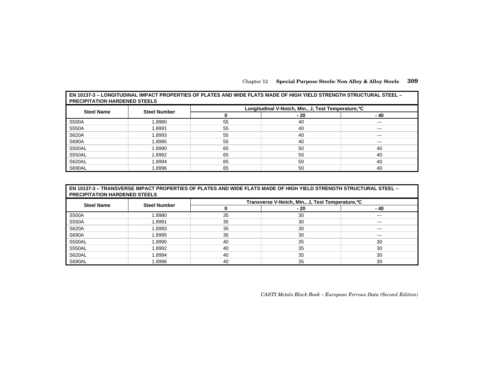| Chapter 12 | Special Purpose Steels: Non Alloy & Alloy Steels 309 |  |
|------------|------------------------------------------------------|--|
|            |                                                      |  |

#### **EN 10137-3 – LONGITUDINAL IMPACT PROPERTIES OF PLATES AND WIDE FLATS MADE OF HIGH YIELD STRENGTH STRUCTURAL STEEL – PRECIPITATION HARDENED STEELS**

| <b>Steel Name</b> | <b>Steel Number</b> |    | Longitudinal V-Notch, Min., J, Test Temperature, °C |         |
|-------------------|---------------------|----|-----------------------------------------------------|---------|
|                   |                     | O  | - 20                                                | $-40$   |
| <b>S500A</b>      | 1.8980              | 55 | 40                                                  | ---     |
| <b>S550A</b>      | 1.8991              | 55 | 40                                                  | ---     |
| S620A             | 1.8993              | 55 | 40                                                  | $- - -$ |
| S690A             | 1.8995              | 55 | 40                                                  | $- - -$ |
| <b>S500AL</b>     | 1.8990              | 65 | 50                                                  | 40      |
| <b>S550AL</b>     | 1.8992              | 65 | 50                                                  | 40      |
| S620AL            | 1.8994              | 65 | 50                                                  | 40      |
| <b>S690AL</b>     | 1.8996              | 65 | 50                                                  | 40      |

| – EN 10137-3 – TRANSVERSE IMPACT PROPERTIES OF PLATES AND WIDE FLATS MADE OF HIGH YIELD STRENGTH STRUCTURAL STEEL – |
|---------------------------------------------------------------------------------------------------------------------|
| <b>PRECIPITATION HARDENED STEELS</b>                                                                                |

| <b>Steel Name</b> | <b>Steel Number</b> |    | Transverse V-Notch, Min., J, Test Temperature, °C |                        |
|-------------------|---------------------|----|---------------------------------------------------|------------------------|
|                   |                     |    | - 20                                              | $-40$                  |
| <b>S500A</b>      | .8980               | 35 | 30                                                | $- - -$                |
| <b>S550A</b>      | 1.8991              | 35 | 30                                                | $\qquad \qquad \cdots$ |
| S620A             | 8993.               | 35 | 30                                                | $\qquad \qquad \cdots$ |
| S690A             | 1.8995              | 35 | 30                                                | $- - -$                |
| S500AL            | 1.8990              | 40 | 35                                                | 30                     |
| S550AL            | 1.8992              | 40 | 35                                                | 30                     |
| S620AL            | 8994.               | 40 | 35                                                | 30                     |
| S690AL            | .8996               | 40 | 35                                                | 30                     |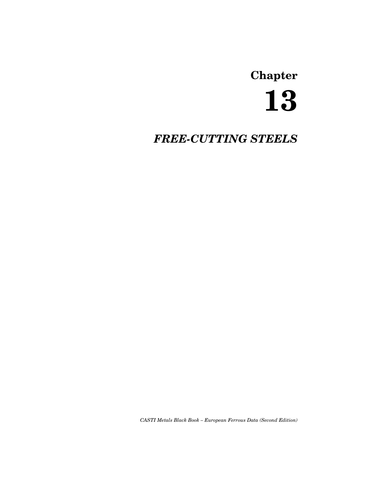*FREE-CUTTING STEELS*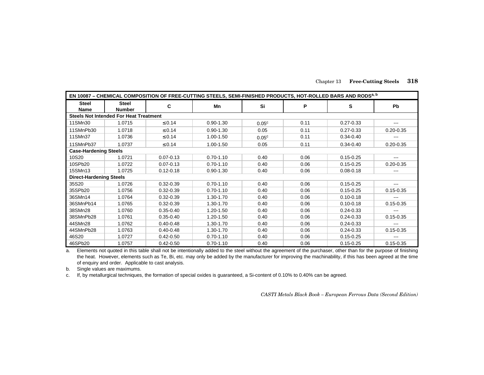|                                | EN 10087 – CHEMICAL COMPOSITION OF FREE-CUTTING STEELS, SEMI-FINISHED PRODUCTS, HOT-ROLLED BARS AND RODS <sup>a, b</sup> |               |               |                   |      |               |               |  |  |  |  |  |  |
|--------------------------------|--------------------------------------------------------------------------------------------------------------------------|---------------|---------------|-------------------|------|---------------|---------------|--|--|--|--|--|--|
| <b>Steel</b><br><b>Name</b>    | <b>Steel</b><br><b>Number</b>                                                                                            | C             | Mn            | Si                | P    | S             | Pb            |  |  |  |  |  |  |
|                                | <b>Steels Not Intended For Heat Treatment</b>                                                                            |               |               |                   |      |               |               |  |  |  |  |  |  |
| 11SMn30                        | 1.0715                                                                                                                   | $\leq 0.14$   | $0.90 - 1.30$ | 0.05 <sup>c</sup> | 0.11 | $0.27 - 0.33$ | ---           |  |  |  |  |  |  |
| 11SMnPb30                      | 1.0718                                                                                                                   | $\leq 0.14$   | $0.90 - 1.30$ | 0.05              | 0.11 | $0.27 - 0.33$ | $0.20 - 0.35$ |  |  |  |  |  |  |
| 11SMn37                        | 1.0736                                                                                                                   | $\leq 0.14$   | $1.00 - 1.50$ | 0.05 <sup>c</sup> | 0.11 | $0.34 - 0.40$ | ---           |  |  |  |  |  |  |
| 11SMnPb37                      | 1.0737                                                                                                                   | $\leq 0.14$   | 1.00-1.50     | 0.05              | 0.11 | $0.34 - 0.40$ | $0.20 - 0.35$ |  |  |  |  |  |  |
| <b>Case-Hardening Steels</b>   |                                                                                                                          |               |               |                   |      |               |               |  |  |  |  |  |  |
| 10S20                          | 1.0721                                                                                                                   | $0.07 - 0.13$ | $0.70 - 1.10$ | 0.40              | 0.06 | $0.15 - 0.25$ | ---           |  |  |  |  |  |  |
| 10SPb20                        | 1.0722                                                                                                                   | $0.07 - 0.13$ | $0.70 - 1.10$ | 0.40              | 0.06 | $0.15 - 0.25$ | $0.20 - 0.35$ |  |  |  |  |  |  |
| 15SMn13                        | 1.0725                                                                                                                   | $0.12 - 0.18$ | $0.90 - 1.30$ | 0.40              | 0.06 | $0.08 - 0.18$ | ---           |  |  |  |  |  |  |
| <b>Direct-Hardening Steels</b> |                                                                                                                          |               |               |                   |      |               |               |  |  |  |  |  |  |
| 35S20                          | 1.0726                                                                                                                   | $0.32 - 0.39$ | $0.70 - 1.10$ | 0.40              | 0.06 | $0.15 - 0.25$ | ---           |  |  |  |  |  |  |
| 35SPb20                        | 1.0756                                                                                                                   | $0.32 - 0.39$ | $0.70 - 1.10$ | 0.40              | 0.06 | $0.15 - 0.25$ | $0.15 - 0.35$ |  |  |  |  |  |  |
| 36SMn14                        | 1.0764                                                                                                                   | $0.32 - 0.39$ | 1.30-1.70     | 0.40              | 0.06 | $0.10 - 0.18$ | ---           |  |  |  |  |  |  |
| 36SMnPb14                      | 1.0765                                                                                                                   | $0.32 - 0.39$ | 1.30-1.70     | 0.40              | 0.06 | $0.10 - 0.18$ | $0.15 - 0.35$ |  |  |  |  |  |  |
| 38SMn28                        | 1.0760                                                                                                                   | $0.35 - 0.40$ | 1.20-1.50     | 0.40              | 0.06 | $0.24 - 0.33$ | ---           |  |  |  |  |  |  |
| 38SMnPb28                      | 1.0761                                                                                                                   | $0.35 - 0.40$ | $1.20 - 1.50$ | 0.40              | 0.06 | $0.24 - 0.33$ | $0.15 - 0.35$ |  |  |  |  |  |  |
| 44SMn28                        | 1.0762                                                                                                                   | $0.40 - 0.48$ | 1.30-1.70     | 0.40              | 0.06 | $0.24 - 0.33$ |               |  |  |  |  |  |  |
| 44SMnPb28                      | 1.0763                                                                                                                   | $0.40 - 0.48$ | 1.30-1.70     | 0.40              | 0.06 | $0.24 - 0.33$ | $0.15 - 0.35$ |  |  |  |  |  |  |
| 46S20                          | 1.0727                                                                                                                   | $0.42 - 0.50$ | $0.70 - 1.10$ | 0.40              | 0.06 | $0.15 - 0.25$ | ---           |  |  |  |  |  |  |
| 46SPb20                        | 1.0757                                                                                                                   | $0.42 - 0.50$ | $0.70 - 1.10$ | 0.40              | 0.06 | $0.15 - 0.25$ | $0.15 - 0.35$ |  |  |  |  |  |  |

Chapter 13 **Free-Cutting Steels 318**

a. Elements not quoted in this table shall not be intentionally added to the steel without the agreement of the purchaser, other than for the purpose of finishing the heat. However, elements such as Te, Bi, etc. may only be added by the manufacturer for improving the machinability, if this has been agreed at the time of enquiry and order. Applicable to cast analysis.

b. Single values are maximums.

c. If, by metallurgical techniques, the formation of special oxides is guaranteed, a Si-content of 0.10% to 0.40% can be agreed.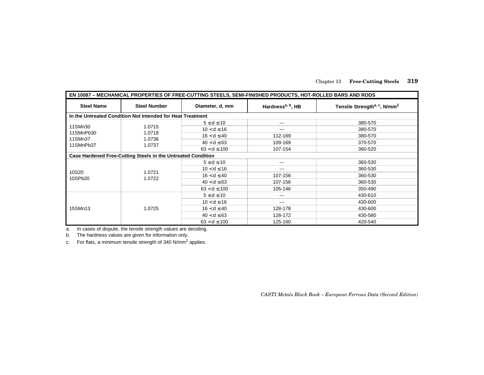| Chapter 13 | <b>Free-Cutting Steels</b> | 319 |
|------------|----------------------------|-----|
|------------|----------------------------|-----|

|                      |                                                              |                    | EN 10087 - MECHANICAL PROPERTIES OF FREE-CUTTING STEELS, SEMI-FINISHED PRODUCTS, HOT-ROLLED BARS AND RODS |                                                      |
|----------------------|--------------------------------------------------------------|--------------------|-----------------------------------------------------------------------------------------------------------|------------------------------------------------------|
| <b>Steel Name</b>    | <b>Steel Number</b>                                          | Diameter, d, mm    | Hardness <sup>a, b</sup> , HB                                                                             | Tensile Strength <sup>a, c</sup> , N/mm <sup>2</sup> |
|                      | In the Untreated Condition Not Intended for Heat Treatment   |                    |                                                                                                           |                                                      |
|                      |                                                              | $5 \leq d \leq 10$ | ---                                                                                                       | 380-570                                              |
| 11SMn30              | 1.0715                                                       | $10 < d \le 16$    |                                                                                                           | 380-570                                              |
| 11SMnPb30            | 1.0718                                                       | $16 < d \leq 40$   | 112-169                                                                                                   | 380-570                                              |
| 11SMn37<br>11SMnPb37 | 1.0736<br>1.0737                                             | $40 < d \leq 63$   | 109-169                                                                                                   | 370-570                                              |
|                      |                                                              | $63 < d \le 100$   | 107-154                                                                                                   | 360-520                                              |
|                      | Case Hardened Free-Cutting Steels in the Untreated Condition |                    |                                                                                                           |                                                      |
|                      |                                                              | $5 \leq d \leq 10$ | ---                                                                                                       | 360-530                                              |
|                      |                                                              | $10 < d \le 16$    | ---                                                                                                       | 360-530                                              |
| 10S20                | 1.0721                                                       | $16 < d \leq 40$   | 107-156                                                                                                   | 360-530                                              |
| 10SPb20              | 1.0722                                                       | $40 < d \leq 63$   | 107-156                                                                                                   | 360-530                                              |
|                      |                                                              | $63 < d \le 100$   | 105-146                                                                                                   | 350-490                                              |
|                      |                                                              | $5 \leq d \leq 10$ |                                                                                                           | 430-610                                              |
|                      |                                                              | $10 < d \le 16$    | $---$                                                                                                     | 430-600                                              |
| 15SMn13              | 1.0725                                                       | $16 < d \leq 40$   | 128-178                                                                                                   | 430-600                                              |
|                      |                                                              | $40 < d \le 63$    | 128-172                                                                                                   | 430-580                                              |
|                      |                                                              | $63 < d \le 100$   | 125-160                                                                                                   | 420-540                                              |

a. In cases of dispute, the tensile strength values are deciding.

b. The hardness values are given for information only.

c. For flats, a minimum tensile strength of 340 N/mm<sup>2</sup> applies.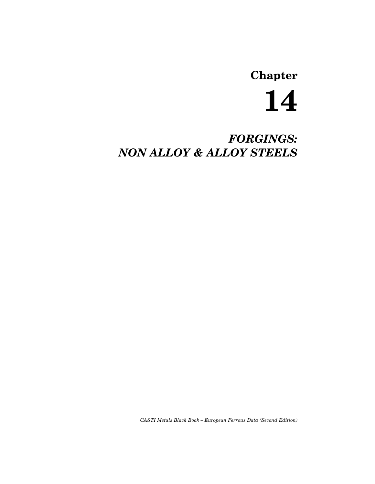### *FORGINGS: NON ALLOY & ALLOY STEELS*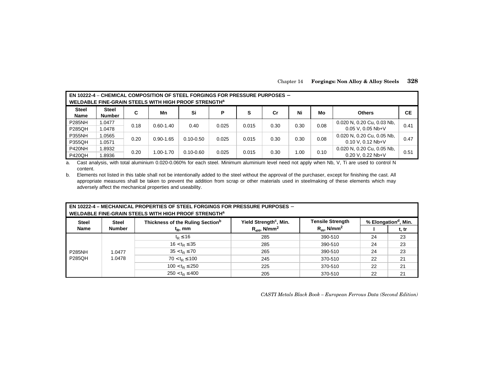#### Chapter 14 **Forgings: Non Alloy & Alloy Steels 328**

|                                                                  |                               |      |               | EN 10222-4 - CHEMICAL COMPOSITION OF STEEL FORGINGS FOR PRESSURE PURPOSES - |       |       |      |      |      |                            |      |  |
|------------------------------------------------------------------|-------------------------------|------|---------------|-----------------------------------------------------------------------------|-------|-------|------|------|------|----------------------------|------|--|
| WELDABLE FINE-GRAIN STEELS WITH HIGH PROOF STRENGTH <sup>a</sup> |                               |      |               |                                                                             |       |       |      |      |      |                            |      |  |
| <b>Steel</b><br><b>Name</b>                                      | <b>Steel</b><br><b>Number</b> | C    | Mn            | Si                                                                          | P     | S     | Cr   | Ni   | Mo   | <b>Others</b>              | CЕ   |  |
| <b>P285NH</b>                                                    | 1.0477                        | 0.18 | $0.60 - 1.40$ | 0.40                                                                        | 0.025 | 0.015 | 0.30 | 0.30 | 0.08 | 0.020 N, 0.20 Cu, 0.03 Nb, | 0.41 |  |
| <b>P285QH</b>                                                    | 1.0478                        |      |               |                                                                             |       |       |      |      |      | $0.05$ V, $0.05$ Nb+V      |      |  |
| <b>P355NH</b>                                                    | 1.0565                        |      |               |                                                                             |       |       |      |      |      | 0.020 N, 0.20 Cu, 0.05 Nb, |      |  |
| <b>P355QH</b>                                                    | 1.0571                        | 0.20 | $0.90 - 1.65$ | $0.10 - 0.50$                                                               | 0.025 | 0.015 | 0.30 | 0.30 | 0.08 | $0.10$ V, $0.12$ Nb+V      | 0.47 |  |
| <b>P420NH</b>                                                    | 1.8932                        |      | 1.00-1.70     | $0.10 - 0.60$                                                               |       |       |      |      |      | 0.020 N, 0.20 Cu, 0.05 Nb, |      |  |
| <b>P420QH</b>                                                    | .8936                         | 0.20 |               |                                                                             | 0.025 | 0.015 | 0.30 | 1.00 | 0.10 | 0.20 V. 0.22 Nb+V          | 0.51 |  |

a. Cast analysis, with total aluminium 0.020-0.060% for each steel. Minimum aluminium level need not apply when Nb, V, Ti are used to control N content.

b. Elements not listed in this table shall not be intentionally added to the steel without the approval of the purchaser, except for finishing the cast. All appropriate measures shall be taken to prevent the addition from scrap or other materials used in steelmaking of these elements which may adversely affect the mechanical properties and useability.

|                                                                                                                                                                                   | <b>EN 10222-4 – MECHANICAL PROPERTIES OF STEEL FORGINGS FOR PRESSURE PURPOSES –</b><br>WELDABLE FINE-GRAIN STEELS WITH HIGH PROOF STRENGTH <sup>a</sup> |                            |                                     |                           |    |       |  |  |  |  |  |  |  |
|-----------------------------------------------------------------------------------------------------------------------------------------------------------------------------------|---------------------------------------------------------------------------------------------------------------------------------------------------------|----------------------------|-------------------------------------|---------------------------|----|-------|--|--|--|--|--|--|--|
| <b>Tensile Strength</b><br>Yield Strength <sup>c</sup> , Min.<br>% Elongation <sup>d</sup> , Min.<br>Thickness of the Ruling Section <sup>b</sup><br><b>Steel</b><br><b>Steel</b> |                                                                                                                                                         |                            |                                     |                           |    |       |  |  |  |  |  |  |  |
| Name                                                                                                                                                                              | <b>Number</b>                                                                                                                                           | $t_{\rm R}$ , mm           | $R_{\text{eH}}$ , N/mm <sup>2</sup> | $R_m$ , N/mm <sup>2</sup> |    | t, tr |  |  |  |  |  |  |  |
|                                                                                                                                                                                   |                                                                                                                                                         | $t_{\rm p} \leq 16$        | 285                                 | 390-510                   | 24 | 23    |  |  |  |  |  |  |  |
|                                                                                                                                                                                   |                                                                                                                                                         | $16 < t_{\rm p} \leq 35$   | 285                                 | 390-510                   | 24 | 23    |  |  |  |  |  |  |  |
| <b>P285NH</b>                                                                                                                                                                     | 1.0477                                                                                                                                                  | $35 < t_{\rm p} \le 70$    | 265                                 | 390-510                   | 24 | 23    |  |  |  |  |  |  |  |
| <b>P285QH</b>                                                                                                                                                                     | 1.0478                                                                                                                                                  | $70 < t_{\rm p} \le 100$   | 245                                 | 370-510                   | 22 | 21    |  |  |  |  |  |  |  |
|                                                                                                                                                                                   |                                                                                                                                                         | $100 < t_{\rm p} \leq 250$ | 225                                 | 370-510                   | 22 | 21    |  |  |  |  |  |  |  |
|                                                                                                                                                                                   |                                                                                                                                                         | $250 < t_R \leq 400$       | 205                                 | 370-510                   | 22 | 21    |  |  |  |  |  |  |  |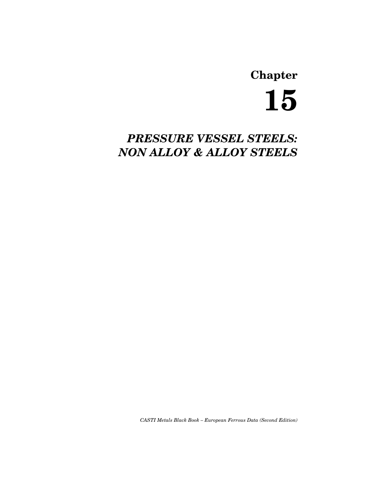### *PRESSURE VESSEL STEELS: NON ALLOY & ALLOY STEELS*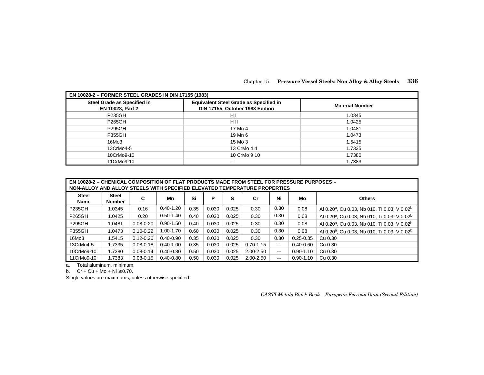| EN 10028-2 - FORMER STEEL GRADES IN DIN 17155 (1983)   |                                                                                  |                        |  |  |  |  |  |  |  |  |  |
|--------------------------------------------------------|----------------------------------------------------------------------------------|------------------------|--|--|--|--|--|--|--|--|--|
| Steel Grade as Specified in<br><b>EN 10028, Part 2</b> | <b>Equivalent Steel Grade as Specified in</b><br>DIN 17155, October 1983 Edition | <b>Material Number</b> |  |  |  |  |  |  |  |  |  |
| <b>P235GH</b>                                          | нı                                                                               | 1.0345                 |  |  |  |  |  |  |  |  |  |
| <b>P265GH</b>                                          | H II                                                                             | 1.0425                 |  |  |  |  |  |  |  |  |  |
| <b>P295GH</b>                                          | 17 Mn 4                                                                          | 1.0481                 |  |  |  |  |  |  |  |  |  |
| <b>P355GH</b>                                          | 19 Mn 6                                                                          | 1.0473                 |  |  |  |  |  |  |  |  |  |
| 16Mo3                                                  | 15 Mo 3                                                                          | 1.5415                 |  |  |  |  |  |  |  |  |  |
| 13CrMo4-5                                              | 13 CrMo 4 4                                                                      | 1.7335                 |  |  |  |  |  |  |  |  |  |
| 10CrMo9-10                                             | 10 CrMo 9 10                                                                     | 1.7380                 |  |  |  |  |  |  |  |  |  |
| 11CrMo9-10                                             | $- - -$                                                                          | 1.7383                 |  |  |  |  |  |  |  |  |  |

Chapter 15 **Pressure Vessel Steels: Non Alloy & Alloy Steels 336**

|                                                                                                                     | EN 10028-2 - CHEMICAL COMPOSITION OF FLAT PRODUCTS MADE FROM STEEL FOR PRESSURE PURPOSES -<br>NON-ALLOY AND ALLOY STEELS WITH SPECIFIED ELEVATED TEMPERATURE PROPERTIES |               |               |      |       |       |               |                      |               |                                                                      |  |  |  |
|---------------------------------------------------------------------------------------------------------------------|-------------------------------------------------------------------------------------------------------------------------------------------------------------------------|---------------|---------------|------|-------|-------|---------------|----------------------|---------------|----------------------------------------------------------------------|--|--|--|
| <b>Steel</b><br><b>Steel</b><br>C<br>Si<br>Ni<br>P<br>S<br>Cr<br>Mn<br>Mo<br><b>Others</b><br><b>Number</b><br>Name |                                                                                                                                                                         |               |               |      |       |       |               |                      |               |                                                                      |  |  |  |
| <b>P235GH</b>                                                                                                       | 1.0345                                                                                                                                                                  | 0.16          | $0.40 - 1.20$ | 0.35 | 0.030 | 0.025 | 0.30          | 0.30                 | 0.08          | Al 0.20 <sup>a</sup> , Cu 0.03, Nb 010, Ti 0.03, V 0.02 <sup>b</sup> |  |  |  |
| <b>P265GH</b>                                                                                                       | 1.0425                                                                                                                                                                  | 0.20          | $0.50 - 1.40$ | 0.40 | 0.030 | 0.025 | 0.30          | 0.30                 | 0.08          | Al 0.20 <sup>a</sup> , Cu 0.03, Nb 010, Ti 0.03, V 0.02 <sup>b</sup> |  |  |  |
| <b>P295GH</b>                                                                                                       | 1.0481                                                                                                                                                                  | $0.08 - 0.20$ | $0.90 - 1.50$ | 0.40 | 0.030 | 0.025 | 0.30          | 0.30                 | 0.08          | Al 0.20 <sup>a</sup> , Cu 0.03, Nb 010, Ti 0.03, V 0.02 <sup>b</sup> |  |  |  |
| <b>P355GH</b>                                                                                                       | 1.0473                                                                                                                                                                  | $0.10 - 0.22$ | 1.00-1.70     | 0.60 | 0.030 | 0.025 | 0.30          | 0.30                 | 0.08          | AI 0.20 <sup>a</sup> , Cu 0.03, Nb 010, Ti 0.03, V 0.02 <sup>b</sup> |  |  |  |
| 16Mo3                                                                                                               | 1.5415                                                                                                                                                                  | $0.12 - 0.20$ | $0.40 - 0.90$ | 0.35 | 0.030 | 0.025 | 0.30          | 0.30                 | $0.25 - 0.35$ | Cu 0.30                                                              |  |  |  |
| 13CrMo4-5                                                                                                           | 1.7335                                                                                                                                                                  | $0.08 - 0.18$ | $0.40 - 1.00$ | 0.35 | 0.030 | 0.025 | $0.70 - 1.15$ | $\sim$ $\sim$ $\sim$ | $0.40 - 0.60$ | Cu 0.30                                                              |  |  |  |
| 10CrMo9-10                                                                                                          | 1.7380                                                                                                                                                                  | $0.08 - 0.14$ | $0.40 - 0.80$ | 0.50 | 0.030 | 0.025 | 2.00-2.50     | $\sim$ $\sim$ $\sim$ | $0.90 - 1.10$ | Cu 0.30                                                              |  |  |  |
| 11CrMo9-10                                                                                                          | 1.7383                                                                                                                                                                  | $0.08 - 0.15$ | $0.40 - 0.80$ | 0.50 | 0.030 | 0.025 | $2.00 - 2.50$ | $\cdots$             | $0.90 - 1.10$ | Cu 0.30                                                              |  |  |  |

a. Total aluminum, minimum.

b. Cr + Cu + Mo + Ni ≤ 0.70.

Single values are maximums, unless otherwise specified.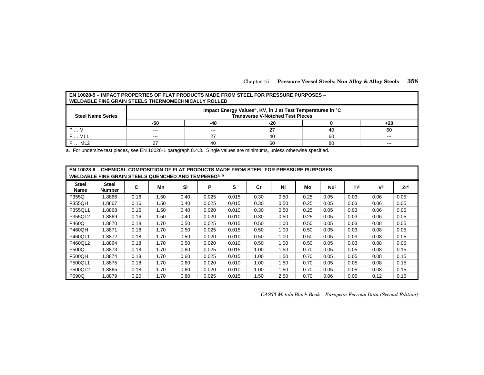#### Chapter 15 **Pressure Vessel Steels: Non Alloy & Alloy Steels 358**

|                                                                                                                                                | EN 10028-5 – IMPACT PROPERTIES OF FLAT PRODUCTS MADE FROM STEEL FOR PRESSURE PURPOSES – |         |     |    |       |  |  |  |  |  |  |  |
|------------------------------------------------------------------------------------------------------------------------------------------------|-----------------------------------------------------------------------------------------|---------|-----|----|-------|--|--|--|--|--|--|--|
| <b>WELDABLE FINE GRAIN STEELS THERMOMECHNICALLY ROLLED</b>                                                                                     |                                                                                         |         |     |    |       |  |  |  |  |  |  |  |
| Impact Energy Values <sup>a</sup> , KV, in J at Test Temperatures in °C<br><b>Transverse V-Notched Test Pieces</b><br><b>Steel Name Series</b> |                                                                                         |         |     |    |       |  |  |  |  |  |  |  |
|                                                                                                                                                | -50                                                                                     | -40     | -20 |    | $+20$ |  |  |  |  |  |  |  |
| P  M                                                                                                                                           | ---                                                                                     | $- - -$ |     | 40 | 60    |  |  |  |  |  |  |  |
| $P_{\dots}$ ML1                                                                                                                                | 60<br>40<br>$- - -$<br>---                                                              |         |     |    |       |  |  |  |  |  |  |  |
| $P_{\dots}$ ML2                                                                                                                                | 80<br>60<br>40<br>$- - -$                                                               |         |     |    |       |  |  |  |  |  |  |  |

a. For undersize test pieces, see EN 10028-1 paragraph 8.4.3. Single values are minimums, unless otherwise specified.

|                      | EN 10028-6 – CHEMICAL COMPOSITION OF FLAT PRODUCTS MADE FROM STEEL FOR PRESSURE PURPOSES – |      |      |      |       |       |      |      |      |                 |            |      |                 |  |
|----------------------|--------------------------------------------------------------------------------------------|------|------|------|-------|-------|------|------|------|-----------------|------------|------|-----------------|--|
|                      | WELDABLE FINE GRAIN STEELS QUENCHED AND TEMPERED <sup>a, b</sup>                           |      |      |      |       |       |      |      |      |                 |            |      |                 |  |
| <b>Steel</b><br>Name | <b>Steel</b><br><b>Number</b>                                                              | С    | Mn   | Si   | P     | s     | Cr   | Ni   | Mo   | Nb <sup>c</sup> | <b>Tic</b> | Vc   | Zr <sup>c</sup> |  |
| P355Q                | 1.8866                                                                                     | 0.16 | 1.50 | 0.40 | 0.025 | 0.015 | 0.30 | 0.50 | 0.25 | 0.05            | 0.03       | 0.06 | 0.05            |  |
| <b>P355QH</b>        | 1.8867                                                                                     | 0.16 | 1.50 | 0.40 | 0.025 | 0.015 | 0.30 | 0.50 | 0.25 | 0.05            | 0.03       | 0.06 | 0.05            |  |
| P355QL1              | 1.8868                                                                                     | 0.16 | 1.50 | 0.40 | 0.020 | 0.010 | 0.30 | 0.50 | 0.25 | 0.05            | 0.03       | 0.06 | 0.05            |  |
| P355QL2              | 1.8869                                                                                     | 0.16 | 1.50 | 0.40 | 0.020 | 0.010 | 0.30 | 0.50 | 0.25 | 0.05            | 0.03       | 0.06 | 0.05            |  |
| P460Q                | 1.8870                                                                                     | 0.18 | 1.70 | 0.50 | 0.025 | 0.015 | 0.50 | 1.00 | 0.50 | 0.05            | 0.03       | 0.08 | 0.05            |  |
| <b>P460QH</b>        | 1.8871                                                                                     | 0.18 | 1.70 | 0.50 | 0.025 | 0.015 | 0.50 | 1.00 | 0.50 | 0.05            | 0.03       | 0.08 | 0.05            |  |
| P460QL1              | 1.8872                                                                                     | 0.18 | 1.70 | 0.50 | 0.020 | 0.010 | 0.50 | 1.00 | 0.50 | 0.05            | 0.03       | 0.08 | 0.05            |  |
| P460QL2              | 1.8864                                                                                     | 0.18 | 1.70 | 0.50 | 0.020 | 0.010 | 0.50 | 1.00 | 0.50 | 0.05            | 0.03       | 0.08 | 0.05            |  |
| <b>P500Q</b>         | 1.8873                                                                                     | 0.18 | 1.70 | 0.60 | 0.025 | 0.015 | 1.00 | 1.50 | 0.70 | 0.05            | 0.05       | 0.08 | 0.15            |  |
| <b>P500QH</b>        | 1.8874                                                                                     | 0.18 | 1.70 | 0.60 | 0.025 | 0.015 | 1.00 | 1.50 | 0.70 | 0.05            | 0.05       | 0.08 | 0.15            |  |
| P500QL1              | 1.8875                                                                                     | 0.18 | 1.70 | 0.60 | 0.020 | 0.010 | 1.00 | 1.50 | 0.70 | 0.05            | 0.05       | 0.08 | 0.15            |  |
| <b>P500QL2</b>       | 1.8865                                                                                     | 0.18 | 1.70 | 0.60 | 0.020 | 0.010 | 1.00 | 1.50 | 0.70 | 0.05            | 0.05       | 0.08 | 0.15            |  |
| P690Q                | 1.8879                                                                                     | 0.20 | 1.70 | 0.80 | 0.025 | 0.015 | 1.50 | 2.50 | 0.70 | 0.06            | 0.05       | 0.12 | 0.15            |  |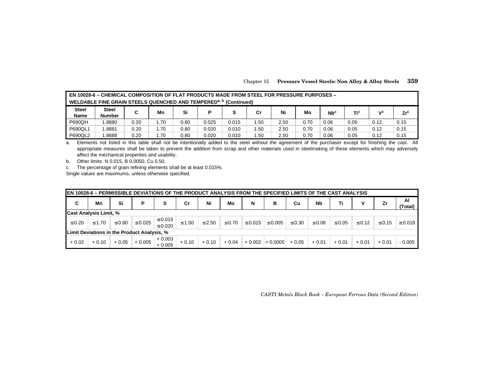|                                                                              | EN 10028-6 – CHEMICAL COMPOSITION OF FLAT PRODUCTS MADE FROM STEEL FOR PRESSURE PURPOSES –             |      |     |      |       |       |     |      |      |      |      |      |        |
|------------------------------------------------------------------------------|--------------------------------------------------------------------------------------------------------|------|-----|------|-------|-------|-----|------|------|------|------|------|--------|
| WELDABLE FINE GRAIN STEELS QUENCHED AND TEMPERED <sup>a, b</sup> (Continued) |                                                                                                        |      |     |      |       |       |     |      |      |      |      |      |        |
| <b>Steel</b>                                                                 | <b>Steel</b><br>Ni<br>Si<br>Mn<br>Mo<br>V <sup>c</sup>                                                 |      |     |      |       |       |     |      |      |      |      |      | $Zr^c$ |
| <b>Name</b>                                                                  | Tic<br>Nb <sup>c</sup><br>u<br><b>Number</b>                                                           |      |     |      |       |       |     |      |      |      |      |      |        |
| <b>P690QH</b>                                                                | 1.8880                                                                                                 | 0.20 | .70 | 0.80 | 0.025 | 0.015 | .50 | 2.50 | 0.70 | 0.06 | 0.05 | 0.12 | 0.15   |
| P690QL1                                                                      | 1.8881                                                                                                 | 0.20 | .70 | 0.80 | 0.020 | 0.010 | .50 | 2.50 | 0.70 | 0.06 | 0.05 | 0.12 | 0.15   |
| P690QL2                                                                      | 1.8888<br>0.010<br>0.06<br>0.15<br>0.80<br>0.020<br>0.12<br>0.20<br>.70<br>2.50<br>0.05<br>0.70<br>.50 |      |     |      |       |       |     |      |      |      |      |      |        |

Chapter 15 **Pressure Vessel Steels: Non Alloy & Alloy Steels 359**

a. Elements not listed in this table shall not be intentionally added to the steel without the agreement of the purchaser except for finishing the cast. All appropriate measures shall be taken to prevent the addition from scrap and other materials used in steelmaking of these elements which may adversely affect the mechanical properties and usability.

b. Other limits: N 0.015, B 0.0050, Cu 0.50.

c. The percentage of grain refining elements shall be at least 0.015%.

Single values are maximums, unless otherwise specified.

|             | IEN 10028-6 – PERMISSIBLE DEVIATIONS OF THE PRODUCT ANALYSIS FROM THE SPECIFIED LIMITS OF THE CAST ANALYSIS |             |              |                              |             |             |             |              |              |             |             |             |             |             |               |
|-------------|-------------------------------------------------------------------------------------------------------------|-------------|--------------|------------------------------|-------------|-------------|-------------|--------------|--------------|-------------|-------------|-------------|-------------|-------------|---------------|
| C           | Mn                                                                                                          | Si          | P            | S                            | Cr          | Ni          | Mo          | N            | в            | Cu          | <b>Nb</b>   | Τi          |             | <b>Zr</b>   | Al<br>(Total) |
|             | <b>Cast Analysis Limit, %</b>                                                                               |             |              |                              |             |             |             |              |              |             |             |             |             |             |               |
| $\leq 0.20$ | $≤ 1.70$                                                                                                    | $\leq 0.80$ | $\leq 0.025$ | $\leq 0.015$<br>$\leq 0.020$ | $\leq 1.50$ | $\leq 2.50$ | $\leq 0.70$ | $\leq 0.015$ | $\leq 0.005$ | $\leq 0.30$ | $\leq 0.06$ | $\leq 0.05$ | $\leq 0.12$ | $\leq 0.15$ | $\geq 0.018$  |
|             | Limit Deviations in the Product Analysis, %                                                                 |             |              |                              |             |             |             |              |              |             |             |             |             |             |               |
| $+0.02$     | $+0.10$                                                                                                     | $+0.05$     | $+0.005$     | $+0.003$<br>$+0.005$         | $+0.10$     | $+0.10$     | $+0.04$     | $+0.002$     | $+0.0005$    | $+0.05$     | $+0.01$     | $+0.01$     | $+0.01$     | $+0.01$     | $-0.005$      |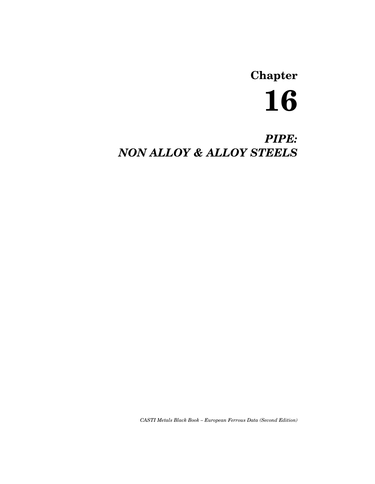*PIPE: NON ALLOY & ALLOY STEELS*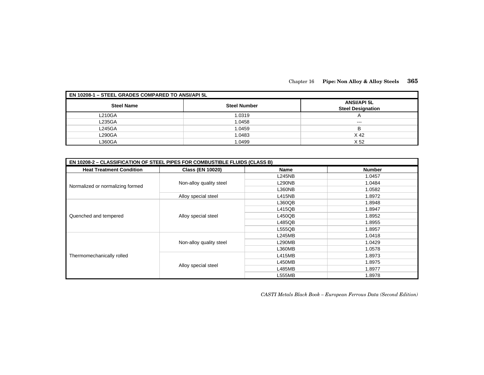| Pipe: Non Alloy & Alloy Steels 365<br>Chapter 16 |  |
|--------------------------------------------------|--|
|--------------------------------------------------|--|

| <b>EN 10208-1 - STEEL GRADES COMPARED TO ANSI/API 5L</b> |                                                |                |  |  |  |  |  |  |  |
|----------------------------------------------------------|------------------------------------------------|----------------|--|--|--|--|--|--|--|
| <b>Steel Name</b>                                        | <b>ANSI/API 5L</b><br><b>Steel Designation</b> |                |  |  |  |  |  |  |  |
| <b>L210GA</b>                                            | 1.0319                                         | $\overline{A}$ |  |  |  |  |  |  |  |
| <b>L235GA</b>                                            | 1.0458                                         | $---$          |  |  |  |  |  |  |  |
| <b>L245GA</b>                                            | 1.0459                                         | B              |  |  |  |  |  |  |  |
| <b>L290GA</b>                                            | 1.0483                                         | X 42           |  |  |  |  |  |  |  |
| L360GA                                                   | 1.0499                                         | X 52           |  |  |  |  |  |  |  |

| EN 10208-2 - CLASSIFICATION OF STEEL PIPES FOR COMBUSTIBLE FLUIDS (CLASS B) |                         |               |               |
|-----------------------------------------------------------------------------|-------------------------|---------------|---------------|
| <b>Heat Treatment Condition</b>                                             | <b>Class (EN 10020)</b> | Name          | <b>Number</b> |
|                                                                             |                         | <b>L245NB</b> | 1.0457        |
|                                                                             | Non-alloy quality steel | <b>L290NB</b> | 1.0484        |
| Normalized or normalizing formed                                            |                         | <b>L360NB</b> | 1.0582        |
|                                                                             | Alloy special steel     | <b>L415NB</b> | 1.8972        |
|                                                                             |                         | L360QB        | 1.8948        |
|                                                                             |                         | L415QB        | 1.8947        |
| Quenched and tempered                                                       | Alloy special steel     | L450QB        | 1.8952        |
|                                                                             |                         | L485QB        | 1.8955        |
|                                                                             |                         | L555QB        | 1.8957        |
|                                                                             |                         | <b>L245MB</b> | 1.0418        |
|                                                                             | Non-alloy quality steel | <b>L290MB</b> | 1.0429        |
|                                                                             |                         | L360MB        | 1.0578        |
| Thermomechanically rolled                                                   |                         | L415MB        | 1.8973        |
|                                                                             |                         | L450MB        | 1.8975        |
|                                                                             | Alloy special steel     | L485MB        | 1.8977        |
|                                                                             |                         | L555MB        | 1.8978        |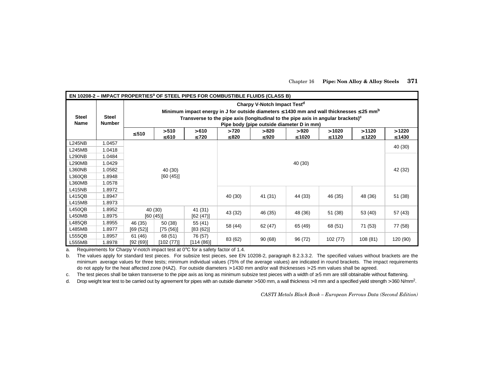|               | EN 10208-2 – IMPACT PROPERTIES <sup>a</sup> OF STEEL PIPES FOR COMBUSTIBLE FLUIDS (CLASS B) |                                                                                                                |            |            |         |                                                                                     |         |          |         |          |  |  |  |  |
|---------------|---------------------------------------------------------------------------------------------|----------------------------------------------------------------------------------------------------------------|------------|------------|---------|-------------------------------------------------------------------------------------|---------|----------|---------|----------|--|--|--|--|
|               |                                                                                             |                                                                                                                |            |            |         | Charpy V-Notch Impact Test <sup>d</sup>                                             |         |          |         |          |  |  |  |  |
|               |                                                                                             | Minimum impact energy in J for outside diameters $\leq$ 1430 mm and wall thicknesses $\leq$ 25 mm <sup>b</sup> |            |            |         |                                                                                     |         |          |         |          |  |  |  |  |
| <b>Steel</b>  | <b>Steel</b>                                                                                |                                                                                                                |            |            |         | Transverse to the pipe axis (longitudinal to the pipe axis in angular brackets) $c$ |         |          |         |          |  |  |  |  |
| Name          | <b>Number</b>                                                                               |                                                                                                                |            |            |         | Pipe body (pipe outside diameter D in mm)                                           |         |          |         |          |  |  |  |  |
|               |                                                                                             | $≤ 510$                                                                                                        | > 510      | >610       | >720    | > 820                                                                               | >920    | >1020    | >1120   | >1220    |  |  |  |  |
|               |                                                                                             |                                                                                                                | ≤ 610      | $\leq 720$ | ≤ 820   | $\leq 920$                                                                          | ≤ 1020  | $≤ 1120$ | ≤ 1220  | $≤ 1430$ |  |  |  |  |
| <b>L245NB</b> | 1.0457                                                                                      |                                                                                                                |            |            |         |                                                                                     |         |          |         | 40 (30)  |  |  |  |  |
| <b>L245MB</b> | 1.0418                                                                                      |                                                                                                                |            |            |         |                                                                                     |         |          |         |          |  |  |  |  |
| <b>L290NB</b> | 1.0484                                                                                      |                                                                                                                |            |            |         |                                                                                     |         |          |         |          |  |  |  |  |
| <b>L290MB</b> | 1.0429                                                                                      |                                                                                                                |            |            | 40 (30) |                                                                                     |         |          |         |          |  |  |  |  |
| <b>L360NB</b> | 1.0582                                                                                      |                                                                                                                | 40 (30)    |            |         | 42 (32)                                                                             |         |          |         |          |  |  |  |  |
| L360QB        | 1.8948                                                                                      | [60(45)]                                                                                                       |            |            |         |                                                                                     |         |          |         |          |  |  |  |  |
| L360MB        | 1.0578                                                                                      |                                                                                                                |            |            |         |                                                                                     |         |          |         |          |  |  |  |  |
| <b>L415NB</b> | 1.8972                                                                                      |                                                                                                                |            |            |         |                                                                                     |         |          |         |          |  |  |  |  |
| <b>L415QB</b> | 1.8947                                                                                      |                                                                                                                |            |            | 40 (30) | 41 (31)                                                                             | 44 (33) | 46 (35)  | 48 (36) | 51 (38)  |  |  |  |  |
| <b>L415MB</b> | 1.8973                                                                                      |                                                                                                                |            |            |         |                                                                                     |         |          |         |          |  |  |  |  |
| L450QB        | 1.8952                                                                                      |                                                                                                                | 40 (30)    | 41 (31)    |         | 46 (35)                                                                             | 48 (36) | 51 (38)  | 53 (40) |          |  |  |  |  |
| <b>L450MB</b> | 1.8975                                                                                      |                                                                                                                | [60 (45)]  | [62 (47)]  | 43 (32) |                                                                                     |         |          |         | 57 (43)  |  |  |  |  |
| L485QB        | 1.8955                                                                                      | 46 (35)                                                                                                        | 50 (38)    | 55 (41)    |         |                                                                                     |         |          |         |          |  |  |  |  |
| L485MB        | 1.8977                                                                                      | [69(52)]                                                                                                       | [75(56)]   | [83(62)]   | 58 (44) | 62 (47)                                                                             | 65 (49) | 68 (51)  | 71 (53) | 77 (58)  |  |  |  |  |
| L555QB        | 1.8957                                                                                      | 61 (46)                                                                                                        | 68 (51)    | 76 (57)    |         |                                                                                     |         |          |         |          |  |  |  |  |
| <b>L555MB</b> | 1.8978                                                                                      | [92 (69)]                                                                                                      | [102 (77)] | [114 (86)] | 83 (62) | 90(68)                                                                              | 96 (72) | 102 (77) | 108(81) | 120 (90) |  |  |  |  |

#### Chapter 16 **Pipe: Non Alloy & Alloy Steels 371**

a. Requirements for Charpy V-notch impact test at 0°C for a safety factor of 1.4.

b. The values apply for standard test pieces. For subsize test pieces, see EN 10208-2, paragraph 8.2.3.3.2. The specified values without brackets are the minimum average values for three tests; minimum individual values (75% of the average values) are indicated in round brackets. The impact requirements do not apply for the heat affected zone (HAZ). For outside diameters > 1430 mm and/or wall thicknesses > 25 mm values shall be agreed.

c. The test pieces shall be taken transverse to the pipe axis as long as minimum subsize test pieces with a width of ≥ 5 mm are still obtainable without flattening.

d. Drop weight tear test to be carried out by agreement for pipes with an outside diameter  $>$  500 mm, a wall thickness  $>$  8 mm and a specified yield strength  $>$  360 N/mm<sup>2</sup>.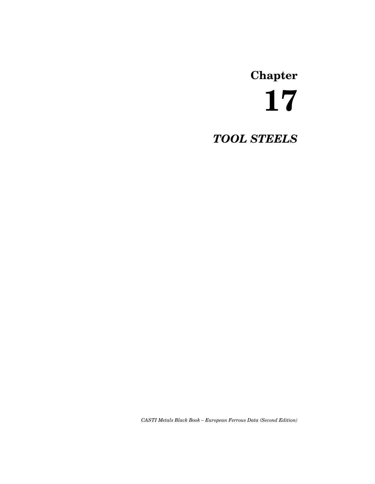### *TOOL STEELS*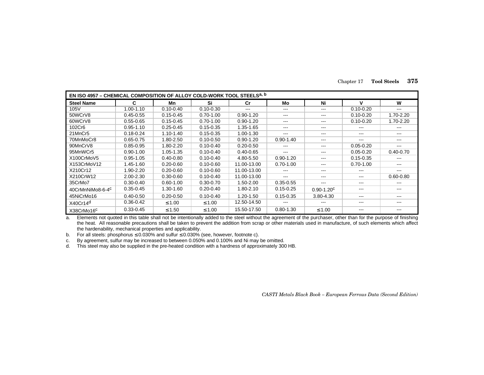| Chapter 17 | <b>Tool Steels</b> | 375 |
|------------|--------------------|-----|
|            |                    |     |

| EN ISO 4957 - CHEMICAL COMPOSITION OF ALLOY COLD-WORK TOOL STEELS <sup>a, b</sup> |               |               |               |               |                   |                       |                   |               |  |  |  |  |
|-----------------------------------------------------------------------------------|---------------|---------------|---------------|---------------|-------------------|-----------------------|-------------------|---------------|--|--|--|--|
| <b>Steel Name</b>                                                                 | C             | Mn            | Si            | Cr            | Mo                | Ni                    | v                 | W             |  |  |  |  |
| 105V                                                                              | $1.00 - 1.10$ | $0.10 - 0.40$ | $0.10 - 0.30$ | $--$          | $\qquad \qquad -$ | $\qquad \qquad -$     | $0.10 - 0.20$     | ---           |  |  |  |  |
| 50WCrV8                                                                           | $0.45 - 0.55$ | $0.15 - 0.45$ | $0.70 - 1.00$ | $0.90 - 1.20$ | $\qquad \qquad -$ | $\qquad \qquad -$     | $0.10 - 0.20$     | 1.70-2.20     |  |  |  |  |
| 60WCrV8                                                                           | $0.55 - 0.65$ | $0.15 - 0.45$ | $0.70 - 1.00$ | $0.90 - 1.20$ | $-- -$            | $--$                  | $0.10 - 0.20$     | 1.70-2.20     |  |  |  |  |
| 102Cr6                                                                            | $0.95 - 1.10$ | $0.25 - 0.45$ | $0.15 - 0.35$ | 1.35-1.65     | $-- -$            | $- - -$               | ---               | ---           |  |  |  |  |
| 21MnCr5                                                                           | $0.18 - 0.24$ | 1.10-1.40     | $0.15 - 0.35$ | 1.00-1.30     | ---               | ---                   | ---               | ---           |  |  |  |  |
| 70MnMoCr8                                                                         | $0.65 - 0.75$ | 1.80-2.50     | $0.10 - 0.50$ | $0.90 - 1.20$ | $0.90 - 1.40$     | $\qquad \qquad -$     | ---               | ---           |  |  |  |  |
| 90MnCrV8                                                                          | $0.85 - 0.95$ | 1.80-2.20     | $0.10 - 0.40$ | $0.20 - 0.50$ | $-- -$            | $--$                  | $0.05 - 0.20$     | ---           |  |  |  |  |
| 95MnWCr5                                                                          | $0.90 - 1.00$ | 1.05-1.35     | $0.10 - 0.40$ | $0.40 - 0.65$ | $\qquad \qquad -$ | $\qquad \qquad -$     | $0.05 - 0.20$     | $0.40 - 0.70$ |  |  |  |  |
| X100CrMoV5                                                                        | $0.95 - 1.05$ | $0.40 - 0.80$ | $0.10 - 0.40$ | 4.80-5.50     | $0.90 - 1.20$     | $\qquad \qquad -$     | $0.15 - 0.35$     | ---           |  |  |  |  |
| X153CrMoV12                                                                       | 1.45-1.60     | $0.20 - 0.60$ | $0.10 - 0.60$ | 11.00-13.00   | $0.70 - 1.00$     | $\qquad \qquad -$     | $0.70 - 1.00$     | ---           |  |  |  |  |
| X210Cr12                                                                          | 1.90-2.20     | $0.20 - 0.60$ | $0.10 - 0.60$ | 11.00-13.00   | ---               | $---$                 | $---$             | ---           |  |  |  |  |
| X210CrW12                                                                         | 2.00-2.30     | $0.30 - 0.60$ | $0.10 - 0.40$ | 11.00-13.00   | ---               | $\qquad \qquad -$     | $\qquad \qquad -$ | $0.60 - 0.80$ |  |  |  |  |
| 35CrMo7                                                                           | $0.30 - 0.40$ | $0.60 - 1.00$ | $0.30 - 0.70$ | 1.50-2.00     | $0.35 - 0.55$     | ---                   | ---               | ---           |  |  |  |  |
| 40CrMnNiMo8-6-4 <sup>C</sup>                                                      | $0.35 - 0.45$ | 1.30-1.60     | $0.20 - 0.40$ | 1.80-2.10     | $0.15 - 0.25$     | $0.90 - 1.20^{\circ}$ | ---               |               |  |  |  |  |
| 45NiCrMo16                                                                        | $0.40 - 0.50$ | $0.20 - 0.50$ | $0.10 - 0.40$ | 1.20-1.50     | $0.15 - 0.35$     | 3.80-4.30             | $- - -$           | ---           |  |  |  |  |
| X40Cr14 <sup>d</sup>                                                              | $0.36 - 0.42$ | $≤ 1.00$      | $≤ 1.00$      | 12.50-14.50   | ---               | $-- -$                | ---               | ---           |  |  |  |  |
| X38CrMo16 <sup>C</sup>                                                            | $0.33 - 0.45$ | $≤ 1.50$      | $≤ 1.00$      | 15.50-17.50   | $0.80 - 1.30$     | $\leq 1.00$           | ---               | ---           |  |  |  |  |

a. Elements not quoted in this table shall not be intentionally added to the steel without the agreement of the purchaser, other than for the purpose of finishing the heat. All reasonable precautions shall be taken to prevent the addition from scrap or other materials used in manufacture, of such elements which affect the hardenability, mechanical properties and applicability.

b. For all steels: phosphorus  $\leq 0.030\%$  and sulfur  $\leq 0.030\%$  (see, however, footnote c).

c. By agreement, sulfur may be increased to between 0.050% and 0.100% and Ni may be omitted.

d. This steel may also be supplied in the pre-heated condition with a hardness of approximately 300 HB.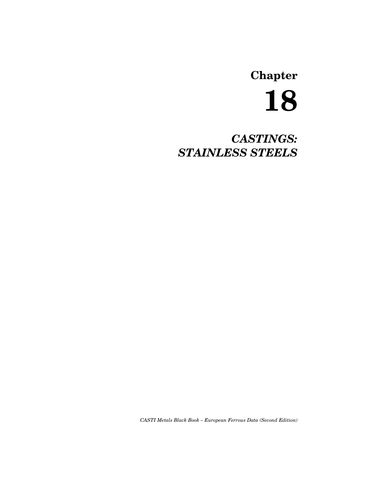*CASTINGS: STAINLESS STEELS*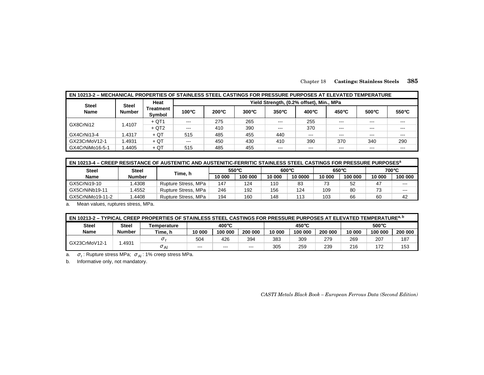#### Chapter 18 **Castings: Stainless Steels 385**

| EN 10213-2 – MECHANICAL PROPERTIES OF STAINLESS STEEL CASTINGS FOR PRESSURE PURPOSES AT ELEVATED TEMPERATURE |                               |                     |                 |                 |                                          |                      |                 |                 |                 |                 |  |  |         |     |     |     |                                                                                                |     |         |         |     |
|--------------------------------------------------------------------------------------------------------------|-------------------------------|---------------------|-----------------|-----------------|------------------------------------------|----------------------|-----------------|-----------------|-----------------|-----------------|--|--|---------|-----|-----|-----|------------------------------------------------------------------------------------------------|-----|---------|---------|-----|
| <b>Steel</b>                                                                                                 | <b>Steel</b><br><b>Number</b> |                     |                 | Heat            | Yield Strength, (0.2% offset), Min., MPa |                      |                 |                 |                 |                 |  |  |         |     |     |     |                                                                                                |     |         |         |     |
| <b>Name</b>                                                                                                  |                               | Treatment<br>Symbol | $100^{\circ}$ C | $200^{\circ}$ C | $300^{\circ}$ C                          | $350^{\circ}$ C      | $400^{\circ}$ C | $450^{\circ}$ C | $500^{\circ}$ C | $550^{\circ}$ C |  |  |         |     |     |     |                                                                                                |     |         |         |     |
|                                                                                                              |                               | $+$ QT1             | $\frac{1}{2}$   | 275             | 265                                      | $\sim$ $\sim$ $\sim$ | 255             | $\frac{1}{2}$   | $- - -$         | $- - -$         |  |  |         |     |     |     |                                                                                                |     |         |         |     |
| GX8CrNi12                                                                                                    | 1.4107                        |                     |                 |                 |                                          |                      |                 |                 |                 |                 |  |  | $+$ OT2 | --- | 410 | 390 | $\frac{1}{2} \left( \frac{1}{2} \right) \left( \frac{1}{2} \right) \left( \frac{1}{2} \right)$ | 370 | $- - -$ | $- - -$ | --- |
| GX4CrNi13-4                                                                                                  | .4317                         | $+ QT$              | 515             | 485             | 455                                      | 440                  |                 | $- - -$         | $- - -$         | ---             |  |  |         |     |     |     |                                                                                                |     |         |         |     |
| GX23CrMoV12-1                                                                                                | .4931                         | $+ QT$              | $\sim$ $\sim$   | 450             | 430                                      | 410                  | 390             | 370             | 340             | 290             |  |  |         |     |     |     |                                                                                                |     |         |         |     |
| GX4CrNiMo16-5-1                                                                                              | .4405                         | $+ QT$              | 515             | 485             | 455                                      | $- - -$              | $- - -$         | $- - -$         | $- - -$         | $- - -$         |  |  |         |     |     |     |                                                                                                |     |         |         |     |

| EN 10213-4 – CREEP RESISTANCE OF AUSTENITIC AND AUSTENITIC-FERRITIC STAINLESS STEEL CASTINGS FOR PRESSURE PURPOSES <sup>a</sup> |               |                     |        |         |        |                 |        |                 |        |         |  |
|---------------------------------------------------------------------------------------------------------------------------------|---------------|---------------------|--------|---------|--------|-----------------|--------|-----------------|--------|---------|--|
| Steel                                                                                                                           | <b>Steel</b>  | Time, h             |        | 550°C   |        | $600^{\circ}$ C |        | $650^{\circ}$ C |        | 700°C   |  |
| Name                                                                                                                            | <b>Number</b> |                     | 10 000 | 100 000 | 10 000 | 10 0000         | 10 000 | 100 000         | 10 000 | 100 000 |  |
| GX5CrNi19-10                                                                                                                    | .4308         | Rupture Stress, MPa | 147    | 124     | 110    | 83              | 73     | 52              | 47     | $- - -$ |  |
| GX5CrNiNb19-11                                                                                                                  | .4552         | Rupture Stress, MPa | 246    | 192     | 156    | 124             | 109    |                 | 73     | $--$    |  |
| GX5CrNiMo19-11-2                                                                                                                | .4408         | Rupture Stress, MPa | 194    | 160     | 148    | 113             | 103    | 66              | 60     | 42      |  |

a. Mean values, ruptures stress, MPa.

|               | EN 10213-2 – TYPICAL CREEP PROPERTIES OF STAINLESS STEEL CASTINGS FOR PRESSURE PURPOSES AT ELEVATED TEMPERATURE <sup>a, b</sup> |             |        |         |         |        |         |         |                 |         |         |  |
|---------------|---------------------------------------------------------------------------------------------------------------------------------|-------------|--------|---------|---------|--------|---------|---------|-----------------|---------|---------|--|
| <b>Steel</b>  | <b>Steel</b>                                                                                                                    | Temperature | 400°C  |         |         | 450°C  |         |         | $500^{\circ}$ C |         |         |  |
| Name          | <b>Number</b>                                                                                                                   | Time. h     | 10 000 | 100 000 | 200 000 | 10 000 | 100 000 | 200 000 | 10 000          | 100 000 | 200 000 |  |
| GX23CrMoV12-1 | .4931                                                                                                                           |             | 504    | 426     | 394     | 383    | 309     | 279     | 269             | 207     | 187     |  |
|               |                                                                                                                                 | $\sigma$ Al | ---    | $- - -$ | $--$    | 305    | 259     | 239     | 216             | 172     | 153     |  |

a.  $\sigma_{\sf r}$  : Rupture stress MPa;  $\,\sigma_{\sf Al}$  : 1% creep stress MPa.

b. Informative only, not mandatory.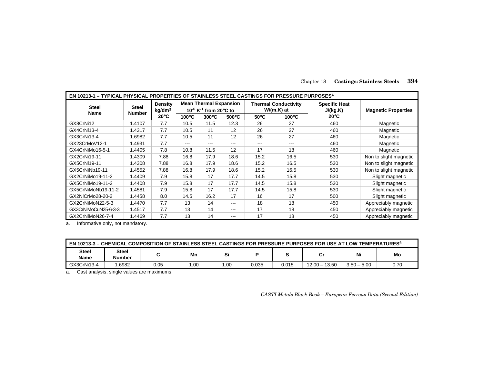| EN 10213-1 - TYPICAL PHYSICAL PROPERTIES OF STAINLESS STEEL CASTINGS FOR PRESSURE PURPOSES <sup>a</sup> |                               |                                      |       |                                                                         |                   |                   |                                             |                                  |                            |  |  |  |
|---------------------------------------------------------------------------------------------------------|-------------------------------|--------------------------------------|-------|-------------------------------------------------------------------------|-------------------|-------------------|---------------------------------------------|----------------------------------|----------------------------|--|--|--|
| <b>Steel</b><br><b>Name</b>                                                                             | <b>Steel</b><br><b>Number</b> | <b>Density</b><br>kq/dm <sup>3</sup> |       | <b>Mean Thermal Expansion</b><br>$10^{-6}$ K <sup>-1</sup> from 20°C to |                   |                   | <b>Thermal Conductivity</b><br>$W/(m.K)$ at | <b>Specific Heat</b><br>J/(kg.K) | <b>Magnetic Properties</b> |  |  |  |
|                                                                                                         |                               | $20^{\circ}$ C                       | 100°C | $300^{\circ}$ C                                                         | $500^{\circ}$ C   | $50^{\circ}$ C    | $100^{\circ}$ C                             | $20^{\circ}$ C                   |                            |  |  |  |
| GX8CrNi12                                                                                               | 1.4107                        | 7.7                                  | 10.5  | 11.5                                                                    | 12.3              | 26                | 27                                          | 460                              | Magnetic                   |  |  |  |
| GX4CrNi13-4                                                                                             | 1.4317                        | 7.7                                  | 10.5  | 11                                                                      | 12                | 26                | 27                                          | 460                              | Magnetic                   |  |  |  |
| GX3CrNi13-4                                                                                             | 1.6982                        | 7.7                                  | 10.5  | 11                                                                      | 12                | 26                | 27                                          | 460                              | Magnetic                   |  |  |  |
| GX23CrMoV12-1                                                                                           | 1.4931                        | 7.7                                  | $---$ | ---                                                                     | $\qquad \qquad -$ | $\qquad \qquad -$ | ---                                         | 460                              | Magnetic                   |  |  |  |
| GX4CrNiMo16-5-1                                                                                         | 1.4405                        | 7.8                                  | 10.8  | 11.5                                                                    | 12                | 17                | 18                                          | 460                              | Magnetic                   |  |  |  |
| GX2CrNi19-11                                                                                            | 1.4309                        | 7.88                                 | 16.8  | 17.9                                                                    | 18.6              | 15.2              | 16.5                                        | 530                              | Non to slight magnetic     |  |  |  |
| GX5CrNi19-11                                                                                            | 1.4308                        | 7.88                                 | 16.8  | 17.9                                                                    | 18.6              | 15.2              | 16.5                                        | 530                              | Non to slight magnetic     |  |  |  |
| GX5CrNiNb19-11                                                                                          | 1.4552                        | 7.88                                 | 16.8  | 17.9                                                                    | 18.6              | 15.2              | 16.5                                        | 530                              | Non to slight magnetic     |  |  |  |
| GX2CrNiMo19-11-2                                                                                        | 1.4409                        | 7.9                                  | 15.8  | 17                                                                      | 17.7              | 14.5              | 15.8                                        | 530                              | Slight magnetic            |  |  |  |
| GX5CrNiMo19-11-2                                                                                        | 1.4408                        | 7.9                                  | 15.8  | 17                                                                      | 17.7              | 14.5              | 15.8                                        | 530                              | Slight magnetic            |  |  |  |
| GX5CrNiMoNb19-11-2                                                                                      | 1.4581                        | 7.9                                  | 15.8  | 17                                                                      | 17.7              | 14.5              | 15.8                                        | 530                              | Slight magnetic            |  |  |  |
| GX2NiCrMo28-20-2                                                                                        | 1.4458                        | 8.0                                  | 14.5  | 16.2                                                                    | 17                | 16                | 17                                          | 500                              | Slight magnetic            |  |  |  |
| GX2CrNiMoN22-5-3                                                                                        | 1.4470                        | 7.7                                  | 13    | 14                                                                      | $\qquad \qquad -$ | 18                | 18                                          | 450                              | Appreciably magnetic       |  |  |  |
| GX3CrNiMoCuN25-6-3-3                                                                                    | 1.4517                        | 7.7                                  | 13    | 14                                                                      | $---$             | 17                | 18                                          | 450                              | Appreciably magnetic       |  |  |  |
| GX2CrNiMoN26-7-4                                                                                        | 1.4469                        | 7.7                                  | 13    | 14                                                                      | $---$             | 17                | 18                                          | 450                              | Appreciably magnetic       |  |  |  |

Chapter 18 **Castings: Stainless Steels 394**

a. Informative only, not mandatory.

|                      | EN 10213-3 – CHEMICAL COMPOSITION OF STAINLESS STEEL CASTINGS FOR PRESSURE PURPOSES FOR USE AT LOW TEMPERATURES <sup>a</sup> |      |     |     |       |       |                    |               |      |  |  |  |
|----------------------|------------------------------------------------------------------------------------------------------------------------------|------|-----|-----|-------|-------|--------------------|---------------|------|--|--|--|
| Steel<br><b>Name</b> | <b>Steel</b><br>Number                                                                                                       |      | Mn  | S.  |       |       | r.<br>י            | Ni            | Mc   |  |  |  |
| GX3CrNi13-4          | .6982                                                                                                                        | 0.05 | .00 | .00 | 0.035 | 0.015 | $12.00 -$<br>13.50 | $3.50 - 5.00$ | 0.70 |  |  |  |

a. Cast analysis, single values are maximums.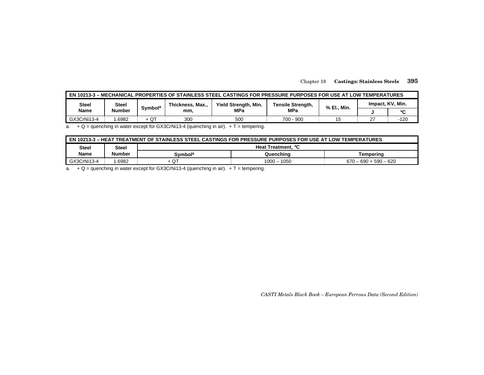#### Chapter 18 **Castings: Stainless Steels 395**

|              | EN 10213-3 – MECHANICAL PROPERTIES OF STAINLESS STEEL CASTINGS FOR PRESSURE PURPOSES FOR USE AT LOW TEMPERATURES |                     |                |                      |                          |           |  |                  |  |  |  |
|--------------|------------------------------------------------------------------------------------------------------------------|---------------------|----------------|----------------------|--------------------------|-----------|--|------------------|--|--|--|
| <b>Steel</b> | Steel                                                                                                            |                     | Thickness. Max | Yield Strength, Min. | <b>Tensile Strength,</b> | % El Min. |  | Impact, KV, Min. |  |  |  |
| Name         | Number                                                                                                           | Symbol <sup>a</sup> | mm,            | <b>MPa</b>           | MPa                      |           |  | ۰c               |  |  |  |
| GX3CrNi13-4  | .6982                                                                                                            | $+$ OT              | 300            | 500                  | 700 - 900                | 15        |  | -120             |  |  |  |

 $a. + Q =$  quenching in water except for GX3CrNi13-4 (quenching in air). + T = tempering.

|             | EN 10213-3 – HEAT TREATMENT OF STAINLESS STEEL CASTINGS FOR PRESSURE PURPOSES FOR USE AT LOW TEMPERATURES |                     |             |                         |  |  |  |  |  |
|-------------|-----------------------------------------------------------------------------------------------------------|---------------------|-------------|-------------------------|--|--|--|--|--|
| Steel       | Steel                                                                                                     | Heat Treatment. °C  |             |                         |  |  |  |  |  |
| <b>Name</b> | <b>Number</b>                                                                                             | Svmbol <sup>a</sup> | Quenchina   | Tempering               |  |  |  |  |  |
| GX3CrNi13-4 | .6982                                                                                                     | + Q <sup>-</sup>    | 1000 - 1050 | $670 - 690 + 590 - 620$ |  |  |  |  |  |

a.  $+Q$  = quenching in water except for GX3CrNi13-4 (quenching in air).  $+T$  = tempering.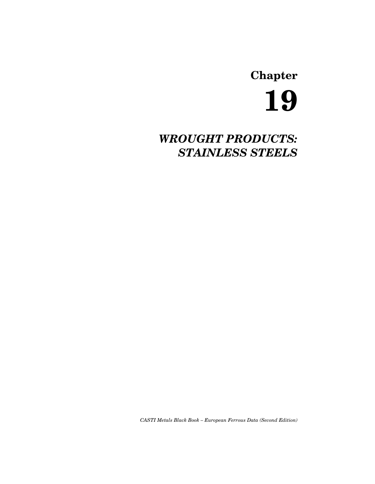### *WROUGHT PRODUCTS: STAINLESS STEELS*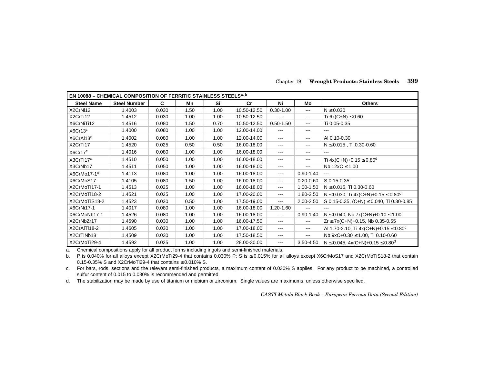|                         | EN 10088 - CHEMICAL COMPOSITION OF FERRITIC STAINLESS STEELS <sup>a, b</sup> |       |      |      |             |                        |                           |                                                        |
|-------------------------|------------------------------------------------------------------------------|-------|------|------|-------------|------------------------|---------------------------|--------------------------------------------------------|
| <b>Steel Name</b>       | <b>Steel Number</b>                                                          | C     | Mn   | Si   | Cr          | Ni                     | Mo                        | <b>Others</b>                                          |
| X2CrNi12                | 1.4003                                                                       | 0.030 | 1.50 | 1.00 | 10.50-12.50 | $0.30 - 1.00$          | $\cdots$                  | $N \le 0.030$                                          |
| X2CrTi12                | 1.4512                                                                       | 0.030 | 1.00 | 1.00 | 10.50-12.50 | ---                    | ---                       | Ti $6x(C+N) \le 0.60$                                  |
| X6CrNiTi12              | 1.4516                                                                       | 0.080 | 1.50 | 0.70 | 10.50-12.50 | $0.50 - 1.50$          | $\cdots$                  | Ti 0.05-0.35                                           |
| X6Cr13 <sup>c</sup>     | 1.4000                                                                       | 0.080 | 1.00 | 1.00 | 12.00-14.00 | ---                    | $---$                     | $---$                                                  |
| X6CrAI13 <sup>c</sup>   | 1.4002                                                                       | 0.080 | 1.00 | 1.00 | 12.00-14.00 | $\cdots$               | $\cdots$                  | AI 0.10-0.30                                           |
| X2CrTi17                | 1.4520                                                                       | 0.025 | 0.50 | 0.50 | 16.00-18.00 | $---$                  | ---                       | $N \leq 0.015$ , Ti 0.30-0.60                          |
| X6Cr17 <sup>c</sup>     | 1.4016                                                                       | 0.080 | 1.00 | 1.00 | 16.00-18.00 | $\qquad \qquad \cdots$ | ---                       | $---$                                                  |
| X3CrTi17 <sup>c</sup>   | 1.4510                                                                       | 0.050 | 1.00 | 1.00 | 16.00-18.00 | $---$                  | $---$                     | Ti 4x(C+N)+0.15 $\leq$ 0.80 <sup>d</sup>               |
| X3CrNb17                | 1.4511                                                                       | 0.050 | 1.00 | 1.00 | 16.00-18.00 | $\qquad \qquad \cdots$ | ---                       | Nb $12xC \le 1.00$                                     |
| X6CrMo17-1 <sup>c</sup> | 1.4113                                                                       | 0.080 | 1.00 | 1.00 | 16.00-18.00 | ---                    | $0.90 - 1.40$             | $\overline{a}$                                         |
| X6CrMoS17               | 1.4105                                                                       | 0.080 | 1.50 | 1.00 | 16.00-18.00 | ---                    | $0.20 - 0.60$             | S 0.15-0.35                                            |
| X2CrMoTi17-1            | 1.4513                                                                       | 0.025 | 1.00 | 1.00 | 16.00-18.00 | $---$                  | 1.00-1.50                 | $N \leq 0.015$ , Ti 0.30-0.60                          |
| X2CrMoTi18-2            | 1.4521                                                                       | 0.025 | 1.00 | 1.00 | 17.00-20.00 | ---                    | 1.80-2.50                 | $N \le 0.030$ , Ti 4x(C+N)+0.15 $\le 0.80^d$           |
| X2CrMoTiS18-2           | 1.4523                                                                       | 0.030 | 0.50 | 1.00 | 17.50-19.00 | ---                    | 2.00-2.50                 | S 0.15-0.35, $(C+N) \le 0.040$ , Ti 0.30-0.85          |
| X6CrNi17-1              | 1.4017                                                                       | 0.080 | 1.00 | 1.00 | 16.00-18.00 | 1.20-1.60              | ---                       | $---$                                                  |
| X6CrMoNb17-1            | 1.4526                                                                       | 0.080 | 1.00 | 1.00 | 16.00-18.00 | $\qquad \qquad \cdots$ | $0.90 - 1.40$             | $N \le 0.040$ , Nb 7x(C+N)+0.10 $\le 1.00$             |
| X2CrNbZr17              | 1.4590                                                                       | 0.030 | 1.00 | 1.00 | 16.00-17.50 | $---$                  | $\qquad \qquad -\qquad -$ | $Zr \geq 7x(C+N)+0.15$ , Nb 0.35-0.55                  |
| X2CrAITi18-2            | 1.4605                                                                       | 0.030 | 1.00 | 1.00 | 17.00-18.00 | ---                    | $\qquad \qquad \cdots$    | AI 1.70-2.10, Ti 4x(C+N)+0.15 $\leq$ 0.80 <sup>d</sup> |
| X2CrTiNb18              | 1.4509                                                                       | 0.030 | 1.00 | 1.00 | 17.50-18.50 | $\sim$ $\sim$          | $\sim$ $\sim$ $\sim$      | Nb $9xC+0.30 \le 1.00$ , Ti 0.10-0.60                  |
| X2CrMoTi29-4            | 1.4592                                                                       | 0.025 | 1.00 | 1.00 | 28.00-30.00 | $\qquad \qquad \cdots$ | 3.50-4.50                 | $N \leq 0.045$ , 4x(C+N)+0.15 $\leq 0.80^d$            |

#### Chapter 19 **Wrought Products: Stainless Steels 399**

a. Chemical compositions apply for all product forms including ingots and semi-finished materials.

b. P is 0.040% for all alloys except X2CrMoTi29-4 that contains 0.030% P; S is ≤ 0.015% for all alloys except X6CrMoS17 and X2CrMoTiS18-2 that contain 0.15-0.35% S and X2CrMoTi29-4 that contains ≤ 0.010% S.

c. For bars, rods, sections and the relevant semi-finished products, a maximum content of 0.030% S applies. For any product to be machined, a controlled sulfur content of 0.015 to 0.030% is recommended and permitted.

d. The stabilization may be made by use of titanium or niobium or zirconium. Single values are maximums, unless otherwise specified.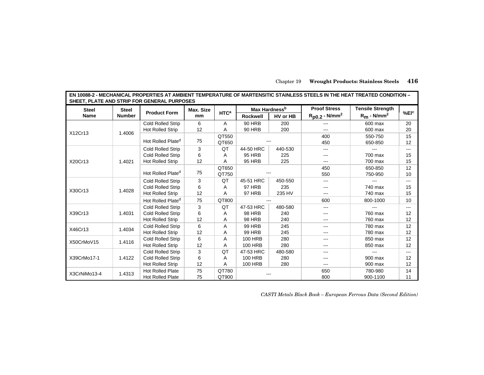|              |               | SHEET, PLATE AND STRIP FOR GENERAL PURPOSES |           |                  |                 |                           |                                | EN 10088-2 - MECHANICAL PROPERTIES AT AMBIENT TEMPERATURE OF MARTENSITIC STAINLESS STEELS IN THE HEAT TREATED CONDITION – |                         |
|--------------|---------------|---------------------------------------------|-----------|------------------|-----------------|---------------------------|--------------------------------|---------------------------------------------------------------------------------------------------------------------------|-------------------------|
| <b>Steel</b> | <b>Steel</b>  |                                             | Max. Size |                  |                 | Max Hardness <sup>b</sup> | <b>Proof Stress</b>            | <b>Tensile Strength</b>                                                                                                   |                         |
| <b>Name</b>  | <b>Number</b> | <b>Product Form</b>                         | mm        | HTC <sup>a</sup> | <b>Rockwell</b> | HV or HB                  | $R_{p0.2}$ - N/mm <sup>2</sup> | $R_m$ - N/mm <sup>2</sup>                                                                                                 | %E <sub>c</sub>         |
|              |               | <b>Cold Rolled Strip</b>                    | 6         | A                | <b>90 HRB</b>   | 200                       | ---                            | 600 max                                                                                                                   | 20                      |
| X12Cr13      | 1.4006        | <b>Hot Rolled Strip</b>                     | 12        | A                | <b>90 HRB</b>   | 200                       | ---                            | 600 max                                                                                                                   | 20                      |
|              |               | Hot Rolled Plate <sup>d</sup>               | 75        | QT550<br>QT650   |                 |                           | 400<br>450                     | 550-750<br>650-850                                                                                                        | 15<br>$12 \overline{ }$ |
|              |               | <b>Cold Rolled Strip</b>                    | 3         | QT               | 44-50 HRC       | 440-530                   | ---                            |                                                                                                                           | ---                     |
|              |               | <b>Cold Rolled Strip</b>                    | 6         | A                | <b>95 HRB</b>   | 225                       | ---                            | 700 max                                                                                                                   | 15                      |
| X20Cr13      | 1.4021        | <b>Hot Rolled Strip</b>                     | 12        | Α                | <b>95 HRB</b>   | 225                       | $\frac{1}{2}$                  | 700 max                                                                                                                   | 15                      |
|              |               |                                             |           | QT650            |                 |                           | 450                            | 650-850                                                                                                                   | 12                      |
|              |               | Hot Rolled Plate <sup>d</sup>               | 75        | QT750            |                 |                           | 550                            | 750-950                                                                                                                   | 10                      |
|              |               | <b>Cold Rolled Strip</b>                    | 3         | QT               | 45-51 HRC       | 450-550                   | $\overline{a}$                 |                                                                                                                           | ---                     |
| X30Cr13      | 1.4028        | <b>Cold Rolled Strip</b>                    | 6         | A                | 97 HRB          | 235                       | ---                            | 740 max                                                                                                                   | 15                      |
|              |               | <b>Hot Rolled Strip</b>                     | 12        | A                | 97 HRB          | 235 HV                    | $\frac{1}{2}$                  | 740 max                                                                                                                   | 15                      |
|              |               | Hot Rolled Plate <sup>d</sup>               | 75        | QT800            |                 |                           | 600                            | 800-1000                                                                                                                  | 10                      |
|              |               | <b>Cold Rolled Strip</b>                    | 3         | QT               | 47-53 HRC       | 480-580                   | $---$                          |                                                                                                                           | ---                     |
| X39Cr13      | 1.4031        | <b>Cold Rolled Strip</b>                    | 6         | A                | <b>98 HRB</b>   | 240                       | ---                            | 760 max                                                                                                                   | 12                      |
|              |               | <b>Hot Rolled Strip</b>                     | 12        | Α                | <b>98 HRB</b>   | 240                       | ---                            | 760 max                                                                                                                   | 12                      |
| X46Cr13      | 1.4034        | Cold Rolled Strip                           | 6         | A                | <b>99 HRB</b>   | 245                       | ---                            | 780 max                                                                                                                   | 12                      |
|              |               | <b>Hot Rolled Strip</b>                     | 12        | A                | <b>99 HRB</b>   | 245                       | ---                            | 780 max                                                                                                                   | 12                      |
| X50CrMoV15   | 1.4116        | <b>Cold Rolled Strip</b>                    | 6         | A                | <b>100 HRB</b>  | 280                       | $---$                          | 850 max                                                                                                                   | 12                      |
|              |               | <b>Hot Rolled Strip</b>                     | 12        | A                | <b>100 HRB</b>  | 280                       | $\cdots$                       | 850 max                                                                                                                   | 12                      |
|              |               | <b>Cold Rolled Strip</b>                    | 3         | QT               | 47-53 HRC       | 480-580                   | $\overline{a}$                 |                                                                                                                           | ---                     |
| X39CrMo17-1  | 1.4122        | <b>Cold Rolled Strip</b>                    | 6         | Α                | <b>100 HRB</b>  | 280                       | ---                            | 900 max                                                                                                                   | 12                      |
|              |               | <b>Hot Rolled Strip</b>                     | 12        | Α                | <b>100 HRB</b>  | 280                       | ---                            | 900 max                                                                                                                   | 12                      |
| X3CrNiMo13-4 | 1.4313        | <b>Hot Rolled Plate</b>                     | 75        | QT780            |                 |                           | 650                            | 780-980                                                                                                                   | 14                      |
|              |               | Hot Rolled Plate                            | 75        | QT900            |                 |                           | 800                            | 900-1100                                                                                                                  | 11                      |

#### Chapter 19 **Wrought Products: Stainless Steels 416**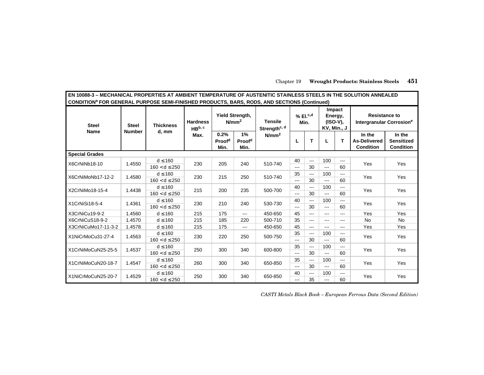#### Chapter 19 **Wrought Products: Stainless Steels 451**

| EN 10088-3 – MECHANICAL PROPERTIES AT AMBIENT TEMPERATURE OF AUSTENITIC STAINLESS STEELS IN THE SOLUTION ANNEALED<br>CONDITION <sup>a</sup> FOR GENERAL PURPOSE SEMI-FINISHED PRODUCTS, BARS, RODS, AND SECTIONS (Continued) |               |                                    |                              |                                      |                                  |                                            |                                                                                                                                                                                                                                                                                                                                                                                                                                                                                  |                             |                               |                                                                                                                                                                                                                                                                                                                                                                                                                                                                                  |                                                              |                                                 |
|------------------------------------------------------------------------------------------------------------------------------------------------------------------------------------------------------------------------------|---------------|------------------------------------|------------------------------|--------------------------------------|----------------------------------|--------------------------------------------|----------------------------------------------------------------------------------------------------------------------------------------------------------------------------------------------------------------------------------------------------------------------------------------------------------------------------------------------------------------------------------------------------------------------------------------------------------------------------------|-----------------------------|-------------------------------|----------------------------------------------------------------------------------------------------------------------------------------------------------------------------------------------------------------------------------------------------------------------------------------------------------------------------------------------------------------------------------------------------------------------------------------------------------------------------------|--------------------------------------------------------------|-------------------------------------------------|
| <b>Steel</b>                                                                                                                                                                                                                 | <b>Steel</b>  | <b>Thickness</b>                   | <b>Hardness</b><br>$HBp$ , c | Yield Strength,<br>N/mm <sup>2</sup> |                                  | <b>Tensile</b><br>Strength <sup>c, d</sup> |                                                                                                                                                                                                                                                                                                                                                                                                                                                                                  | % EI <sub>c,d</sub><br>Min. |                               | Impact<br>Energy,<br>$(ISO-V)$ ,<br>KV, Min., J                                                                                                                                                                                                                                                                                                                                                                                                                                  | <b>Resistance to</b><br>Intergranular Corrosion <sup>e</sup> |                                                 |
| Name                                                                                                                                                                                                                         | <b>Number</b> | d, mm                              | Max.                         | 0.2%<br>Proofd<br>Min.               | 1%<br>Proof <sup>d</sup><br>Min. | N/mm <sup>2</sup>                          | L                                                                                                                                                                                                                                                                                                                                                                                                                                                                                | T                           | L                             | т                                                                                                                                                                                                                                                                                                                                                                                                                                                                                | In the<br><b>As-Delivered</b><br><b>Condition</b>            | In the<br><b>Sensitized</b><br><b>Condition</b> |
| <b>Special Grades</b>                                                                                                                                                                                                        |               |                                    |                              |                                      |                                  |                                            |                                                                                                                                                                                                                                                                                                                                                                                                                                                                                  |                             |                               |                                                                                                                                                                                                                                                                                                                                                                                                                                                                                  |                                                              |                                                 |
| X6CrNiNb18-10                                                                                                                                                                                                                | 1.4550        | $d \leq 160$<br>$160 < d \leq 250$ | 230                          | 205                                  | 240                              | 510-740                                    | 40<br>$\overline{a}$                                                                                                                                                                                                                                                                                                                                                                                                                                                             | $\overline{a}$<br>30        | 100<br>$\cdots$               | $\cdots$<br>60                                                                                                                                                                                                                                                                                                                                                                                                                                                                   | Yes                                                          | Yes                                             |
| X6CrNiMoNb17-12-2                                                                                                                                                                                                            | 1.4580        | $d \leq 160$<br>$160 < d \leq 250$ | 230                          | 215                                  | 250                              | 510-740                                    | 35<br>$---$                                                                                                                                                                                                                                                                                                                                                                                                                                                                      | ---<br>30                   | 100<br>$\sim$ $\sim$ $\sim$   | $\frac{1}{2} \left( \frac{1}{2} \right) \left( \frac{1}{2} \right) \left( \frac{1}{2} \right) \left( \frac{1}{2} \right) \left( \frac{1}{2} \right) \left( \frac{1}{2} \right) \left( \frac{1}{2} \right) \left( \frac{1}{2} \right) \left( \frac{1}{2} \right) \left( \frac{1}{2} \right) \left( \frac{1}{2} \right) \left( \frac{1}{2} \right) \left( \frac{1}{2} \right) \left( \frac{1}{2} \right) \left( \frac{1}{2} \right) \left( \frac{1}{2} \right) \left( \frac$<br>60 | Yes                                                          | Yes                                             |
| X2CrNiMo18-15-4                                                                                                                                                                                                              | 1.4438        | $d \leq 160$<br>$160 < d \leq 250$ | 215                          | 200                                  | 235                              | 500-700                                    | 40<br>$---$                                                                                                                                                                                                                                                                                                                                                                                                                                                                      | $\overline{a}$<br>30        | 100<br>$---$                  | ---<br>60                                                                                                                                                                                                                                                                                                                                                                                                                                                                        | Yes                                                          | Yes                                             |
| X1CrNiSi18-5-4                                                                                                                                                                                                               | 1.4361        | $d \leq 160$<br>$160 < d \leq 250$ | 230                          | 210                                  | 240                              | 530-730                                    | 40<br>$\frac{1}{2} \left( \frac{1}{2} \right) \left( \frac{1}{2} \right) \left( \frac{1}{2} \right) \left( \frac{1}{2} \right) \left( \frac{1}{2} \right) \left( \frac{1}{2} \right) \left( \frac{1}{2} \right) \left( \frac{1}{2} \right) \left( \frac{1}{2} \right) \left( \frac{1}{2} \right) \left( \frac{1}{2} \right) \left( \frac{1}{2} \right) \left( \frac{1}{2} \right) \left( \frac{1}{2} \right) \left( \frac{1}{2} \right) \left( \frac{1}{2} \right) \left( \frac$ | $\overline{a}$<br>30        | 100<br>$\qquad \qquad \cdots$ | $\cdots$<br>60                                                                                                                                                                                                                                                                                                                                                                                                                                                                   | Yes                                                          | Yes                                             |
| X3CrNiCu19-9-2                                                                                                                                                                                                               | 1.4560        | $d \leq 160$                       | 215                          | 175                                  | ---                              | 450-650                                    | 45                                                                                                                                                                                                                                                                                                                                                                                                                                                                               | $\overline{a}$              | $---$                         | ---                                                                                                                                                                                                                                                                                                                                                                                                                                                                              | Yes                                                          | Yes                                             |
| X6CrNiCuS18-9-2                                                                                                                                                                                                              | 1.4570        | $d \leq 160$                       | 215                          | 185                                  | 220                              | 500-710                                    | 35                                                                                                                                                                                                                                                                                                                                                                                                                                                                               | $\qquad \qquad -$           | $--$                          | $\cdots$                                                                                                                                                                                                                                                                                                                                                                                                                                                                         | No                                                           | <b>No</b>                                       |
| X3CrNiCuMo17-11-3-2                                                                                                                                                                                                          | 1.4578        | $d \leq 160$                       | 215                          | 175                                  | ---                              | 450-650                                    | 45                                                                                                                                                                                                                                                                                                                                                                                                                                                                               | $---$                       | $- - -$                       | $---$                                                                                                                                                                                                                                                                                                                                                                                                                                                                            | Yes                                                          | Yes                                             |
| X1NiCrMoCu31-27-4                                                                                                                                                                                                            | 1.4563        | $d \leq 160$                       | 230                          | 220                                  | 250                              | 500-750                                    | 35                                                                                                                                                                                                                                                                                                                                                                                                                                                                               | $---$                       | 100                           | ---                                                                                                                                                                                                                                                                                                                                                                                                                                                                              | Yes                                                          | Yes                                             |
|                                                                                                                                                                                                                              |               | $160 < d \leq 250$                 |                              |                                      |                                  |                                            | $---$                                                                                                                                                                                                                                                                                                                                                                                                                                                                            | 30                          | $\cdots$                      | 60                                                                                                                                                                                                                                                                                                                                                                                                                                                                               |                                                              |                                                 |
| X1CrNiMoCuN25-25-5                                                                                                                                                                                                           | 1.4537        | $d \leq 160$<br>$160 < d \leq 250$ | 250                          | 300                                  | 340                              | 600-800                                    | 35<br>$---$                                                                                                                                                                                                                                                                                                                                                                                                                                                                      | $\overline{a}$<br>30        | 100<br>$\sim$ $\sim$ $\sim$   | $---$<br>60                                                                                                                                                                                                                                                                                                                                                                                                                                                                      | Yes                                                          | Yes                                             |
| X1CrNiMoCuN20-18-7                                                                                                                                                                                                           | 1.4547        | $d \leq 160$<br>$160 < d \leq 250$ | 260                          | 300                                  | 340                              | 650-850                                    | 35<br>$---$                                                                                                                                                                                                                                                                                                                                                                                                                                                                      | $---$<br>30                 | 100<br>$\frac{1}{2}$          | ---<br>60                                                                                                                                                                                                                                                                                                                                                                                                                                                                        | Yes                                                          | Yes                                             |
| X1NiCrMoCuN25-20-7                                                                                                                                                                                                           | 1.4529        | $d \leq 160$<br>$160 < d \leq 250$ | 250                          | 300                                  | 340                              | 650-850                                    | 40<br>$\cdots$                                                                                                                                                                                                                                                                                                                                                                                                                                                                   | ---<br>35                   | 100<br>$\frac{1}{2}$          | ---<br>60                                                                                                                                                                                                                                                                                                                                                                                                                                                                        | Yes                                                          | Yes                                             |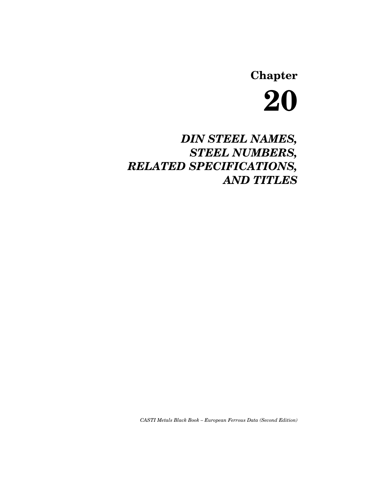# **20**

### *DIN STEEL NAMES, STEEL NUMBERS, RELATED SPECIFICATIONS, AND TITLES*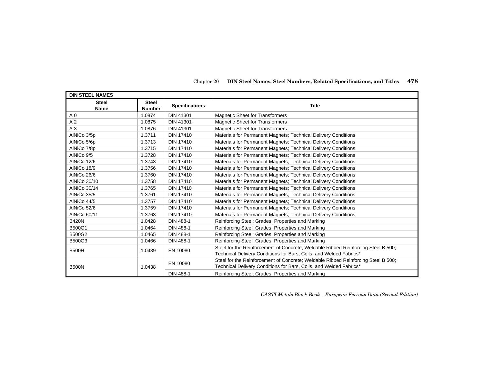| <b>DIN STEEL NAMES</b> |                               |                       |                                                                                                                                                         |
|------------------------|-------------------------------|-----------------------|---------------------------------------------------------------------------------------------------------------------------------------------------------|
| <b>Steel</b><br>Name   | <b>Steel</b><br><b>Number</b> | <b>Specifications</b> | <b>Title</b>                                                                                                                                            |
| A <sub>0</sub>         | 1.0874                        | <b>DIN 41301</b>      | Magnetic Sheet for Transformers                                                                                                                         |
| A <sub>2</sub>         | 1.0875                        | <b>DIN 41301</b>      | <b>Magnetic Sheet for Transformers</b>                                                                                                                  |
| $A_3$                  | 1.0876                        | <b>DIN 41301</b>      | Magnetic Sheet for Transformers                                                                                                                         |
| AINiCo 3/5p            | 1.3711                        | <b>DIN 17410</b>      | Materials for Permanent Magnets; Technical Delivery Conditions                                                                                          |
| AINiCo 5/6p            | 1.3713                        | <b>DIN 17410</b>      | Materials for Permanent Magnets; Technical Delivery Conditions                                                                                          |
| AINiCo 7/8p            | 1.3715                        | <b>DIN 17410</b>      | Materials for Permanent Magnets; Technical Delivery Conditions                                                                                          |
| AINiCo 9/5             | 1.3728                        | <b>DIN 17410</b>      | Materials for Permanent Magnets; Technical Delivery Conditions                                                                                          |
| AINiCo 12/6            | 1.3743                        | <b>DIN 17410</b>      | Materials for Permanent Magnets; Technical Delivery Conditions                                                                                          |
| AINiCo 18/9            | 1.3756                        | <b>DIN 17410</b>      | Materials for Permanent Magnets; Technical Delivery Conditions                                                                                          |
| AINiCo 26/6            | 1.3760                        | <b>DIN 17410</b>      | Materials for Permanent Magnets; Technical Delivery Conditions                                                                                          |
| AlNiCo 30/10           | 1.3758                        | <b>DIN 17410</b>      | Materials for Permanent Magnets; Technical Delivery Conditions                                                                                          |
| AINiCo 30/14           | 1.3765                        | <b>DIN 17410</b>      | Materials for Permanent Magnets; Technical Delivery Conditions                                                                                          |
| AINiCo 35/5            | 1.3761                        | <b>DIN 17410</b>      | Materials for Permanent Magnets; Technical Delivery Conditions                                                                                          |
| AINiCo 44/5            | 1.3757                        | <b>DIN 17410</b>      | Materials for Permanent Magnets; Technical Delivery Conditions                                                                                          |
| AINiCo 52/6            | 1.3759                        | <b>DIN 17410</b>      | Materials for Permanent Magnets; Technical Delivery Conditions                                                                                          |
| AINiCo 60/11           | 1.3763                        | <b>DIN 17410</b>      | Materials for Permanent Magnets; Technical Delivery Conditions                                                                                          |
| <b>B420N</b>           | 1.0428                        | DIN 488-1             | Reinforcing Steel; Grades, Properties and Marking                                                                                                       |
| B500G1                 | 1.0464                        | DIN 488-1             | Reinforcing Steel; Grades, Properties and Marking                                                                                                       |
| B500G2                 | 1.0465                        | DIN 488-1             | Reinforcing Steel; Grades, Properties and Marking                                                                                                       |
| B500G3                 | 1.0466                        | DIN 488-1             | Reinforcing Steel; Grades, Properties and Marking                                                                                                       |
| <b>B500H</b>           | 1.0439                        | EN 10080              | Steel for the Reinforcement of Concrete; Weldable Ribbed Reinforcing Steel B 500;<br>Technical Delivery Conditions for Bars, Coils, and Welded Fabrics* |
| <b>B500N</b>           | 1.0438                        | EN 10080              | Steel for the Reinforcement of Concrete; Weldable Ribbed Reinforcing Steel B 500;<br>Technical Delivery Conditions for Bars, Coils, and Welded Fabrics* |
|                        |                               | <b>DIN 488-1</b>      | Reinforcing Steel; Grades, Properties and Marking                                                                                                       |

#### Chapter 20 **DIN Steel Names, Steel Numbers, Related Specifications, and Titles 478**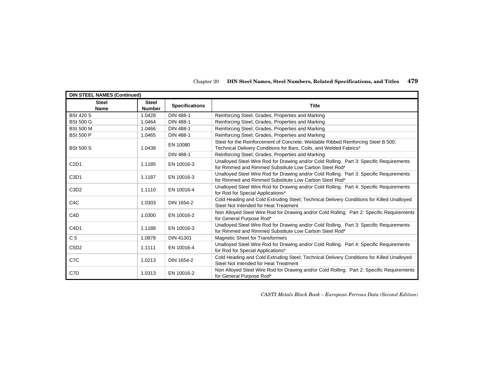| <b>DIN STEEL NAMES (Continued)</b> |                               |                       |                                                                                                                                                         |
|------------------------------------|-------------------------------|-----------------------|---------------------------------------------------------------------------------------------------------------------------------------------------------|
| <b>Steel</b><br>Name               | <b>Steel</b><br><b>Number</b> | <b>Specifications</b> | <b>Title</b>                                                                                                                                            |
| <b>BSt 420 S</b>                   | 1.0428                        | <b>DIN 488-1</b>      | Reinforcing Steel; Grades, Properties and Marking                                                                                                       |
| <b>BSt 500 G</b>                   | 1.0464                        | <b>DIN 488-1</b>      | Reinforcing Steel; Grades, Properties and Marking                                                                                                       |
| <b>BSt 500 M</b>                   | 1.0466                        | <b>DIN 488-1</b>      | Reinforcing Steel; Grades, Properties and Marking                                                                                                       |
| <b>BSt 500 P</b>                   | 1.0465                        | <b>DIN 488-1</b>      | Reinforcing Steel; Grades, Properties and Marking                                                                                                       |
| <b>BSt 500 S</b>                   | 1.0438                        | EN 10080              | Steel for the Reinforcement of Concrete; Weldable Ribbed Reinforcing Steel B 500;<br>Technical Delivery Conditions for Bars, Coils, and Welded Fabrics* |
|                                    |                               | <b>DIN 488-1</b>      | Reinforcing Steel; Grades, Properties and Marking                                                                                                       |
| C2D1                               | 1.1185                        | EN 10016-3            | Unalloyed Steel Wire Rod for Drawing and/or Cold Rolling. Part 3: Specific Requirements<br>for Rimmed and Rimmed Substitute Low Carbon Steel Rod*       |
| C <sub>3</sub> D <sub>1</sub>      | 1.1187                        | EN 10016-3            | Unalloyed Steel Wire Rod for Drawing and/or Cold Rolling. Part 3: Specific Requirements<br>for Rimmed and Rimmed Substitute Low Carbon Steel Rod*       |
| C <sub>3</sub> D <sub>2</sub>      | 1.1110                        | EN 10016-4            | Unalloyed Steel Wire Rod for Drawing and/or Cold Rolling. Part 4: Specific Requirements<br>for Rod for Special Applications*                            |
| C <sub>4</sub> C                   | 1.0303                        | DIN 1654-2            | Cold Heading and Cold Extruding Steel; Technical Delivery Conditions for Killed Unalloyed<br>Steel Not Intended for Heat Treatment                      |
| C <sub>4</sub> D                   | 1.0300                        | EN 10016-2            | Non Alloyed Steel Wire Rod for Drawing and/or Cold Rolling. Part 2: Specific Requirements<br>for General Purpose Rod*                                   |
| C <sub>4</sub> D <sub>1</sub>      | 1.1188                        | EN 10016-3            | Unalloyed Steel Wire Rod for Drawing and/or Cold Rolling. Part 3: Specific Requirements<br>for Rimmed and Rimmed Substitute Low Carbon Steel Rod*       |
| C <sub>5</sub>                     | 1.0878                        | <b>DIN 41301</b>      | <b>Magnetic Sheet for Transformers</b>                                                                                                                  |
| C <sub>5</sub> D <sub>2</sub>      | 1.1111                        | EN 10016-4            | Unalloyed Steel Wire Rod for Drawing and/or Cold Rolling. Part 4: Specific Requirements<br>for Rod for Special Applications*                            |
| C7C                                | 1.0213                        | DIN 1654-2            | Cold Heading and Cold Extruding Steel; Technical Delivery Conditions for Killed Unalloyed<br>Steel Not Intended for Heat Treatment                      |
| C7D                                | 1.0313                        | EN 10016-2            | Non Alloyed Steel Wire Rod for Drawing and/or Cold Rolling. Part 2: Specific Requirements<br>for General Purpose Rod*                                   |

#### Chapter 20 **DIN Steel Names, Steel Numbers, Related Specifications, and Titles 479**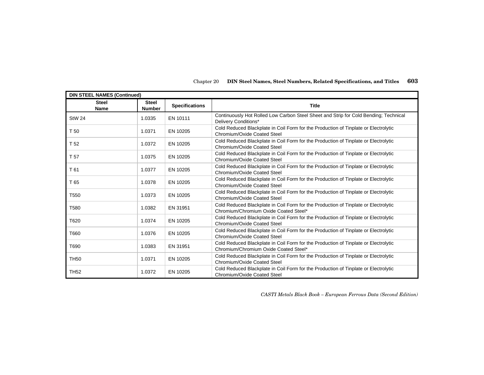| <b>DIN STEEL NAMES (Continued)</b> |                               |                       |                                                                                                                              |
|------------------------------------|-------------------------------|-----------------------|------------------------------------------------------------------------------------------------------------------------------|
| <b>Steel</b><br><b>Name</b>        | <b>Steel</b><br><b>Number</b> | <b>Specifications</b> | <b>Title</b>                                                                                                                 |
| <b>StW 24</b>                      | 1.0335                        | EN 10111              | Continuously Hot Rolled Low Carbon Steel Sheet and Strip for Cold Bending; Technical<br>Delivery Conditions*                 |
| T 50                               | 1.0371                        | EN 10205              | Cold Reduced Blackplate in Coil Form for the Production of Tinplate or Electrolytic<br>Chromium/Oxide Coated Steel           |
| T 52                               | 1.0372                        | EN 10205              | Cold Reduced Blackplate in Coil Form for the Production of Tinplate or Electrolytic<br>Chromium/Oxide Coated Steel           |
| T 57                               | 1.0375                        | EN 10205              | Cold Reduced Blackplate in Coil Form for the Production of Tinplate or Electrolytic<br>Chromium/Oxide Coated Steel           |
| T 61                               | 1.0377                        | EN 10205              | Cold Reduced Blackplate in Coil Form for the Production of Tinplate or Electrolytic<br>Chromium/Oxide Coated Steel           |
| T 65                               | 1.0378                        | EN 10205              | Cold Reduced Blackplate in Coil Form for the Production of Tinplate or Electrolytic<br>Chromium/Oxide Coated Steel           |
| T <sub>550</sub>                   | 1.0373                        | EN 10205              | Cold Reduced Blackplate in Coil Form for the Production of Tinplate or Electrolytic<br>Chromium/Oxide Coated Steel           |
| T580                               | 1.0382                        | EN 31951              | Cold Reduced Blackplate in Coil Form for the Production of Tinplate or Electrolytic<br>Chromium/Chromium Oxide Coated Steel* |
| T620                               | 1.0374                        | EN 10205              | Cold Reduced Blackplate in Coil Form for the Production of Tinplate or Electrolytic<br>Chromium/Oxide Coated Steel           |
| T660                               | 1.0376                        | EN 10205              | Cold Reduced Blackplate in Coil Form for the Production of Tinplate or Electrolytic<br>Chromium/Oxide Coated Steel           |
| T690                               | 1.0383                        | EN 31951              | Cold Reduced Blackplate in Coil Form for the Production of Tinplate or Electrolytic<br>Chromium/Chromium Oxide Coated Steel* |
| <b>TH50</b>                        | 1.0371                        | EN 10205              | Cold Reduced Blackplate in Coil Form for the Production of Tinplate or Electrolytic<br>Chromium/Oxide Coated Steel           |
| <b>TH52</b>                        | 1.0372                        | EN 10205              | Cold Reduced Blackplate in Coil Form for the Production of Tinplate or Electrolytic<br>Chromium/Oxide Coated Steel           |

#### Chapter 20 **DIN Steel Names, Steel Numbers, Related Specifications, and Titles 603**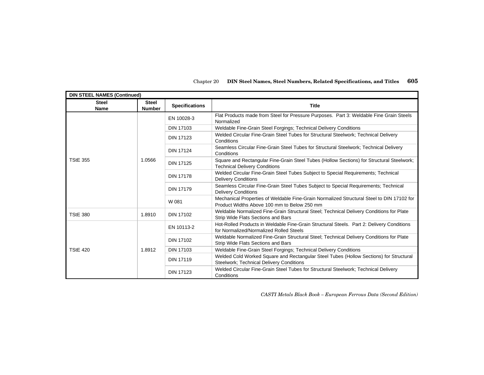#### **DIN STEEL NAMES (Continued) SteelNameSteelNumber Specifications Title** EN 10028-3 Flat Products made from Steel for Pressure Purposes. Part 3: Weldable Fine Grain Steels NormalizedDIN 17103 Weldable Fine-Grain Steel Forgings; Technical Delivery Conditions DIN 17123 Welded Circular Fine-Grain Steel Tubes for Structural Steelwork; Technical Delivery ConditionsDIN 17124 Seamless Circular Fine-Grain Steel Tubes for Structural Steelwork; Technical Delivery ConditionsDIN 17125 Square and Rectangular Fine-Grain Steel Tubes (Hollow Sections) for Structural Steelwork; Technical Delivery Conditions DIN 17178 Welded Circular Fine-Grain Steel Tubes Subject to Special Requirements; Technical Delivery Conditions DIN 17179 Seamless Circular Fine-Grain Steel Tubes Subject to Special Requirements; Technical Delivery Conditions TStE 355 1.0566 W 081 Mechanical Properties of Weldable Fine-Grain Normalized Structural Steel to DIN 17102 for Product Widths Above 100 mm to Below 250 mmTStE 380 1.8910 DIN 17102 Weldable Normalized Fine-Grain Structural Steel; Technical Delivery Conditions for Plate Strip Wide Flats Sections and Bars EN 10113-2 Hot-Rolled Products in Weldable Fine-Grain Structural Steels. Part 2: Delivery Conditions for Normalized/Normalized Rolled SteelsDIN 17102Weldable Normalized Fine-Grain Structural Steel; Technical Delivery Conditions for Plate Strip Wide Flats Sections and Bars DIN 17103 Weldable Fine-Grain Steel Forgings; Technical Delivery Conditions DIN 17119 Welded Cold Worked Square and Rectangular Steel Tubes (Hollow Sections) for Structural Steelwork; Technical Delivery Conditions TStE 420 1.8912 DIN 17123Welded Circular Fine-Grain Steel Tubes for Structural Steelwork; Technical Delivery Conditions

#### Chapter 20 **DIN Steel Names, Steel Numbers, Related Specifications, and Titles 605**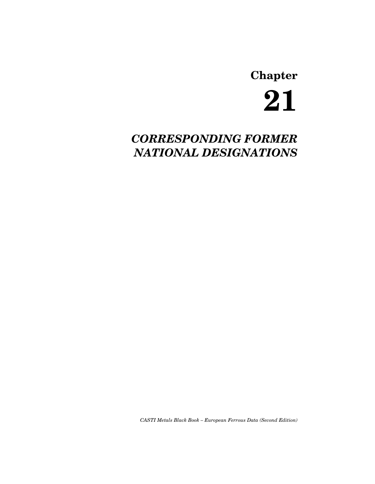### *CORRESPONDING FORMER NATIONAL DESIGNATIONS*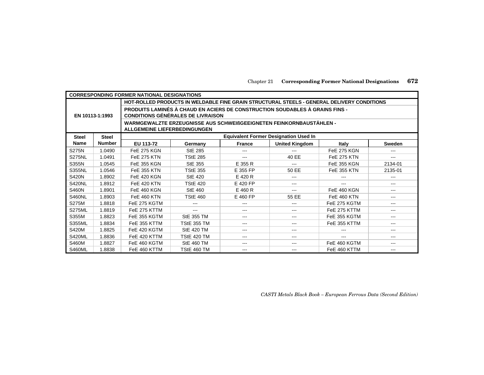|               | <b>CORRESPONDING FORMER NATIONAL DESIGNATIONS</b> |                                                                                                            |                                          |                   |                                                                                            |                    |               |  |  |  |
|---------------|---------------------------------------------------|------------------------------------------------------------------------------------------------------------|------------------------------------------|-------------------|--------------------------------------------------------------------------------------------|--------------------|---------------|--|--|--|
|               |                                                   |                                                                                                            |                                          |                   | HOT-ROLLED PRODUCTS IN WELDABLE FINE GRAIN STRUCTURAL STEELS - GENERAL DELIVERY CONDITIONS |                    |               |  |  |  |
|               |                                                   |                                                                                                            |                                          |                   | PRODUITS LAMINÉS À CHAUD EN ACIERS DE CONSTRUCTION SOUDABLES À GRAINS FINS -               |                    |               |  |  |  |
|               | EN 10113-1:1993                                   |                                                                                                            | <b>CONDITIONS GÉNÉRALES DE LIVRAISON</b> |                   |                                                                                            |                    |               |  |  |  |
|               |                                                   | WARMGEWALZTE ERZEUGNISSE AUS SCHWEIßGEEIGNETEN FEINKORNBAUSTÄHLEN -<br><b>ALLGEMEINE LIEFERBEDINGUNGEN</b> |                                          |                   |                                                                                            |                    |               |  |  |  |
| <b>Steel</b>  | <b>Steel</b>                                      |                                                                                                            |                                          |                   | <b>Equivalent Former Designation Used In</b>                                               |                    |               |  |  |  |
| <b>Name</b>   | <b>Number</b>                                     | EU 113-72                                                                                                  | Germany                                  | <b>France</b>     | <b>United Kingdom</b>                                                                      | Italy              | <b>Sweden</b> |  |  |  |
| S275N         | 1.0490                                            | FeE 275 KGN                                                                                                | <b>StE 285</b>                           | ---               |                                                                                            | FeE 275 KGN        | ---           |  |  |  |
| <b>S275NL</b> | 1.0491                                            | <b>FeE 275 KTN</b>                                                                                         | <b>TStE 285</b>                          | ---               | 40 EE                                                                                      | <b>FeE 275 KTN</b> | ---           |  |  |  |
| S355N         | 1.0545                                            | FeE 355 KGN                                                                                                | StE 355                                  | E 355 R           | $\qquad \qquad -$                                                                          | <b>FeE 355 KGN</b> | 2134-01       |  |  |  |
| <b>S355NL</b> | 1.0546                                            | <b>FeE 355 KTN</b>                                                                                         | <b>TStE 355</b>                          | E 355 FP          | 50 EE                                                                                      | <b>FeE 355 KTN</b> | 2135-01       |  |  |  |
| <b>S420N</b>  | 1.8902                                            | FeE 420 KGN                                                                                                | <b>StE 420</b>                           | E 420 R           | ---                                                                                        |                    | ---           |  |  |  |
| <b>S420NL</b> | 1.8912                                            | <b>FeE 420 KTN</b>                                                                                         | <b>TStE 420</b>                          | E 420 FP          | $---$                                                                                      | ---                | ---           |  |  |  |
| <b>S460N</b>  | 1.8901                                            | FeE 460 KGN                                                                                                | <b>StE 460</b>                           | E 460 R           | $---$                                                                                      | FeE 460 KGN        | ---           |  |  |  |
| <b>S460NL</b> | 1.8903                                            | <b>FeE 460 KTN</b>                                                                                         | <b>TStE 460</b>                          | E 460 FP          | 55 EE                                                                                      | <b>FeE 460 KTN</b> | ---           |  |  |  |
| S275M         | 1.8818                                            | FeE 275 KGTM                                                                                               |                                          |                   | ---                                                                                        | FeE 275 KGTM       | ---           |  |  |  |
| <b>S275ML</b> | 1.8819                                            | FeE 275 KTTM                                                                                               | ---                                      | ---               | $---$                                                                                      | FeE 275 KTTM       | ---           |  |  |  |
| S355M         | 1.8823                                            | FeE 355 KGTM                                                                                               | <b>StE 355 TM</b>                        | ---               | ---                                                                                        | FeE 355 KGTM       | ---           |  |  |  |
| <b>S355ML</b> | 1.8834                                            | FeE 355 KTTM                                                                                               | <b>TStE 355 TM</b>                       | ---               | $---$                                                                                      | FeE 355 KTTM       | ---           |  |  |  |
| S420M         | 1.8825                                            | FeE 420 KGTM                                                                                               | <b>StE 420 TM</b>                        | ---               | $---$                                                                                      | $---$              | ---           |  |  |  |
| <b>S420ML</b> | 1.8836                                            | FeE 420 KTTM                                                                                               | TStE 420 TM                              | ---               | $--$                                                                                       |                    | ---           |  |  |  |
| S460M         | 1.8827                                            | FeE 460 KGTM                                                                                               | <b>StE 460 TM</b>                        | $\qquad \qquad -$ | $---$                                                                                      | FeE 460 KGTM       | $\cdots$      |  |  |  |
| S460ML        | 1.8838                                            | FeE 460 KTTM                                                                                               | TStE 460 TM                              | $--$              | $---$                                                                                      | FeE 460 KTTM       | $\sim$ $\sim$ |  |  |  |

#### Chapter 21 **Corresponding Former National Designations 672**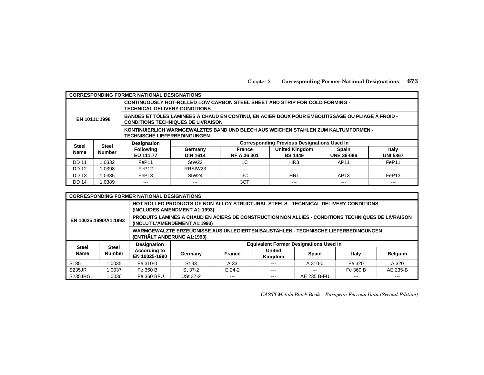Chapter 21 **Corresponding Former National Designations 673**

|                             | <b>CORRESPONDING FORMER NATIONAL DESIGNATIONS</b> |                               |                                                                                                                                               |                              |                                         |                                   |                          |  |  |  |
|-----------------------------|---------------------------------------------------|-------------------------------|-----------------------------------------------------------------------------------------------------------------------------------------------|------------------------------|-----------------------------------------|-----------------------------------|--------------------------|--|--|--|
|                             |                                                   |                               | <b>CONTINUOUSLY HOT-ROLLED LOW CARBON STEEL SHEET AND STRIP FOR COLD FORMING -</b><br><b>TECHNICAL DELIVERY CONDITIONS</b>                    |                              |                                         |                                   |                          |  |  |  |
|                             | EN 10111:1998                                     |                               | BANDES ET TÔLES LAMINÉES À CHAUD EN CONTINU, EN ACIER DOUX POUR EMBOUTISSAGE OU PLIAGE À FROID -<br><b>CONDITIONS TECHNIQUES DE LIVRAISON</b> |                              |                                         |                                   |                          |  |  |  |
|                             |                                                   |                               | KONTINUIERLICH WARMGEWALZTES BAND UND BLECH AUS WEICHEN STÄHLEN ZUM KALTUMFORMEN -<br><b>TECHNISCHE LIEFERBEDINGUNGEN</b>                     |                              |                                         |                                   |                          |  |  |  |
|                             |                                                   |                               | <b>Corresponding Previous Designations Used In</b>                                                                                            |                              |                                         |                                   |                          |  |  |  |
|                             |                                                   | <b>Designation</b>            |                                                                                                                                               |                              |                                         |                                   |                          |  |  |  |
| <b>Steel</b><br><b>Name</b> | <b>Steel</b><br><b>Number</b>                     | <b>Following</b><br>EU 111.77 | Germany<br><b>DIN 1614</b>                                                                                                                    | France<br><b>NF A 36 301</b> | <b>United Kingdom</b><br><b>BS 1449</b> | <b>Spain</b><br><b>UNE 36-086</b> | Italy<br><b>UNI 5867</b> |  |  |  |
| <b>DD 11</b>                | 1.0332                                            | FeP11                         | StW <sub>22</sub>                                                                                                                             | 1C                           | HR <sub>3</sub>                         | AP11                              | FeP11                    |  |  |  |
| <b>DD 12</b>                | 1.0398                                            | FeP <sub>12</sub>             | RRStW23                                                                                                                                       | ---                          | $---$                                   | ---                               | ---                      |  |  |  |
| DD 13                       | 1.0335                                            | FeP <sub>13</sub>             | StW24                                                                                                                                         | ЗC                           | HR <sub>1</sub>                         | AP13                              | FeP <sub>13</sub>        |  |  |  |

| <b>CORRESPONDING FORMER NATIONAL DESIGNATIONS</b>                                                                                                            |               |                                                                                                                  |                                                                                                                    |               |                   |                   |          |                |  |  |
|--------------------------------------------------------------------------------------------------------------------------------------------------------------|---------------|------------------------------------------------------------------------------------------------------------------|--------------------------------------------------------------------------------------------------------------------|---------------|-------------------|-------------------|----------|----------------|--|--|
|                                                                                                                                                              |               |                                                                                                                  | HOT ROLLED PRODUCTS OF NON-ALLOY STRUCTURAL STEELS - TECHNICAL DELIVERY CONDITIONS<br>(INCLUDES AMENDMENT A1:1993) |               |                   |                   |          |                |  |  |
| PRODUITS LAMINÉS À CHAUD EN ACIERS DE CONSTRUCTION NON ALLIÉS - CONDITIONS TECHNIQUES DE LIVRAISON<br>EN 10025:1990/A1:1993<br>(INCLUT L'AMENDEMENT A1:1993) |               |                                                                                                                  |                                                                                                                    |               |                   |                   |          |                |  |  |
|                                                                                                                                                              |               | WARMGEWALZTE ERZEUGNISSE AUS UNLEGIERTEN BAUSTÄHLEN - TECHNISCHE LIEFERBEDINGUNGEN<br>(ENTHÄLT ÄNDERUNG A1:1993) |                                                                                                                    |               |                   |                   |          |                |  |  |
| <b>Steel</b>                                                                                                                                                 | <b>Steel</b>  | <b>Designation</b>                                                                                               | <b>Equivalent Former Designations Used In</b>                                                                      |               |                   |                   |          |                |  |  |
| <b>Name</b>                                                                                                                                                  | <b>Number</b> | <b>According to</b><br>EN 10025-1990                                                                             | Germany                                                                                                            | <b>France</b> | United<br>Kingdom | <b>Spain</b>      | Italy    | <b>Belgium</b> |  |  |
| S <sub>185</sub>                                                                                                                                             | 1.0035        | Fe 310-0                                                                                                         | St 33                                                                                                              | A 33          | $- - -$           | A 310-0           | Fe 320   | A 320          |  |  |
| <b>S235JR</b>                                                                                                                                                | 1.0037        | Fe 360 B                                                                                                         | St 37-2                                                                                                            | $E$ 24-2      | ---               | $\qquad \qquad -$ | Fe 360 B | AE 235-B       |  |  |
| S235JRG1                                                                                                                                                     | 1.0036        | Fe 360 BFU                                                                                                       | <b>USt 37-2</b>                                                                                                    | ---           | ---               | AE 235 B-FU       | ---      | $--$           |  |  |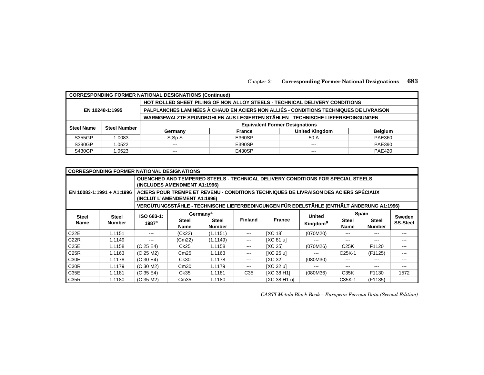|                   |                     | <b>CORRESPONDING FORMER NATIONAL DESIGNATIONS (Continued)</b>                 |        |                                                                                        |                |  |  |  |  |  |
|-------------------|---------------------|-------------------------------------------------------------------------------|--------|----------------------------------------------------------------------------------------|----------------|--|--|--|--|--|
|                   |                     | HOT ROLLED SHEET PILING OF NON ALLOY STEELS - TECHNICAL DELIVERY CONDITIONS   |        |                                                                                        |                |  |  |  |  |  |
|                   | EN 10248-1:1995     |                                                                               |        | PALPLANCHES LAMINÉES À CHAUD EN ACIERS NON ALLIÉS - CONDITIONS TECHNIQUES DE LIVRAISON |                |  |  |  |  |  |
|                   |                     | WARMGEWALZTE SPUNDBOHLEN AUS LEGIERTEN STÄHLEN - TECHNISCHE LIEFERBEDINGUNGEN |        |                                                                                        |                |  |  |  |  |  |
|                   |                     | <b>Equivalent Former Designations</b>                                         |        |                                                                                        |                |  |  |  |  |  |
| <b>Steel Name</b> | <b>Steel Number</b> |                                                                               |        |                                                                                        |                |  |  |  |  |  |
|                   |                     | Germany                                                                       | France | <b>United Kingdom</b>                                                                  | <b>Belgium</b> |  |  |  |  |  |
| S355GP            | 1.0083              | StSp S                                                                        | E360SP | 50 A                                                                                   | PAE360         |  |  |  |  |  |
| S390GP            | 1.0522              | $- - -$                                                                       | E390SP | $- - -$                                                                                | <b>PAE390</b>  |  |  |  |  |  |

| Chapter 21 | <b>Corresponding Former National Designations</b> | 683 |
|------------|---------------------------------------------------|-----|
|            |                                                   |     |

|                                                                                                                                                     | <b>CORRESPONDING FORMER NATIONAL DESIGNATIONS</b> |            |                              |                               |                        |                                                                                           |                      |                             |                               |                 |
|-----------------------------------------------------------------------------------------------------------------------------------------------------|---------------------------------------------------|------------|------------------------------|-------------------------------|------------------------|-------------------------------------------------------------------------------------------|----------------------|-----------------------------|-------------------------------|-----------------|
|                                                                                                                                                     |                                                   |            | (INCLUDES AMENDMENT A1:1996) |                               |                        | QUENCHED AND TEMPERED STEELS - TECHNICAL DELIVERY CONDITIONS FOR SPECIAL STEELS           |                      |                             |                               |                 |
| ACIERS POUR TREMPE ET REVENU - CONDITIONS TECHNIQUES DE LIVRAISON DES ACIERS SPÉCIAUX<br>EN 10083-1:1991 + A1:1996<br>(INCLUT L'AMENDEMENT A1:1996) |                                                   |            |                              |                               |                        |                                                                                           |                      |                             |                               |                 |
|                                                                                                                                                     |                                                   |            |                              |                               |                        | VERGÜTUNGSSTÄHLE - TECHNISCHE LIEFERBEDINGUNGEN FÜR EDELSTÄHLE (ENTHÄLT ÄNDERUNG A1:1996) |                      |                             |                               |                 |
| <b>Steel</b><br><b>Steel</b>                                                                                                                        |                                                   | ISO 683-1: |                              | Germany <sup>a</sup>          |                        |                                                                                           | <b>United</b>        | <b>Spain</b>                |                               | Sweden          |
| Name                                                                                                                                                | <b>Number</b>                                     | 1987a      | <b>Steel</b><br>Name         | <b>Steel</b><br><b>Number</b> | <b>Finland</b>         | <b>France</b>                                                                             | Kingdom <sup>a</sup> | <b>Steel</b><br><b>Name</b> | <b>Steel</b><br><b>Number</b> | <b>SS-Steel</b> |
| C <sub>2</sub> 2E                                                                                                                                   | 1.1151                                            | ---        | (Ck22)                       | (1.1151)                      | ---                    | [XC 18]                                                                                   | (070M20)             | ---                         | ---                           |                 |
| C <sub>2</sub> 2R                                                                                                                                   | 1.1149                                            | ---        | (Cm22)                       | (1.1149)                      | ---                    | [XC 81 u]                                                                                 |                      | ---                         | ---                           |                 |
| C25E                                                                                                                                                | 1.1158                                            | (C 25 E4)  | Ck25                         | 1.1158                        | ---                    | [XC 25]                                                                                   | (070M26)             | C25K                        | F1120                         | $- - -$         |
| C <sub>25R</sub>                                                                                                                                    | 1.1163                                            | (C 25 M2)  | Cm25                         | 1.1163                        | ---                    | [XC 25 u]                                                                                 |                      | $C25K-1$                    | (F1125)                       |                 |
| C <sub>30</sub> E                                                                                                                                   | 1.1178                                            | (C 30 E4)  | Ck30                         | 1.1178                        | ---                    | [XC 32]                                                                                   | (080M30)             | ---                         | ---                           | $- - -$         |
| C <sub>30</sub> R                                                                                                                                   | 1.1179                                            | (C 30 M2)  | C <sub>m30</sub>             | 1.1179                        | ---                    | [XC 32 u]                                                                                 | ---                  |                             | ---                           |                 |
| C <sub>35</sub> E                                                                                                                                   | 1.1181                                            | (C 35 E4)  | Ck35                         | 1.1181                        | C <sub>35</sub>        | [XC 38 H1]                                                                                | (080M36)             | C35K                        | F1130                         | 1572            |
| C35R                                                                                                                                                | 1.1180                                            | (C 35 M2)  | Cm35                         | 1.1180                        | $\qquad \qquad \cdots$ | [XC 38 H1 u]                                                                              | ---                  | $C35K-1$                    | (F1135)                       |                 |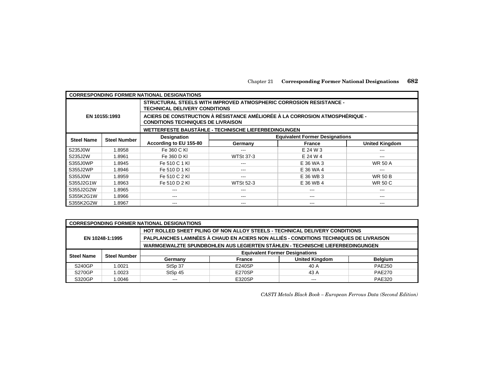#### Chapter 21 **Corresponding Former National Designations 682**

|                                                      | <b>CORRESPONDING FORMER NATIONAL DESIGNATIONS</b> |                                                                                                                           |                                                   |           |                |  |  |  |  |  |  |
|------------------------------------------------------|---------------------------------------------------|---------------------------------------------------------------------------------------------------------------------------|---------------------------------------------------|-----------|----------------|--|--|--|--|--|--|
|                                                      |                                                   | <b>STRUCTURAL STEELS WITH IMPROVED ATMOSPHERIC CORROSION RESISTANCE -</b><br><b>TECHNICAL DELIVERY CONDITIONS</b>         |                                                   |           |                |  |  |  |  |  |  |
|                                                      | EN 10155:1993                                     | ACIERS DE CONSTRUCTION À RÉSISTANCE AMÉLIORÉE À LA CORROSION ATMOSPHÉRIQUE -<br><b>CONDITIONS TECHNIQUES DE LIVRAISON</b> |                                                   |           |                |  |  |  |  |  |  |
| WETTERFESTE BAUSTÄHLE - TECHNISCHE LIEFERBEDINGUNGEN |                                                   |                                                                                                                           |                                                   |           |                |  |  |  |  |  |  |
| <b>Steel Name</b>                                    |                                                   | <b>Equivalent Former Designations</b><br><b>Designation</b><br><b>Steel Number</b>                                        |                                                   |           |                |  |  |  |  |  |  |
|                                                      |                                                   | According to EU 155-80                                                                                                    | <b>United Kingdom</b><br><b>France</b><br>Germany |           |                |  |  |  |  |  |  |
| S235J0W                                              | 1.8958                                            | Fe 360 C KI                                                                                                               |                                                   | E 24 W 3  | ---            |  |  |  |  |  |  |
| S235J2W                                              | 1.8961                                            | Fe 360 D KI                                                                                                               | <b>WTSt 37-3</b>                                  | E 24 W 4  | $---$          |  |  |  |  |  |  |
| S355J0WP                                             | 1.8945                                            | Fe 510 C 1 KI                                                                                                             |                                                   | E 36 WA 3 | <b>WR 50 A</b> |  |  |  |  |  |  |
| S355J2WP                                             | 1.8946                                            | Fe 510 D 1 KI                                                                                                             | ---                                               | E 36 WA 4 | ---            |  |  |  |  |  |  |
| S355J0W                                              | 1.8959                                            | Fe 510 C 2 KI                                                                                                             | ---                                               | E 36 WB 3 | <b>WR 50 B</b> |  |  |  |  |  |  |
| S355J2G1W                                            | 1.8963                                            | Fe 510 D 2 KI                                                                                                             | <b>WTSt 52-3</b>                                  | E 36 WB 4 | <b>WR 50 C</b> |  |  |  |  |  |  |
| S355J2G2W                                            | 1.8965                                            | $-- -$                                                                                                                    | ---                                               | $--$      | ---            |  |  |  |  |  |  |
| S355K2G1W                                            | 1.8966                                            | ---                                                                                                                       | ---                                               | $-- -$    | ---            |  |  |  |  |  |  |
| S355K2G2W                                            | 1.8967                                            | $- - -$                                                                                                                   | $---$<br>---<br>---                               |           |                |  |  |  |  |  |  |

|                                                                                                           | <b>CORRESPONDING FORMER NATIONAL DESIGNATIONS</b>                             |                                                                             |        |                       |                |  |  |  |  |  |
|-----------------------------------------------------------------------------------------------------------|-------------------------------------------------------------------------------|-----------------------------------------------------------------------------|--------|-----------------------|----------------|--|--|--|--|--|
|                                                                                                           |                                                                               | HOT ROLLED SHEET PILING OF NON ALLOY STEELS - TECHNICAL DELIVERY CONDITIONS |        |                       |                |  |  |  |  |  |
| PALPLANCHES LAMINÉES À CHAUD EN ACIERS NON ALLIÉS - CONDITIONS TECHNIQUES DE LIVRAISON<br>EN 10248-1:1995 |                                                                               |                                                                             |        |                       |                |  |  |  |  |  |
|                                                                                                           | WARMGEWALZTE SPUNDBOHLEN AUS LEGIERTEN STÄHLEN - TECHNISCHE LIEFERBEDINGUNGEN |                                                                             |        |                       |                |  |  |  |  |  |
| <b>Steel Name</b>                                                                                         | <b>Steel Number</b>                                                           | <b>Equivalent Former Designations</b>                                       |        |                       |                |  |  |  |  |  |
|                                                                                                           |                                                                               | Germany                                                                     | France | <b>United Kingdom</b> | <b>Belgium</b> |  |  |  |  |  |
| S240GP                                                                                                    | 1.0021                                                                        | StSp 37                                                                     | E240SP | 40 A                  | <b>PAE250</b>  |  |  |  |  |  |
| <b>S270GP</b>                                                                                             | 1.0023                                                                        | StSp 45<br><b>PAE270</b><br>E270SP<br>43 A                                  |        |                       |                |  |  |  |  |  |
| S320GP                                                                                                    | 1.0046                                                                        | ---                                                                         | E320SP | $- - -$               | <b>PAE320</b>  |  |  |  |  |  |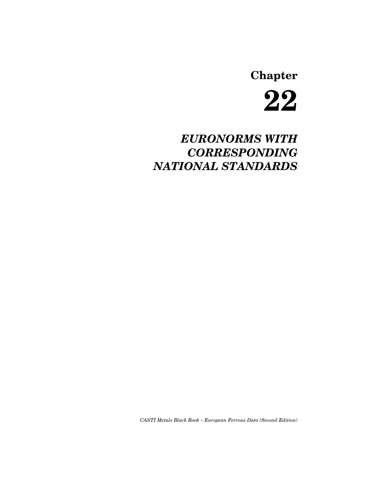## **22**

## *EURONORMS WITH CORRESPONDING NATIONAL STANDARDS*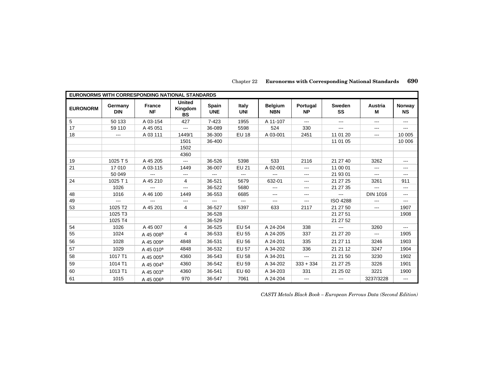| <b>EURONORMS WITH CORRESPONDING NATIONAL STANDARDS</b> |                       |                            |                                       |                     |                        |                              |                       |                          |                        |                     |  |
|--------------------------------------------------------|-----------------------|----------------------------|---------------------------------------|---------------------|------------------------|------------------------------|-----------------------|--------------------------|------------------------|---------------------|--|
| <b>EURONORM</b>                                        | Germany<br><b>DIN</b> | <b>France</b><br><b>NF</b> | <b>United</b><br>Kingdom<br><b>BS</b> | Spain<br><b>UNE</b> | Italy<br><b>UNI</b>    | <b>Belgium</b><br><b>NBN</b> | Portugal<br><b>NP</b> | <b>Sweden</b><br>SS      | Austria<br>M           | Norway<br><b>NS</b> |  |
| 5                                                      | 50 133                | A 03-154                   | 427                                   | 7-423               | 1955                   | A 11-107                     | $\frac{1}{2}$         | $\cdots$                 | ---                    | $\cdots$            |  |
| 17                                                     | 59 110                | A 45 051                   | $\qquad \qquad -$                     | 36-089              | 5598                   | 524                          | 330                   | $\overline{\phantom{a}}$ | $\qquad \qquad \cdots$ | $---$               |  |
| 18                                                     | $\frac{1}{2}$         | A 03 111                   | 1449/1                                | 36-300              | <b>EU 18</b>           | A 03-001                     | 2451                  | 11 01 20                 | $\frac{1}{2}$          | 10 005              |  |
|                                                        |                       |                            | 1501                                  | 36-400              |                        |                              |                       | 11 01 05                 |                        | 10 006              |  |
|                                                        |                       |                            | 1502                                  |                     |                        |                              |                       |                          |                        |                     |  |
|                                                        |                       |                            | 4360                                  |                     |                        |                              |                       |                          |                        |                     |  |
| 19                                                     | 1025 T 5              | A 45 205                   | $\overline{\phantom{a}}$              | 36-526              | 5398                   | 533                          | 2116                  | 21 27 40                 | 3262                   | ---                 |  |
| 21                                                     | 17010                 | A 03-115                   | 1449                                  | 36-007              | EU 21                  | A 02-001                     | ---                   | 11 00 01                 | $\qquad \qquad \cdots$ | $---$               |  |
|                                                        | 50 049                | $\qquad \qquad -$          | $\qquad \qquad -$                     | ---                 | $\qquad \qquad \cdots$ | $---$                        | ---                   | 21 93 01                 | $\cdots$               | $---$               |  |
| 24                                                     | 1025 T 1              | A 45 210                   | 4                                     | 36-521              | 5679                   | 632-01                       | $\frac{1}{2}$         | 21 27 25                 | 3261                   | 911                 |  |
|                                                        | 1026                  | ---                        | ---                                   | 36-522              | 5680                   | $\qquad \qquad \cdots$       | $\qquad \qquad -$     | 21 27 35                 |                        | $\qquad \qquad -$   |  |
| 48                                                     | 1016                  | A 46 100                   | 1449                                  | 36-553              | 6685                   | $\cdots$                     | ---                   | $\overline{a}$           | <b>DIN 1016</b>        | $\frac{1}{2}$       |  |
| 49                                                     | ---                   | $\frac{1}{2}$              | $\qquad \qquad \cdots$                | ---                 | $\sim$ $\sim$ $\sim$   | $\cdots$                     | $\cdots$              | <b>ISO 4288</b>          | ---                    | $\cdots$            |  |
| 53                                                     | 1025 T <sub>2</sub>   | A 45 201                   | 4                                     | 36-527              | 5397                   | 633                          | 2117                  | 21 27 50                 | ---                    | 1907                |  |
|                                                        | 1025 T3               |                            |                                       | 36-528              |                        |                              |                       | 21 27 51                 |                        | 1908                |  |
|                                                        | 1025 T4               |                            |                                       | 36-529              |                        |                              |                       | 21 27 52                 |                        |                     |  |
| 54                                                     | 1026                  | A 45 007                   | 4                                     | 36-525              | EU 54                  | A 24-204                     | 338                   | ---                      | 3260                   | $\cdots$            |  |
| 55                                                     | 1024                  | A 45 008 <sup>a</sup>      | 4                                     | 36-533              | EU 55                  | A 24-205                     | 337                   | 21 27 20                 | $\frac{1}{2}$          | 1905                |  |
| 56                                                     | 1028                  | A 45 009 <sup>a</sup>      | 4848                                  | 36-531              | EU 56                  | A 24-201                     | 335                   | 21 27 11                 | 3246                   | 1903                |  |
| 57                                                     | 1029                  | A 45 010 <sup>a</sup>      | 4848                                  | 36-532              | EU 57                  | A 34-202                     | 336                   | 21 21 12                 | 3247                   | 1904                |  |
| 58                                                     | 1017 T1               | A 45 005 <sup>a</sup>      | 4360                                  | 36-543              | <b>EU 58</b>           | A 34-201                     | $\frac{1}{2}$         | 21 21 50                 | 3230                   | 1902                |  |
| 59                                                     | 1014 T1               | A 45 004 <sup>a</sup>      | 4360                                  | 36-542              | EU 59                  | A 34-202                     | $333 + 334$           | 21 27 25                 | 3226                   | 1901                |  |
| 60                                                     | 1013 T1               | A 45 003 <sup>a</sup>      | 4360                                  | 36-541              | EU 60                  | A 34-203                     | 331                   | 21 25 02                 | 3221                   | 1900                |  |
| 61                                                     | 1015                  | A 45 006 <sup>a</sup>      | 970                                   | 36-547              | 7061                   | A 24-204                     | $---$                 | $\qquad \qquad \cdots$   | 3237/3228              | $\cdots$            |  |

#### Chapter 22 **Euronorms with Corresponding National Standards 690**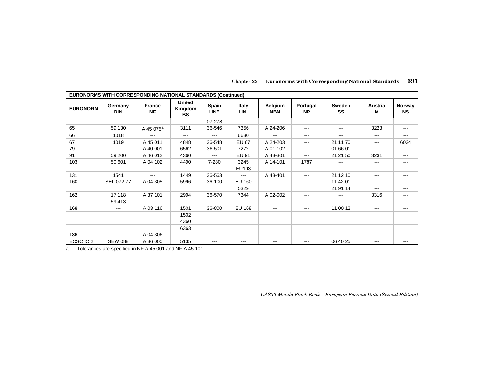| <b>EURONORMS WITH CORRESPONDING NATIONAL STANDARDS (Continued)</b> |                       |                            |                                       |                     |                        |                              |                       |              |                   |                           |  |
|--------------------------------------------------------------------|-----------------------|----------------------------|---------------------------------------|---------------------|------------------------|------------------------------|-----------------------|--------------|-------------------|---------------------------|--|
| <b>EURONORM</b>                                                    | Germany<br><b>DIN</b> | <b>France</b><br><b>NF</b> | <b>United</b><br>Kingdom<br><b>BS</b> | Spain<br><b>UNE</b> | Italy<br><b>UNI</b>    | <b>Belgium</b><br><b>NBN</b> | Portugal<br><b>NP</b> | Sweden<br>SS | Austria<br>м      | Norway<br><b>NS</b>       |  |
|                                                                    |                       |                            |                                       | 07-278              |                        |                              |                       |              |                   |                           |  |
| 65                                                                 | 59 130                | A 45 075 <sup>a</sup>      | 3111                                  | 36-546              | 7356                   | A 24-206                     | $- - -$               | $---$        | 3223              | $---$                     |  |
| 66                                                                 | 1018                  | $---$                      | $---$                                 | $\cdots$            | 6630                   | $\cdots$                     | $--$                  | $\cdots$     | $---$             | $---$                     |  |
| 67                                                                 | 1019                  | A 45 011                   | 4848                                  | 36-548              | EU 67                  | A 24-203                     | $---$                 | 21 11 70     | $\qquad \qquad -$ | 6034                      |  |
| 79                                                                 | $---$                 | A 40 001                   | 6562                                  | 36-501              | 7272                   | A 01-102                     | $--$                  | 01 66 01     | ---               | $---$                     |  |
| 91                                                                 | 59 200                | A 46 012                   | 4360                                  | ---                 | EU 91                  | A 43-301                     | ---                   | 21 21 50     | 3231              | ---                       |  |
| 103                                                                | 50 601                | A 04 102                   | 4490                                  | 7-280               | 3245                   | A 14-101                     | 1787                  | ---          | ---               | ---                       |  |
|                                                                    |                       |                            |                                       |                     | EU103                  |                              |                       |              |                   |                           |  |
| 131                                                                | 1541                  | $---$                      | 1449                                  | 36-563              | $---$                  | A 43-401                     | $---$                 | 21 12 10     | ---               | ---                       |  |
| 160                                                                | SEL 072-77            | A 04 305                   | 5996                                  | 36-100              | EU 160                 | $\cdots$                     | $---$                 | 11 42 01     | ---               | ---                       |  |
|                                                                    |                       |                            |                                       |                     | 5329                   |                              |                       | 21 91 14     | ---               | ---                       |  |
| 162                                                                | 17 118                | A 37 101                   | 2994                                  | 36-570              | 7344                   | A 02-002                     | $\qquad \qquad -$     | ---          | 3316              | $\qquad \qquad -\qquad -$ |  |
|                                                                    | 59 413                | $---$                      | $\qquad \qquad -\qquad -$             | $---$               | $---$                  | $---$                        | ---                   | $---$        | $---$             | ---                       |  |
| 168                                                                | ---                   | A 03 116                   | 1501                                  | 36-800              | EU 168                 | ---                          | ---                   | 11 00 12     | ---               | ---                       |  |
|                                                                    |                       |                            | 1502                                  |                     |                        |                              |                       |              |                   |                           |  |
|                                                                    |                       |                            | 4360                                  |                     |                        |                              |                       |              |                   |                           |  |
|                                                                    |                       |                            | 6363                                  |                     |                        |                              |                       |              |                   |                           |  |
| 186                                                                | $---$                 | A 04 306                   | ---                                   | $---$               | ---                    | $---$                        | ---                   | $---$        | ---               | ---                       |  |
| ECSC IC <sub>2</sub>                                               | <b>SEW 088</b>        | A 36 000                   | 5135                                  | ---                 | $\qquad \qquad \cdots$ | ---                          | ---                   | 06 40 25     | ---               | ---                       |  |

#### Chapter 22 **Euronorms with Corresponding National Standards 691**

a. Tolerances are specified in NF A 45 001 and NF A 45 101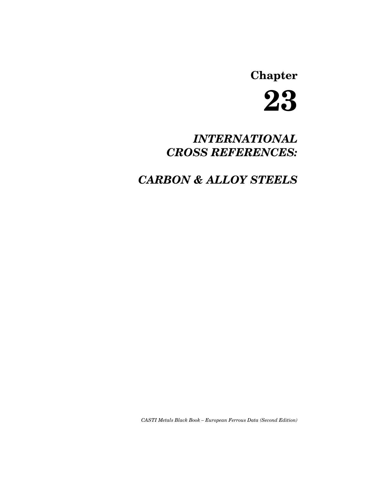## **23**

## *INTERNATIONAL CROSS REFERENCES:*

*CARBON & ALLOY STEELS*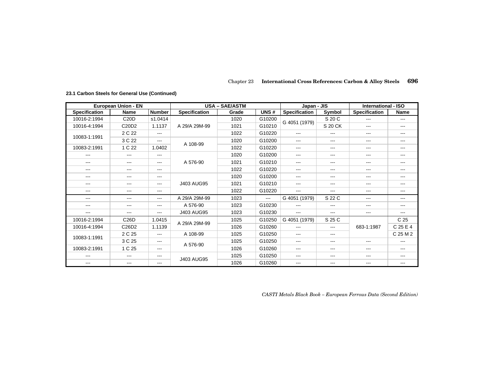#### Chapter 23 **International Cross References: Carbon & Alloy Steels 696**

|                      | <b>European Union - EN</b>     |                   |                      | <b>USA - SAE/ASTM</b> |        | Japan - JIS          |                        | <b>International - ISO</b> |                                |
|----------------------|--------------------------------|-------------------|----------------------|-----------------------|--------|----------------------|------------------------|----------------------------|--------------------------------|
| <b>Specification</b> | <b>Name</b>                    | <b>Number</b>     | <b>Specification</b> | Grade                 | UNS#   | <b>Specification</b> | Symbol                 | <b>Specification</b>       | <b>Name</b>                    |
| 10016-2:1994         | C20D                           | s1.0414           |                      | 1020                  | G10200 |                      | S 20 C                 | $---$                      | $---$                          |
| 10016-4:1994         | C20D2                          | 1.1137            | A 29/A 29M-99        | 1021                  | G10210 | G 4051 (1979)        | S 20 CK                | ---                        | ---                            |
| 10083-1:1991         | 2 C 22                         | $---$             |                      | 1022                  | G10220 | ---                  | ---                    | ---                        | ---                            |
|                      | 3 C 22                         | ---               |                      | 1020                  | G10200 | $---$                | ---                    | ---                        | ---                            |
| 10083-2:1991         | 1 C 22                         | 1.0402            | A 108-99             | 1022                  | G10220 | $---$                | $---$                  | ---                        | ---                            |
| ---                  | $---$                          | ---               |                      | 1020                  | G10200 | $---$                | ---                    | ---                        | ---                            |
| $- - -$              | $---$                          | ---               | A 576-90             | 1021                  | G10210 | $---$                | ---                    | ---                        | ---                            |
| $- - -$              | $---$                          | $---$             |                      | 1022                  | G10220 | $---$                | $- - -$                | ---                        | ---                            |
| $---$                | $---$                          | $\qquad \qquad -$ |                      | 1020                  | G10200 | ---                  | ---                    | ---                        | $---$                          |
| $---$                | $---$                          | ---               | <b>J403 AUG95</b>    | 1021                  | G10210 | $---$                | $  -$                  | $---$                      | ---                            |
| $- - -$              | $---$                          | ---               |                      | 1022                  | G10220 | $---$                | ---                    | ---                        | ---                            |
| $---$                | $---$                          | $\qquad \qquad -$ | A 29/A 29M-99        | 1023                  | ---    | G 4051 (1979)        | S 22 C                 | ---                        | $---$                          |
| $---$                | $---$                          | ---               | A 576-90             | 1023                  | G10230 | ---                  | $--$                   | ---                        | ---                            |
| $--$                 | $---$                          | $---$             | <b>J403 AUG95</b>    | 1023                  | G10230 | $---$                | $---$                  | $\qquad \qquad \cdots$     | $---$                          |
| 10016-2:1994         | C26D                           | 1.0415            | A 29/A 29M-99        | 1025                  | G10250 | G 4051 (1979)        | S 25 C                 |                            | C <sub>25</sub>                |
| 10016-4:1994         | C <sub>26</sub> D <sub>2</sub> | 1.1139            |                      | 1026                  | G10260 | ---                  | $  -$                  | 683-1:1987                 | C <sub>25</sub> E <sub>4</sub> |
| 10083-1:1991         | 2 C 25                         | $---$             | A 108-99             | 1025                  | G10250 | ---                  | ---                    |                            | C 25 M 2                       |
|                      | 3 C 25                         | $\qquad \qquad -$ |                      | 1025                  | G10250 | $---$                | $\qquad \qquad \cdots$ | ---                        | ---                            |
| 10083-2:1991         | 1 C 25                         | ---               | A 576-90             | 1026                  | G10260 | ---                  | ---                    | ---                        | ---                            |
| $- - -$              | $---$                          | $- - -$           |                      | 1025                  | G10250 | $--$                 | $\sim$ $\sim$          | $- - -$                    | ---                            |
| ---                  | $--$                           | ---               | <b>J403 AUG95</b>    | 1026                  | G10260 | ---                  | ---                    | ---                        | ---                            |

#### **23.1 Carbon Steels for General Use (Continued)**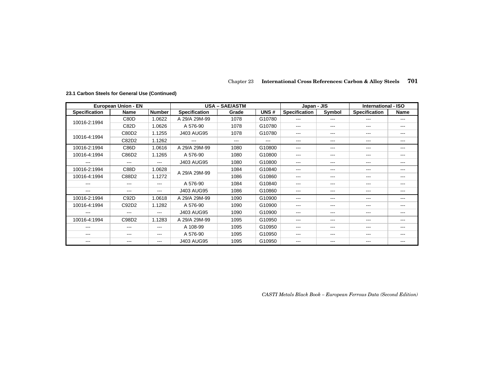#### Chapter 23 **International Cross References: Carbon & Alloy Steels 701**

|                      | European Union - EN |               |                      | <b>USA – SAE/ASTM</b> |                   | Japan - JIS          |         | <b>International - ISO</b> |             |
|----------------------|---------------------|---------------|----------------------|-----------------------|-------------------|----------------------|---------|----------------------------|-------------|
| <b>Specification</b> | Name                | <b>Number</b> | <b>Specification</b> | Grade                 | UNS#              | <b>Specification</b> | Symbol  | <b>Specification</b>       | <b>Name</b> |
| 10016-2.1994         | C80D                | 1.0622        | A 29/A 29M-99        | 1078                  | G10780            | $---$                | ---     | $---$                      | $---$       |
|                      | C82D                | 1.0626        | A 576-90             | 1078                  | G10780            | $---$                | $---$   | $---$                      | $---$       |
|                      | C80D2               | 1.1255        | <b>J403 AUG95</b>    | 1078                  | G10780            | $---$                | $---$   | $---$                      | $---$       |
| 10016-4.1994         | C82D2               | 1.1262        | $\qquad \qquad -$    | $---$                 | $\qquad \qquad -$ | $---$                | $--$    | $---$                      | $- - -$     |
| 10016-2:1994         | C86D                | 1.0616        | A 29/A 29M-99        | 1080                  | G10800            | $---$                | $---$   | $---$                      | $- - -$     |
| 10016-4:1994         | C86D2               | 1.1265        | A 576-90             | 1080                  | G10800            | $---$                | ---     | $--$                       | $--$        |
| ---                  | $- - -$             | ---           | <b>J403 AUG95</b>    | 1080                  | G10800            | $- - -$              | ---     | $- - -$                    | $- - -$     |
| 10016-2:1994         | C88D                | 1.0628        |                      | 1084                  | G10840            | ---                  | $---$   | $---$                      | $---$       |
| 10016-4:1994         | C88D2               | 1.1272        | A 29/A 29M-99        | 1086                  | G10860            | $---$                | $---$   | $---$                      | $---$       |
| ---                  | $- - -$             | ---           | A 576-90             | 1084                  | G10840            | $\qquad \qquad -$    | $- - -$ | $---$                      | $- - -$     |
| $- - -$              | $- - -$             | ---           | <b>J403 AUG95</b>    | 1086                  | G10860            | $- - -$              | ---     | $---$                      | $- - -$     |
| 10016-2:1994         | C92D                | 1.0618        | A 29/A 29M-99        | 1090                  | G10900            | $---$                | $- - -$ | $---$                      | $- - -$     |
| 10016-4:1994         | C92D2               | 1.1282        | A 576-90             | 1090                  | G10900            | $---$                | ---     | $---$                      | $- - -$     |
| ---                  | ---                 | ---           | <b>J403 AUG95</b>    | 1090                  | G10900            | ---                  | ---     | $---$                      | ---         |
| 10016-4:1994         | C98D2               | 1.1283        | A 29/A 29M-99        | 1095                  | G10950            | $---$                | ---     | $---$                      | $---$       |
| $---$                | $---$               | ---           | A 108-99             | 1095                  | G10950            | $---$                | ---     | $---$                      | $---$       |
| $- - -$              | $- - -$             | ---           | A 576-90             | 1095                  | G10950            | $\qquad \qquad -$    | ---     | $- - -$                    | $- - -$     |
| $- - -$              | $- - -$             | ---           | <b>J403 AUG95</b>    | 1095                  | G10950            | $\qquad \qquad -$    | $- - -$ | $- - -$                    | $- - -$     |

#### **23.1 Carbon Steels for General Use (Continued)**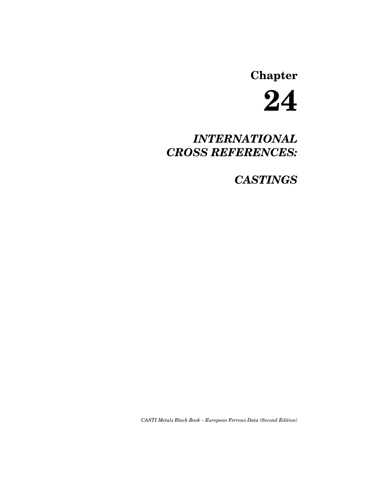## **24**

## *INTERNATIONAL CROSS REFERENCES:*

*CASTINGS*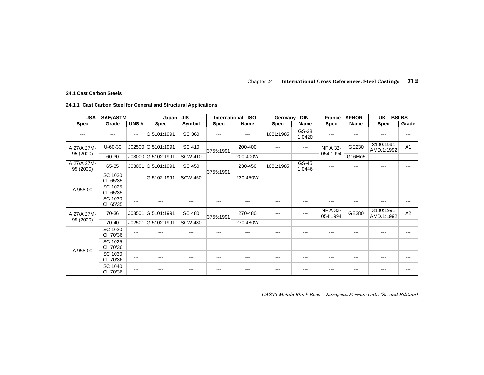#### Chapter 24 **International Cross References: Steel Castings 712**

#### **24.1 Cast Carbon Steels**

#### **24.1.1 Cast Carbon Steel for General and Structural Applications**

|                          | <b>USA - SAE/ASTM</b> |                           | Japan - JIS        |                |             | <b>International - ISO</b> |             | Germany - DIN   | <b>France - AFNOR</b> |             | UK-BSIBS                |                        |
|--------------------------|-----------------------|---------------------------|--------------------|----------------|-------------|----------------------------|-------------|-----------------|-----------------------|-------------|-------------------------|------------------------|
| <b>Spec</b>              | Grade                 | UNS#                      | <b>Spec</b>        | Symbol         | <b>Spec</b> | Name                       | <b>Spec</b> | Name            | <b>Spec</b>           | <b>Name</b> | <b>Spec</b>             | Grade                  |
| $---$                    | $- - -$               | $---$                     | G 5101:1991        | SC 360         | $---$       | $---$                      | 1681:1985   | GS-38<br>1.0420 | $---$                 | ---         | $---$                   | $---$                  |
| A 27/A 27M-              | $U-60-30$             |                           | J02500 G 5101:1991 | SC 410         | 3755:1991   | 200-400                    | $---$       | $---$           | <b>NF A 32-</b>       | GE230       | 3100:1991<br>AMD.1:1992 | A <sub>1</sub>         |
| 95 (2000)                | 60-30                 |                           | J03000 G 5102:1991 | <b>SCW 410</b> |             | 200-400W                   | $--$        | ---             | 054:1994              | G16Mn5      | $---$                   | $\qquad \qquad \cdots$ |
| A 27/A 27M-<br>95 (2000) | 65-35                 |                           | J03001 G 5101:1991 | <b>SC 450</b>  | 3755:1991   | 230-450                    | 1681:1985   | GS-45<br>1.0446 | ---                   | ---         | $---$                   | $---$                  |
|                          | SC 1020<br>CI. 65/35  | $---$                     | G 5102:1991        | <b>SCW 450</b> |             | 230-450W                   | $- - -$     | ---             | ---                   | ---         | $---$                   | $---$                  |
| A 958-00                 | SC 1025<br>CI. 65/35  | $---$                     | ---                | $--$           | ---         | $---$                      | $--$        | ---             | ---                   | ---         | $---$                   | ---                    |
|                          | SC 1030<br>CI. 65/35  | ---                       | ---                | ---            | ---         | $---$                      | ---         | ---             | ---                   | ---         | ---                     | $--$                   |
| A 27/A 27M-              | 70-36                 | J03501                    | G 5101:1991        | <b>SC 480</b>  | 3755:1991   | 270-480                    | ---         | ---             | NFA32<br>054:1994     | GE280       | 3100:1991<br>AMD.1:1992 | A2                     |
| 95 (2000)                | 70-40                 | J02501                    | G 5102:1991        | <b>SCW 480</b> |             | 270-480W                   | $---$       | $---$           | $---$                 | ---         | $---$                   | $---$                  |
|                          | SC 1020<br>CI. 70/36  | $---$                     |                    | ---            | ---         | ---                        | ---         |                 | ---                   | ---         | ---                     | $---$                  |
|                          | SC 1025<br>CI. 70/36  | ---                       |                    |                | ---         | ---                        | ---         |                 |                       | ---         | ---                     | ---                    |
| A 958-00                 | SC 1030<br>CI. 70/36  | $\qquad \qquad -\qquad -$ | ---                | $- - -$        | ---         | $- - -$                    | $- - -$     | ---             | $- - -$               | ---         | ---                     | $- - -$                |
|                          | SC 1040<br>CI. 70/36  | ---                       |                    |                | ---         |                            |             |                 |                       |             |                         | ---                    |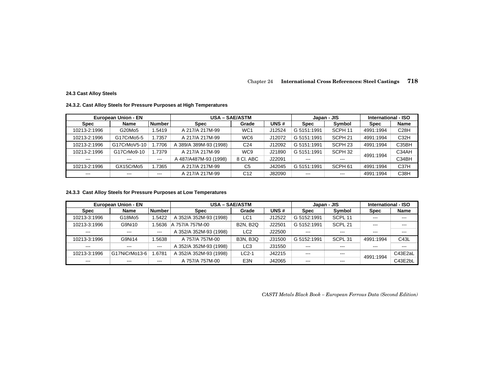#### Chapter 24 **International Cross References: Steel Castings 718**

#### **24.3 Cast Alloy Steels**

#### **24.3.2. Cast Alloy Steels for Pressure Purposes at High Temperatures**

|              | <b>European Union - EN</b> |                        |                        | <b>USA – SAE/ASTM</b> |        |                   | Japan - JIS        | International - ISO |                   |
|--------------|----------------------------|------------------------|------------------------|-----------------------|--------|-------------------|--------------------|---------------------|-------------------|
| <b>Spec</b>  | <b>Name</b>                | <b>Number</b>          | <b>Spec</b>            | Grade                 | UNS#   | <b>Spec</b>       | Symbol             | <b>Spec</b>         | Name              |
| 10213-2.1996 | G20Mo5                     | .5419                  | A 217/A 217M-99        | WC <sub>1</sub>       | J12524 | G 5151:1991       | SCPH <sub>11</sub> | 4991:1994           | C <sub>28</sub> H |
| 10213-2.1996 | G17CrMo5-5                 | .7357                  | A 217/A 217M-99        | WC <sub>6</sub>       | J12072 | G 5151:1991       | SCPH <sub>21</sub> | 4991:1994           | C <sub>32</sub> H |
| 10213-2:1996 | G17CrMoV5-10               | .7706                  | A 389/A 389M-93 (1998) | C <sub>24</sub>       | J12092 | G 5151:1991       | SCPH <sub>23</sub> | 4991:1994           | C35BH             |
| 10213-2:1996 | G17CrMo9-10                | .7379                  | A 217/A 217M-99        | WC <sub>9</sub>       | J21890 | G 5151:1991       | SCPH <sub>32</sub> | 4991:1994           | C34AH             |
| $- - -$      | $- - -$                    | $\qquad \qquad \cdots$ | A 487/A487M-93 (1998)  | 8 CI. ABC             | J22091 | $\qquad \qquad -$ | $- - -$            |                     | C34BH             |
| 10213-2:1996 | GX15CrMo5                  | . 7365                 | A 217/A 217M-99        | C <sub>5</sub>        | J42045 | G 5151:1991       | SCPH <sub>61</sub> | 4991:1994           | C <sub>37</sub> H |
| $--$         | ---                        | $--$                   | A 217/A 217M-99        | C <sub>12</sub>       | J82090 | $--$              | $\cdots$           | 4991:1994           | C38H              |

#### **24.3.3 Cast Alloy Steels for Pressure Purposes at Low Temperatures**

|              | European Union - EN |               | <b>USA - SAE/ASTM</b>  |                  |        | <b>International - ISO</b><br>Japan - JIS |                    |               |                   |
|--------------|---------------------|---------------|------------------------|------------------|--------|-------------------------------------------|--------------------|---------------|-------------------|
| <b>Spec</b>  | <b>Name</b>         | <b>Number</b> | <b>Spec</b>            | Grade            | UNS#   | <b>Spec</b>                               | Symbol             | <b>Spec</b>   | Name              |
| 10213-3:1996 | G18Mo5              | .5422         | A 352/A 352M-93 (1998) | LC1              | J12522 | G 5152:1991                               | SCPL <sub>11</sub> | $- - -$       | $- - -$           |
| 10213-3:1996 | G9Ni10              | 1.5636        | A 757/A 757M-00        | <b>B2N. B2Q</b>  | J22501 | G 5152:1991                               | SCPL <sub>21</sub> | $- - -$       | $- - -$           |
| $- - -$      | $- - -$             | $  -$         | A 352/A 352M-93 (1998) | LC <sub>2</sub>  | J22500 | $-$                                       | $- - -$            | $- - -$       | $- - -$           |
| 10213-3:1996 | G9Ni14              | .5638         | A 757/A 757M-00        | <b>B3N, B3Q</b>  | J31500 | G 5152:1991                               | SCPL <sub>31</sub> | 4991:1994     | C <sub>43</sub> L |
| $- - -$      | $- - -$             | ---           | A 352/A 352M-93 (1998) | LC <sub>3</sub>  | J31550 | $\sim$                                    | $- - -$            | $\frac{1}{2}$ | ---               |
| 10213-3.1996 | G17NiCrMo13-6       | .6781         | A 352/A 352M-93 (1998) | $LC2-1$          | J42215 | $\sim$                                    | $- - -$            | 4991:1994     | C43E2aL           |
| ---          | $- - -$             | ---           | A 757/A 757M-00        | E <sub>3</sub> N | J42065 | ---                                       | $- - -$            |               | C43E2bL           |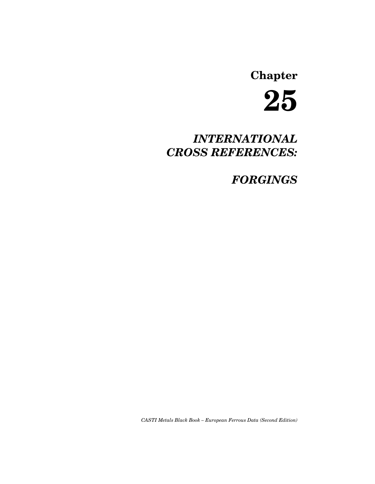## **25**

## *INTERNATIONAL CROSS REFERENCES:*

*FORGINGS*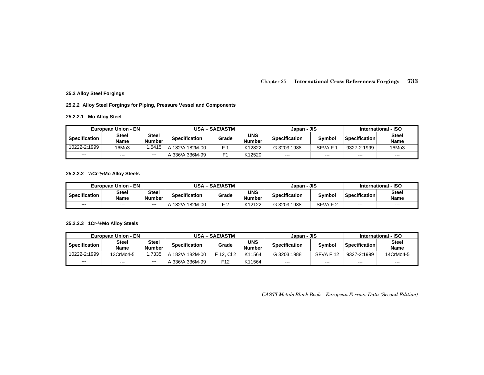#### Chapter 25 **International Cross References: Forgings 733**

#### **25.2 Alloy Steel Forgings**

#### **25.2.2 Alloy Steel Forgings for Piping, Pressure Vessel and Components**

#### **25.2.2.1 Mo Alloy Steel**

|               | European Union - EN  |                               |                      | <b>USA – SAE/ASTM</b><br>Japan - JIS |                             |                      | International - ISO |                      |                             |
|---------------|----------------------|-------------------------------|----------------------|--------------------------------------|-----------------------------|----------------------|---------------------|----------------------|-----------------------------|
| Specification | <b>Steel</b><br>Name | <b>Steel</b><br><b>Number</b> | <b>Specification</b> | Grade                                | <b>UNS</b><br><b>Number</b> | <b>Specification</b> | Svmbol              | <b>Specification</b> | <b>Steel</b><br><b>Name</b> |
| 10222-2:1999  | 16Mo3                | .5415                         | A 182/A 182M-00      |                                      | K12822                      | G 3203:1988          | SFVA F1             | 9327-2:1999          | 16Mo3                       |
| ---           | $- - -$              | ---                           | A 336/A 336M-99      |                                      | K12520                      | $- - -$              | ---                 | $- - -$              | ---                         |

#### **25.2.2.2 ¹⁄₂Cr-¹⁄₂Mo Alloy Steels**

| European Union - EN  |                      | USA – SAE/ASTM                |                      | Japan - JIS                          |        | International - ISO  |        |                      |                             |
|----------------------|----------------------|-------------------------------|----------------------|--------------------------------------|--------|----------------------|--------|----------------------|-----------------------------|
| <b>Specification</b> | <b>Steel</b><br>Name | <b>Steel</b><br><b>Number</b> | <b>Specification</b> | <b>UNS</b><br>Grade<br><b>Number</b> |        | <b>Specification</b> | Svmbol | <b>Specification</b> | <b>Steel</b><br><b>Name</b> |
| $- - -$              | $- - -$              | ---                           | A 182/A 182M-00      | F2                                   | K12122 | G 3203:1988          | SFVAF2 | ---                  | ---                         |

#### **25.2.2.3 1Cr-¹⁄₂Mo Alloy Steels**

| European Union - EN |                      |                               | <b>USA – SAE/ASTM</b> |            |                             | Japan - JIS                    |           | International - ISO |                             |
|---------------------|----------------------|-------------------------------|-----------------------|------------|-----------------------------|--------------------------------|-----------|---------------------|-----------------------------|
| Specification       | <b>Steel</b><br>Name | <b>Steel</b><br><b>Number</b> | <b>Specification</b>  | Grade      | <b>UNS</b><br><b>Number</b> | <b>Specification</b><br>Svmbol |           | Specification       | <b>Steel</b><br><b>Name</b> |
| 10222-2:1999        | 13CrMo4-5            | .7335                         | A 182/A 182M-00       | F 12. CI 2 | K11564                      | G 3203:1988                    | SFVA F 12 | 9327-2:1999         | 14CrMo4-5                   |
| $- - -$             | ---                  | $- - -$                       | A 336/A 336M-99       | F12        | K11564                      | $- - -$                        | ---       | ---                 | ---                         |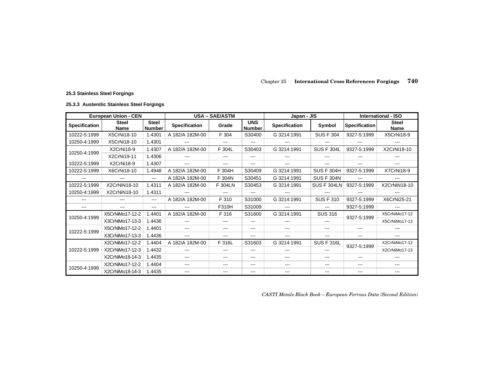#### Chapter 25 **International Cross References: Forgings 740**

#### **25.3 Stainless Steel Forgings**

#### **25.3.3 Austenitic Stainless Steel Forgings**

|                      | <b>European Union - CEN</b> |                               |                      | <b>USA - SAE/ASTM</b> |                             | Japan - JIS          |                   | <b>International - ISO</b> |                             |
|----------------------|-----------------------------|-------------------------------|----------------------|-----------------------|-----------------------------|----------------------|-------------------|----------------------------|-----------------------------|
| <b>Specification</b> | <b>Steel</b><br>Name        | <b>Steel</b><br><b>Number</b> | <b>Specification</b> | Grade                 | <b>UNS</b><br><b>Number</b> | <b>Specification</b> | Symbol            | <b>Specification</b>       | <b>Steel</b><br><b>Name</b> |
| 10222-5:1999         | X5CrNi18-10                 | 1.4301                        | A 182/A 182M-00      | F 304                 | S30400                      | G 3214:1991          | <b>SUS F 304</b>  | 9327-5:1999                | X5CrNi18-9                  |
| 10250-4:1999         | X5CrNi18-10                 | 1.4301                        |                      | $---$                 | $---$                       |                      | $---$             | $---$                      | $---$                       |
| 10250-4:1999         | X2CrNi18-9                  | 1.4307                        | A 182/A 182M-00      | F 304L                | S30403                      | G 3214:1991          | <b>SUS F 304L</b> | 9327-5:1999                | X2CrNi18-10                 |
|                      | X2CrNi19-11                 | 1.4306                        | $---$                | $- - -$               | $---$                       | ---                  | $---$             | $---$                      | ---                         |
| 10222-5:1999         | X2CrNi18-9                  | 1.4307                        | $--$                 | ---                   | ---                         | ---                  | $--$              | $---$                      | ---                         |
| 10222-5:1999         | X6CrNi18-10                 | 1.4948                        | A 182/A 182M-00      | F 304H                | S30409                      | G 3214:1991          | <b>SUS F 304H</b> | 9327-5:1999                | X7CrNi18-9                  |
| $---$                | ---                         | $\sim$ $\sim$ $\sim$          | A 182/A 182M-00      | F 304N                | S30451                      | G 3214:1991          | <b>SUS F 304N</b> | $\cdots$                   | $--$                        |
| 10222-5:1999         | X2CrNiN18-10                | 1.4311                        | A 182/A 182M-00      | F 304LN               | S30453                      | G 3214:1991          | SUS F 304LN       | 9327-5:1999                | X2CrNiN18-10                |
| 10250-4:1999         | X2CrNiN18-10                | 1.4311                        |                      |                       | $---$                       | ---                  | $---$             | $--$                       | $---$                       |
|                      | ---                         | $---$                         | A 182/A 182M-00      | F 310                 | S31000                      | G 3214:1991          | <b>SUS F 310</b>  | 9327-5:1999                | X6CrNi25-21                 |
| $---$                | ---                         | $---$                         | ---                  | F310H                 | S31009                      | ---                  | $--$              | 9327-5:1999                | ---                         |
|                      | X5CrNiMo17-12-2             | 1.4401                        | A 182/A 182M-00      | F 316                 | S31600                      | G 3214:1991          | <b>SUS 316</b>    |                            | X5CrNiMo17-12               |
| 10250-4:1999         | X3CrNiMo17-13-3             | 1.4436                        | ---                  | $- - -$               | $- - -$                     | ---                  | $---$             | 9327-5:1999                | X5CrNiMo17-13               |
| 10222-5:1999         | X5CrNiMo17-12-2             | 1.4401                        | $- - -$              | ---                   | $---$                       | $- - -$              | $---$             | $- - -$                    | ---                         |
|                      | X3CrNiMo17-13-3             | 1.4436                        | $---$                | $---$                 | $\qquad \qquad -$           | $---$                | $\qquad \qquad -$ | $--$                       | $---$                       |
|                      | X2CrNiMo17-12-2             | 1.4404                        | A 182/A 182M-00      | F 316L                | S31603                      | G 3214:1991          | <b>SUS F 316L</b> | 9327-5:1999                | X2CrNiMo17-12               |
| 10222-5:1999         | X2CrNiMo17-12-3             | 1.4432                        | ---                  | ---                   | $\qquad \qquad -$           | ---                  | $\qquad \qquad -$ |                            | X2CrNiMo17-13               |
|                      | X2CrNiMo18-14-3             | 1.4435                        | $---$                | $- - -$               | $---$                       | $---$                | $---$             | $- - -$                    | ---                         |
|                      | X2CrNiMo17-12-2             | 1.4404                        | ---                  | ---                   | $---$                       | ---                  | $---$             | $---$                      | ---                         |
| 10250-4:1999         | X2CrNiMo18-14-3             | 1.4435                        | ---                  | ---                   | $- - -$                     | ---                  | $---$             | $- - -$                    | ---                         |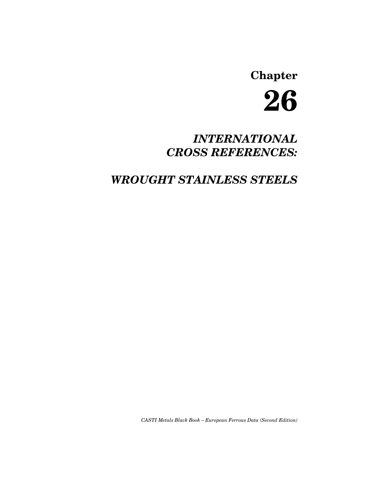## **26**

## *INTERNATIONAL CROSS REFERENCES:*

*WROUGHT STAINLESS STEELS*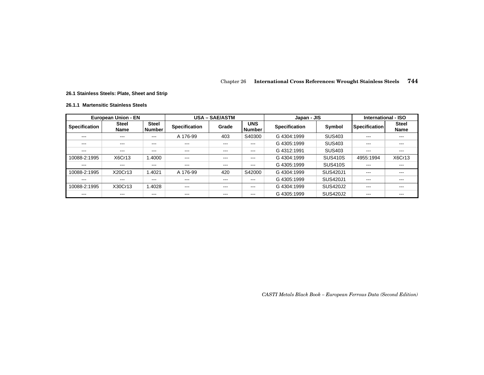#### Chapter 26 **International Cross References: Wrought Stainless Steels 744**

#### **26.1 Stainless Steels: Plate, Sheet and Strip**

#### **26.1.1 Martensitic Stainless Steels**

| European Union - EN  |                      |                        |                      | <b>USA - SAE/ASTM</b> |                             | Japan - JIS          | <b>International - ISO</b> |                      |                             |
|----------------------|----------------------|------------------------|----------------------|-----------------------|-----------------------------|----------------------|----------------------------|----------------------|-----------------------------|
| <b>Specification</b> | <b>Steel</b><br>Name | <b>Steel</b><br>Number | <b>Specification</b> | Grade                 | <b>UNS</b><br><b>Number</b> | <b>Specification</b> | Symbol                     | <b>Specification</b> | <b>Steel</b><br><b>Name</b> |
|                      |                      | ---                    | A 176-99             | 403                   | S40300                      | G 4304:1999          | SUS403                     | $--$                 | ---                         |
| $- - -$              | ---                  | ---                    | ---                  | ---                   | ---                         | G 4305:1999          | <b>SUS403</b>              | $--$                 | ---                         |
| ---                  | ---                  | ---                    | ---                  | ---                   | ---                         | G 4312:1991          | <b>SUS403</b>              | $--$                 | ---                         |
| 10088-2:1995         | X6Cr13               | 1.4000                 | ---                  | $- - -$               | $--$                        | G 4304:1999          | <b>SUS410S</b>             | 4955:1994            | X6Cr13                      |
| $- - -$              | $- - -$              | ---                    | ---                  | $- - -$               | $\qquad \qquad -$           | G 4305:1999          | <b>SUS410S</b>             | $--$                 | $--$                        |
| 10088-2:1995         | X20Cr13              | .4021                  | A 176-99             | 420                   | S42000                      | G 4304:1999          | SUS420J1                   | $--$                 | $--$                        |
| $- - -$              | $\frac{1}{2}$        | ---                    | $- - -$              | $- - -$               | $--$                        | G 4305:1999          | SUS420J1                   | $--$                 | $-- -$                      |
| 10088-2:1995         | X30Cr13              | .4028                  | $- - -$              | $- - -$               | $- - -$                     | G 4304:1999          | <b>SUS420J2</b>            | $- - -$              | $- - -$                     |
|                      |                      | ---                    | ---                  | $- - -$               | ---                         | G 4305:1999          | <b>SUS420J2</b>            | $-- -$               | ---                         |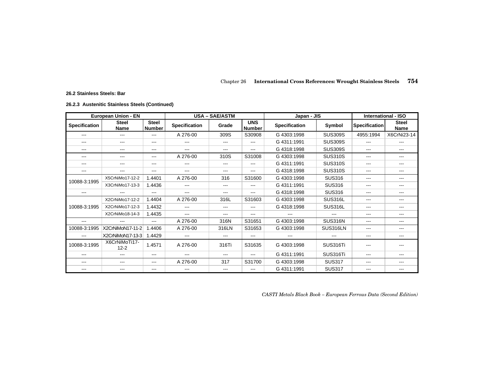#### Chapter 26 **International Cross References: Wrought Stainless Steels 754**

#### **26.2 Stainless Steels: Bar**

#### **26.2.3 Austenitic Stainless Steels (Continued)**

| European Union - EN  |                           |                               | <b>USA - SAE/ASTM</b> |                        |                             | Japan - JIS          |                | <b>International - ISO</b> |                             |
|----------------------|---------------------------|-------------------------------|-----------------------|------------------------|-----------------------------|----------------------|----------------|----------------------------|-----------------------------|
| <b>Specification</b> | <b>Steel</b><br>Name      | <b>Steel</b><br><b>Number</b> | <b>Specification</b>  | Grade                  | <b>UNS</b><br><b>Number</b> | <b>Specification</b> | Symbol         | <b>Specification</b>       | <b>Steel</b><br><b>Name</b> |
| ---                  | ---                       | $---$                         | A 276-00              | 309S                   | S30908                      | G 4303:1998          | <b>SUS309S</b> | 4955:1994                  | X6CrNi23-14                 |
| ---                  | ---                       | $---$                         | ---                   | $---$                  | $---$                       | G 4311:1991          | <b>SUS309S</b> | $---$                      | ---                         |
| ---                  | $---$                     | $\qquad \qquad -$             | $- - -$               | $\qquad \qquad -$      | $---$                       | G 4318:1998          | <b>SUS309S</b> | ---                        | $---$                       |
| ---                  | ---                       | $---$                         | A 276-00              | 310S                   | S31008                      | G 4303:1998          | <b>SUS310S</b> | $---$                      | ---                         |
| ---                  | $---$                     | $---$                         | ---                   | $---$                  | $---$                       | G 4311:1991          | <b>SUS310S</b> | ---                        | ---                         |
| $- - -$              | ---                       | $---$                         | $- - -$               | $- - -$                | $---$                       | G 4318:1998          | <b>SUS310S</b> | ---                        | $---$                       |
|                      | X5CrNiMo17-12-2           | 1.4401                        | A 276-00              | 316                    | S31600                      | G 4303:1998          | <b>SUS316</b>  | $- - -$                    | $---$                       |
| 10088-3:1995         | X3CrNiMo17-13-3           | 1.4436                        | ---                   | ---                    | ---                         | G 4311:1991          | <b>SUS316</b>  | ---                        | ---                         |
| ---                  | ---                       | $---$                         | $---$                 | $---$                  | ---                         | G 4318:1998          | <b>SUS316</b>  | ---                        | $---$                       |
|                      | X2CrNiMo17-12-2           | 1.4404                        | A 276-00              | 316L                   | S31603                      | G 4303:1998          | SUS316L        | ---                        | $---$                       |
| 10088-3:1995         | X2CrNiMo17-12-3           | 1.4432                        | $---$                 | $---$                  | ---                         | G 4318:1998          | <b>SUS316L</b> | ---                        | ---                         |
|                      | X2CrNiMo18-14-3           | 1.4435                        | $---$                 | $---$                  | $---$                       | $---$                | $---$          | ---                        | ---                         |
| $- - -$              | $- - -$                   | $---$                         | A 276-00              | 316N                   | S31651                      | G 4303:1998          | <b>SUS316N</b> | ---                        | ---                         |
| 10088-3:1995         | X2CrNiMoN17-11-2          | 1.4406                        | A 276-00              | 316LN                  | S31653                      | G 4303:1998          | SUS316LN       | ---                        | ---                         |
| $---$                | X2CrNiMoN17-13-3          | 1.4429                        | ---                   | ---                    | ---                         | ---                  | $---$          | ---                        | ---                         |
| 10088-3:1995         | X6CrNiMoTi17-<br>$12 - 2$ | 1.4571                        | A 276-00              | 316Ti                  | S31635                      | G 4303:1998          | SUS316Ti       | ---                        | ---                         |
| ---                  | ---                       | ---                           | ---                   | $\qquad \qquad \cdots$ | ---                         | G 4311:1991          | SUS316Ti       | ---                        | ---                         |
| $---$                | ---                       | ---                           | A 276-00              | 317                    | S31700                      | G 4303:1998          | <b>SUS317</b>  | ---                        | ---                         |
| ---                  | ---                       | ---                           | ---                   | ---                    | ---                         | G 4311:1991          | <b>SUS317</b>  | ---                        | ---                         |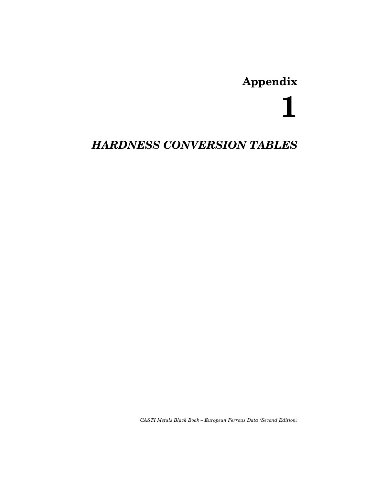## **Appendix**

# **1**

## *HARDNESS CONVERSION TABLES*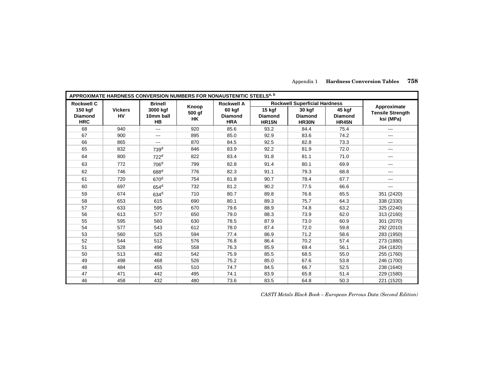|                                         |                             | APPROXIMATE HARDNESS CONVERSION NUMBERS FOR NONAUSTENITIC STEELS <sup>a, b</sup> |                              |                                        |                                          |                                          |                                          |                                                     |
|-----------------------------------------|-----------------------------|----------------------------------------------------------------------------------|------------------------------|----------------------------------------|------------------------------------------|------------------------------------------|------------------------------------------|-----------------------------------------------------|
| <b>Rockwell C</b>                       |                             | <b>Brinell</b>                                                                   |                              | <b>Rockwell A</b>                      |                                          | <b>Rockwell Superficial Hardness</b>     |                                          |                                                     |
| 150 kgf<br><b>Diamond</b><br><b>HRC</b> | <b>Vickers</b><br><b>HV</b> | 3000 kgf<br>10mm ball<br><b>HB</b>                                               | Knoop<br>500 gf<br><b>HK</b> | 60 kgf<br><b>Diamond</b><br><b>HRA</b> | 15 kgf<br><b>Diamond</b><br><b>HR15N</b> | 30 kgf<br><b>Diamond</b><br><b>HR30N</b> | 45 kgf<br><b>Diamond</b><br><b>HR45N</b> | Approximate<br><b>Tensile Strength</b><br>ksi (MPa) |
| 68                                      | 940                         | $\overline{a}$                                                                   | 920                          | 85.6                                   | 93.2                                     | 84.4                                     | 75.4                                     | ---                                                 |
| 67                                      | 900                         | ---                                                                              | 895                          | 85.0                                   | 92.9                                     | 83.6                                     | 74.2                                     | ---                                                 |
| 66                                      | 865                         | $---$                                                                            | 870                          | 84.5                                   | 92.5                                     | 82.8                                     | 73.3                                     | ---                                                 |
| 65                                      | 832                         | 739 <sup>d</sup>                                                                 | 846                          | 83.9                                   | 92.2                                     | 81.9                                     | 72.0                                     | ---                                                 |
| 64                                      | 800                         | 722 <sup>d</sup>                                                                 | 822                          | 83.4                                   | 91.8                                     | 81.1                                     | 71.0                                     | $\cdots$                                            |
| 63                                      | 772                         | 706 <sup>d</sup>                                                                 | 799                          | 82.8                                   | 91.4                                     | 80.1                                     | 69.9                                     | $\cdots$                                            |
| 62                                      | 746                         | 688 <sup>d</sup>                                                                 | 776                          | 82.3                                   | 91.1                                     | 79.3                                     | 68.8                                     | ---                                                 |
| 61                                      | 720                         | 670 <sup>d</sup>                                                                 | 754                          | 81.8                                   | 90.7                                     | 78.4                                     | 67.7                                     | ---                                                 |
| 60                                      | 697                         | 654 <sup>d</sup>                                                                 | 732                          | 81.2                                   | 90.2                                     | 77.5                                     | 66.6                                     | ---                                                 |
| 59                                      | 674                         | 634 <sup>d</sup>                                                                 | 710                          | 80.7                                   | 89.8                                     | 76.6                                     | 65.5                                     | 351 (2420)                                          |
| 58                                      | 653                         | 615                                                                              | 690                          | 80.1                                   | 89.3                                     | 75.7                                     | 64.3                                     | 338 (2330)                                          |
| 57                                      | 633                         | 595                                                                              | 670                          | 79.6                                   | 88.9                                     | 74.8                                     | 63.2                                     | 325 (2240)                                          |
| 56                                      | 613                         | 577                                                                              | 650                          | 79.0                                   | 88.3                                     | 73.9                                     | 62.0                                     | 313 (2160)                                          |
| 55                                      | 595                         | 560                                                                              | 630                          | 78.5                                   | 87.9                                     | 73.0                                     | 60.9                                     | 301 (2070)                                          |
| 54                                      | 577                         | 543                                                                              | 612                          | 78.0                                   | 87.4                                     | 72.0                                     | 59.8                                     | 292 (2010)                                          |
| 53                                      | 560                         | 525                                                                              | 594                          | 77.4                                   | 86.9                                     | 71.2                                     | 58.6                                     | 283 (1950)                                          |
| 52                                      | 544                         | 512                                                                              | 576                          | 76.8                                   | 86.4                                     | 70.2                                     | 57.4                                     | 273 (1880)                                          |
| 51                                      | 528                         | 496                                                                              | 558                          | 76.3                                   | 85.9                                     | 69.4                                     | 56.1                                     | 264 (1820)                                          |
| 50                                      | 513                         | 482                                                                              | 542                          | 75.9                                   | 85.5                                     | 68.5                                     | 55.0                                     | 255 (1760)                                          |
| 49                                      | 498                         | 468                                                                              | 526                          | 75.2                                   | 85.0                                     | 67.6                                     | 53.8                                     | 246 (1700)                                          |
| 48                                      | 484                         | 455                                                                              | 510                          | 74.7                                   | 84.5                                     | 66.7                                     | 52.5                                     | 238 (1640)                                          |
| 47                                      | 471                         | 442                                                                              | 495                          | 74.1                                   | 83.9                                     | 65.8                                     | 51.4                                     | 229 (1580)                                          |
| 46                                      | 458                         | 432                                                                              | 480                          | 73.6                                   | 83.5                                     | 64.8                                     | 50.3                                     | 221 (1520)                                          |

#### Appendix 1 **Hardness Conversion Tables 758**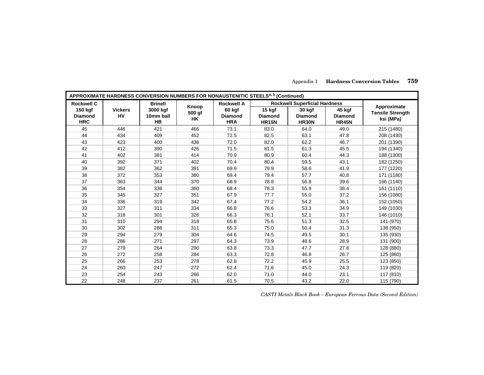|                                         | APPROXIMATE HARDNESS CONVERSION NUMBERS FOR NONAUSTENITIC STEELS <sup>a, b</sup> (Continued) |                                    |                       |                                        |                                          |                                          |                                          |                                                     |  |  |
|-----------------------------------------|----------------------------------------------------------------------------------------------|------------------------------------|-----------------------|----------------------------------------|------------------------------------------|------------------------------------------|------------------------------------------|-----------------------------------------------------|--|--|
| <b>Rockwell C</b>                       |                                                                                              | <b>Brinell</b>                     |                       | <b>Rockwell A</b>                      |                                          | <b>Rockwell Superficial Hardness</b>     |                                          |                                                     |  |  |
| 150 kgf<br><b>Diamond</b><br><b>HRC</b> | <b>Vickers</b><br>HV                                                                         | 3000 kgf<br>10mm ball<br><b>HB</b> | Knoop<br>500 gf<br>HK | 60 kgf<br><b>Diamond</b><br><b>HRA</b> | 15 kgf<br><b>Diamond</b><br><b>HR15N</b> | 30 kgf<br><b>Diamond</b><br><b>HR30N</b> | 45 kgf<br><b>Diamond</b><br><b>HR45N</b> | Approximate<br><b>Tensile Strength</b><br>ksi (MPa) |  |  |
| 45                                      | 446                                                                                          | 421                                | 466                   | 73.1                                   | 83.0                                     | 64.0                                     | 49.0                                     | 215 (1480)                                          |  |  |
| 44                                      | 434                                                                                          | 409                                | 452                   | 72.5                                   | 82.5                                     | 63.1                                     | 47.8                                     | 208 (1430)                                          |  |  |
| 43                                      | 423                                                                                          | 400                                | 438                   | 72.0                                   | 82.0                                     | 62.2                                     | 46.7                                     | 201 (1390)                                          |  |  |
| 42                                      | 412                                                                                          | 390                                | 426                   | 71.5                                   | 81.5                                     | 61.3                                     | 45.5                                     | 194 (1340)                                          |  |  |
| 41                                      | 402                                                                                          | 381                                | 414                   | 70.9                                   | 80.9                                     | 60.4                                     | 44.3                                     | 188 (1300)                                          |  |  |
| 40                                      | 392                                                                                          | 371                                | 402                   | 70.4                                   | 80.4                                     | 59.5                                     | 43.1                                     | 182 (1250)                                          |  |  |
| 39                                      | 382                                                                                          | 362                                | 391                   | 69.9                                   | 79.9                                     | 58.6                                     | 41.9                                     | 177 (1220)                                          |  |  |
| 38                                      | 372                                                                                          | 353                                | 380                   | 69.4                                   | 79.4                                     | 57.7                                     | 40.8                                     | 171 (1180)                                          |  |  |
| 37                                      | 363                                                                                          | 344                                | 370                   | 68.9                                   | 78.8                                     | 56.8                                     | 39.6                                     | 166 (1140)                                          |  |  |
| 36                                      | 354                                                                                          | 336                                | 360                   | 68.4                                   | 78.3                                     | 55.9                                     | 38.4                                     | 161 (1110)                                          |  |  |
| 35                                      | 345                                                                                          | 327                                | 351                   | 67.9                                   | 77.7                                     | 55.0                                     | 37.2                                     | 156 (1080)                                          |  |  |
| 34                                      | 336                                                                                          | 319                                | 342                   | 67.4                                   | 77.2                                     | 54.2                                     | 36.1                                     | 152 (1050)                                          |  |  |
| 33                                      | 327                                                                                          | 311                                | 334                   | 66.8                                   | 76.6                                     | 53.3                                     | 34.9                                     | 149 (1030)                                          |  |  |
| 32                                      | 318                                                                                          | 301                                | 326                   | 66.3                                   | 76.1                                     | 52.1                                     | 33.7                                     | 146 (1010)                                          |  |  |
| 31                                      | 310                                                                                          | 294                                | 318                   | 65.8                                   | 75.6                                     | 51.3                                     | 32.5                                     | 141 (970)                                           |  |  |
| 30                                      | 302                                                                                          | 286                                | 311                   | 65.3                                   | 75.0                                     | 50.4                                     | 31.3                                     | 138 (950)                                           |  |  |
| 29                                      | 294                                                                                          | 279                                | 304                   | 64.6                                   | 74.5                                     | 49.5                                     | 30.1                                     | 135 (930)                                           |  |  |
| 28                                      | 286                                                                                          | 271                                | 297                   | 64.3                                   | 73.9                                     | 48.6                                     | 28.9                                     | 131 (900)                                           |  |  |
| 27                                      | 279                                                                                          | 264                                | 290                   | 63.8                                   | 73.3                                     | 47.7                                     | 27.8                                     | 128 (880)                                           |  |  |
| 26                                      | 272                                                                                          | 258                                | 284                   | 63.3                                   | 72.8                                     | 46.8                                     | 26.7                                     | 125 (860)                                           |  |  |
| 25                                      | 266                                                                                          | 253                                | 278                   | 62.8                                   | 72.2                                     | 45.9                                     | 25.5                                     | 123 (850)                                           |  |  |
| 24                                      | 260                                                                                          | 247                                | 272                   | 62.4                                   | 71.6                                     | 45.0                                     | 24.3                                     | 119 (820)                                           |  |  |
| 23                                      | 254                                                                                          | 243                                | 266                   | 62.0                                   | 71.0                                     | 44.0                                     | 23.1                                     | 117 (810)                                           |  |  |
| 22                                      | 248                                                                                          | 237                                | 261                   | 61.5                                   | 70.5                                     | 43.2                                     | 22.0                                     | 115 (790)                                           |  |  |

#### Appendix 1 **Hardness Conversion Tables 759**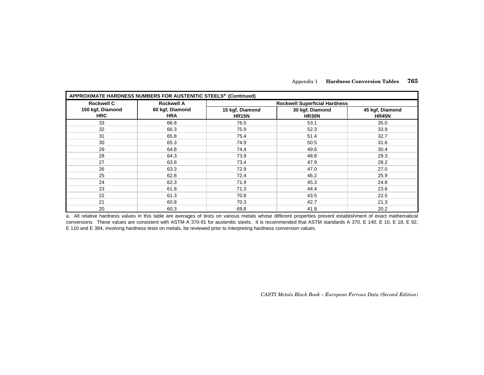| APPROXIMATE HARDNESS NUMBERS FOR AUSTENITIC STEELS <sup>a</sup> (Continued) |                               |                                      |                          |                          |  |  |  |  |
|-----------------------------------------------------------------------------|-------------------------------|--------------------------------------|--------------------------|--------------------------|--|--|--|--|
| <b>Rockwell C</b>                                                           | <b>Rockwell A</b>             | <b>Rockwell Superficial Hardness</b> |                          |                          |  |  |  |  |
| 150 kgf, Diamond<br><b>HRC</b>                                              | 60 kgf, Diamond<br><b>HRA</b> | 15 kgf, Diamond<br><b>HR15N</b>      | 30 kgf, Diamond<br>HR30N | 45 kgf, Diamond<br>HR45N |  |  |  |  |
| 33                                                                          | 66.8                          | 76.5                                 | 53.1                     | 35.0                     |  |  |  |  |
| 32                                                                          | 66.3                          | 75.9                                 | 52.3                     | 33.9                     |  |  |  |  |
| 31                                                                          | 65.8                          | 75.4                                 | 51.4                     | 32.7                     |  |  |  |  |
| 30                                                                          | 65.3                          | 74.9                                 | 50.5                     | 31.6                     |  |  |  |  |
| 29                                                                          | 64.8                          | 74.4                                 | 49.6                     | 30.4                     |  |  |  |  |
| 28                                                                          | 64.3                          | 73.9                                 | 48.8                     | 29.3                     |  |  |  |  |
| 27                                                                          | 63.8                          | 73.4                                 | 47.9                     | 28.2                     |  |  |  |  |
| 26                                                                          | 63.3                          | 72.9                                 | 47.0                     | 27.0                     |  |  |  |  |
| 25                                                                          | 62.8                          | 72.4                                 | 46.2                     | 25.9                     |  |  |  |  |
| 24                                                                          | 62.3                          | 71.9                                 | 45.3                     | 24.8                     |  |  |  |  |
| 23                                                                          | 61.8                          | 71.3                                 | 44.4                     | 23.6                     |  |  |  |  |
| 22                                                                          | 61.3                          | 70.8                                 | 43.5                     | 22.5                     |  |  |  |  |
| 21                                                                          | 60.8                          | 70.3                                 | 42.7                     | 21.3                     |  |  |  |  |
| 20                                                                          | 60.3                          | 69.8                                 | 41.8                     | 20.2                     |  |  |  |  |

#### Appendix 1 **Hardness Conversion Tables 765**

a. All relative hardness values in this table are averages of tests on various metals whose different properties prevent establishment of exact mathematical conversions. These values are consistent with ASTM A 370-91 for austenitic steels. It is recommended that ASTM standards A 370, E 140, E 10, E 18, E 92, E 110 and E 384, involving hardness tests on metals, be reviewed prior to interpreting hardness conversion values.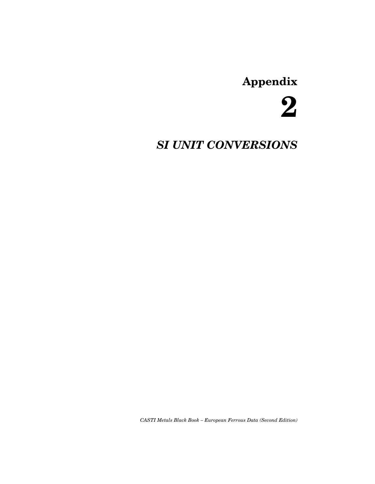**Appendix**

# **2**

*SI UNIT CONVERSIONS*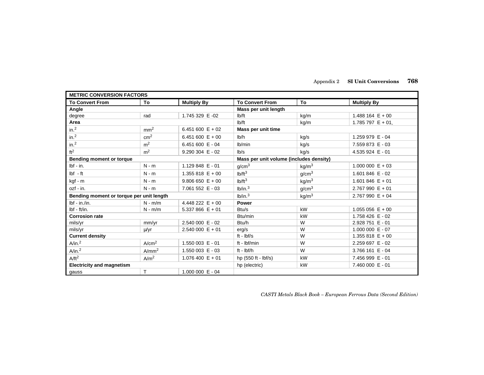| <b>METRIC CONVERSION FACTORS</b>         |                   |                    |                                         |                   |                    |  |  |
|------------------------------------------|-------------------|--------------------|-----------------------------------------|-------------------|--------------------|--|--|
| <b>To Convert From</b>                   | To                | <b>Multiply By</b> | <b>To Convert From</b>                  | To                | <b>Multiply By</b> |  |  |
| Angle                                    |                   |                    | Mass per unit length                    |                   |                    |  |  |
| degree                                   | rad               | 1.745 329 E-02     | I <sub>b</sub> /ft                      | kg/m              | 1.488 164 $E + 00$ |  |  |
| Area                                     |                   |                    | I <sub>b</sub> /ft                      | kg/m              | 1.785 797 $E + 01$ |  |  |
| in. <sup>2</sup>                         | mm <sup>2</sup>   | 6.451 600 $E + 02$ | Mass per unit time                      |                   |                    |  |  |
| in. <sup>2</sup>                         | cm <sup>2</sup>   | 6.451 600 $E + 00$ | Ib/h                                    | kg/s              | 1.259 979 E - 04   |  |  |
| in. <sup>2</sup>                         | m <sup>2</sup>    | 6.451 600 $E - 04$ | lb/min                                  | kg/s              | 7.559 873 E - 03   |  |  |
| ft <sup>2</sup>                          | m <sup>2</sup>    | 9.290 304 E - 02   | I <sub>b</sub> /s                       | kg/s              | 4.535 924 E - 01   |  |  |
| Bending moment or torque                 |                   |                    | Mass per unit volume (includes density) |                   |                    |  |  |
| lbf - in.                                | $N - m$           | $1.129848 E - 01$  | g/cm <sup>3</sup>                       | kg/m <sup>3</sup> | 1.000 000 $E + 03$ |  |  |
| $Ibf - ft$                               | $N - m$           | $1.355818 E + 00$  | $Ib/ft^3$                               | g/cm <sup>3</sup> | $1.601846 E - 02$  |  |  |
| kgf - m                                  | $N - m$           | $9.806650 E + 00$  | Ib/ft <sup>3</sup>                      | kg/m <sup>3</sup> | 1.601 846 $E + 01$ |  |  |
| ozf - in.                                | $N - m$           | 7.061 552 E - 03   | lb/in. <sup>3</sup>                     | g/cm <sup>3</sup> | $2.767990 E + 01$  |  |  |
| Bending moment or torque per unit length |                   |                    | lb/in. <sup>3</sup>                     | kg/m <sup>3</sup> | $2.767990 E + 04$  |  |  |
| $Ibf - in$ ./in.                         | $N - m/m$         | 4.448 222 $E + 00$ | Power                                   |                   |                    |  |  |
| $Ibf - ft/in.$                           | $N - m/m$         | $5.337866E + 01$   | Btu/s                                   | kW                | $1.055056E + 00$   |  |  |
| <b>Corrosion rate</b>                    |                   |                    | Btu/min                                 | kW                | $1.758426 E - 02$  |  |  |
| mils/yr                                  | mm/yr             | $2.540000 E - 02$  | Btu/h                                   | W                 | 2.928 751 E - 01   |  |  |
| mils/yr                                  | µ/yr              | $2.540000 E + 01$  | erg/s                                   | W                 | 1.000 000 $E - 07$ |  |  |
| <b>Current density</b>                   |                   |                    | $ft - Ibf/s$                            | W                 | $1.355818 E + 00$  |  |  |
| A/in. <sup>2</sup>                       | A/cm <sup>2</sup> | 1.550 003 E - 01   | ft - Ibf/min                            | W                 | 2.259 697 E - 02   |  |  |
| A/in. <sup>2</sup>                       | A/mm <sup>2</sup> | $1.550003$ E - 03  | $ft - Ibf/h$                            | W                 | 3.766 161 E - 04   |  |  |
| $A/ft^2$                                 | A/m <sup>2</sup>  | $1.076400 E + 01$  | hp $(550 ft - lbf/s)$                   | kW                | 7.456 999 E - 01   |  |  |
| <b>Electricity and magnetism</b>         |                   |                    | hp (electric)                           | kW                | 7.460 000 E - 01   |  |  |
| gauss                                    | T.                | $1.000000E - 04$   |                                         |                   |                    |  |  |

#### Appendix 2 **SI Unit Conversions 768**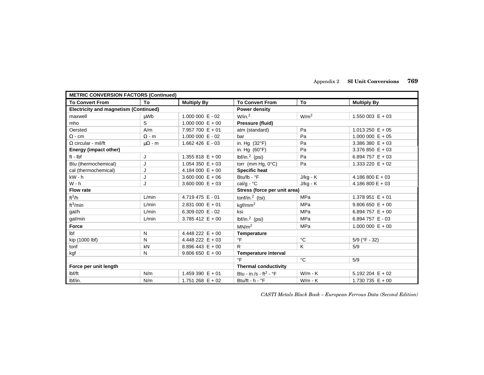| <b>METRIC CONVERSION FACTORS (Continued)</b> |                 |                    |                                             |                          |                    |  |  |  |  |  |
|----------------------------------------------|-----------------|--------------------|---------------------------------------------|--------------------------|--------------------|--|--|--|--|--|
| <b>To Convert From</b>                       | To              | <b>Multiply By</b> | <b>To Convert From</b>                      | To<br><b>Multiply By</b> |                    |  |  |  |  |  |
| <b>Electricity and magnetism (Continued)</b> |                 |                    | <b>Power density</b>                        |                          |                    |  |  |  |  |  |
| maxwell                                      | μW <sub>b</sub> | $1.000000E - 02$   | W/in. <sup>2</sup>                          | W/m <sup>2</sup>         | $1.550003 E + 03$  |  |  |  |  |  |
| mho                                          | S               | $1.000000E + 00$   | Pressure (fluid)                            |                          |                    |  |  |  |  |  |
| Oersted                                      | A/m             | 7.957 700 E + 01   | atm (standard)                              | Pa                       | $1.013250 E + 05$  |  |  |  |  |  |
| $\Omega$ - cm                                | $\Omega$ - m    | $1.000000E - 02$   | bar                                         | Pa                       | 1.000 000 $E + 05$ |  |  |  |  |  |
| $\Omega$ circular - mil/ft                   | $\mu\Omega$ - m | $1.662$ 426 E - 03 | in. Hg (32°F)                               | Pa                       | $3.386380 E + 03$  |  |  |  |  |  |
| Energy (impact other)                        |                 |                    | in. Hg (60°F)                               | Pa                       | $3.376850 E + 03$  |  |  |  |  |  |
| $ft - Ibf$                                   | J               | $1.355818 E + 00$  | $lbf/in.2$ (psi)                            | Pa                       | 6.894 757 $E + 03$ |  |  |  |  |  |
| Btu (thermochemical)                         | J               | $1.054350 E + 03$  | torr (mm Hg, 0°C)                           | Pa                       | 1.333 220 $E + 02$ |  |  |  |  |  |
| cal (thermochemical)                         | J               | 4.184 000 $E + 00$ | <b>Specific heat</b>                        |                          |                    |  |  |  |  |  |
| $kW - h$                                     | J               | 3.600 000 $E + 06$ | Btu/lb - °F                                 | $J/kg - K$               | $4.186800 E + 03$  |  |  |  |  |  |
| $W - h$                                      | J               | 3.600 000 $E + 03$ | cal/q - $^{\circ}$ C                        | $J/kg - K$               | 4.186 800 $E + 03$ |  |  |  |  |  |
| <b>Flow rate</b>                             |                 |                    | Stress (force per unit area)                |                          |                    |  |  |  |  |  |
| $ft^3/h$                                     | L/min           | 4.719 475 E - 01   | tonf/in. $2$ (tsi)                          | MPa                      | $1.378951 E + 01$  |  |  |  |  |  |
| ft <sup>3</sup> /min                         | L/min           | $2.831000 E + 01$  | kgf/mm <sup>2</sup>                         | MPa                      | $9.806650 E + 00$  |  |  |  |  |  |
| gal/h                                        | L/min           | 6.309 020 $E - 02$ | ksi<br>MPa                                  |                          | 6.894 757 $E + 00$ |  |  |  |  |  |
| gal/min                                      | L/min           | $3.785412 E + 00$  | $Ibf/in.2$ (psi)                            | <b>MPa</b>               | 6.894 757 $E - 03$ |  |  |  |  |  |
| Force                                        |                 |                    | MN/m <sup>2</sup>                           | MPa                      | $1.000000E + 00$   |  |  |  |  |  |
| Ibf                                          | N               | 4.448 222 $E + 00$ | <b>Temperature</b>                          |                          |                    |  |  |  |  |  |
| kip (1000 lbf)                               | N               | 4.448 222 $E + 03$ | $\circ$ F                                   | $^{\circ}C$              | $5/9$ (°F - 32)    |  |  |  |  |  |
| tonf                                         | kN              | 8.896 443 $E + 00$ | R                                           | K                        | 5/9                |  |  |  |  |  |
| kgf                                          | N               | $9.806650 E + 00$  | <b>Temperature interval</b>                 |                          |                    |  |  |  |  |  |
|                                              |                 |                    | $\circ$ F                                   | $^{\circ}C$              | 5/9                |  |  |  |  |  |
| Force per unit length                        |                 |                    | <b>Thermal conductivity</b>                 |                          |                    |  |  |  |  |  |
| lbf/ft                                       | N/m             | $1.459390 E + 01$  | Btu - in /s - ft <sup>2</sup> - $\degree$ F | $W/m - K$                | $5.192204 E + 02$  |  |  |  |  |  |
| lbf/in.                                      | N/m             | $1.751268 E + 02$  | Btu/ft - h - °F                             | $W/m - K$                | 1.730 735 $E + 00$ |  |  |  |  |  |

Appendix 2 **SI Unit Conversions 769**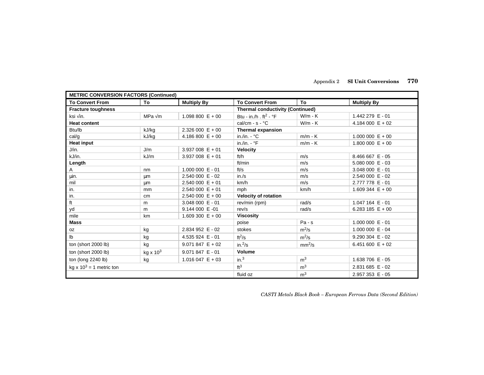| <b>METRIC CONVERSION FACTORS (Continued)</b> |             |                    |                                         |                               |                    |  |  |  |  |  |
|----------------------------------------------|-------------|--------------------|-----------------------------------------|-------------------------------|--------------------|--|--|--|--|--|
| <b>To Convert From</b>                       | To          | <b>Multiply By</b> | <b>To Convert From</b>                  | To                            | <b>Multiply By</b> |  |  |  |  |  |
| <b>Fracture toughness</b>                    |             |                    | <b>Thermal conductivity (Continued)</b> |                               |                    |  |  |  |  |  |
| ksi √in.                                     | MPa √m      | $1.098800 E + 00$  | Btu - in./h . $ft^2 - P$ F              | $W/m - K$<br>1.442 279 E - 01 |                    |  |  |  |  |  |
| <b>Heat content</b>                          |             |                    | cal/cm - $s - C$                        | $W/m - K$                     | 4.184 000 $E + 02$ |  |  |  |  |  |
| Btu/lb                                       | kJ/kg       | $2.326000 E + 00$  | <b>Thermal expansion</b>                |                               |                    |  |  |  |  |  |
| cal/g                                        | kJ/kg       | 4.186 800 $E + 00$ | in./in. $\cdot$ °C                      | $m/m - K$                     | $1.000000E + 00$   |  |  |  |  |  |
| <b>Heat input</b>                            |             |                    | in./in. $\cdot$ °F                      | $m/m - K$                     | $1.800000E + 00$   |  |  |  |  |  |
| J/in.                                        | J/m         | $3.937008 E + 01$  | <b>Velocity</b>                         |                               |                    |  |  |  |  |  |
| kJ/in.                                       | kJ/m        | $3.937008 E + 01$  | ft/h                                    | m/s                           | 8.466 667 E - 05   |  |  |  |  |  |
| Length                                       |             |                    | ft/min                                  | m/s                           | $5.080000 E - 03$  |  |  |  |  |  |
| A                                            | nm          | $1.000000E - 01$   | ft/s                                    | m/s                           | $3.048000 E - 01$  |  |  |  |  |  |
| μiη.                                         | <b>um</b>   | 2.540 000 E - 02   | in./s                                   | m/s                           | $2.540000 E - 02$  |  |  |  |  |  |
| mil                                          | μm          | $2.540000 E + 01$  | km/h                                    | m/s                           | 2.777 778 E - 01   |  |  |  |  |  |
| in.                                          | mm          | $2.540000 E + 01$  | mph                                     | km/h                          | $1.609344 E + 00$  |  |  |  |  |  |
| in.                                          | cm          | $2.540000 E + 00$  | <b>Velocity of rotation</b>             |                               |                    |  |  |  |  |  |
| ft                                           | m           | $3.048000 E - 01$  | rev/min (rpm)                           | rad/s                         | $1.047$ 164 E - 01 |  |  |  |  |  |
| yd                                           | m           | 9.144 000 E-01     | rev/s                                   | rad/s                         | 6.283 185 $E + 00$ |  |  |  |  |  |
| mile                                         | km          | 1.609 300 $E + 00$ | <b>Viscosity</b>                        |                               |                    |  |  |  |  |  |
| <b>Mass</b>                                  |             |                    | poise                                   | $Pa - s$                      | $1.000000E - 01$   |  |  |  |  |  |
| 0Z                                           | kg          | 2.834 952 E - 02   | stokes                                  | $m^2/s$                       | $1.000000E - 04$   |  |  |  |  |  |
| $\mathsf{I}^{\mathsf{b}}$                    | kg          | 4.535 924 E - 01   | ft <sup>2</sup> /s                      | $m^2/s$                       | $9.290304 E - 02$  |  |  |  |  |  |
| ton (short 2000 lb)                          | kg          | $9.071847 E + 02$  | $in.^2/s$                               | mm <sup>2</sup> /s            | 6.451 600 $E + 02$ |  |  |  |  |  |
| ton (short 2000 lb)                          | kg x $10^3$ | $9.071847 E - 01$  | <b>Volume</b>                           |                               |                    |  |  |  |  |  |
| ton (long 2240 lb)                           | kg          | 1.016 047 $E + 03$ | in. <sup>3</sup>                        | m <sup>3</sup>                | 1.638 706 E - 05   |  |  |  |  |  |
| kg x $10^3$ = 1 metric ton                   |             |                    | ft <sup>3</sup>                         | $2.831685 E - 02$             |                    |  |  |  |  |  |
|                                              |             |                    | fluid oz                                | m <sup>3</sup>                | 2.957 353 E - 05   |  |  |  |  |  |

#### Appendix 2 **SI Unit Conversions 770**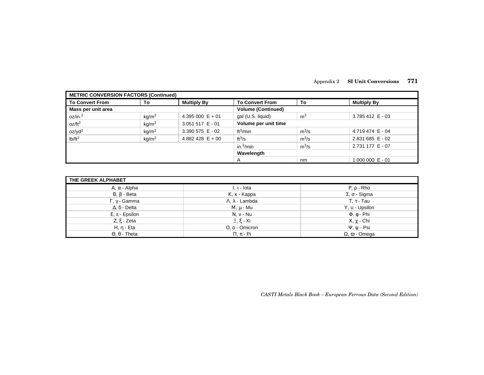| Appendix 2 | <b>SI Unit Conversions</b> | 771 |
|------------|----------------------------|-----|
|------------|----------------------------|-----|

| <b>METRIC CONVERSION FACTORS (Continued)</b> |                                         |                    |                           |                |                    |  |  |  |  |  |  |
|----------------------------------------------|-----------------------------------------|--------------------|---------------------------|----------------|--------------------|--|--|--|--|--|--|
| <b>To Convert From</b>                       | To                                      | <b>Multiply By</b> | <b>To Convert From</b>    | To             | <b>Multiply By</b> |  |  |  |  |  |  |
| Mass per unit area                           |                                         |                    | <b>Volume (Continued)</b> |                |                    |  |  |  |  |  |  |
| oz/in. <sup>2</sup>                          | kg/m <sup>2</sup>                       | 4.395 000 $E + 01$ | gal (U.S. liquid)         | m <sup>3</sup> | $3.785412 E - 03$  |  |  |  |  |  |  |
| $oz/ft^2$                                    | kg/m <sup>2</sup>                       | $3.051$ 517 E - 01 | Volume per unit time      |                |                    |  |  |  |  |  |  |
| oz/yd <sup>2</sup>                           | kg/m <sup>2</sup>                       | $3.390 575 E - 02$ | ft <sup>3</sup> /min      | $m^3/s$        | 4.719 474 E - 04   |  |  |  |  |  |  |
| lb/ft <sup>2</sup>                           | kg/m <sup>2</sup><br>4.882 428 $E + 00$ |                    | ft $^{3}/s$<br>$m^3/s$    |                | $2.831685 E - 02$  |  |  |  |  |  |  |
|                                              |                                         |                    | in. $3/m$ in              | $m^3/s$        | 2.731 177 E - 07   |  |  |  |  |  |  |
|                                              |                                         |                    | Wavelength                |                |                    |  |  |  |  |  |  |
|                                              |                                         |                    | $\overline{A}$            | nm             | $1.000000E - 01$   |  |  |  |  |  |  |

| THE GREEK ALPHABET          |                                |                                        |  |  |  |  |  |  |  |  |  |
|-----------------------------|--------------------------------|----------------------------------------|--|--|--|--|--|--|--|--|--|
| $A, \alpha$ - Alpha         | $I, \iota$ - lota              | $P, \rho$ - Rho                        |  |  |  |  |  |  |  |  |  |
| $B, \beta$ - Beta           | К, к - Карра                   | $\Sigma$ , σ - Sigma                   |  |  |  |  |  |  |  |  |  |
| $\Gamma$ , $\gamma$ - Gamma | $\Lambda$ , $\lambda$ - Lambda | $T, \tau$ - Tau                        |  |  |  |  |  |  |  |  |  |
| $\Delta$ , $\delta$ - Delta | $M, \mu$ - Mu                  | Y, v - Upsilon                         |  |  |  |  |  |  |  |  |  |
| $E, \varepsilon$ - Epsilon  | N. v - Nu                      | $\Phi$ , $\phi$ - Phi                  |  |  |  |  |  |  |  |  |  |
| Z, ξ - Zeta                 | Ξ, ξ - Xi                      | $X, γ$ - Chi                           |  |  |  |  |  |  |  |  |  |
| $H, \eta$ - Eta             | O, o - Omicron                 | $\Psi$ , $\Psi$ - Psi                  |  |  |  |  |  |  |  |  |  |
| $\Theta$ , $\theta$ - Theta | $\Pi$ . $\pi$ - Pi             | $\Omega$ , $\overline{\omega}$ - Omega |  |  |  |  |  |  |  |  |  |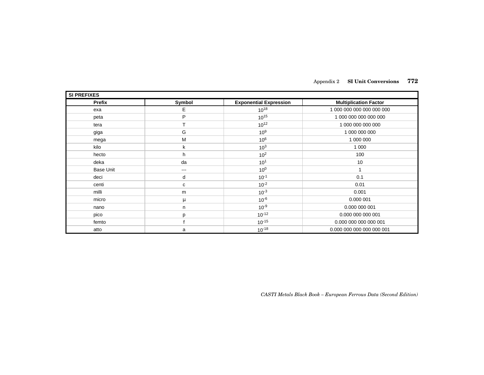| <b>SI PREFIXES</b> |          |                               |                              |  |  |  |  |  |  |  |
|--------------------|----------|-------------------------------|------------------------------|--|--|--|--|--|--|--|
| Prefix             | Symbol   | <b>Exponential Expression</b> | <b>Multiplication Factor</b> |  |  |  |  |  |  |  |
| exa                | E        | $10^{18}$                     | 1 000 000 000 000 000 000    |  |  |  |  |  |  |  |
| peta               | P        | $10^{15}$                     | 1 000 000 000 000 000        |  |  |  |  |  |  |  |
| tera               | т        | $10^{12}$                     | 1 000 000 000 000            |  |  |  |  |  |  |  |
| giga               | G        | 10 <sup>9</sup>               | 1 000 000 000                |  |  |  |  |  |  |  |
| mega               | M        | 10 <sup>6</sup>               | 1 000 000                    |  |  |  |  |  |  |  |
| kilo               | k        | $10^{3}$                      | 1 0 0 0                      |  |  |  |  |  |  |  |
| hecto              | h        | 10 <sup>2</sup>               | 100                          |  |  |  |  |  |  |  |
| deka               | da       | $10^{1}$                      | 10                           |  |  |  |  |  |  |  |
| <b>Base Unit</b>   | $\cdots$ | 10 <sup>0</sup>               | 1                            |  |  |  |  |  |  |  |
| deci               | d        | $10^{-1}$                     | 0.1                          |  |  |  |  |  |  |  |
| centi              | c        | $10^{-2}$                     | 0.01                         |  |  |  |  |  |  |  |
| milli              | m        | $10^{-3}$                     | 0.001                        |  |  |  |  |  |  |  |
| micro              | μ        | $10^{-6}$                     | 0.000 001                    |  |  |  |  |  |  |  |
| nano               | n        | $10^{-9}$                     | 0.000 000 001                |  |  |  |  |  |  |  |
| pico               | p        | $10^{-12}$                    | 0.000 000 000 001            |  |  |  |  |  |  |  |
| femto              |          | $10^{-15}$                    | 0.000 000 000 000 001        |  |  |  |  |  |  |  |
| atto               | a        | $10^{-18}$                    | 0.000 000 000 000 000 001    |  |  |  |  |  |  |  |

#### Appendix 2 **SI Unit Conversions 772**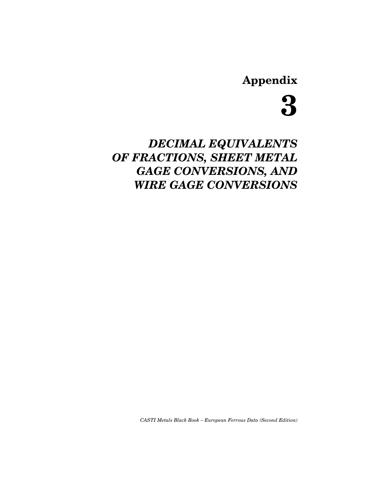## **Appendix**

## **3**

*DECIMAL EQUIVALENTS OF FRACTIONS, SHEET METAL GAGE CONVERSIONS, AND WIRE GAGE CONVERSIONS*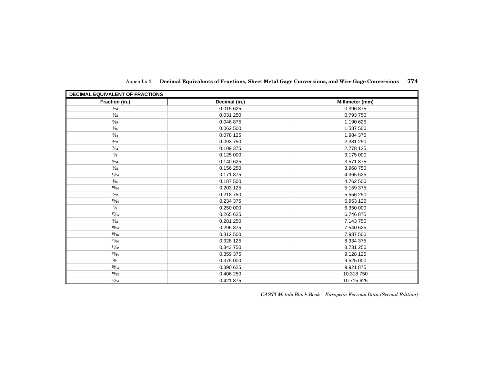| <b>DECIMAL EQUIVALENT OF FRACTIONS</b> |               |                 |  |  |  |  |  |  |  |  |
|----------------------------------------|---------------|-----------------|--|--|--|--|--|--|--|--|
| Fraction (in.)                         | Decimal (in.) | Millimeter (mm) |  |  |  |  |  |  |  |  |
| 1/64                                   | 0.015 625     | 0.396 875       |  |  |  |  |  |  |  |  |
| 1/32                                   | 0.031 250     | 0.793 750       |  |  |  |  |  |  |  |  |
| $\frac{3}{64}$                         | 0.046 875     | 1.190 625       |  |  |  |  |  |  |  |  |
| $\frac{1}{16}$                         | 0.062 500     | 1.587 500       |  |  |  |  |  |  |  |  |
| $\frac{5}{64}$                         | 0.078 125     | 1.984 375       |  |  |  |  |  |  |  |  |
| $\frac{3}{32}$                         | 0.093 750     | 2.381 250       |  |  |  |  |  |  |  |  |
| $\frac{7}{64}$                         | 0.109 375     | 2.778 125       |  |  |  |  |  |  |  |  |
| $\frac{1}{8}$                          | 0.125 000     | 3.175 000       |  |  |  |  |  |  |  |  |
| $\frac{9}{64}$                         | 0.140 625     | 3.571 875       |  |  |  |  |  |  |  |  |
| $\frac{5}{32}$                         | 0.156 250     | 3.968 750       |  |  |  |  |  |  |  |  |
| 11/64                                  | 0.171 875     | 4.365 625       |  |  |  |  |  |  |  |  |
| $\frac{3}{16}$                         | 0.187 500     | 4.762 500       |  |  |  |  |  |  |  |  |
| 13/64                                  | 0.203 125     | 5.159 375       |  |  |  |  |  |  |  |  |
| $\frac{7}{32}$                         | 0.218 750     | 5.556 250       |  |  |  |  |  |  |  |  |
| 15/64                                  | 0.234 375     | 5.953 125       |  |  |  |  |  |  |  |  |
| $\frac{1}{4}$                          | 0.250 000     | 6.350 000       |  |  |  |  |  |  |  |  |
| 17/64                                  | 0.265 625     | 6.746 875       |  |  |  |  |  |  |  |  |
| $\frac{9}{32}$                         | 0.281 250     | 7.143 750       |  |  |  |  |  |  |  |  |
| 19/64                                  | 0.296 875     | 7.540 625       |  |  |  |  |  |  |  |  |
| 15/16                                  | 0.312 500     | 7.937 500       |  |  |  |  |  |  |  |  |
| 21/64                                  | 0.328 125     | 8.334 375       |  |  |  |  |  |  |  |  |
| 11/32                                  | 0.343 750     | 8.731 250       |  |  |  |  |  |  |  |  |
| 23/64                                  | 0.359 375     | 9.128 125       |  |  |  |  |  |  |  |  |
| $\frac{3}{8}$                          | 0.375 000     | 9.525 000       |  |  |  |  |  |  |  |  |
| 25/64                                  | 0.390 625     | 9.921 875       |  |  |  |  |  |  |  |  |
| 13/32                                  | 0.406 250     | 10.318 750      |  |  |  |  |  |  |  |  |
| 27/64                                  | 0.421 875     | 10.715 625      |  |  |  |  |  |  |  |  |

| Appendix 3 Decimal Equivalents of Fractions, Sheet Metal Gage Conversions, and Wire Gage Conversions 774 |  |
|----------------------------------------------------------------------------------------------------------|--|
|                                                                                                          |  |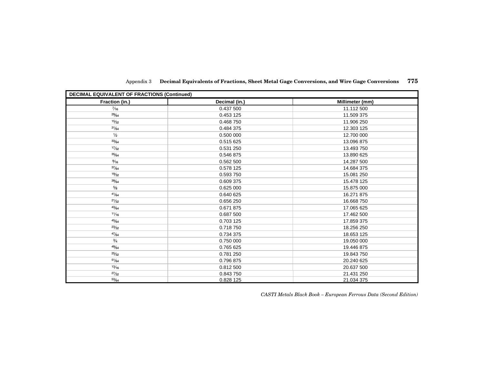| <b>DECIMAL EQUIVALENT OF FRACTIONS (Continued)</b> |               |                 |  |  |  |  |  |  |  |  |
|----------------------------------------------------|---------------|-----------------|--|--|--|--|--|--|--|--|
| Fraction (in.)                                     | Decimal (in.) | Millimeter (mm) |  |  |  |  |  |  |  |  |
| $\frac{7}{16}$                                     | 0.437 500     | 11.112 500      |  |  |  |  |  |  |  |  |
| 29/64                                              | 0.453 125     | 11.509 375      |  |  |  |  |  |  |  |  |
| 15/32                                              | 0.468750      | 11.906 250      |  |  |  |  |  |  |  |  |
| 31/64                                              | 0.484 375     | 12.303 125      |  |  |  |  |  |  |  |  |
| $\frac{1}{2}$                                      | 0.500 000     | 12.700 000      |  |  |  |  |  |  |  |  |
| 33/64                                              | 0.515 625     | 13.096 875      |  |  |  |  |  |  |  |  |
| 17/32                                              | 0.531 250     | 13.493 750      |  |  |  |  |  |  |  |  |
| 35/64                                              | 0.546 875     | 13.890 625      |  |  |  |  |  |  |  |  |
| $\frac{9}{16}$                                     | 0.562 500     | 14.287 500      |  |  |  |  |  |  |  |  |
| 37/64                                              | 0.578 125     | 14.684 375      |  |  |  |  |  |  |  |  |
| 19/32                                              | 0.593 750     | 15.081 250      |  |  |  |  |  |  |  |  |
| 39/64                                              | 0.609 375     | 15.478 125      |  |  |  |  |  |  |  |  |
| $\frac{5}{8}$                                      | 0.625 000     | 15.875 000      |  |  |  |  |  |  |  |  |
| 41/64                                              | 0.640 625     | 16.271 875      |  |  |  |  |  |  |  |  |
| 21/32                                              | 0.656 250     | 16.668750       |  |  |  |  |  |  |  |  |
| 43/64                                              | 0.671 875     | 17.065 625      |  |  |  |  |  |  |  |  |
| 11/16                                              | 0.687 500     | 17.462 500      |  |  |  |  |  |  |  |  |
| 45/64                                              | 0.703 125     | 17.859 375      |  |  |  |  |  |  |  |  |
| 23/32                                              | 0.718 750     | 18.256 250      |  |  |  |  |  |  |  |  |
| 47/64                                              | 0.734 375     | 18.653 125      |  |  |  |  |  |  |  |  |
| $\frac{3}{4}$                                      | 0.750 000     | 19.050 000      |  |  |  |  |  |  |  |  |
| 49/64                                              | 0.765 625     | 19.446 875      |  |  |  |  |  |  |  |  |
| 25/32                                              | 0.781 250     | 19.843750       |  |  |  |  |  |  |  |  |
| 51/64                                              | 0.796 875     | 20.240 625      |  |  |  |  |  |  |  |  |
| 13/16                                              | 0.812 500     | 20.637 500      |  |  |  |  |  |  |  |  |
| 27/32                                              | 0.843750      | 21.431 250      |  |  |  |  |  |  |  |  |
| 53/64                                              | 0.828 125     | 21.034 375      |  |  |  |  |  |  |  |  |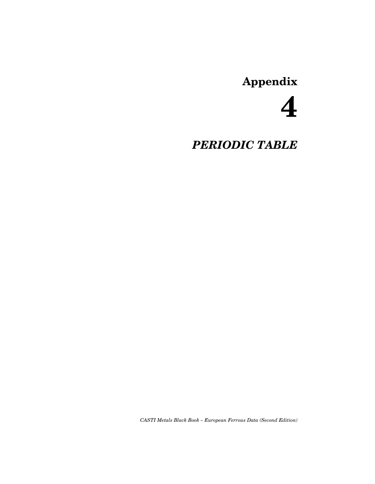**Appendix**

# **4**

*PERIODIC TABLE*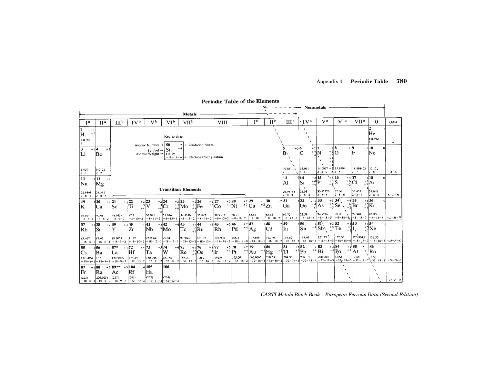|                              |                                      |                                                                                                                                                                                                                                                                                                                                                                               |                                    |                         |                                                                                |                          |                                                                                                                                                                                                                                                                                                                                                                                             |                     | Terrouic Table of the Elements                                   |                           |                                        |                               |                                            |                                    |                                                                |                                |                                         |             |
|------------------------------|--------------------------------------|-------------------------------------------------------------------------------------------------------------------------------------------------------------------------------------------------------------------------------------------------------------------------------------------------------------------------------------------------------------------------------|------------------------------------|-------------------------|--------------------------------------------------------------------------------|--------------------------|---------------------------------------------------------------------------------------------------------------------------------------------------------------------------------------------------------------------------------------------------------------------------------------------------------------------------------------------------------------------------------------------|---------------------|------------------------------------------------------------------|---------------------------|----------------------------------------|-------------------------------|--------------------------------------------|------------------------------------|----------------------------------------------------------------|--------------------------------|-----------------------------------------|-------------|
|                              |                                      |                                                                                                                                                                                                                                                                                                                                                                               |                                    |                         |                                                                                |                          |                                                                                                                                                                                                                                                                                                                                                                                             |                     |                                                                  |                           |                                        |                               | <b>Nonmetals</b>                           |                                    |                                                                |                                |                                         |             |
|                              |                                      |                                                                                                                                                                                                                                                                                                                                                                               |                                    |                         |                                                                                | <b>Metals</b>            |                                                                                                                                                                                                                                                                                                                                                                                             |                     |                                                                  |                           |                                        |                               |                                            |                                    |                                                                |                                |                                         |             |
| I <sup>a</sup>               | $\mathbf{H}^{\mathbf{a}}$            | III <sub>p</sub>                                                                                                                                                                                                                                                                                                                                                              | IV <sub>p</sub>                    | Vb                      | VI <sup>b</sup>                                                                | VII <sup>b</sup>         |                                                                                                                                                                                                                                                                                                                                                                                             | <b>VIII</b>         |                                                                  | $\mathbf{I}^{\mathbf{b}}$ | $\Pi_p$                                | III <sup>a</sup>              | $\sqrt{V^a}$                               | $V^a$                              | VI <sup>a</sup>                                                | VII <sup>a</sup>               | $\Omega$                                | Orbit       |
| $+1$<br>lн<br>$-1$<br>1.0079 |                                      |                                                                                                                                                                                                                                                                                                                                                                               |                                    |                         | Key to chart                                                                   |                          |                                                                                                                                                                                                                                                                                                                                                                                             |                     |                                                                  |                           |                                        |                               |                                            |                                    |                                                                |                                | He<br>4.00260                           | Κ           |
| $\mathbf{3}$<br>Li           | + 1 4<br>$+2$<br> Be                 | Atomic Number $\rightarrow$ 50<br>$+2$<br>← Oxidation States<br>$+1$ <b>8</b><br>$-110$<br>$-2$ <sub>9</sub><br>$+27$<br>5<br>$+3$ 6<br>$+4$<br>$Symbol \rightarrow$ Sn<br>$+2$ $\Omega$<br>IF<br>$+4N$<br>Ne<br>$\mathbf{B}$<br>$\mathsf{C}\phantom{C}$<br>Atomic Weight $\rightarrow$ 118.69<br>$+3$<br>$-18-18-4$ $\leftarrow$ Electron Configuration<br>x<br>$+4$<br>$+5$ |                                    |                         |                                                                                |                          |                                                                                                                                                                                                                                                                                                                                                                                             |                     |                                                                  |                           |                                        |                               |                                            |                                    |                                                                |                                |                                         |             |
| 6.939<br>$2 - 1$             | 9.0122<br>$2 - 2$                    |                                                                                                                                                                                                                                                                                                                                                                               |                                    |                         |                                                                                |                          |                                                                                                                                                                                                                                                                                                                                                                                             |                     |                                                                  |                           |                                        | 10.81<br>$\lambda$<br>$2 - 3$ | 12.011<br>$\sqrt{2-4}$                     | $14.0067 - 2$ 15.9994<br>$2 - 5$ \ | $-3 2-6$                                                       | 18.998403<br>$12 - 7$          | 10.17 <sub>9</sub><br>$2 - 8$           | $K-L$       |
| 11<br>Na                     | $+112$<br>$+2$<br>Mg                 |                                                                                                                                                                                                                                                                                                                                                                               |                                    |                         |                                                                                |                          |                                                                                                                                                                                                                                                                                                                                                                                             |                     |                                                                  |                           |                                        | 13<br>Al                      | + 414<br>Sii<br>$-4$                       | $+2$ 15<br>$+4$ D                  | $+3$ 16<br>$+5C$<br>$-2$                                       | $+4$ 17<br>$\binom{+6}{-2}$ Cl | $+1$ <b>18</b><br>$_{+7}^{+5}$ Ar       |             |
| 22.9898<br>$2 \cdot 8 = 1$   | 24.312<br>$2 - 8 - 2$                |                                                                                                                                                                                                                                                                                                                                                                               |                                    |                         | <b>Transition Elements</b>                                                     |                          |                                                                                                                                                                                                                                                                                                                                                                                             |                     |                                                                  |                           |                                        | 26.98154<br>$2 - 8 - 3$       | 28.08<br>$2 - 8 - 4$                       | 30.97376<br>$2 - 8 - 5$            | 32.06<br>$2 - 8 - 6$                                           | 35.453<br>$2 - 8 - 7$          | 39.948<br>$2 - 8 - 8$                   | $K-L-M$     |
| 19<br>lΚ                     | $+120$<br>$+2$<br>lСa                | 21<br>Sc                                                                                                                                                                                                                                                                                                                                                                      | 22<br>$+3$<br>Ti<br>$+4$           | 23<br>$\mathbf{v}$      | 224<br>+2<br>$+6$                                                              | 25<br>$\frac{+3}{45}$ Mn | 26<br>$+2$<br>$^{+3}$ Fe                                                                                                                                                                                                                                                                                                                                                                    | 27<br>$+3$ Co       | $+2$ 28<br>$+3$ Ni                                               | $+2 29 $<br>$+3$ Cu       | $+130$<br>$+2\mathbf{Zn}$              | $+2$ 31<br>Ga                 | $+332$<br> Ge                              | $x+2$ 33<br>As                     | $+3 34$<br>$\frac{+5}{-3}$ Se                                  | $+4$ 35<br>$+6$ Br             | $+136$<br>$\binom{+5}{-1}$ Kr           |             |
| 39.09<br>$-8 - 8 - 1$        | 40.08<br>$-8-8-2$                    | 44.9559<br>$-8$ 9-2                                                                                                                                                                                                                                                                                                                                                           | 47.9<br>$-8 - 10 - 2$              | 50.941                  | 51.996                                                                         | 54.9380                  | 55.847<br>$-8-11-2$ $ -8-13-1$ $ -8-13-2$ $ -8-14-2$                                                                                                                                                                                                                                                                                                                                        | 58.9332             | 58.71<br>$\begin{vmatrix} -8 & -15 & -2 \end{vmatrix}$ -8 -16 -2 | 63.54<br>$-8 - 18 - 1$    | 65.38<br>$-8 - 18 - 2$                 | 69.72<br>$-8 - 18 - 3$        | 72.59<br>$-8 - 18 - 4$                     | 74.9216                            | 78.96<br>$ -8-18-5 $ $ -8-18-\dot{6}$                          | 79.904                         | 83.80<br>$-8-18-7$ $ -8-18-8$ $ -L-M-N$ |             |
| 37<br>Rb                     | $+138$<br>lSr                        | $+2 39 $<br>Y                                                                                                                                                                                                                                                                                                                                                                 | 40<br>Zr                           | $+4$ <b>41</b><br>Nb    | $+3$ 42<br>$+5$ Mo                                                             | $+6$ 43<br>lТc<br>$+7$   | 44<br>$+3$<br>$^{+6}_{+7}$ Ru                                                                                                                                                                                                                                                                                                                                                               | 45<br>Rh            | $+3$ 46<br>$+4$<br> Pd                                           | $+2$ 47<br> Ag            | $+1.48$<br>$ {\mathbf C} {\mathbf d} $ | $+2$ 49<br> In                | $+350$<br><b>Sn</b>                        | $+2\vert 51\rangle$<br>Sb\<br>$+5$ | $+3 52$<br>Te<br>+6                                            | $+453$                         | $+154$<br>$^{+5}_{+7}$ Xe               |             |
| 85.467<br>$-18$ 8 - 1        | 87.62                                | 88.9059                                                                                                                                                                                                                                                                                                                                                                       | 91.22                              | 92.9064                 | 95.94                                                                          | 98.9062                  | 101.07<br>$-18\quad 8\quad 2\,\left]-18 -9 -2\quad \right]-18 -10 -2\,\left]-18 -12 -1\,\left]-18 -13 -1\right]-18 -13 -2\,\left]-18 -15 -1\,\left]-18 -16 -1\,\left]-18 -16 -1\,\left]-18 -18 -0\,\right]-18 -18 -18\,\left]-18 -18 -3\,\right]-18 -18 -3\,\left]-18 -18 -4\,\right]-18 -18 -5\,\left]-18 -18 -5\,\left]-18 -18 -5\,\left -18 -18 -5\,\right -18 -18 -5\,\left -18 -18 -5$ | 102.905             | 106.4                                                            | 107.868                   | 112.40                                 | 114.82                        | 118.69                                     | 121.75                             | 127.60                                                         | 126.9045                       | 131.30                                  |             |
| 55<br>Сs                     | $+156$<br>Ba                         | $+2.57*$<br>La                                                                                                                                                                                                                                                                                                                                                                | 72<br>Hf                           | $+4 73$<br>Ta           | $+5 74$<br>$+6$<br>W                                                           | 75<br>Re<br>$+7$         | 176<br>$\frac{+6}{2}$ Os                                                                                                                                                                                                                                                                                                                                                                    | $+3 77$<br>$+4$  Ir | $+3 78$<br>$+4$<br>$+4$ $\mathbf{p}_{\mathbf{f}}$                | $+2$ 79<br>Au             | $+180$<br>$+3$ Hg                      | $+181$<br>$+2$ Tl             | $+182$<br>$+3$ Pb                          | $+2$ 83<br>$+4$ Bi                 | $+384$<br>$+5$ Po                                              | $+2$ 85<br>$^{+4}$ At          | 86<br>$\mathbb{R}^n$                    |             |
| 132.9054                     | 137.3<br>$-18-8-1$  -18-8-2 -18-9-2  | 138.9055                                                                                                                                                                                                                                                                                                                                                                      | 178.49                             | 180.948                 | 183.85<br>$-32-10-2$ $-32-11-2$ $-32-12-2$                                     | 186.207                  | 190.2<br>$-32-13-2$ $-32-14-2$ $-32-15-2$ $-32-16-2$ $-32-18-1$                                                                                                                                                                                                                                                                                                                             | 192.9               | 195.09                                                           | 196.9665                  | 200.59                                 | 204.37                        | 207.19<br>$-32-18-2$ $-32-19-3$ $-32-18-4$ | 208.980                            | (209)<br>$-32-18-5$ $-32-18-6$ $-32-18-7$ $-32$ $18-8$ $-10-2$ | (210)                          | (222)                                   |             |
| 87<br>l Fr<br>(223)          | $+188$<br>$\mathbf{R}$ a<br>226.0254 | $+289**$<br>Ac<br>(227)                                                                                                                                                                                                                                                                                                                                                       | $+3 104$<br>$\mathbf{Rf}$<br>(261) | $+4$ 105<br>Ha<br>(262) | 106<br>(263)<br>$-18-8-1$ $-18-8-2$ $-18-9-2$ $-32-10-2$ $-32-11-2$ $-32-12-2$ |                          |                                                                                                                                                                                                                                                                                                                                                                                             |                     |                                                                  |                           |                                        |                               |                                            |                                    |                                                                |                                |                                         | $O - P - Q$ |

**Periodic Table of the Elements** 

*CASTI Metals Black Book – European Ferrous Data (Second Edition)*

Appendix 4 **Periodic Table 780**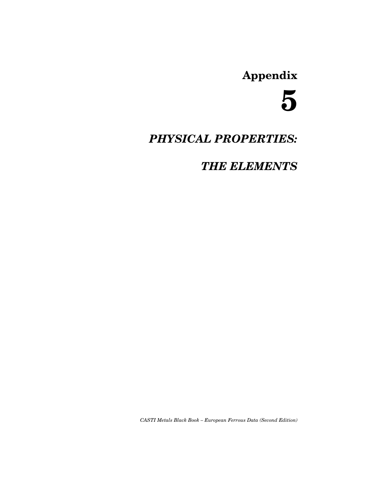**Appendix**

## **5**

*PHYSICAL PROPERTIES:*

*THE ELEMENTS*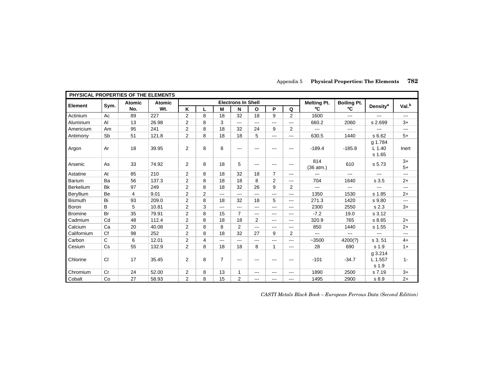| PHYSICAL PROPERTIES OF THE ELEMENTS |                |               |               |                |                |                |                                                                                                |          |                |                                                                                                                                                                                                                                                                                                                                                                                                                                                                            |                    |                    |                               |                   |
|-------------------------------------|----------------|---------------|---------------|----------------|----------------|----------------|------------------------------------------------------------------------------------------------|----------|----------------|----------------------------------------------------------------------------------------------------------------------------------------------------------------------------------------------------------------------------------------------------------------------------------------------------------------------------------------------------------------------------------------------------------------------------------------------------------------------------|--------------------|--------------------|-------------------------------|-------------------|
|                                     |                | <b>Atomic</b> | <b>Atomic</b> |                |                |                | <b>Electrons In Shell</b>                                                                      |          |                |                                                                                                                                                                                                                                                                                                                                                                                                                                                                            | <b>Melting Pt.</b> | <b>Boiling Pt.</b> |                               |                   |
| Element                             | Sym.           | No.           | Wt.           | K              | L              | М              | N                                                                                              | $\Omega$ | P              | Q                                                                                                                                                                                                                                                                                                                                                                                                                                                                          | ۰c                 | ۰c                 | <b>Density<sup>a</sup></b>    | Val. <sup>b</sup> |
| Actinium                            | Ac             | 89            | 227           | 2              | 8              | 18             | 32                                                                                             | 18       | 9              | 2                                                                                                                                                                                                                                                                                                                                                                                                                                                                          | 1600               | $---$              | $\cdots$                      | $\frac{1}{2}$     |
| Aluminum                            | $\overline{A}$ | 13            | 26.98         | $\overline{2}$ | 8              | 3              | $---$                                                                                          | $---$    | ---            | $---$                                                                                                                                                                                                                                                                                                                                                                                                                                                                      | 660.2              | 2060               | s 2.699                       | $3+$              |
| Americium                           | Am             | 95            | 241           | $\overline{2}$ | 8              | 18             | 32                                                                                             | 24       | 9              | $\overline{2}$                                                                                                                                                                                                                                                                                                                                                                                                                                                             | $\overline{a}$     | $---$              | ---                           | $\qquad \qquad -$ |
| Antimony                            | Sb             | 51            | 121.8         | $\overline{2}$ | 8              | 18             | 18                                                                                             | 5        | ---            | $\qquad \qquad \cdots$                                                                                                                                                                                                                                                                                                                                                                                                                                                     | 630.5              | 1440               | s 6.62                        | $5+$              |
| Argon                               | Ar             | 18            | 39.95         | 2              | 8              | 8              | $---$                                                                                          | $---$    | ---            | $\qquad \qquad \cdots$                                                                                                                                                                                                                                                                                                                                                                                                                                                     | $-189.4$           | $-185.8$           | g 1.784<br>$L$ 1.40<br>s 1.65 | Inert             |
| Arsenic                             | As             | 33            | 74.92         | $\overline{2}$ | 8              | 18             | 5                                                                                              | $---$    | $--$           | $  -$                                                                                                                                                                                                                                                                                                                                                                                                                                                                      | 814<br>(36 atm.)   | 610                | s 5.73                        | $3+$<br>$5+$      |
| Astatine                            | At             | 85            | 210           | $\overline{2}$ | 8              | 18             | 32                                                                                             | 18       | $\overline{7}$ | $\qquad \qquad \cdots$                                                                                                                                                                                                                                                                                                                                                                                                                                                     | ---                | ---                | $\cdots$                      | $---$             |
| <b>Barium</b>                       | Ba             | 56            | 137.3         | $\overline{2}$ | 8              | 18             | 18                                                                                             | 8        | $\overline{2}$ | $\frac{1}{2} \left( \frac{1}{2} \right) \left( \frac{1}{2} \right) \left( \frac{1}{2} \right)$                                                                                                                                                                                                                                                                                                                                                                             | 704                | 1640               | s 3.5                         | $2+$              |
| <b>Berkelium</b>                    | <b>Bk</b>      | 97            | 249           | $\overline{2}$ | 8              | 18             | 32                                                                                             | 26       | 9              | $\overline{2}$                                                                                                                                                                                                                                                                                                                                                                                                                                                             | $\frac{1}{2}$      | $--$               | $\cdots$                      | $- - -$           |
| Beryllium                           | Be             | 4             | 9.01          | $\overline{2}$ | $\overline{2}$ | ---            | $---$                                                                                          | ---      | ---            | $\qquad \qquad \cdots$                                                                                                                                                                                                                                                                                                                                                                                                                                                     | 1350               | 1530               | s 1.85                        | $2+$              |
| <b>Bismuth</b>                      | Bi             | 93            | 209.0         | $\overline{2}$ | 8              | 18             | 32                                                                                             | 18       | 5              | $\cdots$                                                                                                                                                                                                                                                                                                                                                                                                                                                                   | 271.3              | 1420               | s 9.80                        | $\overline{a}$    |
| Boron                               | B              | 5             | 10.81         | $\overline{2}$ | 3              | ---            | $\frac{1}{2} \left( \frac{1}{2} \right) \left( \frac{1}{2} \right) \left( \frac{1}{2} \right)$ | ---      | $---$          | $\sim$ $\sim$                                                                                                                                                                                                                                                                                                                                                                                                                                                              | 2300               | 2550               | s 2.3                         | $3+$              |
| <b>Bromine</b>                      | Br             | 35            | 79.91         | $\overline{2}$ | 8              | 15             | $\overline{7}$                                                                                 | ---      | ---            | $---$                                                                                                                                                                                                                                                                                                                                                                                                                                                                      | $-7.2$             | 19.0               | s 3.12                        |                   |
| Cadmium                             | Cd             | 48            | 112.4         | $\overline{2}$ | 8              | 18             | 18                                                                                             | 2        | ---            | $\sim$ $\sim$                                                                                                                                                                                                                                                                                                                                                                                                                                                              | 320.9              | 765                | s 8.65                        | $2+$              |
| Calcium                             | Ca             | 20            | 40.08         | $\overline{2}$ | 8              | 8              | $\overline{2}$                                                                                 | $---$    | $---$          | $\qquad \qquad \cdots$                                                                                                                                                                                                                                                                                                                                                                                                                                                     | 850                | 1440               | s 1.55                        | $2+$              |
| Californium                         | Cf             | 98            | 252           | $\overline{2}$ | 8              | 18             | 32                                                                                             | 27       | 9              | $\overline{2}$                                                                                                                                                                                                                                                                                                                                                                                                                                                             | $\sim$             | ---                | $\qquad \qquad \cdots$        | $\cdots$          |
| Carbon                              | C              | 6             | 12.01         | $\overline{2}$ | $\overline{4}$ | ---            | $\frac{1}{2}$                                                                                  | $---$    | ---            | $\frac{1}{2} \left( \frac{1}{2} \right) \left( \frac{1}{2} \right) \left( \frac{1}{2} \right)$                                                                                                                                                                                                                                                                                                                                                                             | $-3500$            | 4200(?)            | s 3.51                        | $4+$              |
| Cesium                              | Cs             | 55            | 132.9         | $\overline{2}$ | 8              | 18             | 18                                                                                             | 8        | $\mathbf{1}$   | $\cdots$                                                                                                                                                                                                                                                                                                                                                                                                                                                                   | 28                 | 690                | s 1.9                         | $1+$              |
| Chlorine                            | CI             | 17            | 35.45         | 2              | 8              | $\overline{7}$ | $---$                                                                                          | $---$    | ---            | $\qquad \qquad \cdots$                                                                                                                                                                                                                                                                                                                                                                                                                                                     | $-101$             | $-34.7$            | g 3.214<br>L 1.557<br>s 1.9   | $1 -$             |
| Chromium                            | Cr             | 24            | 52.00         | 2              | 8              | 13             | 1                                                                                              | $---$    | $--$           | $\sim$ $\sim$                                                                                                                                                                                                                                                                                                                                                                                                                                                              | 1890               | 2500               | s 7.19                        | $3+$              |
| Cobalt                              | Co             | 27            | 58.93         | $\overline{2}$ | 8              | 15             | $\overline{2}$                                                                                 | ---      | ---            | $\frac{1}{2} \left( \frac{1}{2} \right) \left( \frac{1}{2} \right) \left( \frac{1}{2} \right) \left( \frac{1}{2} \right) \left( \frac{1}{2} \right) \left( \frac{1}{2} \right) \left( \frac{1}{2} \right) \left( \frac{1}{2} \right) \left( \frac{1}{2} \right) \left( \frac{1}{2} \right) \left( \frac{1}{2} \right) \left( \frac{1}{2} \right) \left( \frac{1}{2} \right) \left( \frac{1}{2} \right) \left( \frac{1}{2} \right) \left( \frac{1}{2} \right) \left( \frac$ | 1495               | 2900               | s 8.9                         | $2+$              |

### Appendix 5 **Physical Properties: The Elements 782**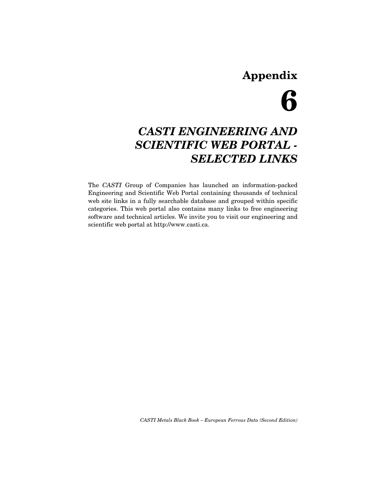### **Appendix**

## **6**

## *CASTI ENGINEERING AND SCIENTIFIC WEB PORTAL - SELECTED LINKS*

The *CASTI* Group of Companies has launched an information-packed Engineering and Scientific Web Portal containing thousands of technical web site links in a fully searchable database and grouped within specific categories. This web portal also contains many links to free engineering software and technical articles. We invite you to visit our engineering and scientific web portal at http://www.casti.ca.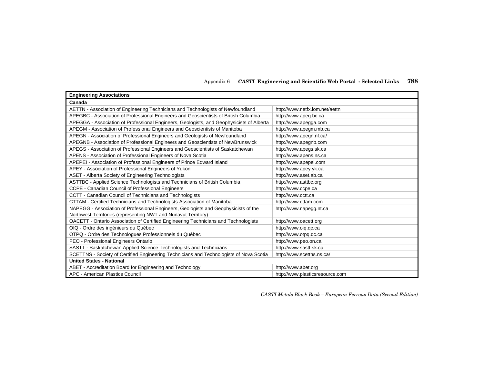| <b>Engineering Associations</b>                                                                                                                       |                                 |
|-------------------------------------------------------------------------------------------------------------------------------------------------------|---------------------------------|
| Canada                                                                                                                                                |                                 |
| AETTN - Association of Engineering Technicians and Technologists of Newfoundland                                                                      | http://www.netfx.iom.net/aettn  |
| APEGBC - Association of Professional Engineers and Geoscientists of British Columbia                                                                  | http://www.apeg.bc.ca           |
| APEGGA - Association of Professional Engineers, Geologists, and Geophysicists of Alberta                                                              | http://www.apegga.com           |
| APEGM - Association of Professional Engineers and Geoscientists of Manitoba                                                                           | http://www.apegm.mb.ca          |
| APEGN - Association of Professional Engineers and Geologists of Newfoundland                                                                          | http://www.apegn.nf.ca/         |
| APEGNB - Association of Professional Engineers and Geoscientists of NewBrunswick                                                                      | http://www.apegnb.com           |
| APEGS - Association of Professional Engineers and Geoscientists of Saskatchewan                                                                       | http://www.apegs.sk.ca          |
| APENS - Association of Professional Engineers of Nova Scotia                                                                                          | http://www.apens.ns.ca          |
| APEPEI - Association of Professional Engineers of Prince Edward Island                                                                                | http://www.apepei.com           |
| APEY - Association of Professional Engineers of Yukon                                                                                                 | http://www.apey.yk.ca           |
| ASET - Alberta Society of Engineering Technologists                                                                                                   | http://www.aset.ab.ca           |
| ASTTBC - Applied Science Technologists and Technicians of British Columbia                                                                            | http://www.asttbc.org           |
| CCPE - Canadian Council of Professional Engineers                                                                                                     | http://www.ccpe.ca              |
| CCTT - Canadian Council of Technicians and Technologists                                                                                              | http://www.cctt.ca              |
| CTTAM - Certified Technicians and Technologists Association of Manitoba                                                                               | http://www.cttam.com            |
| NAPEGG - Association of Professional Engineers, Geologists and Geophysicists of the<br>Northwest Territories (representing NWT and Nunavut Territory) | http://www.napegg.nt.ca         |
| OACETT - Ontario Association of Certified Engineering Technicians and Technologists                                                                   | http://www.oacett.org           |
| OIQ - Ordre des ingénieurs du Québec                                                                                                                  | http://www.oiq.qc.ca            |
| OTPQ - Ordre des Technologues Professionnels du Québec                                                                                                | http://www.otpq.qc.ca           |
| PEO - Professional Engineers Ontario                                                                                                                  | http://www.peo.on.ca            |
| SASTT - Saskatchewan Applied Science Technologists and Technicians                                                                                    | http://www.sastt.sk.ca          |
| SCETTNS - Society of Certified Engineering Technicians and Technologists of Nova Scotia                                                               | http://www.scettns.ns.ca/       |
| <b>United States - National</b>                                                                                                                       |                                 |
| ABET - Accreditation Board for Engineering and Technology                                                                                             | http://www.abet.org             |
| <b>APC - American Plastics Council</b>                                                                                                                | http://www.plasticsresource.com |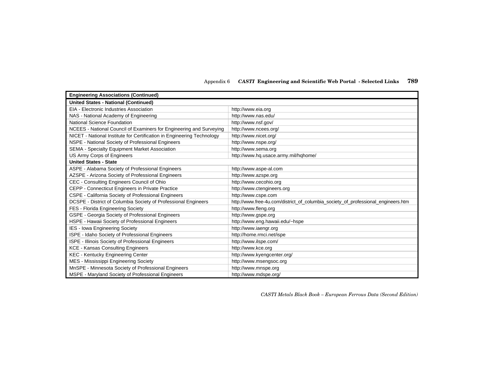| <b>Engineering Associations (Continued)</b>                            |                                                                                   |
|------------------------------------------------------------------------|-----------------------------------------------------------------------------------|
| <b>United States - National (Continued)</b>                            |                                                                                   |
| EIA - Electronic Industries Association                                | http://www.eia.org                                                                |
| NAS - National Academy of Engineering                                  | http://www.nas.edu/                                                               |
| National Science Foundation                                            | http://www.nsf.gov/                                                               |
| NCEES - National Council of Examiners for Engineering and Surveying    | http://www.ncees.org/                                                             |
| NICET - National Institute for Certification in Engineering Technology | http://www.nicet.org/                                                             |
| NSPE - National Society of Professional Engineers                      | http://www.nspe.org/                                                              |
| <b>SEMA - Specialty Equipment Market Association</b>                   | http://www.sema.org                                                               |
| US Army Corps of Engineers                                             | http://www.hq.usace.army.mil/hqhome/                                              |
| <b>United States - State</b>                                           |                                                                                   |
| ASPE - Alabama Society of Professional Engineers                       | http://www.aspe-al.com                                                            |
| AZSPE - Arizona Society of Professional Engineers                      | http://www.azspe.org                                                              |
| CEC - Consulting Engineers Council of Ohio                             | http://www.cecohio.org                                                            |
| CEPP - Connecticut Engineers in Private Practice                       | http://www.ctengineers.org                                                        |
| CSPE - California Society of Professional Engineers                    | http://www.cspe.com                                                               |
| DCSPE - District of Columbia Society of Professional Engineers         | http://www.free-4u.com/district_of_columbia_society_of_professional_engineers.htm |
| FES - Florida Engineering Society                                      | http://www.fleng.org                                                              |
| GSPE - Georgia Society of Professional Engineers                       | http://www.gspe.org                                                               |
| HSPE - Hawaii Society of Professional Engineers                        | http://www.eng.hawaii.edu/~hspe                                                   |
| <b>IES - Iowa Engineering Society</b>                                  | http://www.iaengr.org                                                             |
| ISPE - Idaho Society of Professional Engineers                         | http://home.rmci.net/ispe                                                         |
| ISPE - Illinois Society of Professional Engineers                      | http://www.ilspe.com/                                                             |
| <b>KCE - Kansas Consulting Engineers</b>                               | http://www.kce.org                                                                |
| KEC - Kentucky Engineering Center                                      | http://www.kyengcenter.org/                                                       |
| MES - Mississippi Engineering Society                                  | http://www.msengsoc.org                                                           |
| MnSPE - Minnesota Society of Professional Engineers                    | http://www.mnspe.org                                                              |
| MSPE - Maryland Society of Professional Engineers                      | http://www.mdspe.org/                                                             |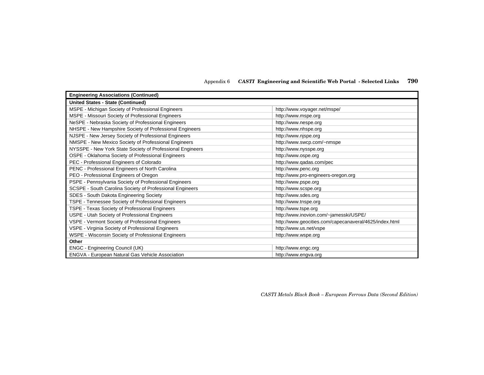| <b>Engineering Associations (Continued)</b>               |                                                        |
|-----------------------------------------------------------|--------------------------------------------------------|
| <b>United States - State (Continued)</b>                  |                                                        |
| MSPE - Michigan Society of Professional Engineers         | http://www.voyager.net/mspe/                           |
| MSPE - Missouri Society of Professional Engineers         | http://www.mspe.org                                    |
| NeSPE - Nebraska Society of Professional Engineers        | http://www.nespe.org                                   |
| NHSPE - New Hampshire Society of Professional Engineers   | http://www.nhspe.org                                   |
| NJSPE - New Jersey Society of Professional Engineers      | http://www.njspe.org                                   |
| NMSPE - New Mexico Society of Professional Engineers      | http://www.swcp.com/~nmspe                             |
| NYSSPE - New York State Society of Professional Engineers | http://www.nysspe.org                                  |
| OSPE - Oklahoma Society of Professional Engineers         | http://www.ospe.org                                    |
| PEC - Professional Engineers of Colorado                  | http://www.qadas.com/pec                               |
| PENC - Professional Engineers of North Carolina           | http://www.penc.org                                    |
| PEO - Professional Engineers of Oregon                    | http://www.pro-engineers-oregon.org                    |
| PSPE - Pennsylvania Society of Professional Engineers     | http://www.pspe.org                                    |
| SCSPE - South Carolina Society of Professional Engineers  | http://www.scspe.org                                   |
| SDES - South Dakota Engineering Society                   | http://www.sdes.org                                    |
| TSPE - Tennessee Society of Professional Engineers        | http://www.tnspe.org                                   |
| TSPE - Texas Society of Professional Engineers            | http://www.tspe.org                                    |
| USPE - Utah Society of Professional Engineers             | http://www.inovion.com/~jamesski/USPE/                 |
| VSPE - Vermont Society of Professional Engineers          | http://www.geocities.com/capecanaveral/4625/index.html |
| VSPE - Virginia Society of Professional Engineers         | http://www.us.net/vspe                                 |
| WSPE - Wisconsin Society of Professional Engineers        | http://www.wspe.org                                    |
| Other                                                     |                                                        |
| ENGC - Engineering Council (UK)                           | http://www.engc.org                                    |
| ENGVA - European Natural Gas Vehicle Association          | http://www.engva.org                                   |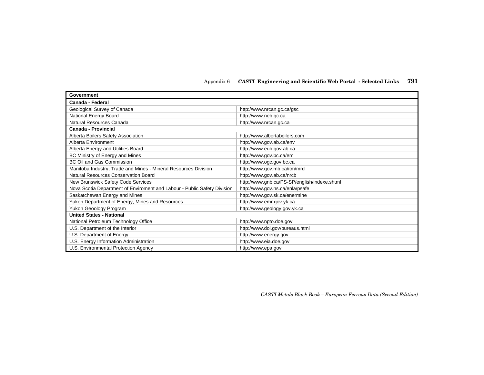| Government                                                               |                                              |  |
|--------------------------------------------------------------------------|----------------------------------------------|--|
| Canada - Federal                                                         |                                              |  |
| Geological Survey of Canada                                              | http://www.nrcan.gc.ca/gsc                   |  |
| National Energy Board                                                    | http://www.neb.gc.ca                         |  |
| Natural Resources Canada                                                 | http://www.nrcan.gc.ca                       |  |
| Canada - Provincial                                                      |                                              |  |
| Alberta Boilers Safety Association                                       | http://www.albertaboilers.com                |  |
| Alberta Environment                                                      | http://www.gov.ab.ca/env                     |  |
| Alberta Energy and Utilities Board                                       | http://www.eub.gov.ab.ca                     |  |
| BC Ministry of Energy and Mines                                          | http://www.gov.bc.ca/em                      |  |
| <b>BC Oil and Gas Commission</b>                                         | http://www.ogc.gov.bc.ca                     |  |
| Manitoba Industry, Trade and Mines - Mineral Resources Division          | http://www.gov.mb.ca/itm/mrd                 |  |
| Natural Resources Conservation Board                                     | http://www.gov.ab.ca/nrcb                    |  |
| New Brunswick Safety Code Services                                       | http://www.gnb.ca/PS-SP/english/indexe.shtml |  |
| Nova Scotia Department of Enviroment and Labour - Public Safety Division | http://www.gov.ns.ca/enla/psafe              |  |
| Saskatchewan Energy and Mines                                            | http://www.gov.sk.ca/enermine                |  |
| Yukon Department of Energy, Mines and Resources                          | http://www.emr.gov.yk.ca                     |  |
| Yukon Geoology Program                                                   | http://www.geology.gov.yk.ca                 |  |
| <b>United States - National</b>                                          |                                              |  |
| National Petroleum Technology Office                                     | http://www.npto.doe.gov                      |  |
| U.S. Department of the Interior                                          | http://www.doi.gov/bureaus.html              |  |
| U.S. Department of Energy                                                | http://www.energy.gov                        |  |
| U.S. Energy Information Administration                                   | http://www.eia.doe.gov                       |  |
| U.S. Environmental Protection Agency                                     | http://www.epa.gov                           |  |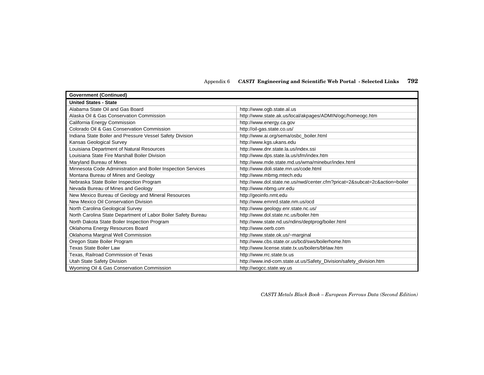| <b>Government (Continued)</b>                                 |                                                                            |
|---------------------------------------------------------------|----------------------------------------------------------------------------|
| <b>United States - State</b>                                  |                                                                            |
| Alabama State Oil and Gas Board                               | http://www.ogb.state.al.us                                                 |
| Alaska Oil & Gas Conservation Commission                      | http://www.state.ak.us/local/akpages/ADMIN/ogc/homeogc.htm                 |
| California Energy Commission                                  | http://www.energy.ca.gov                                                   |
| Colorado Oil & Gas Conservation Commission                    | http://oil-gas.state.co.us/                                                |
| Indiana State Boiler and Pressure Vessel Safety Division      | http://www.ai.org/sema/osbc_boiler.html                                    |
| Kansas Geological Survey                                      | http://www.kgs.ukans.edu                                                   |
| Louisiana Department of Natural Resources                     | http://www.dnr.state.la.us/index.ssi                                       |
| Louisiana State Fire Marshall Boiler Division                 | http://www.dps.state.la.us/sfm/index.htm                                   |
| Maryland Bureau of Mines                                      | http://www.mde.state.md.us/wma/minebur/index.html                          |
| Minnesota Code Administration and Boiler Inspection Services  | http://www.doli.state.mn.us/code.html                                      |
| Montana Bureau of Mines and Geology                           | http://www.mbmg.mtech.edu                                                  |
| Nebraska State Boiler Inspection Program                      | http://www.dol.state.ne.us/nwd/center.cfm?pricat=2&subcat=2c&action=boiler |
| Nevada Bureau of Mines and Geology                            | http://www.nbmg.unr.edu                                                    |
| New Mexico Bureau of Geology and Mineral Resources            | http://geoinfo.nmt.edu                                                     |
| New Mexico Oil Conservation Division                          | http://www.emnrd.state.nm.us/ocd                                           |
| North Carolina Geological Survey                              | http://www.geology.enr.state.nc.us/                                        |
| North Carolina State Department of Labor Boiler Safety Bureau | http://www.dol.state.nc.us/boiler.htm                                      |
| North Dakota State Boiler Inspection Program                  | http://www.state.nd.us/ndins/deptprog/boiler.html                          |
| Oklahoma Energy Resources Board                               | http://www.oerb.com                                                        |
| Oklahoma Marginal Well Commission                             | http://www.state.ok.us/~marginal                                           |
| Oregon State Boiler Program                                   | http://www.cbs.state.or.us/bcd/sws/boilerhome.htm                          |
| <b>Texas State Boiler Law</b>                                 | http://www.license.state.tx.us/boilers/blrlaw.htm                          |
| Texas, Railroad Commission of Texas                           | http://www.rrc.state.tx.us                                                 |
| Utah State Safety Division                                    | http://www.ind-com.state.ut.us/Safety_Division/safety_division.htm         |
| Wyoming Oil & Gas Conservation Commission                     | http://wogcc.state.wy.us                                                   |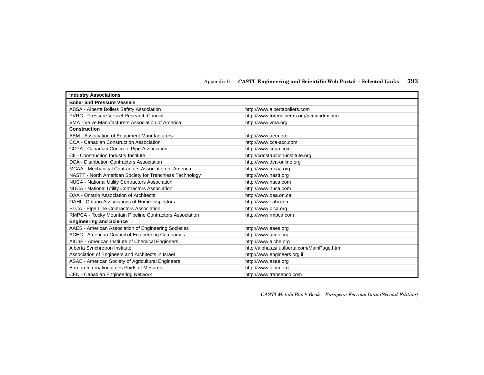| <b>Industry Associations</b>                             |                                            |  |
|----------------------------------------------------------|--------------------------------------------|--|
| <b>Boiler and Pressure Vessels</b>                       |                                            |  |
| ABSA - Alberta Boilers Safety Association                | http://www.albertaboilers.com              |  |
| PVRC - Pressure Vessel Research Council                  | http://www.forengineers.org/pvrc/index.htm |  |
| VMA - Valve Manufacturers Association of America         | http://www.vma.org                         |  |
| Construction                                             |                                            |  |
| AEM - Association of Equipment Manufacturers             | http://www.aem.org                         |  |
| CCA - Canadian Construction Association                  | http://www.cca-acc.com                     |  |
| CCPA - Canadian Concrete Pipe Association                | http://www.ccpa.com                        |  |
| CII - Construction Industry Institute                    | http://construction-institute.org          |  |
| <b>DCA</b> - Distribution Contractors Association        | http://www.dca-online.org                  |  |
| MCAA - Mechanical Contractors Association of America     | http://www.mcaa.org                        |  |
| NASTT - North American Society for Trenchless Technology | http://www.nastt.org                       |  |
| NUCA - National Utility Contractors Association          | http://www.nuca.com                        |  |
| NUCA - National Utility Contractors Association          | http://www.nuca.com                        |  |
| OAA - Ontario Association of Architects                  | http://www.oaa.on.ca                       |  |
| OAHI - Ontario Associations of Home Inspectors           | http://www.oahi.com                        |  |
| PLCA - Pipe Line Contractors Association                 | http://www.plca.org                        |  |
| RMPCA - Rocky Mountain Pipeline Contractors Association  | http://www.rmpca.com                       |  |
| <b>Engineering and Science</b>                           |                                            |  |
| AAES - American Association of Engineering Societies     | http://www.aaes.org                        |  |
| ACEC - American Council of Engineering Companies         | http://www.acec.org                        |  |
| AIChE - American Institute of Chemical Engineers         | http://www.aiche.org                       |  |
| Alberta Synchrotron Institute                            | http://alpha.asi.ualberta.com/MainPage.htm |  |
| Association of Engineers and Architects in Israel        | http://www.engineers.org.il                |  |
| ASAE - American Society of Agricultural Engineers        | http://www.asae.org                        |  |
| Bureau International des Poids et Mesures                | http://www.bipm.org                        |  |
| <b>CEN - Canadian Engineering Network</b>                | http://www.transenco.com                   |  |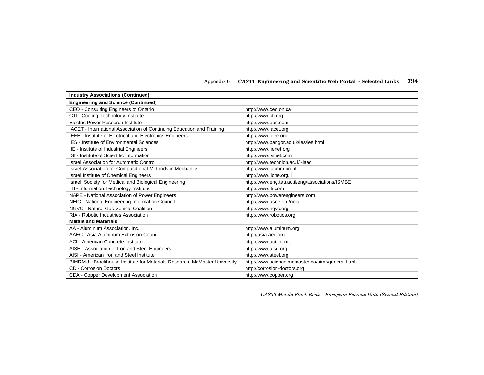| <b>Industry Associations (Continued)</b>                                  |                                                  |
|---------------------------------------------------------------------------|--------------------------------------------------|
| <b>Engineering and Science (Continued)</b>                                |                                                  |
| CEO - Consulting Engineers of Ontario                                     | http://www.ceo.on.ca                             |
| CTI - Cooling Technology Institute                                        | http://www.cti.org                               |
| Electric Power Research Institute                                         | http://www.epri.com                              |
| IACET - International Association of Continuing Education and Training    | http://www.iacet.org                             |
| IEEE - Institute of Electrical and Electronics Engineers                  | http://www.ieee.org                              |
| <b>IES</b> - Institute of Environmental Sciences                          | http://www.bangor.ac.uk/ies/ies.html             |
| IIE - Institute of Industrial Engineers                                   | http://www.iienet.org                            |
| ISI - Institute of Scientific Information                                 | http://www.isinet.com                            |
| <b>Israel Association for Automatic Control</b>                           | http://www.technion.ac.il/~iaac                  |
| Israel Association for Computational Methods in Mechanics                 | http://www.iacmm.org.il                          |
| Israel Institute of Chemical Engineers                                    | http://www.iiche.org.il                          |
| Israeli Society for Medical and Biological Engineering                    | http://www.eng.tau.ac.il/eng/associations/ISMBE  |
| ITI - Information Technology Institute                                    | http://www.iti.com                               |
| NAPE - National Association of Power Engineers                            | http://www.powerengineers.com                    |
| NEIC - National Engineering Information Council                           | http://www.asee.org/neic                         |
| NGVC - Natural Gas Vehicle Coalition                                      | http://www.ngvc.org                              |
| RIA - Robotic Industries Association                                      | http://www.robotics.org                          |
| <b>Metals and Materials</b>                                               |                                                  |
| AA - Aluminum Association, Inc.                                           | http://www.aluminum.org                          |
| AAEC - Asia Aluminum Extrusion Council                                    | http://asia-aec.org                              |
| ACI - American Concrete Institute                                         | http://www.aci-int.net                           |
| AISE - Association of Iron and Steel Engineers                            | http://www.aise.org                              |
| AISI - American Iron and Steel Institute                                  | http://www.steel.org                             |
| BIMRMU - Brockhouse Institute for Materials Research, McMaster University | http://www.science.mcmaster.ca/bimr/general.html |
| <b>CD</b> - Corrosion Doctors                                             | http://corrosion-doctors.org                     |
| <b>CDA - Copper Development Association</b>                               | http://www.copper.org                            |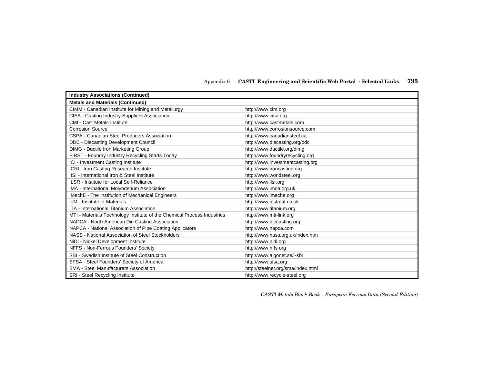| <b>Industry Associations (Continued)</b>                                |                                    |
|-------------------------------------------------------------------------|------------------------------------|
| <b>Metals and Materials (Continued)</b>                                 |                                    |
| CIMM - Canadian Institute for Mining and Metallurgy                     | http://www.cim.org                 |
| CISA - Casting Industry Suppliers Association                           | http://www.cisa.org                |
| <b>CMI - Cast Metals Institute</b>                                      | http://www.castmetals.com          |
| <b>Corrosion Source</b>                                                 | http://www.corrosionsource.com     |
| CSPA - Canadian Steel Producers Association                             | http://www.canadiansteel.ca        |
| DDC - Diecasting Development Council                                    | http://www.diecasting.org/ddc      |
| DIMG - Ductile Iron Marketing Group                                     | http://www.ductile.org/dimg        |
| FIRST - Foundry Industry Recycling Starts Today                         | http://www.foundryrecycling.org    |
| ICI - Investment Casting Institute                                      | http://www.investmentcasting.org   |
| ICRI - Iron Casting Research Institute                                  | http://www.ironcasting.org         |
| IISI - International Iron & Steel Institute                             | http://www.worldsteel.org          |
| <b>ILSR</b> - Institute for Local Self-Reliance                         | http://www.ilsr.org                |
| IMA - International Molybdenum Association                              | http://www.imoa.org.uk             |
| IMechE - The Institution of Mechanical Engineers                        | http://www.imeche.org              |
| <b>IoM</b> - Institute of Materials                                     | http://www.instmat.co.uk           |
| <b>ITA - International Titanium Association</b>                         | http://www.titanium.org            |
| MTI - Materials Technology Institute of the Chemical Process Industries | http://www.mti-link.org            |
| NADCA - North American Die Casting Association                          | http://www.diecasting.org          |
| NAPCA - National Association of Pipe Coating Applicators                | http://www.napca.com               |
| NASS - National Association of Steel Stockholders                       | http://www.nass.org.uk/index.htm   |
| NiDI - Nickel Development Institute                                     | http://www.nidi.org                |
| NFFS - Non-Ferrous Founders' Society                                    | http://www.nffs.org                |
| SBI - Swedish Institute of Steel Construction                           | http://www.algonet.se/~sbi         |
| SFSA - Steel Founders' Society of America                               | http://www.sfsa.org                |
| <b>SMA - Steel Manufacturers Association</b>                            | http://steelnet.org/sma/index.html |
| <b>SRI</b> - Steel Recycling Institute                                  | http://www.recycle-steel.org       |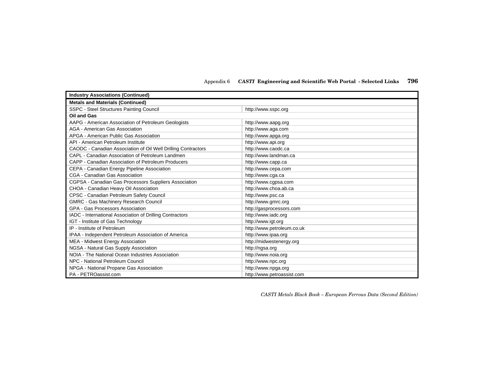| <b>Industry Associations (Continued)</b>                      |                            |
|---------------------------------------------------------------|----------------------------|
| <b>Metals and Materials (Continued)</b>                       |                            |
| SSPC - Steel Structures Painting Council                      | http://www.sspc.org        |
| Oil and Gas                                                   |                            |
| AAPG - American Association of Petroleum Geologists           | http://www.aapg.org        |
| AGA - American Gas Association                                | http://www.aga.com         |
| APGA - American Public Gas Association                        | http://www.apga.org        |
| API - American Petroleum Institute                            | http://www.api.org         |
| CAODC - Canadian Association of Oil Well Drilling Contractors | http://www.caodc.ca        |
| CAPL - Canadian Association of Petroleum Landmen              | http://www.landman.ca      |
| CAPP - Canadian Association of Petroleum Producers            | http://www.capp.ca         |
| CEPA - Canadian Energy Pipeline Association                   | http://www.cepa.com        |
| CGA - Canadian Gas Association                                | http://www.cga.ca          |
| CGPSA - Canadian Gas Processors Suppliers Association         | http://www.cgpsa.com       |
| CHOA - Canadian Heavy Oil Association                         | http://www.choa.ab.ca      |
| CPSC - Canadian Petroleum Safety Council                      | http://www.psc.ca          |
| <b>GMRC - Gas Machinery Research Council</b>                  | http://www.gmrc.org        |
| <b>GPA - Gas Processors Association</b>                       | http://gasprocessors.com   |
| IADC - International Association of Drilling Contractors      | http://www.iadc.org        |
| IGT - Institute of Gas Technology                             | http://www.igt.org         |
| IP - Institute of Petroleum                                   | http://www.petroleum.co.uk |
| IPAA - Independent Petroleum Association of America           | http://www.ipaa.org        |
| <b>MEA - Midwest Energy Association</b>                       | http://midwestenergy.org   |
| NGSA - Natural Gas Supply Association                         | http://ngsa.org            |
| NOIA - The National Ocean Industries Association              | http://www.noia.org        |
| NPC - National Petroleum Council                              | http://www.npc.org         |
| NPGA - National Propane Gas Association                       | http://www.npga.org        |
| PA - PETROassist.com                                          | http://www.petroassist.com |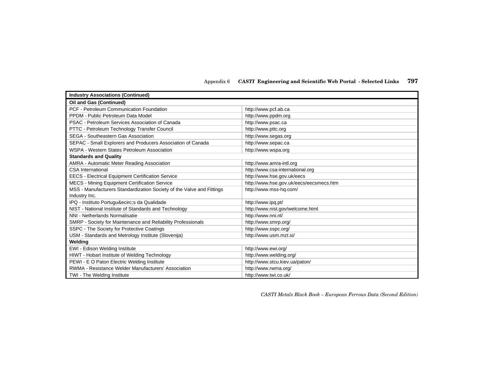| <b>Industry Associations (Continued)</b>                              |                                         |
|-----------------------------------------------------------------------|-----------------------------------------|
| Oil and Gas (Continued)                                               |                                         |
| PCF - Petroleum Communication Foundation                              | http://www.pcf.ab.ca                    |
| PPDM - Public Petroleum Data Model                                    | http://www.ppdm.org                     |
| PSAC - Petroleum Services Association of Canada                       | http://www.psac.ca                      |
| PTTC - Petroleum Technology Transfer Council                          | http://www.pttc.org                     |
| SEGA - Southeastern Gas Association                                   | http://www.segas.org                    |
| SEPAC - Small Explorers and Producers Association of Canada           | http://www.sepac.ca                     |
| WSPA - Western States Petroleum Association                           | http://www.wspa.org                     |
| <b>Standards and Quality</b>                                          |                                         |
| AMRA - Automatic Meter Reading Association                            | http://www.amra-intl.org                |
| <b>CSA</b> International                                              | http://www.csa-international.org        |
| <b>EECS - Electrical Equipment Certification Service</b>              | http://www.hse.gov.uk/eecs              |
| MECS - Mining Equipment Certification Service                         | http://www.hse.gov.uk/eecs/eecsmecs.htm |
| MSS - Manufacturers Standardization Society of the Valve and Fittings | http://www.mss-hq.com/                  |
| Industry Inc.                                                         |                                         |
| IPQ - Instituto Português da Qualidade                                | http://www.ipq.pt/                      |
| NIST - National Institute of Standards and Technology                 | http://www.nist.gov/welcome.html        |
| NNI - Netherlands Normalisatie                                        | http://www.nni.nl/                      |
| SMRP - Society for Maintenance and Reliability Professionals          | http://www.smrp.org/                    |
| SSPC - The Society for Protective Coatings                            | http://www.sspc.org/                    |
| USM - Standards and Metrology Institute (Slovenija)                   | http://www.usm.mzt.si/                  |
| Welding                                                               |                                         |
| EWI - Edison Welding Institute                                        | http://www.ewi.org/                     |
| HIWT - Hobart Institute of Welding Technology                         | http://www.welding.org/                 |
| PEWI - E O Paton Electric Welding Institute                           | http://www.stcu.kiev.ua/paton/          |
| RWMA - Resistance Welder Manufacturers' Association                   | http://www.rwma.org/                    |
| TWI - The Welding Institute                                           | http://www.twi.co.uk/                   |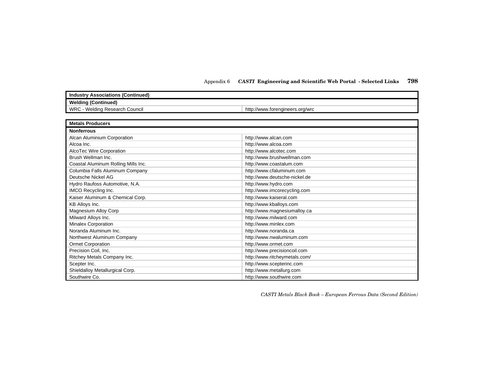**Industry Associations (Continued) Welding (Continued)** WRC - Welding Research Council **http://www.forengineers.org/wrc Metals Producers Nonferrous**Alcan Aluminium Corporation **http://www.alcan.com** Alcoa Inc. http://www.alcoa.com AlcoTec Wire Corporation **http://www.alcotec.com** Brush Wellman Inc. **http://www.brushwellman.com** Coastal Aluminum Rolling Mills Inc. http://www.coastalum.com Columbia Falls Aluminum Company http://www.cfaluminum.com Deutsche Nickel AG **http://www.deutsche-nickel.de** Hydro Raufoss Automotive, N.A. http://www.hydro.com IMCO Recycling Inc. **http://www.imcorecycling.com** Kaiser Aluminum & Chemical Corp. http://www.kaiseral.com KB Alloys Inc. **http://www.kballoys.com** Magnesium Alloy Corp **http://www.magnesiumalloy.ca** Milward Alloys Inc. http://www.milward.com Minalex Corporation **http://www.minlex.com** Noranda Aluminum Inc. http://www.noranda.ca Northwest Aluminum Company http://www.nwaluminum.com Ormet Corporation http://www.ormet.com Precision Coil, Inc. **http://www.precisioncoil.com** 

http://www.scepterinc.com

Ritchey Metals Company Inc. http://www.ritcheymetals.com/<br>Scepter Inc. http://www.scepterinc.com

Shieldalloy Metallurgical Corp. **http://www.metallurg.com** Southwire Co. **http://www.southwire.com** 

Appendix 6 *CASTI* **Engineering and Scientific Web Portal - Selected Links 798**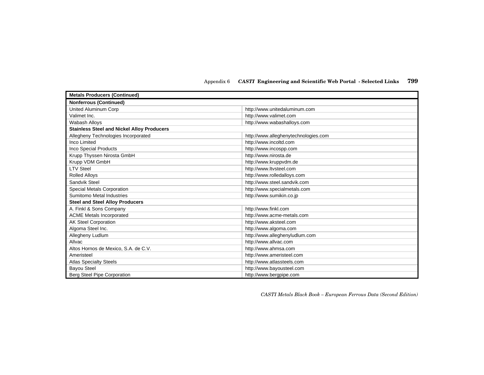| <b>Metals Producers (Continued)</b>               |                                      |  |
|---------------------------------------------------|--------------------------------------|--|
| <b>Nonferrous (Continued)</b>                     |                                      |  |
| United Aluminum Corp                              | http://www.unitedaluminum.com        |  |
| Valimet Inc.                                      | http://www.valimet.com               |  |
| <b>Wabash Alloys</b>                              | http://www.wabashalloys.com          |  |
| <b>Stainless Steel and Nickel Alloy Producers</b> |                                      |  |
| Allegheny Technologies Incorporated               | http://www.alleghenytechnologies.com |  |
| Inco Limited                                      | http://www.incoltd.com               |  |
| <b>Inco Special Products</b>                      | http://www.incospp.com               |  |
| Krupp Thyssen Nirosta GmbH                        | http://www.nirosta.de                |  |
| Krupp VDM GmbH                                    | http://www.kruppvdm.de               |  |
| <b>LTV Steel</b>                                  | http://www.ltvsteel.com              |  |
| <b>Rolled Alloys</b>                              | http://www.rolledalloys.com          |  |
| Sandvik Steel                                     | http://www.steel.sandvik.com         |  |
| Special Metals Corporation                        | http://www.specialmetals.com         |  |
| Sumitomo Metal Industries                         | http://www.sumikin.co.jp             |  |
| <b>Steel and Steel Alloy Producers</b>            |                                      |  |
| A. Finkl & Sons Company                           | http://www.finkl.com                 |  |
| <b>ACME Metals Incorporated</b>                   | http://www.acme-metals.com           |  |
| <b>AK Steel Corporation</b>                       | http://www.aksteel.com               |  |
| Algoma Steel Inc.                                 | http://www.algoma.com                |  |
| Allegheny Ludlum                                  | http://www.alleghenyludlum.com       |  |
| Allvac                                            | http://www.allvac.com                |  |
| Altos Hornos de Mexico, S.A. de C.V.              | http://www.ahmsa.com                 |  |
| Ameristeel                                        | http://www.ameristeel.com            |  |
| <b>Atlas Specialty Steels</b>                     | http://www.atlassteels.com           |  |
| <b>Bayou Steel</b>                                | http://www.bayousteel.com            |  |
| <b>Berg Steel Pipe Corporation</b>                | http://www.bergpipe.com              |  |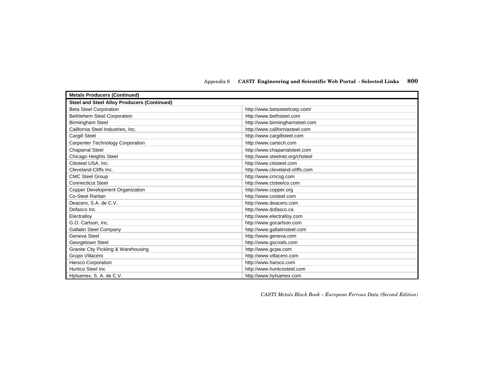| <b>Metals Producers (Continued)</b>                |                                 |  |
|----------------------------------------------------|---------------------------------|--|
| <b>Steel and Steel Alloy Producers (Continued)</b> |                                 |  |
| <b>Beta Steel Corporation</b>                      | http://www.betasteelcorp.com/   |  |
| <b>Bethlehem Steel Corporation</b>                 | http://www.bethsteel.com        |  |
| <b>Birmingham Steel</b>                            | http://www.birminghamsteel.com  |  |
| California Steel Industries, Inc.                  | http://www.californiasteel.com  |  |
| <b>Cargill Steel</b>                               | http://www.cargillsteel.com     |  |
| <b>Carpenter Technology Corporation</b>            | http://www.cartech.com          |  |
| <b>Chaparral Steel</b>                             | http://www.chaparralsteel.com   |  |
| Chicago Heights Steel                              | http://www.steelnet.org/chsteel |  |
| Citisteel USA, Inc.                                | http://www.citisteel.com        |  |
| Cleveland-Cliffs Inc.                              | http://www.cleveland-cliffs.com |  |
| <b>CMC Steel Group</b>                             | http://www.cmcsg.com            |  |
| <b>Connecticut Steel</b>                           | http://www.ctsteelco.com        |  |
| Copper Development Organization                    | http://www.copper.org           |  |
| Co-Steel Raritan                                   | http://www.costeel.com          |  |
| Deacero, S.A. de C.V.                              | http://www.deacero.com          |  |
| Dofasco Inc.                                       | http://www.dofasco.ca           |  |
| Electralloy                                        | http://www.electralloy.com      |  |
| G.O. Carlson, Inc.                                 | http://www.gocarlson.com        |  |
| <b>Gallatin Steel Company</b>                      | http://www.gallatinsteel.com    |  |
| Geneva Steel                                       | http://www.geneva.com           |  |
| Georgetown Steel                                   | http://www.gscrods.com          |  |
| Granite City Pickling & Warehousing                | http://www.gcpw.com             |  |
| Grupo Villacero                                    | http://www.villacero.com        |  |
| Harsco Corporation                                 | http://www.harsco.com           |  |
| Huntco Steel Inc.                                  | http://www.huntcosteel.com      |  |
| Hylsamex, S. A. de C.V.                            | http://www.hylsamex.com         |  |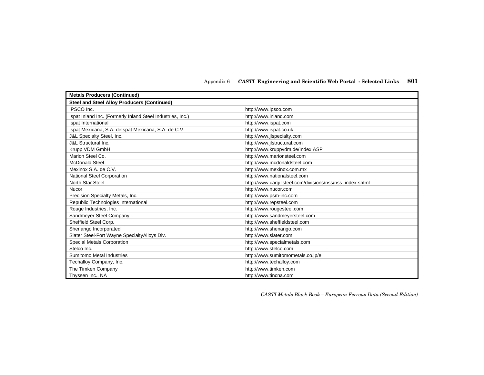| <b>Metals Producers (Continued)</b>                        |                                                           |
|------------------------------------------------------------|-----------------------------------------------------------|
| <b>Steel and Steel Alloy Producers (Continued)</b>         |                                                           |
| IPSCO Inc.                                                 | http://www.ipsco.com                                      |
| Ispat Inland Inc. (Formerly Inland Steel Industries, Inc.) | http://www.inland.com                                     |
| Ispat International                                        | http://www.ispat.com                                      |
| Ispat Mexicana, S.A. delspat Mexicana, S.A. de C.V.        | http://www.ispat.co.uk                                    |
| J&L Specialty Steel, Inc.                                  | http://www.jlspecialty.com                                |
| <b>J&amp;L Structural Inc.</b>                             | http://www.jlstructural.com                               |
| Krupp VDM GmbH                                             | http://www.kruppvdm.de/Index.ASP                          |
| Marion Steel Co.                                           | http://www.marionsteel.com                                |
| <b>McDonald Steel</b>                                      | http://www.mcdonaldsteel.com                              |
| Mexinox S.A. de C.V.                                       | http://www.mexinox.com.mx                                 |
| National Steel Corporation                                 | http://www.nationalsteel.com                              |
| North Star Steel                                           | http://www.cargillsteel.com/divisions/nss/nss_index.shtml |
| Nucor                                                      | http://www.nucor.com                                      |
| Precision Specialty Metals, Inc.                           | http://www.psm-inc.com                                    |
| Republic Technologies International                        | http://www.repsteel.com                                   |
| Rouge Industries, Inc.                                     | http://www.rougesteel.com                                 |
| Sandmeyer Steel Company                                    | http://www.sandmeyersteel.com                             |
| Sheffield Steel Corp.                                      | http://www.sheffieldsteel.com                             |
| Shenango Incorporated                                      | http://www.shenango.com                                   |
| Slater Steel-Fort Wayne SpecialtyAlloys Div.               | http://www.slater.com                                     |
| Special Metals Corporation                                 | http://www.specialmetals.com                              |
| Stelco Inc.                                                | http://www.stelco.com                                     |
| Sumitomo Metal Industries                                  | http://www.sumitomometals.co.jp/e                         |
| Techalloy Company, Inc.                                    | http://www.techalloy.com                                  |
| The Timken Company                                         | http://www.timken.com                                     |
| Thyssen Inc., NA                                           | http://www.tincna.com                                     |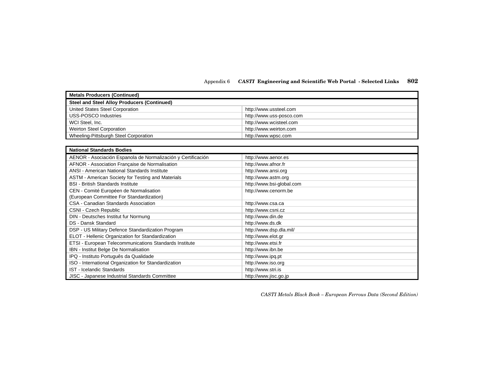| <b>Metals Producers (Continued)</b>         |                          |
|---------------------------------------------|--------------------------|
| Steel and Steel Alloy Producers (Continued) |                          |
| United States Steel Corporation             | http://www.ussteel.com   |
| USS-POSCO Industries                        | http://www.uss-posco.com |
| WCI Steel, Inc.                             | http://www.wcisteel.com  |
| <b>Weirton Steel Corporation</b>            | http://www.weirton.com   |
| Wheeling-Pittsburgh Steel Corporation       | http://www.wpsc.com      |

| <b>National Standards Bodies</b>                             |                           |
|--------------------------------------------------------------|---------------------------|
| AENOR - Asociación Espanola de Normalización y Certificación | http://www.aenor.es       |
| AFNOR - Association Française de Normalisation               | http://www.afnor.fr       |
| ANSI - American National Standards Institute                 | http://www.ansi.org       |
| ASTM - American Society for Testing and Materials            | http://www.astm.org       |
| <b>BSI - British Standards Institute</b>                     | http://www.bsi-global.com |
| CEN - Comité Européen de Normalisation                       | http://www.cenorm.be      |
| (European Committee For Standardization)                     |                           |
| CSA - Canadian Standards Association                         | http://www.csa.ca         |
| CSNI - Czech Republic                                        | http://www.csni.cz        |
| DIN - Deutsches Institut fur Normung                         | http://www.din.de         |
| DS - Dansk Standard                                          | http://www.ds.dk          |
| DSP - US Military Defence Standardization Program            | http://www.dsp.dla.mil/   |
| ELOT - Hellenic Organization for Standardization             | http://www.elot.gr        |
| ETSI - European Telecommunications Standards Institute       | http://www.etsi.fr        |
| IBN - Institut Belge De Normalisation                        | http://www.ibn.be         |
| IPQ - Instituto Português da Qualidade                       | http://www.ipq.pt         |
| ISO - International Organization for Standardization         | http://www.iso.org        |
| <b>IST - Icelandic Standards</b>                             | http://www.stri.is        |
| JISC - Japanese Industrial Standards Committee               | http://www.jisc.go.jp     |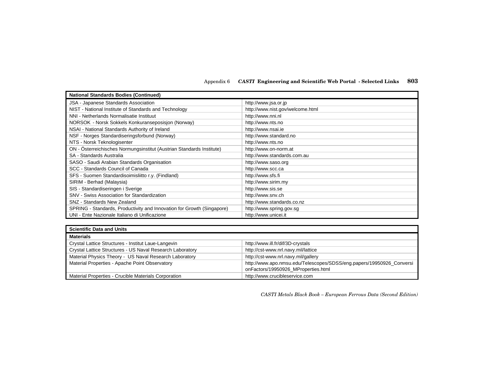| <b>National Standards Bodies (Continued)</b>                           |                                  |
|------------------------------------------------------------------------|----------------------------------|
| JSA - Japanese Standards Association                                   | http://www.jsa.or.jp             |
| NIST - National Institute of Standards and Technology                  | http://www.nist.gov/welcome.html |
| NNI - Netherlands Normalisatie Instituut                               | http://www.nni.nl                |
| NORSOK - Norsk Sokkels Konkuranseposisjon (Norway)                     | http://www.nts.no                |
| NSAI - National Standards Authority of Ireland                         | http://www.nsai.ie               |
| NSF - Norges Standardiseringsforbund (Norway)                          | http://www.standard.no           |
| NTS - Norsk Teknologisenter                                            | http://www.nts.no                |
| ON - Österreichisches Normungsinstitut (Austrian Standards Institute)  | http://www.on-norm.at            |
| SA - Standards Australia                                               | http://www.standards.com.au      |
| SASO - Saudi Arabian Standards Organisation                            | http://www.saso.org              |
| SCC - Standards Council of Canada                                      | http://www.scc.ca                |
| SFS - Suomen Standardisoimisliitto r.y. (Findland)                     | http://www.sfs.fi                |
| SIRIM - Berhad (Malaysia)                                              | http://www.sirim.my              |
| SIS - Standardiseringen i Sverige                                      | http://www.sis.se                |
| SNV - Swiss Association for Standardization                            | http://www.snv.ch                |
| SNZ - Standards New Zealand                                            | http://www.standards.co.nz       |
| SPRING - Standards, Productivity and Innovation for Growth (Singapore) | http://www.spring.gov.sg         |
| UNI - Ente Nazionale Italiano di Unificazione                          | http://www.unicei.it             |

| <b>Scientific Data and Units</b>                          |                                                                      |
|-----------------------------------------------------------|----------------------------------------------------------------------|
| <b>Materials</b>                                          |                                                                      |
| Crystal Lattice Structures - Institut Laue-Langevin       | http://www.ill.fr/dif/3D-crystals                                    |
| Crystal Lattice Structures - US Naval Research Laboratory | http://cst-www.nrl.navy.mil/lattice                                  |
| Material Physics Theory - US Naval Research Laboratory    | http://cst-www.nrl.navy.mil/gallery                                  |
| Material Properties - Apache Point Observatory            | http://www.apo.nmsu.edu/Telescopes/SDSS/eng.papers/19950926_Conversi |
|                                                           | onFactors/19950926_MProperties.html                                  |
| Material Properties - Crucible Materials Corporation      | http://www.crucibleservice.com                                       |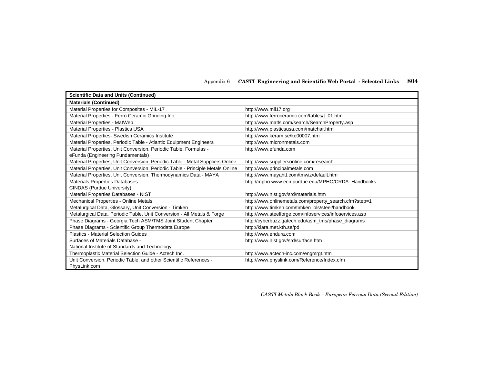#### **Scientific Data and Units (Continued) Materials (Continued)** Material Properties for Composites - MIL-17 http://www.mil17.org Material Properties - Ferro Ceramic Grinding Inc. http://www.ferroceramic.com/tables/t\_01.htm Material Properties - MatWeb http://www.matls.com/search/SearchProperty.asp Material Properties - Plastics USA http://www.plasticsusa.com/matchar.html Material Properties- Swedish Ceramics Institute http://www.keram.se/ke00007.htm Material Properties, Periodic Table - Atlantic Equipment Engineers http://www.micronmetals.com Material Properties, Unit Conversion, Periodic Table, Formulas eFunda (Engineering Fundamentals) http://www.efunda.com Material Properties, Unit Conversion, Periodic Table - Metal Suppliers Online http://www.suppliersonline.com/research Material Properties, Unit Conversion, Periodic Table - Principle Metals Online http://www.principalmetals.com Material Properties, Unit Conversion, Thermodynamics Data - MAYA http://www.mayahtt.com/tmwiz/default.htm Materials Properties Databases - CINDAS (Purdue University) http://mpho.www.ecn.purdue.edu/MPHO/CRDA\_Handbooks Material Properties Databases - NIST http://www.nist.gov/srd/materials.htm Mechanical Properties - Online Metals http://www.onlinemetals.com/property\_search.cfm?step=1 Metalurgical Data, Glossary, Unit Conversion - Timken http://www.timken.com/timken\_ols/steel/handbook Metalurgical Data, Periodic Table, Unit Conversion - All Metals & Forge http://www.steelforge.com/infoservices/infoservices.asp Phase Diagrams - Georgia Tech ASM/TMS Joint Student Chapter http://cyberbuzz.gatech.edu/asm\_tms/phase\_diagrams Phase Diagrams - Scientific Group Thermodata Europe http://klara.met.kth.se/pd Plastics - Material Selection Guides **http://www.endura.com** Surfaces of Materials Database -National Institute of Standards and Technology http://www.nist.gov/srd/surface.htm

Thermoplastic Material Selection Guide - Actech Inc. http://www.actech-inc.com/engmrgt.htm

Unit Conversion, Periodic Table, and other Scientific References -

PhysLink.com

Appendix 6 *CASTI* **Engineering and Scientific Web Portal - Selected Links 804**

*CASTI Metals Black Book – European Ferrous Data (Second Edition)*

http://www.physlink.com/Reference/Index.cfm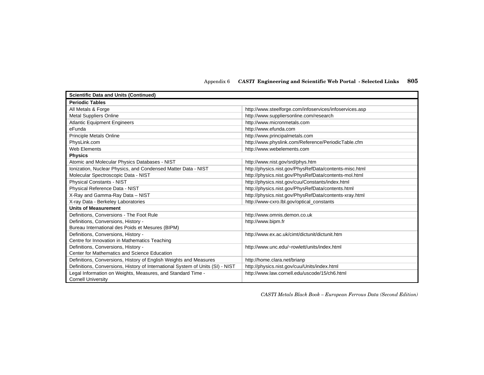| <b>Scientific Data and Units (Continued)</b>                                   |                                                         |
|--------------------------------------------------------------------------------|---------------------------------------------------------|
| <b>Periodic Tables</b>                                                         |                                                         |
| All Metals & Forge                                                             | http://www.steelforge.com/infoservices/infoservices.asp |
| <b>Metal Suppliers Online</b>                                                  | http://www.suppliersonline.com/research                 |
| <b>Atlantic Equipment Engineers</b>                                            | http://www.micronmetals.com                             |
| eFunda                                                                         | http://www.efunda.com                                   |
| <b>Principle Metals Online</b>                                                 | http://www.principalmetals.com                          |
| PhysLink.com                                                                   | http://www.physlink.com/Reference/PeriodicTable.cfm     |
| <b>Web Elements</b>                                                            | http://www.webelements.com                              |
| <b>Physics</b>                                                                 |                                                         |
| Atomic and Molecular Physics Databases - NIST                                  | http://www.nist.gov/srd/phys.htm                        |
| Ionization, Nuclear Physics, and Condensed Matter Data - NIST                  | http://physics.nist.gov/PhysRefData/contents-misc.html  |
| Molecular Spectroscopic Data - NIST                                            | http://physics.nist.gov/PhysRefData/contents-mol.html   |
| <b>Physical Constants - NIST</b>                                               | http://physics.nist.gov/cuu/Constants/index.html        |
| Physical Reference Data - NIST                                                 | http://physics.nist.gov/PhysRefData/contents.html       |
| X-Ray and Gamma-Ray Data - NIST                                                | http://physics.nist.gov/PhysRefData/contents-xray.html  |
| X-ray Data - Berkeley Laboratories                                             | http://www-cxro.lbl.gov/optical constants               |
| <b>Units of Measurement</b>                                                    |                                                         |
| Definitions, Conversions - The Foot Rule                                       | http://www.omnis.demon.co.uk                            |
| Definitions, Conversions, History -                                            | http://www.bipm.fr                                      |
| Bureau International des Poids et Mesures (BIPM)                               |                                                         |
| Definitions, Conversions, History -                                            | http://www.ex.ac.uk/cimt/dictunit/dictunit.htm          |
| Centre for Innovation in Mathematics Teaching                                  |                                                         |
| Definitions, Conversions, History -                                            | http://www.unc.edu/~rowlett/units/index.html            |
| Center for Mathematics and Science Education                                   |                                                         |
| Definitions, Conversions, History of English Weights and Measures              | http://home.clara.net/brianp                            |
| Definitions, Conversions, History of International System of Units (SI) - NIST | http://physics.nist.gov/cuu/Units/index.html            |
| Legal Information on Weights, Measures, and Standard Time -                    | http://www.law.cornell.edu/uscode/15/ch6.html           |
| <b>Cornell University</b>                                                      |                                                         |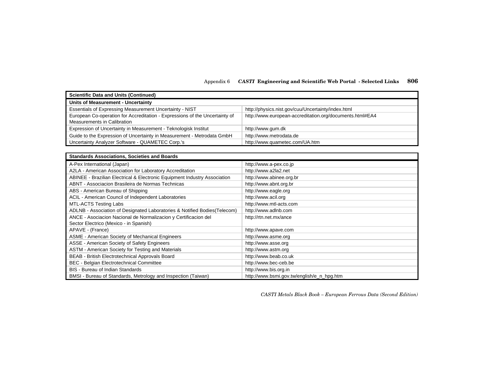| <b>Scientific Data and Units (Continued)</b>                                |                                                          |
|-----------------------------------------------------------------------------|----------------------------------------------------------|
| Units of Measurement - Uncertainty                                          |                                                          |
| Essentials of Expressing Measurement Uncertainty - NIST                     | http://physics.nist.gov/cuu/Uncertainty/index.html       |
| European Co-operation for Accreditation - Expressions of the Uncertainty of | http://www.european-accreditation.org/documents.html#EA4 |
| Measurements in Calibration                                                 |                                                          |
| Expression of Uncertainty in Measurement - Teknologisk Institut             | http://www.gum.dk                                        |
| Guide to the Expression of Uncertainty in Measurement - Metrodata GmbH      | http://www.metrodata.de                                  |
| Uncertainty Analyzer Software - QUAMETEC Corp.'s                            | http://www.quametec.com/UA.htm                           |

| <b>Standards Associations, Societies and Boards</b>                        |                                            |
|----------------------------------------------------------------------------|--------------------------------------------|
| A-Pex International (Japan)                                                | http://www.a-pex.co.jp                     |
| A2LA - American Association for Laboratory Accreditation                   | http://www.a2la2.net                       |
| ABINEE - Brazilian Electrical & Electronic Equipment Industry Association  | http://www.abinee.org.br                   |
| ABNT - Associacion Brasileira de Normas Technicas                          | http://www.abnt.org.br                     |
| ABS - American Bureau of Shipping                                          | http://www.eagle.org                       |
| ACIL - American Council of Independent Laboratories                        | http://www.acil.org                        |
| MTL-ACTS Testing Labs                                                      | http://www.mtl-acts.com                    |
| ADLNB - Association of Designated Laboratories & Notified Bodies (Telecom) | http://www.adlnb.com                       |
| ANCE - Asociacion Nacional de Normalizacion y Certificacion del            | http://rtn.net.mx/ance                     |
| Sector Electrico (Mexico - in Spanish)                                     |                                            |
| APAVE - (France)                                                           | http://www.apave.com                       |
| ASME - American Society of Mechanical Engineers                            | http://www.asme.org                        |
| ASSE - American Society of Safety Engineers                                | http://www.asse.org                        |
| ASTM - American Society for Testing and Materials                          | http://www.astm.org                        |
| BEAB - British Electrotechnical Approvals Board                            | http://www.beab.co.uk                      |
| BEC - Belgian Electrotechnical Committee                                   | http://www.bec-ceb.be                      |
| <b>BIS</b> - Bureau of Indian Standards                                    | http://www.bis.org.in                      |
| BMSI - Bureau of Standards, Metrology and Inspection (Taiwan)              | http://www.bsmi.gov.tw/english/e_n_hpg.htm |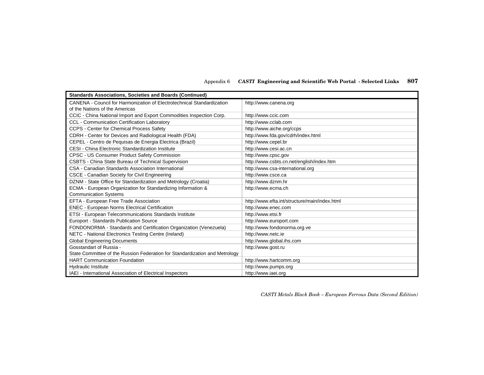| <b>Standards Associations, Societies and Boards (Continued)</b>             |                                               |  |
|-----------------------------------------------------------------------------|-----------------------------------------------|--|
| CANENA - Council for Harmonization of Electrotechnical Standardization      | http://www.canena.org                         |  |
| of the Nations of the Americas                                              |                                               |  |
| CCIC - China National Import and Export Commodities Inspection Corp.        | http://www.ccic.com                           |  |
| <b>CCL - Communication Certification Laboratory</b>                         | http://www.cclab.com                          |  |
| CCPS - Center for Chemical Process Safety                                   | http://www.aiche.org/ccps                     |  |
| CDRH - Center for Devices and Radiological Health (FDA)                     | http://www.fda.gov/cdrh/index.html            |  |
| CEPEL - Centro de Pequisas de Energia Electrica (Brazil)                    | http://www.cepel.br                           |  |
| CESI - China Electronic Standardization Institute                           | http://www.cesi.ac.cn                         |  |
| <b>CPSC - US Consumer Product Safety Commission</b>                         | http://www.cpsc.gov                           |  |
| <b>CSBTS - China State Bureau of Technical Supervision</b>                  | http://www.csbts.cn.net/english/index.htm     |  |
| CSA - Canadian Standards Association International                          | http://www.csa-international.org              |  |
| CSCE - Canadian Society for Civil Engineering                               | http://www.csce.ca                            |  |
| DZNM - State Office for Standardization and Metrology (Croatia)             | http://www.dznm.hr                            |  |
| ECMA - European Organization for Standardizing Information &                | http://www.ecma.ch                            |  |
| <b>Communication Systems</b>                                                |                                               |  |
| EFTA - European Free Trade Association                                      | http://www.efta.int/structure/main/index.html |  |
| <b>ENEC - European Norms Electrical Certification</b>                       | http://www.enec.com                           |  |
| ETSI - European Telecommunications Standards Institute                      | http://www.etsi.fr                            |  |
| Europort - Standards Publication Source                                     | http://www.europort.com                       |  |
| FONDONORMA - Standards and Certification Organization (Venezuela)           | http://www.fondonorma.org.ve                  |  |
| NETC - National Electronics Testing Centre (Ireland)                        | http://www.netc.ie                            |  |
| <b>Global Engineering Documents</b>                                         | http://www.global.ihs.com                     |  |
| Gosstandart of Russia -                                                     | http://www.gost.ru                            |  |
| State Committee of the Russion Federation for Standardization and Metrology |                                               |  |
| <b>HART Communication Foundation</b>                                        | http://www.hartcomm.org                       |  |
| <b>Hydraulic Institute</b>                                                  | http://www.pumps.org                          |  |
| IAEI - International Association of Electrical Inspectors                   | http://www.iaei.org                           |  |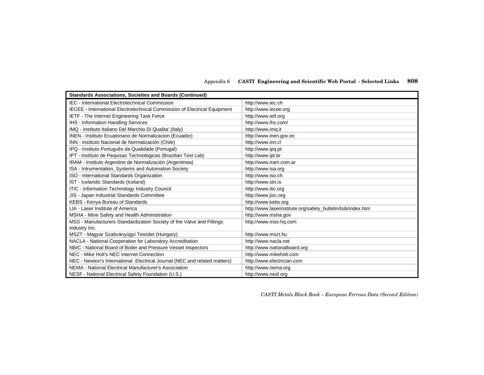| <b>Standards Associations, Societies and Boards (Continued)</b>                  |                                                              |
|----------------------------------------------------------------------------------|--------------------------------------------------------------|
| <b>IEC</b> - International Electrotechnical Commission                           | http://www.iec.ch                                            |
| <b>IECEE - International Electrotechnical Commission of Electrical Equipment</b> | http://www.iecee.org                                         |
| <b>IETF - The Internet Engineering Task Force</b>                                | http://www.ietf.org                                          |
| IHS - Information Handling Services                                              | http://www.ihs.com/                                          |
| IMQ - Instituto Italiano Del Marchio Di Qualita' (Italy)                         | http://www.imq.it                                            |
| <b>INEN - Instituto Ecuatoriano de Normalizacion (Ecuador)</b>                   | http://www.inen.gov.ec                                       |
| INN - Instituto Nacional de Normalización (Chile)                                | http://www.inn.cl                                            |
| IPQ - Instituto Português da Qualidade (Portugal)                                | http://www.ipq.pt                                            |
| IPT - Instituto de Pequisas Technologicas (Brazilian Test Lab)                   | http://www.ipt.br                                            |
| IRAM - Instituto Argentino de Normalización (Argentinea)                         | http://www.iram.com.ar                                       |
| ISA - Intrumentation, Systems and Automation Society                             | http://www.isa.org                                           |
| ISO - International Standards Organization                                       | http://www.iso.ch                                            |
| IST - Icelandic Standards (Iceland)                                              | http://www.stri.is                                           |
| ITIC - Information Technology Industry Council                                   | http://www.itic.org                                          |
| JIS - Japan Industrial Standards Committee                                       | http://www.jisc.org                                          |
| KEBS - Kenya Bureau of Standards                                                 | http://www.kebs.org                                          |
| LIA - Laser Institute of America                                                 | http://www.laserinstitute.org/safety_bulletin/lsib/index.htm |
| MSHA - Mine Safety and Health Administration                                     | http://www.msha.gov                                          |
| MSS - Manufacturers Standardization Society of the Valve and Fittings            | http://www.mss-hq.com                                        |
| Industry Inc.                                                                    |                                                              |
| MSZT - Magyar Szabványügyi Testület (Hungary)                                    | http://www.mszt.hu                                           |
| NACLA - National Cooperation for Laboratory Accreditation                        | http://www.nacla.net                                         |
| NBIC - National Board of Boiler and Pressure Vessel Inspectors                   | http://www.nationalboard.org                                 |
| NEC - Mike Holt's NEC Internet Connection                                        | http://www.mikeholt.com                                      |
| NEC - Newton's International Electrical Journal (NEC and related matters)        | http://www.electrician.com                                   |
| NEMA - National Electrical Manufacturer's Association                            | http://www.nema.org                                          |
| NESF - National Electrical Safety Foundation (U.S.)                              | http://www.nesf.org                                          |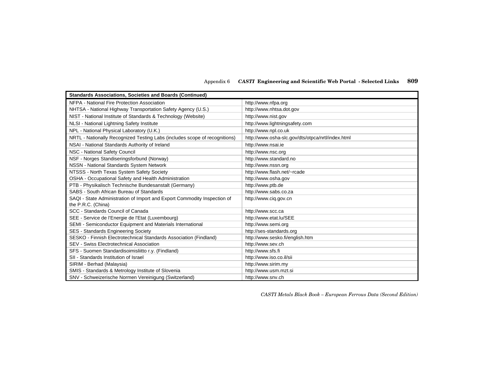| <b>Standards Associations, Societies and Boards (Continued)</b>            |                                                   |  |
|----------------------------------------------------------------------------|---------------------------------------------------|--|
| NFPA - National Fire Protection Association                                | http://www.nfpa.org                               |  |
| NHTSA - National Highway Transportation Safety Agency (U.S.)               | http://www.nhtsa.dot.gov                          |  |
| NIST - National Institute of Standards & Technology (Website)              | http://www.nist.gov                               |  |
| NLSI - National Lightning Safety Institute                                 | http://www.lightningsafety.com                    |  |
| NPL - National Physical Laboratory (U.K.)                                  | http://www.npl.co.uk                              |  |
| NRTL - Nationally Recognized Testing Labs (includes scope of recognitions) | http://www.osha-slc.gov/dts/otpca/nrtl/index.html |  |
| NSAI - National Standards Authority of Ireland                             | http://www.nsai.ie                                |  |
| NSC - National Safety Council                                              | http://www.nsc.org                                |  |
| NSF - Norges Standiseringsforbund (Norway)                                 | http://www.standard.no                            |  |
| NSSN - National Standards System Network                                   | http://www.nssn.org                               |  |
| NTSSS - North Texas System Safety Society                                  | http://www.flash.net/~rcade                       |  |
| OSHA - Occupational Safety and Health Administration                       | http://www.osha.gov                               |  |
| PTB - Physikalisch Technische Bundesanstalt (Germany)                      | http://www.ptb.de                                 |  |
| SABS - South African Bureau of Standards                                   | http://www.sabs.co.za                             |  |
| SAQI - State Administration of Import and Export Commodity Inspection of   | http://www.cig.gov.cn                             |  |
| the P.R.C. (China)                                                         |                                                   |  |
| SCC - Standards Council of Canada                                          | http://www.scc.ca                                 |  |
| SEE - Service de l'Energie de l'Etat (Luxembourg)                          | http://www.etat.lu/SEE                            |  |
| SEMI - Semiconductor Equipment and Materials International                 | http://www.semi.org                               |  |
| SES - Standards Engineering Society                                        | http://ses-standards.org                          |  |
| SESKO - Finnish Electrotechnical Standards Association (Findland)          | http://www.sesko.fi/english.htm                   |  |
| SEV - Swiss Electrotechnical Association                                   | http://www.sev.ch                                 |  |
| SFS - Suomen Standardisoimisliitto r.y. (Findland)                         | http://www.sfs.fi                                 |  |
| SII - Standards Institution of Israel                                      | http://www.iso.co.il/sii                          |  |
| SIRIM - Berhad (Malaysia)                                                  | http://www.sirim.my                               |  |
| SMIS - Standards & Metrology Institute of Slovenia                         | http://www.usm.mzt.si                             |  |
| SNV - Schweizerische Normen Vereinigung (Switzerland)                      | http://www.snv.ch                                 |  |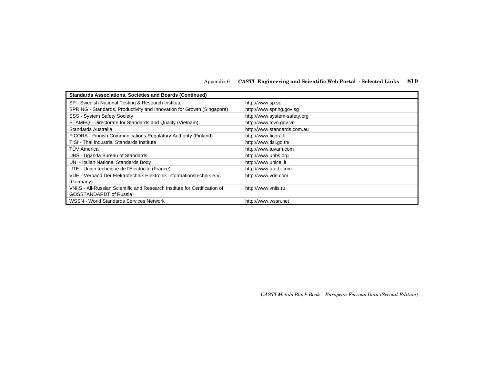| <b>Standards Associations, Societies and Boards (Continued)</b>            |                              |  |
|----------------------------------------------------------------------------|------------------------------|--|
| SP - Swedish National Testing & Research Institute                         | http://www.sp.se             |  |
| SPRING - Standards, Productivity and Innovation for Growth (Singapore)     | http://www.spring.gov.sg     |  |
| SSS - System Safety Society                                                | http://www.system-safety.org |  |
| STAMEQ - Directorate for Standards and Quality (Vietnam)                   | http://www.tcvn.gov.vn       |  |
| Standards Australia                                                        | http://www.standards.com.au  |  |
| FICORA - Finnish Communications Regulatory Authority (Finland)             | http://www.ficora.fi         |  |
| TISI - Thai Industrial Standards Institute                                 | http://www.tisi.go.th/       |  |
| <b>TÜV America</b>                                                         | http://www.tuvam.com         |  |
| UBS - Uganda Bureau of Standards                                           | http://www.unbs.org          |  |
| UNI - Italian National Standards Body                                      | http://www.unicei.it         |  |
| UTE - Union technique de l'Electricite (France)                            | http://www.ute-fr.com        |  |
| VDE - Verband Der Elektrotechnik Elektronik Informationstechnik e.V.       | http://www.vde.com           |  |
| (Germany)                                                                  |                              |  |
| VNIIS - All-Russian Scientific and Research Institute for Certification of | http://www.vniis.ru          |  |
| <b>GOSSTANDARDT of Russia</b>                                              |                              |  |
| <b>WSSN</b> - World Standards Services Network                             | http://www.wssn.net          |  |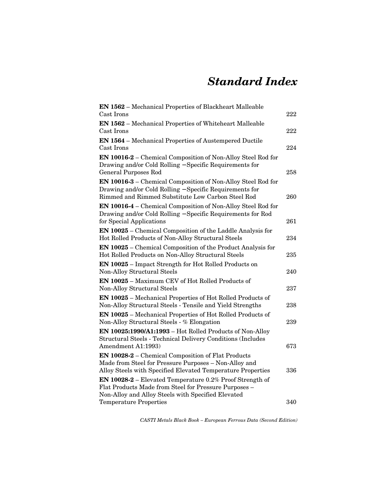## *Standard Index*

| <b>EN 1562</b> – Mechanical Properties of Blackheart Malleable                                                                                                |     |
|---------------------------------------------------------------------------------------------------------------------------------------------------------------|-----|
| Cast Irons                                                                                                                                                    | 222 |
| <b>EN 1562</b> – Mechanical Properties of Whiteheart Malleable<br>Cast Irons                                                                                  | 222 |
| <b>EN 1564</b> – Mechanical Properties of Austempered Ductile<br>Cast Irons                                                                                   | 224 |
|                                                                                                                                                               |     |
| <b>EN 10016-2</b> – Chemical Composition of Non-Alloy Steel Rod for<br>Drawing and/or Cold Rolling - Specific Requirements for<br><b>General Purposes Rod</b> | 258 |
| <b>EN 10016-3</b> – Chemical Composition of Non-Alloy Steel Rod for                                                                                           |     |
| Drawing and/or Cold Rolling – Specific Requirements for<br>Rimmed and Rimmed Substitute Low Carbon Steel Rod                                                  | 260 |
| <b>EN 10016-4</b> – Chemical Composition of Non-Alloy Steel Rod for                                                                                           |     |
| Drawing and/or Cold Rolling - Specific Requirements for Rod<br>for Special Applications                                                                       | 261 |
| EN 10025 - Chemical Composition of the Laddle Analysis for                                                                                                    |     |
| Hot Rolled Products of Non-Alloy Structural Steels                                                                                                            | 234 |
| <b>EN 10025</b> – Chemical Composition of the Product Analysis for<br>Hot Rolled Products on Non-Alloy Structural Steels                                      | 235 |
| <b>EN 10025</b> – Impact Strength for Hot Rolled Products on<br>Non-Alloy Structural Steels                                                                   | 240 |
| EN 10025 - Maximum CEV of Hot Rolled Products of                                                                                                              |     |
| Non-Alloy Structural Steels                                                                                                                                   | 237 |
| EN 10025 - Mechanical Properties of Hot Rolled Products of                                                                                                    |     |
| Non-Alloy Structural Steels - Tensile and Yield Strengths                                                                                                     | 238 |
| <b>EN 10025</b> – Mechanical Properties of Hot Rolled Products of                                                                                             |     |
| Non-Alloy Structural Steels - % Elongation                                                                                                                    | 239 |
| EN 10025:1990/A1:1993 - Hot Rolled Products of Non-Alloy<br>Structural Steels - Technical Delivery Conditions (Includes                                       |     |
| Amendment A1:1993)                                                                                                                                            | 673 |
| EN 10028-2 - Chemical Composition of Flat Products                                                                                                            |     |
| Made from Steel for Pressure Purposes - Non-Alloy and                                                                                                         |     |
| Alloy Steels with Specified Elevated Temperature Properties                                                                                                   | 336 |
| <b>EN 10028-2</b> – Elevated Temperature 0.2% Proof Strength of                                                                                               |     |
| Flat Products Made from Steel for Pressure Purposes -                                                                                                         |     |
| Non-Alloy and Alloy Steels with Specified Elevated                                                                                                            |     |
| <b>Temperature Properties</b>                                                                                                                                 | 340 |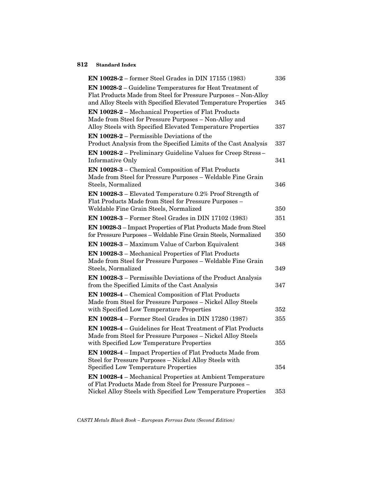| <b>EN 10028-2</b> – former Steel Grades in DIN 17155 (1983)                                                                                                                                            | 336 |
|--------------------------------------------------------------------------------------------------------------------------------------------------------------------------------------------------------|-----|
| <b>EN 10028-2</b> – Guideline Temperatures for Heat Treatment of<br>Flat Products Made from Steel for Pressure Purposes - Non-Alloy<br>and Alloy Steels with Specified Elevated Temperature Properties | 345 |
| EN 10028-2 - Mechanical Properties of Flat Products<br>Made from Steel for Pressure Purposes - Non-Alloy and<br>Alloy Steels with Specified Elevated Temperature Properties                            | 337 |
| $EN$ 10028-2 – Permissible Deviations of the<br>Product Analysis from the Specified Limits of the Cast Analysis                                                                                        | 337 |
| <b>EN 10028-2</b> – Preliminary Guideline Values for Creep Stress –<br><b>Informative Only</b>                                                                                                         | 341 |
| <b>EN 10028-3</b> – Chemical Composition of Flat Products<br>Made from Steel for Pressure Purposes - Weldable Fine Grain<br>Steels, Normalized                                                         | 346 |
| <b>EN 10028-3</b> – Elevated Temperature 0.2% Proof Strength of<br>Flat Products Made from Steel for Pressure Purposes -<br>Weldable Fine Grain Steels, Normalized                                     | 350 |
| <b>EN 10028-3</b> - Former Steel Grades in DIN 17102 (1983)                                                                                                                                            | 351 |
| <b>EN 10028-3</b> – Impact Properties of Flat Products Made from Steel<br>for Pressure Purposes - Weldable Fine Grain Steels, Normalized                                                               | 350 |
| <b>EN 10028-3 - Maximum Value of Carbon Equivalent</b>                                                                                                                                                 | 348 |
| <b>EN 10028-3</b> – Mechanical Properties of Flat Products<br>Made from Steel for Pressure Purposes - Weldable Fine Grain<br>Steels, Normalized                                                        | 349 |
| EN 10028-3 - Permissible Deviations of the Product Analysis<br>from the Specified Limits of the Cast Analysis                                                                                          | 347 |
| <b>EN 10028-4</b> – Chemical Composition of Flat Products<br>Made from Steel for Pressure Purposes - Nickel Alloy Steels                                                                               |     |
| with Specified Low Temperature Properties                                                                                                                                                              | 352 |
| <b>EN 10028-4</b> – Former Steel Grades in DIN 17280 (1987)                                                                                                                                            | 355 |
| <b>EN 10028-4</b> – Guidelines for Heat Treatment of Flat Products<br>Made from Steel for Pressure Purposes - Nickel Alloy Steels<br>with Specified Low Temperature Properties                         | 355 |
| <b>EN 10028-4</b> – Impact Properties of Flat Products Made from<br>Steel for Pressure Purposes - Nickel Alloy Steels with<br><b>Specified Low Temperature Properties</b>                              | 354 |
| <b>EN 10028-4</b> – Mechanical Properties at Ambient Temperature<br>of Flat Products Made from Steel for Pressure Purposes -<br>Nickel Alloy Steels with Specified Low Temperature Properties          | 353 |
|                                                                                                                                                                                                        |     |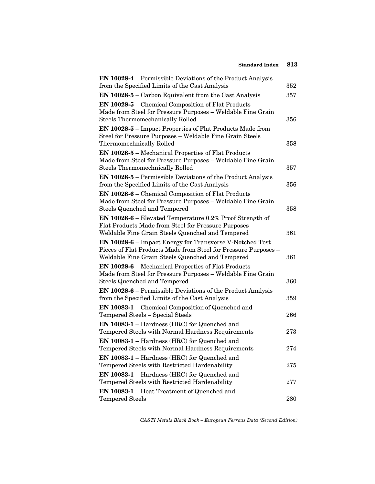| <b>Standard Index</b>                                                                                                                                                                  | 813 |
|----------------------------------------------------------------------------------------------------------------------------------------------------------------------------------------|-----|
| <b>EN 10028-4</b> – Permissible Deviations of the Product Analysis<br>from the Specified Limits of the Cast Analysis                                                                   | 352 |
| $EN 10028-5$ – Carbon Equivalent from the Cast Analysis                                                                                                                                | 357 |
| <b>EN 10028-5</b> – Chemical Composition of Flat Products<br>Made from Steel for Pressure Purposes - Weldable Fine Grain<br><b>Steels Thermomechanically Rolled</b>                    | 356 |
| <b>EN 10028-5</b> – Impact Properties of Flat Products Made from<br>Steel for Pressure Purposes - Weldable Fine Grain Steels<br>Thermomechnically Rolled                               | 358 |
| <b>EN 10028-5</b> – Mechanical Properties of Flat Products<br>Made from Steel for Pressure Purposes - Weldable Fine Grain<br>Steels Thermomechnically Rolled                           | 357 |
| EN 10028-5 - Permissible Deviations of the Product Analysis<br>from the Specified Limits of the Cast Analysis                                                                          | 356 |
| <b>EN 10028-6</b> – Chemical Composition of Flat Products<br>Made from Steel for Pressure Purposes - Weldable Fine Grain<br><b>Steels Quenched and Tempered</b>                        | 358 |
| <b>EN 10028-6</b> – Elevated Temperature 0.2% Proof Strength of<br>Flat Products Made from Steel for Pressure Purposes -<br>Weldable Fine Grain Steels Quenched and Tempered           | 361 |
| <b>EN 10028-6</b> – Impact Energy for Transverse V-Notched Test<br>Pieces of Flat Products Made from Steel for Pressure Purposes -<br>Weldable Fine Grain Steels Quenched and Tempered | 361 |
| <b>EN 10028-6</b> – Mechanical Properties of Flat Products<br>Made from Steel for Pressure Purposes - Weldable Fine Grain<br>Steels Quenched and Tempered                              | 360 |
| <b>EN 10028-6</b> – Permissible Deviations of the Product Analysis<br>from the Specified Limits of the Cast Analysis                                                                   | 359 |
| <b>EN 10083-1</b> – Chemical Composition of Quenched and<br>Tempered Steels - Special Steels                                                                                           | 266 |
| EN 10083-1 - Hardness (HRC) for Quenched and<br>Tempered Steels with Normal Hardness Requirements                                                                                      | 273 |
| EN 10083-1 - Hardness (HRC) for Quenched and<br>Tempered Steels with Normal Hardness Requirements                                                                                      | 274 |
| $EN$ 10083-1 – Hardness (HRC) for Quenched and<br>Tempered Steels with Restricted Hardenability                                                                                        | 275 |
| EN 10083-1 - Hardness (HRC) for Quenched and<br>Tempered Steels with Restricted Hardenability                                                                                          | 277 |
| <b>EN 10083-1</b> – Heat Treatment of Quenched and<br>Tempered Steels                                                                                                                  | 280 |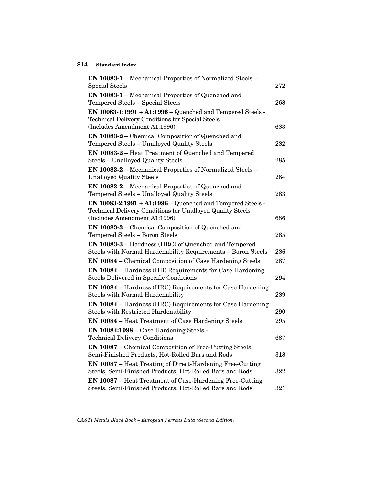| <b>EN 10083-1</b> – Mechanical Properties of Normalized Steels –                                                             |     |
|------------------------------------------------------------------------------------------------------------------------------|-----|
| <b>Special Steels</b>                                                                                                        | 272 |
| <b>EN 10083-1</b> – Mechanical Properties of Quenched and<br>Tempered Steels - Special Steels                                | 268 |
| EN 10083-1:1991 + $A1:1996$ – Quenched and Tempered Steels -                                                                 |     |
| Technical Delivery Conditions for Special Steels<br>(Includes Amendment A1:1996)                                             | 683 |
| EN 10083-2 – Chemical Composition of Quenched and                                                                            |     |
| Tempered Steels - Unalloyed Quality Steels                                                                                   | 282 |
| <b>EN 10083-2</b> - Heat Treatment of Quenched and Tempered<br>Steels - Unalloyed Quality Steels                             | 285 |
| EN 10083-2 - Mechanical Properties of Normalized Steels -<br><b>Unalloyed Quality Steels</b>                                 | 284 |
| <b>EN 10083-2</b> – Mechanical Properties of Quenched and<br>Tempered Steels - Unalloyed Quality Steels                      | 283 |
| EN 10083-2:1991 + $A1:1996$ – Quenched and Tempered Steels -                                                                 |     |
| Technical Delivery Conditions for Unalloyed Quality Steels<br>(Includes Amendment A1:1996)                                   | 686 |
| EN 10083-3 - Chemical Composition of Quenched and                                                                            |     |
| Tempered Steels - Boron Steels                                                                                               | 285 |
| EN 10083-3 - Hardness (HRC) of Quenched and Tempered<br>Steels with Normal Hardenability Requirements - Boron Steels         | 286 |
| EN 10084 - Chemical Composition of Case Hardening Steels                                                                     | 287 |
| <b>EN 10084</b> – Hardness (HB) Requirements for Case Hardening<br><b>Steels Delivered in Specific Conditions</b>            | 294 |
| <b>EN 10084</b> – Hardness (HRC) Requirements for Case Hardening<br><b>Steels with Normal Hardenability</b>                  | 289 |
| <b>EN 10084</b> – Hardness (HRC) Requirements for Case Hardening<br>Steels with Restricted Hardenability                     | 290 |
| <b>EN 10084</b> – Heat Treatment of Case Hardening Steels                                                                    | 295 |
| $EN$ 10084:1998 – Case Hardening Steels -<br><b>Technical Delivery Conditions</b>                                            | 687 |
| <b>EN 10087</b> – Chemical Composition of Free-Cutting Steels,<br>Semi-Finished Products, Hot-Rolled Bars and Rods           | 318 |
| <b>EN 10087</b> – Heat Treating of Direct-Hardening Free-Cutting<br>Steels, Semi-Finished Products, Hot-Rolled Bars and Rods | 322 |
| <b>EN 10087</b> – Heat Treatment of Case-Hardening Free-Cutting<br>Steels, Semi-Finished Products, Hot-Rolled Bars and Rods  | 321 |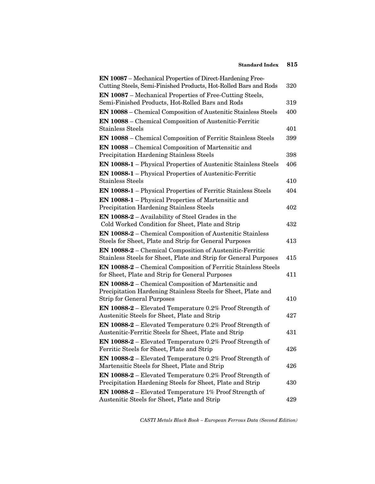| <b>Standard Index</b> |  | 815 |
|-----------------------|--|-----|
|-----------------------|--|-----|

| <b>EN 10087</b> – Mechanical Properties of Direct-Hardening Free-<br>Cutting Steels, Semi-Finished Products, Hot-Rolled Bars and Rods                             | 320 |
|-------------------------------------------------------------------------------------------------------------------------------------------------------------------|-----|
| <b>EN 10087</b> – Mechanical Properties of Free-Cutting Steels,<br>Semi-Finished Products, Hot-Rolled Bars and Rods                                               | 319 |
| <b>EN 10088</b> – Chemical Composition of Austenitic Stainless Steels                                                                                             | 400 |
| EN 10088 - Chemical Composition of Austenitic-Ferritic<br><b>Stainless Steels</b>                                                                                 | 401 |
| <b>EN 10088</b> – Chemical Composition of Ferritic Stainless Steels                                                                                               | 399 |
| EN 10088 - Chemical Composition of Martensitic and<br>Precipitation Hardening Stainless Steels                                                                    | 398 |
| <b>EN 10088-1</b> – Physical Properties of Austenitic Stainless Steels                                                                                            | 406 |
| <b>EN 10088-1</b> – Physical Properties of Austenitic-Ferritic<br><b>Stainless Steels</b>                                                                         | 410 |
| <b>EN 10088-1</b> – Physical Properties of Ferritic Stainless Steels                                                                                              | 404 |
| <b>EN 10088-1</b> – Physical Properties of Martensitic and<br>Precipitation Hardening Stainless Steels                                                            | 402 |
| EN $10088-2$ – Availability of Steel Grades in the                                                                                                                |     |
| Cold Worked Condition for Sheet, Plate and Strip                                                                                                                  | 432 |
| <b>EN 10088-2</b> – Chemical Composition of Austenitic Stainless<br>Steels for Sheet, Plate and Strip for General Purposes                                        | 413 |
| <b>EN 10088-2</b> – Chemical Composition of Austenitic-Ferritic<br>Stainless Steels for Sheet, Plate and Strip for General Purposes                               | 415 |
| <b>EN 10088-2</b> – Chemical Composition of Ferritic Stainless Steels<br>for Sheet, Plate and Strip for General Purposes                                          | 411 |
| <b>EN 10088-2</b> – Chemical Composition of Martensitic and<br>Precipitation Hardening Stainless Steels for Sheet, Plate and<br><b>Strip for General Purposes</b> | 410 |
| <b>EN 10088-2</b> – Elevated Temperature 0.2% Proof Strength of<br>Austenitic Steels for Sheet, Plate and Strip                                                   | 427 |
| <b>EN 10088-2</b> – Elevated Temperature 0.2% Proof Strength of<br>Austenitic-Ferritic Steels for Sheet, Plate and Strip                                          | 431 |
| <b>EN 10088-2</b> – Elevated Temperature 0.2% Proof Strength of<br>Ferritic Steels for Sheet, Plate and Strip                                                     | 426 |
| <b>EN 10088-2</b> – Elevated Temperature 0.2% Proof Strength of<br>Martensitic Steels for Sheet, Plate and Strip                                                  | 426 |
| <b>EN 10088-2</b> – Elevated Temperature 0.2% Proof Strength of<br>Precipitation Hardening Steels for Sheet, Plate and Strip                                      | 430 |
| <b>EN 10088-2</b> – Elevated Temperature $1\%$ Proof Strength of<br>Austenitic Steels for Sheet, Plate and Strip                                                  | 429 |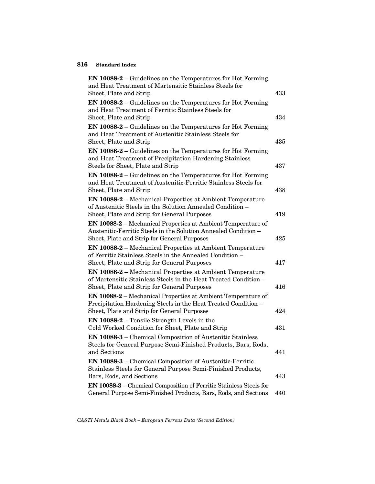| EN 10088-2 - Guidelines on the Temperatures for Hot Forming<br>and Heat Treatment of Martensitic Stainless Steels for                                                                 |     |
|---------------------------------------------------------------------------------------------------------------------------------------------------------------------------------------|-----|
| Sheet, Plate and Strip                                                                                                                                                                | 433 |
| <b>EN 10088-2</b> – Guidelines on the Temperatures for Hot Forming<br>and Heat Treatment of Ferritic Stainless Steels for<br>Sheet, Plate and Strip                                   | 434 |
| <b>EN 10088-2</b> – Guidelines on the Temperatures for Hot Forming<br>and Heat Treatment of Austenitic Stainless Steels for<br>Sheet, Plate and Strip                                 | 435 |
| <b>EN 10088-2</b> – Guidelines on the Temperatures for Hot Forming<br>and Heat Treatment of Precipitation Hardening Stainless<br>Steels for Sheet, Plate and Strip                    | 437 |
| EN 10088-2 - Guidelines on the Temperatures for Hot Forming<br>and Heat Treatment of Austenitic-Ferritic Stainless Steels for<br>Sheet, Plate and Strip                               | 438 |
| <b>EN 10088-2</b> – Mechanical Properties at Ambient Temperature<br>of Austenitic Steels in the Solution Annealed Condition -<br>Sheet, Plate and Strip for General Purposes          | 419 |
| <b>EN 10088-2</b> – Mechanical Properties at Ambient Temperature of<br>Austenitic-Ferritic Steels in the Solution Annealed Condition -<br>Sheet, Plate and Strip for General Purposes | 425 |
| <b>EN 10088-2</b> – Mechanical Properties at Ambient Temperature<br>of Ferritic Stainless Steels in the Annealed Condition -<br>Sheet, Plate and Strip for General Purposes           | 417 |
| <b>EN 10088-2</b> – Mechanical Properties at Ambient Temperature<br>of Martensitic Stainless Steels in the Heat Treated Condition -<br>Sheet, Plate and Strip for General Purposes    | 416 |
| <b>EN 10088-2</b> – Mechanical Properties at Ambient Temperature of<br>Precipitation Hardening Steels in the Heat Treated Condition -<br>Sheet, Plate and Strip for General Purposes  | 424 |
| $EN$ 10088-2 – Tensile Strength Levels in the<br>Cold Worked Condition for Sheet, Plate and Strip                                                                                     | 431 |
| <b>EN 10088-3</b> – Chemical Composition of Austenitic Stainless<br>Steels for General Purpose Semi-Finished Products, Bars, Rods,<br>and Sections                                    | 441 |
| <b>EN 10088-3</b> – Chemical Composition of Austenitic-Ferritic<br>Stainless Steels for General Purpose Semi-Finished Products,<br>Bars, Rods, and Sections                           | 443 |
| <b>EN 10088-3</b> – Chemical Composition of Ferritic Stainless Steels for<br>General Purpose Semi-Finished Products, Bars, Rods, and Sections                                         | 440 |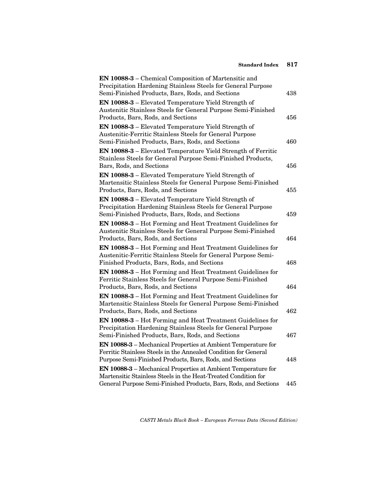| <b>Standard Index</b> |  | 817 |
|-----------------------|--|-----|
|-----------------------|--|-----|

| <b>EN 10088-3</b> – Chemical Composition of Martensitic and<br>Precipitation Hardening Stainless Steels for General Purpose<br>Semi-Finished Products, Bars, Rods, and Sections                            | 438 |
|------------------------------------------------------------------------------------------------------------------------------------------------------------------------------------------------------------|-----|
| <b>EN 10088-3</b> – Elevated Temperature Yield Strength of<br>Austenitic Stainless Steels for General Purpose Semi-Finished<br>Products, Bars, Rods, and Sections                                          | 456 |
| <b>EN 10088-3</b> – Elevated Temperature Yield Strength of<br>Austenitic-Ferritic Stainless Steels for General Purpose<br>Semi-Finished Products, Bars, Rods, and Sections                                 | 460 |
| <b>EN 10088-3 – Elevated Temperature Yield Strength of Ferritic</b><br>Stainless Steels for General Purpose Semi-Finished Products,<br>Bars, Rods, and Sections                                            | 456 |
| <b>EN 10088-3</b> – Elevated Temperature Yield Strength of<br>Martensitic Stainless Steels for General Purpose Semi-Finished<br>Products, Bars, Rods, and Sections                                         | 455 |
| EN 10088-3 - Elevated Temperature Yield Strength of<br>Precipitation Hardening Stainless Steels for General Purpose<br>Semi-Finished Products, Bars, Rods, and Sections                                    | 459 |
| EN 10088-3 - Hot Forming and Heat Treatment Guidelines for<br>Austenitic Stainless Steels for General Purpose Semi-Finished<br>Products, Bars, Rods, and Sections                                          | 464 |
| EN 10088-3 - Hot Forming and Heat Treatment Guidelines for<br>Austenitic-Ferritic Stainless Steels for General Purpose Semi-<br>Finished Products, Bars, Rods, and Sections                                | 468 |
| EN 10088-3 - Hot Forming and Heat Treatment Guidelines for<br>Ferritic Stainless Steels for General Purpose Semi-Finished<br>Products, Bars, Rods, and Sections                                            | 464 |
| <b>EN 10088-3</b> – Hot Forming and Heat Treatment Guidelines for<br>Martensitic Stainless Steels for General Purpose Semi-Finished<br>Products, Bars, Rods, and Sections                                  | 462 |
| EN 10088-3 - Hot Forming and Heat Treatment Guidelines for<br>Precipitation Hardening Stainless Steels for General Purpose<br>Semi-Finished Products, Bars, Rods, and Sections                             | 467 |
| <b>EN 10088-3</b> – Mechanical Properties at Ambient Temperature for<br>Ferritic Stainless Steels in the Annealed Condition for General<br>Purpose Semi-Finished Products, Bars, Rods, and Sections        | 448 |
| <b>EN 10088-3</b> – Mechanical Properties at Ambient Temperature for<br>Martensitic Stainless Steels in the Heat-Treated Condition for<br>General Purpose Semi-Finished Products, Bars, Rods, and Sections | 445 |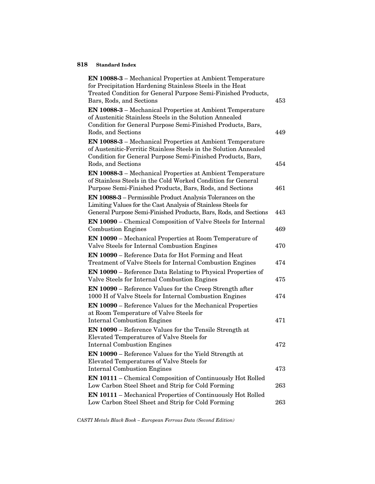| <b>EN 10088-3 - Mechanical Properties at Ambient Temperature</b><br>for Precipitation Hardening Stainless Steels in the Heat                                                                                              |     |
|---------------------------------------------------------------------------------------------------------------------------------------------------------------------------------------------------------------------------|-----|
| Treated Condition for General Purpose Semi-Finished Products,<br>Bars, Rods, and Sections                                                                                                                                 | 453 |
| <b>EN 10088-3 - Mechanical Properties at Ambient Temperature</b><br>of Austenitic Stainless Steels in the Solution Annealed<br>Condition for General Purpose Semi-Finished Products, Bars,<br>Rods, and Sections          | 449 |
| <b>EN 10088-3</b> – Mechanical Properties at Ambient Temperature<br>of Austenitic-Ferritic Stainless Steels in the Solution Annealed<br>Condition for General Purpose Semi-Finished Products, Bars,<br>Rods, and Sections | 454 |
| <b>EN 10088-3</b> – Mechanical Properties at Ambient Temperature<br>of Stainless Steels in the Cold Worked Condition for General<br>Purpose Semi-Finished Products, Bars, Rods, and Sections                              | 461 |
| <b>EN 10088-3</b> – Permissible Product Analysis Tolerances on the<br>Limiting Values for the Cast Analysis of Stainless Steels for<br>General Purpose Semi-Finished Products, Bars, Rods, and Sections                   | 443 |
| <b>EN 10090</b> – Chemical Composition of Valve Steels for Internal<br><b>Combustion Engines</b>                                                                                                                          | 469 |
| <b>EN 10090</b> – Mechanical Properties at Room Temperature of<br>Valve Steels for Internal Combustion Engines                                                                                                            | 470 |
| <b>EN 10090</b> – Reference Data for Hot Forming and Heat<br>Treatment of Valve Steels for Internal Combustion Engines                                                                                                    | 474 |
| <b>EN 10090</b> – Reference Data Relating to Physical Properties of<br>Valve Steels for Internal Combustion Engines                                                                                                       | 475 |
| <b>EN 10090</b> – Reference Values for the Creep Strength after<br>1000 H of Valve Steels for Internal Combustion Engines                                                                                                 | 474 |
| <b>EN 10090</b> – Reference Values for the Mechanical Properties<br>at Room Temperature of Valve Steels for                                                                                                               |     |
| <b>Internal Combustion Engines</b><br>EN 10090 - Reference Values for the Tensile Strength at                                                                                                                             | 471 |
| Elevated Temperatures of Valve Steels for<br><b>Internal Combustion Engines</b>                                                                                                                                           | 472 |
| EN 10090 - Reference Values for the Yield Strength at<br>Elevated Temperatures of Valve Steels for<br><b>Internal Combustion Engines</b>                                                                                  | 473 |
| <b>EN 10111</b> – Chemical Composition of Continuously Hot Rolled<br>Low Carbon Steel Sheet and Strip for Cold Forming                                                                                                    | 263 |
| <b>EN 10111</b> – Mechanical Properties of Continuously Hot Rolled<br>Low Carbon Steel Sheet and Strip for Cold Forming                                                                                                   | 263 |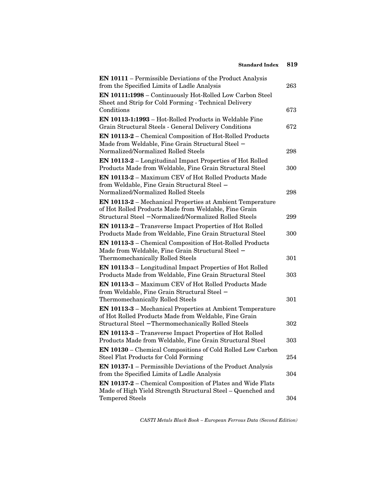| <b>Standard Index</b>                                                                                                                                                               | 819        |
|-------------------------------------------------------------------------------------------------------------------------------------------------------------------------------------|------------|
| <b>EN 10111</b> – Permissible Deviations of the Product Analysis<br>from the Specified Limits of Ladle Analysis                                                                     | 263        |
| EN 10111:1998 - Continuously Hot-Rolled Low Carbon Steel<br>Sheet and Strip for Cold Forming - Technical Delivery<br>Conditions                                                     | 673        |
| <b>EN 10113-1:1993 - Hot-Rolled Products in Weldable Fine</b><br>Grain Structural Steels - General Delivery Conditions                                                              | 672        |
| <b>EN 10113-2</b> – Chemical Composition of Hot-Rolled Products<br>Made from Weldable, Fine Grain Structural Steel -<br>Normalized/Normalized Rolled Steels                         | 298        |
| <b>EN 10113-2</b> – Longitudinal Impact Properties of Hot Rolled<br>Products Made from Weldable, Fine Grain Structural Steel                                                        | 300        |
| <b>EN 10113-2 - Maximum CEV of Hot Rolled Products Made</b><br>from Weldable, Fine Grain Structural Steel -<br>Normalized/Normalized Rolled Steels                                  | 298        |
| <b>EN 10113-2</b> – Mechanical Properties at Ambient Temperature<br>of Hot Rolled Products Made from Weldable, Fine Grain<br>Structural Steel - Normalized/Normalized Rolled Steels | 299        |
| <b>EN 10113-2</b> – Transverse Impact Properties of Hot Rolled<br>Products Made from Weldable, Fine Grain Structural Steel                                                          | 300        |
| <b>EN 10113-3</b> – Chemical Composition of Hot-Rolled Products<br>Made from Weldable, Fine Grain Structural Steel -<br>Thermomechanically Rolled Steels                            | 301        |
| <b>EN 10113-3</b> – Longitudinal Impact Properties of Hot Rolled<br>Products Made from Weldable, Fine Grain Structural Steel                                                        | 303        |
| <b>EN 10113-3 – Maximum CEV of Hot Rolled Products Made</b><br>from Weldable, Fine Grain Structural Steel -<br>Thermomechanically Rolled Steels                                     | 301        |
| <b>EN 10113-3</b> – Mechanical Properties at Ambient Temperature<br>of Hot Rolled Products Made from Weldable, Fine Grain                                                           |            |
| Structural Steel - Thermomechanically Rolled Steels<br>EN 10113-3 - Transverse Impact Properties of Hot Rolled                                                                      | 302        |
| Products Made from Weldable, Fine Grain Structural Steel<br><b>EN 10130</b> – Chemical Compositions of Cold Rolled Low Carbon                                                       | 303        |
| <b>Steel Flat Products for Cold Forming</b><br><b>EN 10137-1</b> – Permissible Deviations of the Product Analysis<br>from the Specified Limits of Ladle Analysis                    | 254<br>304 |
| <b>EN 10137-2</b> – Chemical Composition of Plates and Wide Flats<br>Made of High Yield Strength Structural Steel - Quenched and                                                    |            |
| <b>Tempered Steels</b>                                                                                                                                                              | 304        |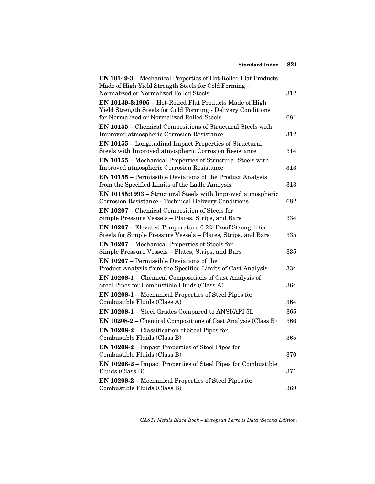| <b>Standard Index</b> |  | 821 |
|-----------------------|--|-----|
|-----------------------|--|-----|

| EN 10149-3 - Mechanical Properties of Hot-Rolled Flat Products                                                                     |         |
|------------------------------------------------------------------------------------------------------------------------------------|---------|
| Made of High Yield Strength Steels for Cold Forming -<br>Normalized or Normalized Rolled Steels                                    | $312\,$ |
| EN 10149-3:1995 - Hot-Rolled Flat Products Made of High<br>Yield Strength Steels for Cold Forming - Delivery Conditions            |         |
| for Normalized or Normalized Rolled Steels                                                                                         | 681     |
| EN 10155 - Chemical Compositions of Structural Steels with<br><b>Improved atmospheric Corrosion Resistance</b>                     | $312\,$ |
| EN 10155 - Longitudinal Impact Properties of Structural<br>Steels with Improved atmospheric Corrosion Resistance                   | 314     |
| EN 10155 - Mechanical Properties of Structural Steels with<br><b>Improved atmospheric Corrosion Resistance</b>                     | 313     |
| <b>EN 10155</b> – Permissible Deviations of the Product Analysis<br>from the Specified Limits of the Ladle Analysis                | 313     |
| EN 10155:1993 - Structural Steels with Improved atmospheric<br>Corrosion Resistance - Technical Delivery Conditions                | 682     |
| <b>EN 10207</b> – Chemical Composition of Steels for<br>Simple Pressure Vessels - Plates, Strips, and Bars                         | 334     |
| <b>EN 10207</b> – Elevated Temperature $0.2\%$ Proof Strength for<br>Steels for Simple Pressure Vessels - Plates, Strips, and Bars | 335     |
| EN 10207 - Mechanical Properties of Steels for<br>Simple Pressure Vessels - Plates, Strips, and Bars                               | 335     |
| <b>EN 10207</b> – Permissible Deviations of the<br>Product Analysis from the Specified Limits of Cast Analysis                     | 334     |
| EN 10208-1 - Chemical Compositions of Cast Analysis of<br>Steel Pipes for Combustible Fluids (Class A)                             | 364     |
| EN 10208-1 - Mechanical Properties of Steel Pipes for<br>Combustible Fluids (Class A)                                              | 364     |
| EN 10208-1 - Steel Grades Compared to ANSI/API 5L                                                                                  | 365     |
| EN 10208-2 – Chemical Compositions of Cast Analysis (Class B)                                                                      | 366     |
| <b>EN</b> 10208-2 – Classification of Steel Pipes for<br>Combustible Fluids (Class B)                                              | 365     |
| <b>EN 10208-2</b> – Impact Properties of Steel Pipes for<br>Combustible Fluids (Class B)                                           | 370     |
| <b>EN 10208-2</b> – Impact Properties of Steel Pipes for Combustible<br>Fluids (Class B)                                           | 371     |
| <b>EN 10208-2</b> – Mechanical Properties of Steel Pipes for<br>Combustible Fluids (Class B)                                       | 369     |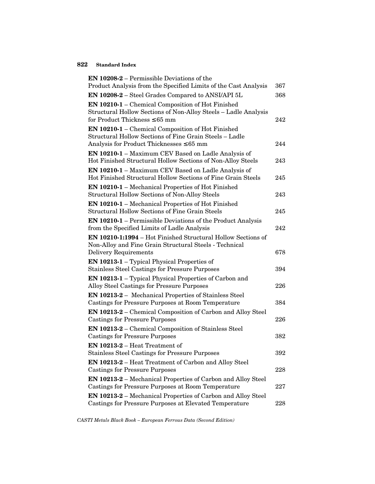| <b>EN 10208-2 – Permissible Deviations of the</b>                                                                                                                    |     |
|----------------------------------------------------------------------------------------------------------------------------------------------------------------------|-----|
| Product Analysis from the Specified Limits of the Cast Analysis                                                                                                      | 367 |
| <b>EN 10208-2</b> – Steel Grades Compared to ANSI/API 5L                                                                                                             | 368 |
| <b>EN 10210-1</b> – Chemical Composition of Hot Finished<br>Structural Hollow Sections of Non-Alloy Steels - Ladle Analysis<br>for Product Thickness $\leq 65$ mm    | 242 |
| <b>EN 10210-1</b> – Chemical Composition of Hot Finished<br>Structural Hollow Sections of Fine Grain Steels - Ladle<br>Analysis for Product Thicknesses $\leq 65$ mm | 244 |
| <b>EN 10210-1</b> – Maximum CEV Based on Ladle Analysis of<br>Hot Finished Structural Hollow Sections of Non-Alloy Steels                                            | 243 |
| <b>EN 10210-1</b> – Maximum CEV Based on Ladle Analysis of<br>Hot Finished Structural Hollow Sections of Fine Grain Steels                                           | 245 |
| <b>EN 10210-1</b> – Mechanical Properties of Hot Finished<br><b>Structural Hollow Sections of Non-Alloy Steels</b>                                                   | 243 |
| <b>EN 10210-1</b> – Mechanical Properties of Hot Finished<br><b>Structural Hollow Sections of Fine Grain Steels</b>                                                  | 245 |
| <b>EN 10210-1</b> – Permissible Deviations of the Product Analysis<br>from the Specified Limits of Ladle Analysis                                                    | 242 |
| <b>EN 10210-1:1994 – Hot Finished Structural Hollow Sections of</b><br>Non-Alloy and Fine Grain Structural Steels - Technical<br>Delivery Requirements               | 678 |
| <b>EN</b> 10213-1 – Typical Physical Properties of<br><b>Stainless Steel Castings for Pressure Purposes</b>                                                          | 394 |
| EN 10213-1 - Typical Physical Properties of Carbon and<br>Alloy Steel Castings for Pressure Purposes                                                                 | 226 |
| <b>EN 10213-2 - Mechanical Properties of Stainless Steel</b><br>Castings for Pressure Purposes at Room Temperature                                                   | 384 |
| <b>EN 10213-2</b> – Chemical Composition of Carbon and Alloy Steel<br><b>Castings for Pressure Purposes</b>                                                          | 226 |
| <b>EN 10213-2</b> – Chemical Composition of Stainless Steel<br><b>Castings for Pressure Purposes</b>                                                                 | 382 |
| $EN 10213-2 - Heat Treatment of$<br><b>Stainless Steel Castings for Pressure Purposes</b>                                                                            | 392 |
| EN 10213-2 - Heat Treatment of Carbon and Alloy Steel<br><b>Castings for Pressure Purposes</b>                                                                       | 228 |
| <b>EN 10213-2 - Mechanical Properties of Carbon and Alloy Steel</b><br>Castings for Pressure Purposes at Room Temperature                                            | 227 |
| <b>EN 10213-2</b> – Mechanical Properties of Carbon and Alloy Steel<br>Castings for Pressure Purposes at Elevated Temperature                                        | 228 |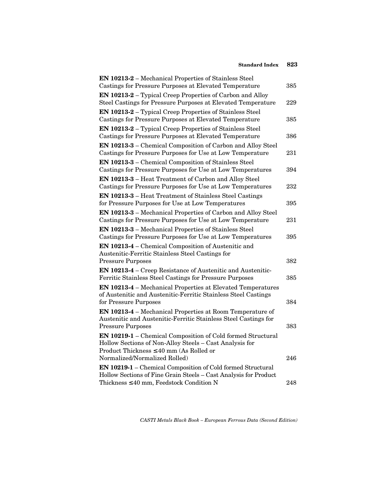| <b>Standard Index</b> |  | 823 |
|-----------------------|--|-----|
|-----------------------|--|-----|

| EN 10213-2 - Mechanical Properties of Stainless Steel                                                                         |     |
|-------------------------------------------------------------------------------------------------------------------------------|-----|
| Castings for Pressure Purposes at Elevated Temperature                                                                        | 385 |
| <b>EN 10213-2</b> – Typical Creep Properties of Carbon and Alloy                                                              |     |
| Steel Castings for Pressure Purposes at Elevated Temperature                                                                  | 229 |
| EN 10213-2 - Typical Creep Properties of Stainless Steel                                                                      |     |
| Castings for Pressure Purposes at Elevated Temperature                                                                        | 385 |
| <b>EN 10213-2</b> - Typical Creep Properties of Stainless Steel<br>Castings for Pressure Purposes at Elevated Temperature     | 386 |
| <b>EN 10213-3</b> – Chemical Composition of Carbon and Alloy Steel                                                            |     |
| Castings for Pressure Purposes for Use at Low Temperature                                                                     | 231 |
| <b>EN 10213-3</b> – Chemical Composition of Stainless Steel                                                                   |     |
| Castings for Pressure Purposes for Use at Low Temperatures                                                                    | 394 |
| EN 10213-3 - Heat Treatment of Carbon and Alloy Steel                                                                         |     |
| Castings for Pressure Purposes for Use at Low Temperatures                                                                    | 232 |
| EN 10213-3 - Heat Treatment of Stainless Steel Castings                                                                       |     |
| for Pressure Purposes for Use at Low Temperatures                                                                             | 395 |
| EN 10213-3 - Mechanical Properties of Carbon and Alloy Steel                                                                  |     |
| Castings for Pressure Purposes for Use at Low Temperature                                                                     | 231 |
| EN 10213-3 - Mechanical Properties of Stainless Steel<br>Castings for Pressure Purposes for Use at Low Temperatures           | 395 |
| EN 10213-4 – Chemical Composition of Austenitic and                                                                           |     |
| Austenitic-Ferritic Stainless Steel Castings for                                                                              |     |
| <b>Pressure Purposes</b>                                                                                                      | 382 |
| <b>EN 10213-4</b> – Creep Resistance of Austenitic and Austenitic-<br>Ferritic Stainless Steel Castings for Pressure Purposes | 385 |
| EN 10213-4 - Mechanical Properties at Elevated Temperatures                                                                   |     |
| of Austenitic and Austenitic-Ferritic Stainless Steel Castings                                                                |     |
| for Pressure Purposes                                                                                                         | 384 |
| EN 10213-4 - Mechanical Properties at Room Temperature of                                                                     |     |
| Austenitic and Austenitic-Ferritic Stainless Steel Castings for<br><b>Pressure Purposes</b>                                   | 383 |
| <b>EN 10219-1</b> – Chemical Composition of Cold formed Structural                                                            |     |
| Hollow Sections of Non-Alloy Steels - Cast Analysis for                                                                       |     |
| Product Thickness $\leq 40$ mm (As Rolled or                                                                                  |     |
| Normalized/Normalized Rolled)                                                                                                 | 246 |
| EN 10219-1 - Chemical Composition of Cold formed Structural                                                                   |     |
| Hollow Sections of Fine Grain Steels - Cast Analysis for Product                                                              |     |
| Thickness $\leq 40$ mm, Feedstock Condition N                                                                                 | 248 |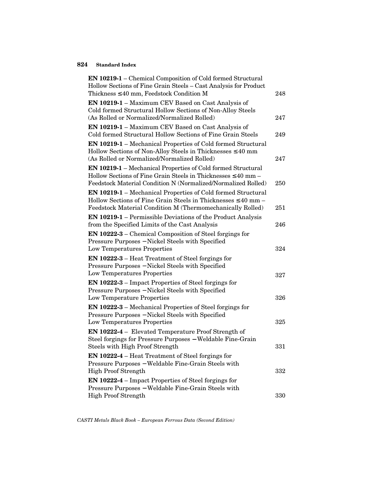| <b>EN 10219-1</b> – Chemical Composition of Cold formed Structural<br>Hollow Sections of Fine Grain Steels - Cast Analysis for Product<br>Thickness $\leq 40$ mm, Feedstock Condition M                    | 248     |
|------------------------------------------------------------------------------------------------------------------------------------------------------------------------------------------------------------|---------|
| <b>EN 10219-1</b> – Maximum CEV Based on Cast Analysis of<br>Cold formed Structural Hollow Sections of Non-Alloy Steels<br>(As Rolled or Normalized/Normalized Rolled)                                     | 247     |
| <b>EN 10219-1</b> – Maximum CEV Based on Cast Analysis of<br>Cold formed Structural Hollow Sections of Fine Grain Steels                                                                                   | 249     |
| EN 10219-1 - Mechanical Properties of Cold formed Structural<br>Hollow Sections of Non-Alloy Steels in Thicknesses $\leq 40$ mm<br>(As Rolled or Normalized/Normalized Rolled)                             | 247     |
| <b>EN 10219-1</b> – Mechanical Properties of Cold formed Structural<br>Hollow Sections of Fine Grain Steels in Thicknesses $\leq 40$ mm -                                                                  |         |
| Feedstock Material Condition N (Normalized/Normalized Rolled)<br><b>EN 10219-1</b> – Mechanical Properties of Cold formed Structural<br>Hollow Sections of Fine Grain Steels in Thicknesses $\leq 40$ mm – | 250     |
| Feedstock Material Condition M (Thermomechanically Rolled)<br><b>EN 10219-1</b> – Permissible Deviations of the Product Analysis                                                                           | 251     |
| from the Specified Limits of the Cast Analysis<br><b>EN 10222-3</b> – Chemical Composition of Steel forgings for                                                                                           | 246     |
| Pressure Purposes - Nickel Steels with Specified<br>Low Temperatures Properties                                                                                                                            | 324     |
| <b>EN 10222-3</b> – Heat Treatment of Steel forgings for<br>Pressure Purposes - Nickel Steels with Specified<br>Low Temperatures Properties                                                                | 327     |
| <b>EN 10222-3</b> – Impact Properties of Steel forgings for<br>Pressure Purposes - Nickel Steels with Specified<br>Low Temperature Properties                                                              | 326     |
| <b>EN 10222-3</b> – Mechanical Properties of Steel forgings for<br>Pressure Purposes - Nickel Steels with Specified                                                                                        |         |
| Low Temperatures Properties<br><b>EN 10222-4</b> – Elevated Temperature Proof Strength of                                                                                                                  | 325     |
| Steel forgings for Pressure Purposes - Weldable Fine-Grain<br><b>Steels with High Proof Strength</b>                                                                                                       | $331\,$ |
| <b>EN 10222-4</b> – Heat Treatment of Steel forgings for<br>Pressure Purposes - Weldable Fine-Grain Steels with<br><b>High Proof Strength</b>                                                              | 332     |
| <b>EN 10222-4</b> – Impact Properties of Steel forgings for<br>Pressure Purposes - Weldable Fine-Grain Steels with                                                                                         |         |
| <b>High Proof Strength</b>                                                                                                                                                                                 | 330     |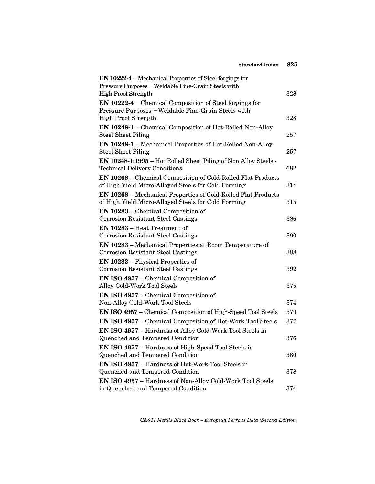| <b>Standard Index</b>                                                                                                       | 825 |
|-----------------------------------------------------------------------------------------------------------------------------|-----|
| <b>EN 10222-4</b> – Mechanical Properties of Steel forgings for<br>Pressure Purposes - Weldable Fine-Grain Steels with      |     |
| <b>High Proof Strength</b>                                                                                                  | 328 |
| <b>EN 10222-4</b> – Chemical Composition of Steel forgings for<br>Pressure Purposes - Weldable Fine-Grain Steels with       |     |
| <b>High Proof Strength</b>                                                                                                  | 328 |
| <b>EN 10248-1</b> – Chemical Composition of Hot-Rolled Non-Alloy<br><b>Steel Sheet Piling</b>                               | 257 |
| <b>EN 10248-1</b> – Mechanical Properties of Hot-Rolled Non-Alloy<br><b>Steel Sheet Piling</b>                              | 257 |
| EN 10248-1:1995 - Hot Rolled Sheet Piling of Non Alloy Steels -<br><b>Technical Delivery Conditions</b>                     | 682 |
| <b>EN 10268</b> – Chemical Composition of Cold-Rolled Flat Products<br>of High Yield Micro-Alloyed Steels for Cold Forming  | 314 |
| <b>EN 10268</b> – Mechanical Properties of Cold-Rolled Flat Products<br>of High Yield Micro-Alloyed Steels for Cold Forming | 315 |
| EN 10283 - Chemical Composition of<br><b>Corrosion Resistant Steel Castings</b>                                             | 386 |
| <b>EN 10283</b> – Heat Treatment of                                                                                         |     |
| <b>Corrosion Resistant Steel Castings</b>                                                                                   | 390 |
| <b>EN 10283</b> – Mechanical Properties at Room Temperature of<br><b>Corrosion Resistant Steel Castings</b>                 | 388 |
| <b>EN</b> 10283 – Physical Properties of<br><b>Corrosion Resistant Steel Castings</b>                                       | 392 |
| EN ISO 4957 - Chemical Composition of<br>Alloy Cold-Work Tool Steels                                                        | 375 |
| EN ISO 4957 – Chemical Composition of<br>Non-Alloy Cold-Work Tool Steels                                                    | 374 |
| <b>EN ISO 4957</b> – Chemical Composition of High-Speed Tool Steels                                                         | 379 |
| <b>EN ISO 4957</b> – Chemical Composition of Hot-Work Tool Steels                                                           | 377 |
| EN ISO 4957 - Hardness of Alloy Cold-Work Tool Steels in                                                                    |     |
| Quenched and Tempered Condition                                                                                             | 376 |
| <b>EN ISO 4957 - Hardness of High-Speed Tool Steels in</b><br>Quenched and Tempered Condition                               | 380 |
| EN ISO 4957 - Hardness of Hot-Work Tool Steels in<br>Quenched and Tempered Condition                                        | 378 |
| <b>EN ISO 4957 - Hardness of Non-Alloy Cold-Work Tool Steels</b><br>in Quenched and Tempered Condition                      | 374 |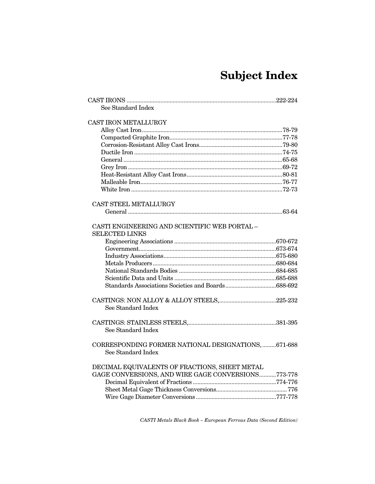# **Subject Index**

| See Standard Index                                  |  |
|-----------------------------------------------------|--|
| CAST IRON METALLURGY                                |  |
|                                                     |  |
|                                                     |  |
|                                                     |  |
|                                                     |  |
|                                                     |  |
|                                                     |  |
|                                                     |  |
|                                                     |  |
|                                                     |  |
|                                                     |  |
| CAST STEEL METALLURGY                               |  |
|                                                     |  |
| CASTI ENGINEERING AND SCIENTIFIC WEB PORTAL -       |  |
| <b>SELECTED LINKS</b>                               |  |
|                                                     |  |
|                                                     |  |
|                                                     |  |
|                                                     |  |
|                                                     |  |
|                                                     |  |
|                                                     |  |
|                                                     |  |
|                                                     |  |
| See Standard Index                                  |  |
|                                                     |  |
| See Standard Index                                  |  |
|                                                     |  |
| CORRESPONDING FORMER NATIONAL DESIGNATIONS, 671-688 |  |
| See Standard Index                                  |  |
|                                                     |  |
| DECIMAL EQUIVALENTS OF FRACTIONS, SHEET METAL       |  |
| GAGE CONVERSIONS, AND WIRE GAGE CONVERSIONS773-778  |  |
|                                                     |  |
|                                                     |  |
|                                                     |  |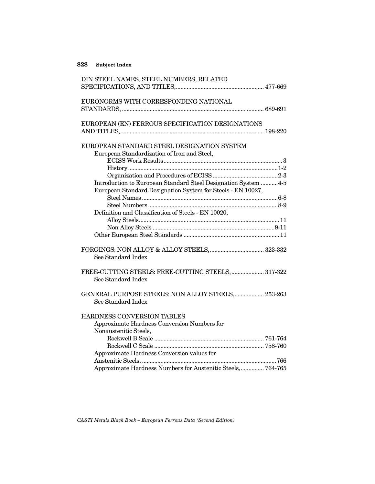# **828 Subject Index**

| DIN STEEL NAMES, STEEL NUMBERS, RELATED                         |  |
|-----------------------------------------------------------------|--|
|                                                                 |  |
| EURONORMS WITH CORRESPONDING NATIONAL                           |  |
|                                                                 |  |
|                                                                 |  |
| EUROPEAN (EN) FERROUS SPECIFICATION DESIGNATIONS                |  |
|                                                                 |  |
|                                                                 |  |
| EUROPEAN STANDARD STEEL DESIGNATION SYSTEM                      |  |
| European Standardization of Iron and Steel,                     |  |
|                                                                 |  |
|                                                                 |  |
|                                                                 |  |
| Introduction to European Standard Steel Designation System  4-5 |  |
| European Standard Designation System for Steels - EN 10027,     |  |
|                                                                 |  |
|                                                                 |  |
| Definition and Classification of Steels - EN 10020,             |  |
|                                                                 |  |
|                                                                 |  |
|                                                                 |  |
|                                                                 |  |
| See Standard Index                                              |  |
|                                                                 |  |
| FREE-CUTTING STEELS: FREE-CUTTING STEELS,  317-322              |  |
| See Standard Index                                              |  |
|                                                                 |  |
| GENERAL PURPOSE STEELS: NON ALLOY STEELS,  253-263              |  |
| See Standard Index                                              |  |
|                                                                 |  |
| HARDNESS CONVERSION TABLES                                      |  |
| Approximate Hardness Conversion Numbers for                     |  |
| Nonaustenitic Steels,                                           |  |
|                                                                 |  |
|                                                                 |  |
| Approximate Hardness Conversion values for                      |  |
|                                                                 |  |
| Approximate Hardness Numbers for Austenitic Steels, 764-765     |  |
|                                                                 |  |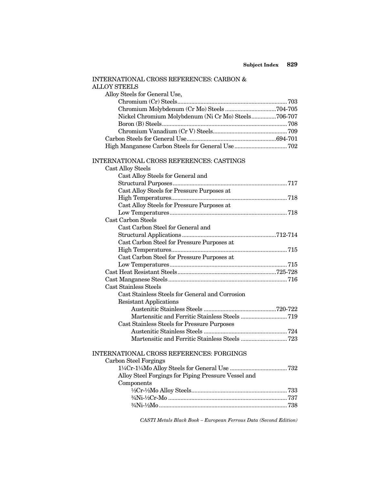| INTERNATIONAL CROSS REFERENCES: CARBON &            |  |
|-----------------------------------------------------|--|
| <b>ALLOY STEELS</b>                                 |  |
| Alloy Steels for General Use,                       |  |
|                                                     |  |
|                                                     |  |
| Nickel Chromium Molybdenum (Ni Cr Mo) Steels706-707 |  |
|                                                     |  |
|                                                     |  |
|                                                     |  |
|                                                     |  |
| INTERNATIONAL CROSS REFERENCES: CASTINGS            |  |
| Cast Alloy Steels                                   |  |
| Cast Alloy Steels for General and                   |  |
|                                                     |  |
| Cast Alloy Steels for Pressure Purposes at          |  |
|                                                     |  |
| Cast Alloy Steels for Pressure Purposes at          |  |
|                                                     |  |
| <b>Cast Carbon Steels</b>                           |  |
| Cast Carbon Steel for General and                   |  |
|                                                     |  |
| Cast Carbon Steel for Pressure Purposes at          |  |
|                                                     |  |
| Cast Carbon Steel for Pressure Purposes at          |  |
|                                                     |  |
|                                                     |  |
|                                                     |  |
| <b>Cast Stainless Steels</b>                        |  |
| Cast Stainless Steels for General and Corrosion     |  |
| <b>Resistant Applications</b>                       |  |
|                                                     |  |
|                                                     |  |
| Cast Stainless Steels for Pressure Purposes         |  |
|                                                     |  |
|                                                     |  |
|                                                     |  |
| INTERNATIONAL CROSS REFERENCES: FORGINGS            |  |
| Carbon Steel Forgings                               |  |
|                                                     |  |
| Alloy Steel Forgings for Piping Pressure Vessel and |  |
| Components                                          |  |
|                                                     |  |
|                                                     |  |
|                                                     |  |
|                                                     |  |
|                                                     |  |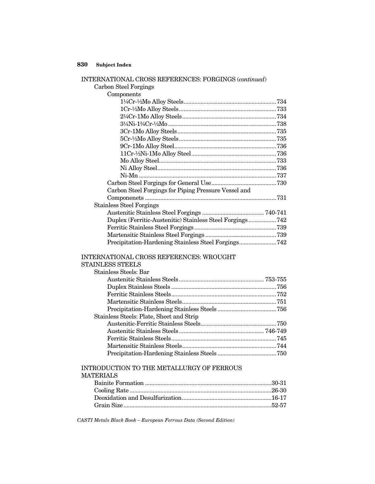# **830 Subject Index**

| INTERNATIONAL CROSS REFERENCES: FORGINGS (continued)     |  |
|----------------------------------------------------------|--|
| Carbon Steel Forgings                                    |  |
| Components                                               |  |
|                                                          |  |
|                                                          |  |
|                                                          |  |
|                                                          |  |
|                                                          |  |
|                                                          |  |
|                                                          |  |
|                                                          |  |
|                                                          |  |
|                                                          |  |
|                                                          |  |
|                                                          |  |
| Carbon Steel Forgings for Piping Pressure Vessel and     |  |
|                                                          |  |
| <b>Stainless Steel Forgings</b>                          |  |
|                                                          |  |
| Duplex (Ferritic-Austenitic) Stainless Steel Forgings742 |  |
|                                                          |  |
|                                                          |  |
| Precipitation-Hardening Stainless Steel Forgings742      |  |
| INTERNATIONAL CROSS REFERENCES: WROUGHT                  |  |

#### STAINLESS STEELS

| Stainless Steels: Bar                    |  |
|------------------------------------------|--|
|                                          |  |
|                                          |  |
|                                          |  |
|                                          |  |
|                                          |  |
| Stainless Steels: Plate, Sheet and Strip |  |
|                                          |  |
|                                          |  |
|                                          |  |
|                                          |  |
|                                          |  |

# INTRODUCTION TO THE METALLURGY OF FERROUS MATERIALS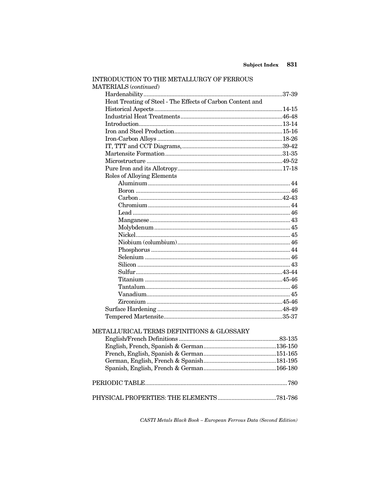| INTRODUCTION TO THE METALLURGY OF FERROUS                  |  |
|------------------------------------------------------------|--|
| MATERIALS (continued)                                      |  |
|                                                            |  |
| Heat Treating of Steel - The Effects of Carbon Content and |  |
|                                                            |  |
|                                                            |  |
|                                                            |  |
|                                                            |  |
|                                                            |  |
|                                                            |  |
|                                                            |  |
|                                                            |  |
|                                                            |  |
| Roles of Alloying Elements                                 |  |
|                                                            |  |
|                                                            |  |
|                                                            |  |
|                                                            |  |
|                                                            |  |
|                                                            |  |
|                                                            |  |
|                                                            |  |
|                                                            |  |
|                                                            |  |
|                                                            |  |
|                                                            |  |
|                                                            |  |
|                                                            |  |
|                                                            |  |
|                                                            |  |
|                                                            |  |
|                                                            |  |
|                                                            |  |
|                                                            |  |
| METALLURICAL TERMS DEFINITIONS & GLOSSARY                  |  |
|                                                            |  |
|                                                            |  |
|                                                            |  |
|                                                            |  |
|                                                            |  |
|                                                            |  |
|                                                            |  |
|                                                            |  |
|                                                            |  |